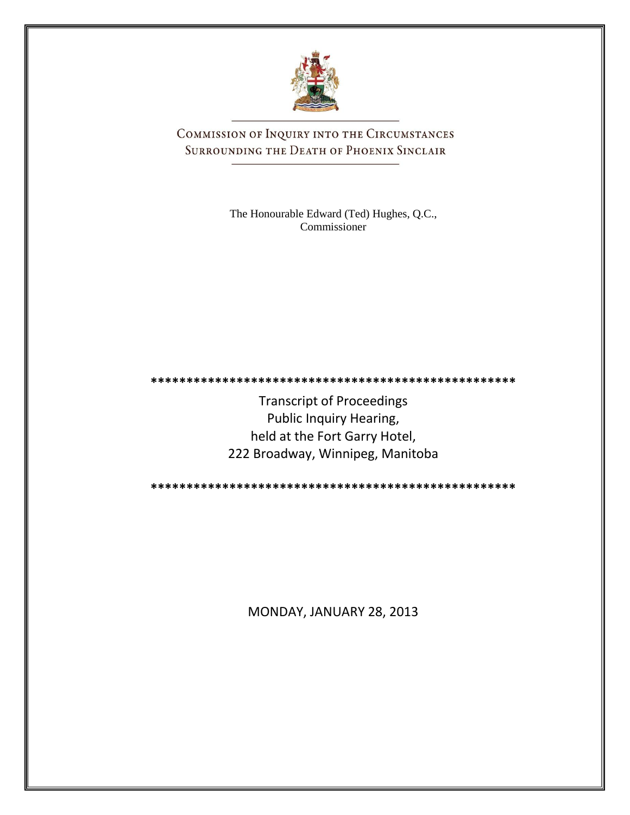

COMMISSION OF INQUIRY INTO THE CIRCUMSTANCES SURROUNDING THE DEATH OF PHOENIX SINCLAIR

> The Honourable Edward (Ted) Hughes, Q.C., Commissioner

**\*\*\*\*\*\*\*\*\*\*\*\*\*\*\*\*\*\*\*\*\*\*\*\*\*\*\*\*\*\*\*\*\*\*\*\*\*\*\*\*\*\*\*\*\*\*\*\*\*\*\***

Transcript of Proceedings Public Inquiry Hearing, held at the Fort Garry Hotel, 222 Broadway, Winnipeg, Manitoba

**\*\*\*\*\*\*\*\*\*\*\*\*\*\*\*\*\*\*\*\*\*\*\*\*\*\*\*\*\*\*\*\*\*\*\*\*\*\*\*\*\*\*\*\*\*\*\*\*\*\*\***

MONDAY, JANUARY 28, 2013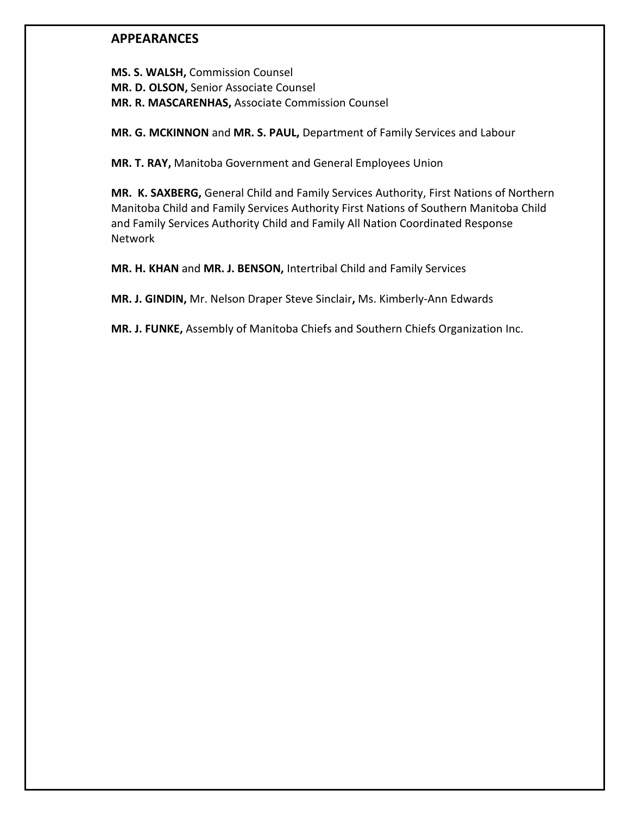# **APPEARANCES**

**MS. S. WALSH,** Commission Counsel **MR. D. OLSON,** Senior Associate Counsel **MR. R. MASCARENHAS,** Associate Commission Counsel

**MR. G. MCKINNON** and **MR. S. PAUL,** Department of Family Services and Labour

**MR. T. RAY,** Manitoba Government and General Employees Union

**MR. K. SAXBERG,** General Child and Family Services Authority, First Nations of Northern Manitoba Child and Family Services Authority First Nations of Southern Manitoba Child and Family Services Authority Child and Family All Nation Coordinated Response Network

**MR. H. KHAN** and **MR. J. BENSON,** Intertribal Child and Family Services

**MR. J. GINDIN,** Mr. Nelson Draper Steve Sinclair**,** Ms. Kimberly-Ann Edwards

**MR. J. FUNKE,** Assembly of Manitoba Chiefs and Southern Chiefs Organization Inc.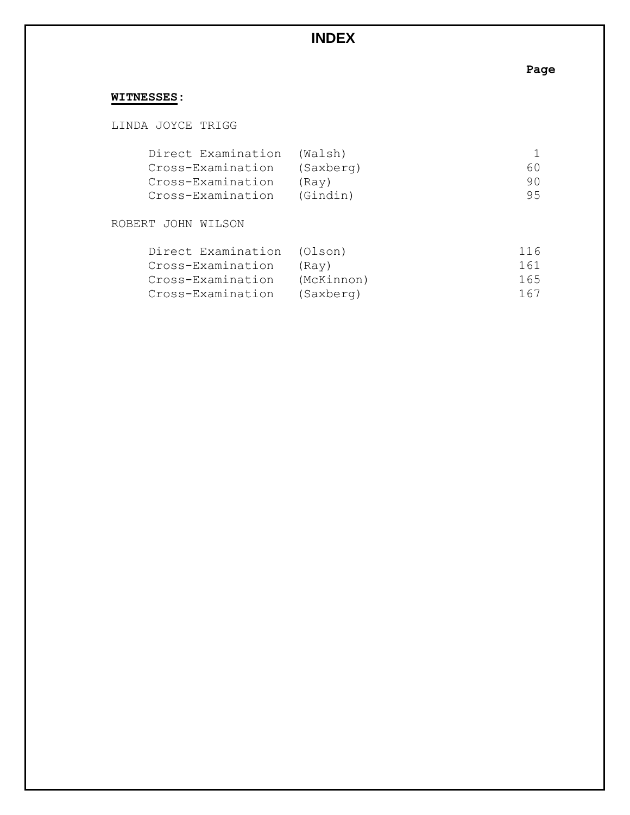# **INDEX**

# **Page**

# **WITNESSES:**

LINDA JOYCE TRIGG

| Direct Examination | (Walsh)   |    |
|--------------------|-----------|----|
| Cross-Examination  | (Saxberg) | 60 |
| Cross-Examination  | (Rav)     | 90 |
| Cross-Examination  | (Gindin)  | 95 |

# ROBERT JOHN WILSON

| Direct Examination (Olson) |            | 116 |
|----------------------------|------------|-----|
| Cross-Examination          | (Rav)      | 161 |
| Cross-Examination          | (McKinnon) | 165 |
| Cross-Examination          | (Saxberg)  | 167 |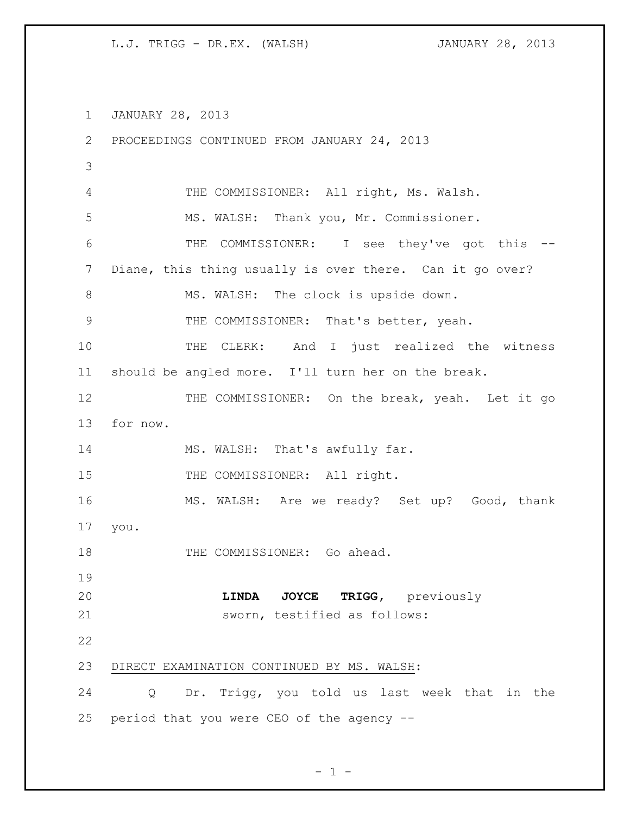JANUARY 28, 2013 PROCEEDINGS CONTINUED FROM JANUARY 24, 2013 THE COMMISSIONER: All right, Ms. Walsh. MS. WALSH: Thank you, Mr. Commissioner. THE COMMISSIONER: I see they've got this -- Diane, this thing usually is over there. Can it go over? 8 MS. WALSH: The clock is upside down. THE COMMISSIONER: That's better, yeah. 10 THE CLERK: And I just realized the witness should be angled more. I'll turn her on the break. 12 THE COMMISSIONER: On the break, yeah. Let it go for now. 14 MS. WALSH: That's awfully far. 15 THE COMMISSIONER: All right. MS. WALSH: Are we ready? Set up? Good, thank you. 18 THE COMMISSIONER: Go ahead. **LINDA JOYCE TRIGG,** previously sworn, testified as follows: DIRECT EXAMINATION CONTINUED BY MS. WALSH: Q Dr. Trigg, you told us last week that in the period that you were CEO of the agency --

$$
= 1 -
$$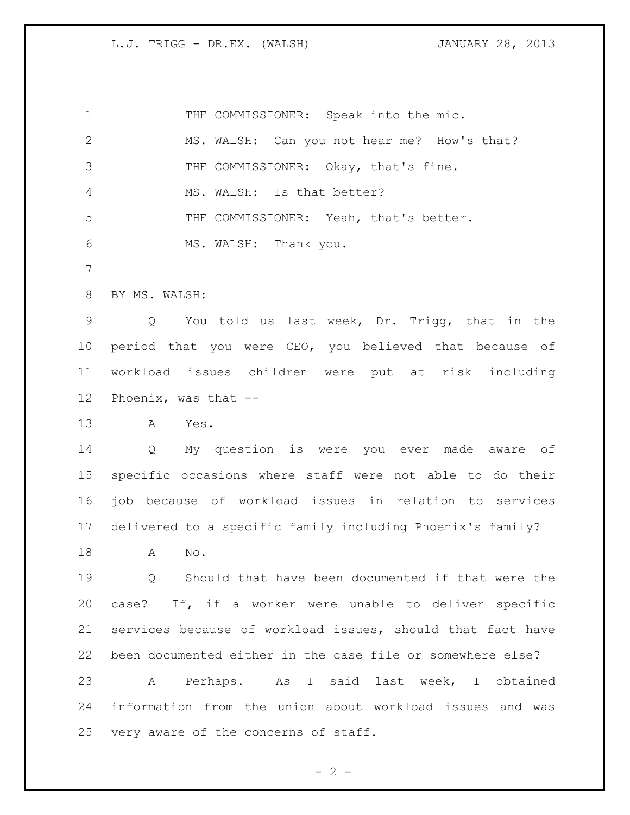1 THE COMMISSIONER: Speak into the mic. MS. WALSH: Can you not hear me? How's that? 3 THE COMMISSIONER: Okay, that's fine. MS. WALSH: Is that better? THE COMMISSIONER: Yeah, that's better. MS. WALSH: Thank you. BY MS. WALSH: Q You told us last week, Dr. Trigg, that in the period that you were CEO, you believed that because of workload issues children were put at risk including Phoenix, was that -- A Yes. Q My question is were you ever made aware of specific occasions where staff were not able to do their job because of workload issues in relation to services delivered to a specific family including Phoenix's family? A No. Q Should that have been documented if that were the case? If, if a worker were unable to deliver specific services because of workload issues, should that fact have been documented either in the case file or somewhere else? A Perhaps. As I said last week, I obtained information from the union about workload issues and was very aware of the concerns of staff.

 $- 2 -$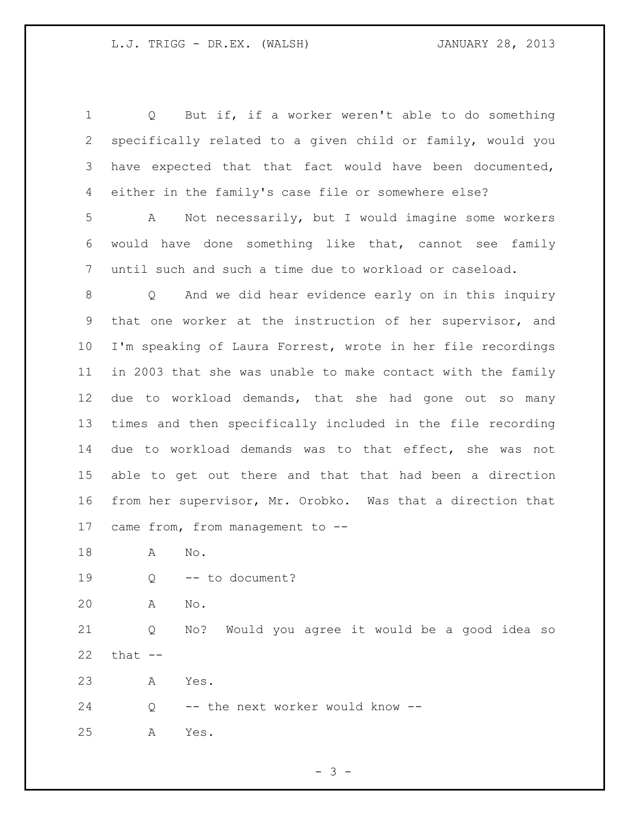| $\mathbf 1$ | Q But if, if a worker weren't able to do something               |
|-------------|------------------------------------------------------------------|
| 2           | specifically related to a given child or family, would you       |
| 3           | have expected that that fact would have been documented,         |
| 4           | either in the family's case file or somewhere else?              |
| 5           | Not necessarily, but I would imagine some workers<br>A           |
| 6           | would have done something like that, cannot see family           |
| 7           | until such and such a time due to workload or caseload.          |
| 8           | And we did hear evidence early on in this inquiry<br>$Q_{\rm c}$ |
| 9           | that one worker at the instruction of her supervisor, and        |
| 10          | I'm speaking of Laura Forrest, wrote in her file recordings      |
| 11          | in 2003 that she was unable to make contact with the family      |
| 12          | due to workload demands, that she had gone out so many           |
| 13          | times and then specifically included in the file recording       |
| 14          | due to workload demands was to that effect, she was not          |
| 15          | able to get out there and that that had been a direction         |
| 16          | from her supervisor, Mr. Orobko. Was that a direction that       |
| 17          | came from, from management to --                                 |
| 18          | Α<br>No.                                                         |
| 19          | -- to document?<br>Q                                             |
| 20          | No.<br>Α                                                         |
| 21          | No? Would you agree it would be a good idea so<br>Q              |
| 22          | that $--$                                                        |
| 23          | Yes.<br>А                                                        |
| 24          | -- the next worker would know --<br>Q                            |
| 25          | Yes.<br>Α                                                        |

 $- 3 -$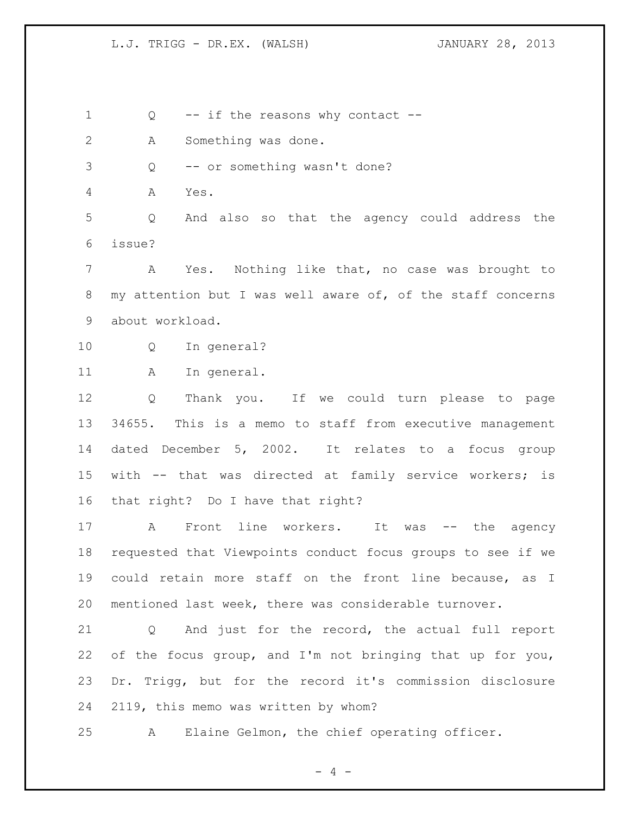$- 4 -$ 1 Q -- if the reasons why contact -- A Something was done. Q -- or something wasn't done? A Yes. Q And also so that the agency could address the issue? A Yes. Nothing like that, no case was brought to my attention but I was well aware of, of the staff concerns about workload. Q In general? 11 A In general. Q Thank you. If we could turn please to page 34655. This is a memo to staff from executive management dated December 5, 2002. It relates to a focus group with -- that was directed at family service workers; is that right? Do I have that right? 17 A Front line workers. It was -- the agency requested that Viewpoints conduct focus groups to see if we could retain more staff on the front line because, as I mentioned last week, there was considerable turnover. Q And just for the record, the actual full report of the focus group, and I'm not bringing that up for you, Dr. Trigg, but for the record it's commission disclosure 2119, this memo was written by whom? A Elaine Gelmon, the chief operating officer.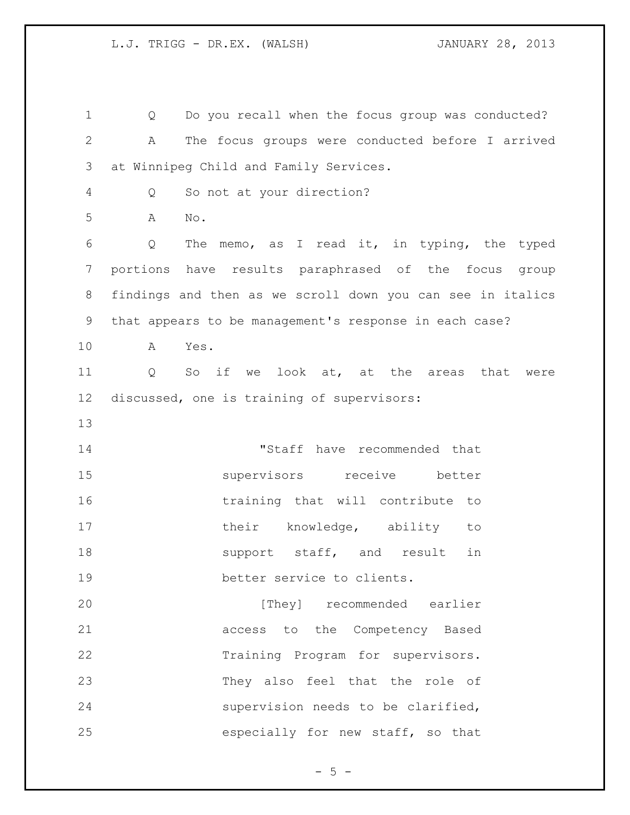Q Do you recall when the focus group was conducted? A The focus groups were conducted before I arrived at Winnipeg Child and Family Services. Q So not at your direction? A No. Q The memo, as I read it, in typing, the typed portions have results paraphrased of the focus group findings and then as we scroll down you can see in italics that appears to be management's response in each case? A Yes. Q So if we look at, at the areas that were discussed, one is training of supervisors: "Staff have recommended that supervisors receive better training that will contribute to 17 their knowledge, ability to 18 support staff, and result in better service to clients. **Example 1** [They] recommended earlier access to the Competency Based Training Program for supervisors. They also feel that the role of supervision needs to be clarified, especially for new staff, so that

 $- 5 -$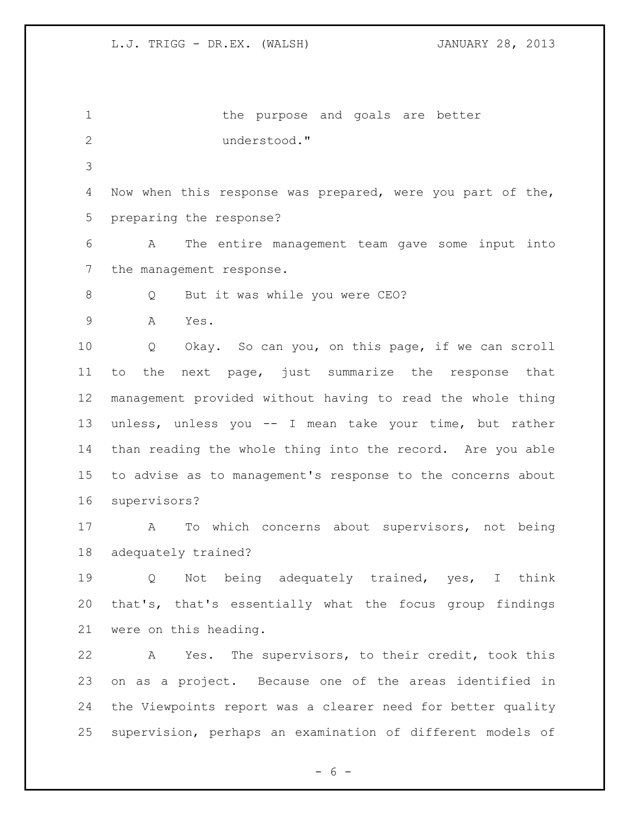1 the purpose and goals are better understood." Now when this response was prepared, were you part of the, preparing the response? A The entire management team gave some input into the management response. 8 Q But it was while you were CEO? A Yes. Q Okay. So can you, on this page, if we can scroll to the next page, just summarize the response that management provided without having to read the whole thing unless, unless you -- I mean take your time, but rather than reading the whole thing into the record. Are you able to advise as to management's response to the concerns about supervisors? A To which concerns about supervisors, not being adequately trained? Q Not being adequately trained, yes, I think that's, that's essentially what the focus group findings were on this heading. A Yes. The supervisors, to their credit, took this on as a project. Because one of the areas identified in the Viewpoints report was a clearer need for better quality supervision, perhaps an examination of different models of

 $- 6 -$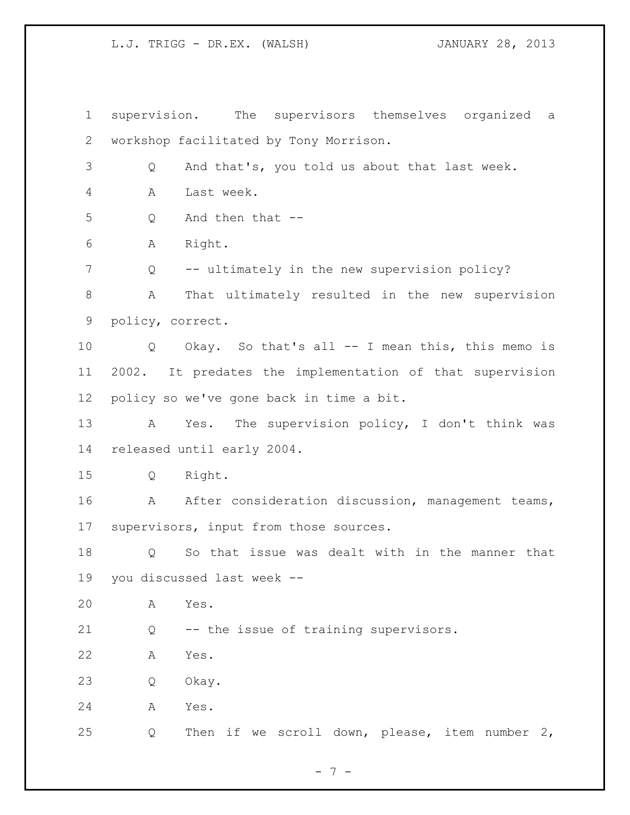supervision. The supervisors themselves organized a workshop facilitated by Tony Morrison. Q And that's, you told us about that last week. A Last week. Q And then that -- A Right. 7 Q -- ultimately in the new supervision policy? A That ultimately resulted in the new supervision policy, correct. Q Okay. So that's all -- I mean this, this memo is 2002. It predates the implementation of that supervision policy so we've gone back in time a bit. A Yes. The supervision policy, I don't think was released until early 2004. Q Right. 16 A After consideration discussion, management teams, supervisors, input from those sources. Q So that issue was dealt with in the manner that you discussed last week -- A Yes. Q -- the issue of training supervisors. A Yes. Q Okay. A Yes. Q Then if we scroll down, please, item number 2,

- 7 -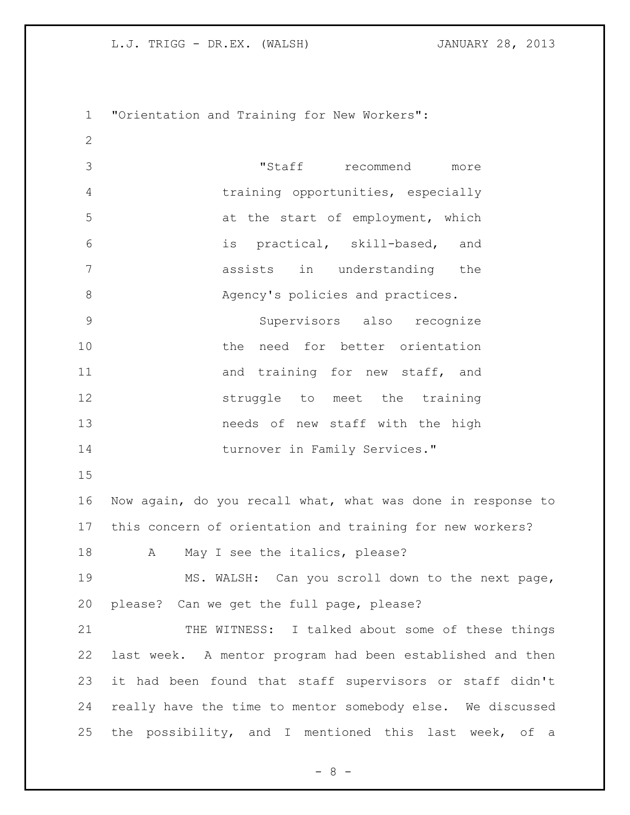"Orientation and Training for New Workers": "Staff recommend more training opportunities, especially 5 at the start of employment, which is practical, skill-based, and assists in understanding the 8 Agency's policies and practices. Supervisors also recognize the need for better orientation 11 and training for new staff, and struggle to meet the training needs of new staff with the high 14 turnover in Family Services." Now again, do you recall what, what was done in response to this concern of orientation and training for new workers? 18 A May I see the italics, please? MS. WALSH: Can you scroll down to the next page, please? Can we get the full page, please? THE WITNESS: I talked about some of these things last week. A mentor program had been established and then it had been found that staff supervisors or staff didn't really have the time to mentor somebody else. We discussed the possibility, and I mentioned this last week, of a

- 8 -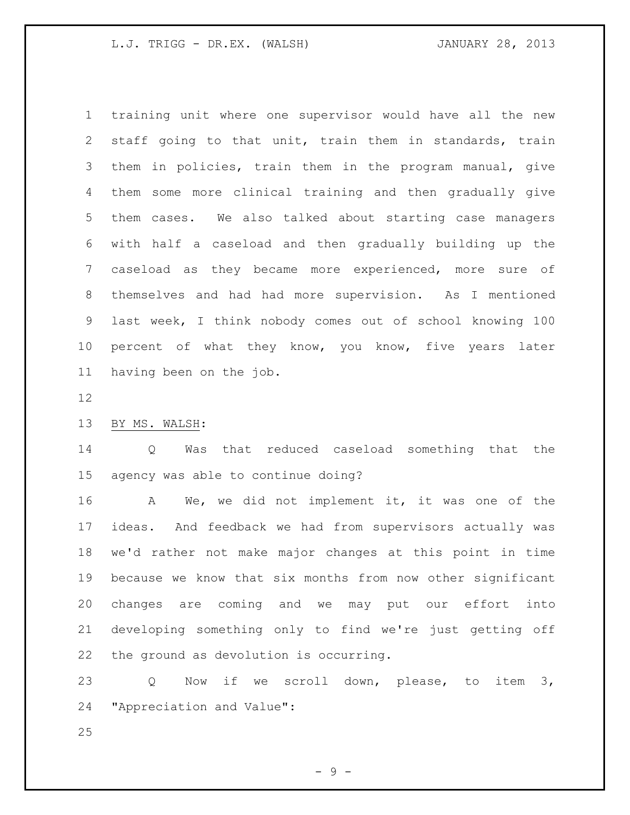training unit where one supervisor would have all the new staff going to that unit, train them in standards, train them in policies, train them in the program manual, give them some more clinical training and then gradually give them cases. We also talked about starting case managers with half a caseload and then gradually building up the caseload as they became more experienced, more sure of themselves and had had more supervision. As I mentioned last week, I think nobody comes out of school knowing 100 10 percent of what they know, you know, five years later having been on the job.

## BY MS. WALSH:

 Q Was that reduced caseload something that the agency was able to continue doing?

 A We, we did not implement it, it was one of the ideas. And feedback we had from supervisors actually was we'd rather not make major changes at this point in time because we know that six months from now other significant changes are coming and we may put our effort into developing something only to find we're just getting off the ground as devolution is occurring.

 Q Now if we scroll down, please, to item 3, "Appreciation and Value":

- 9 -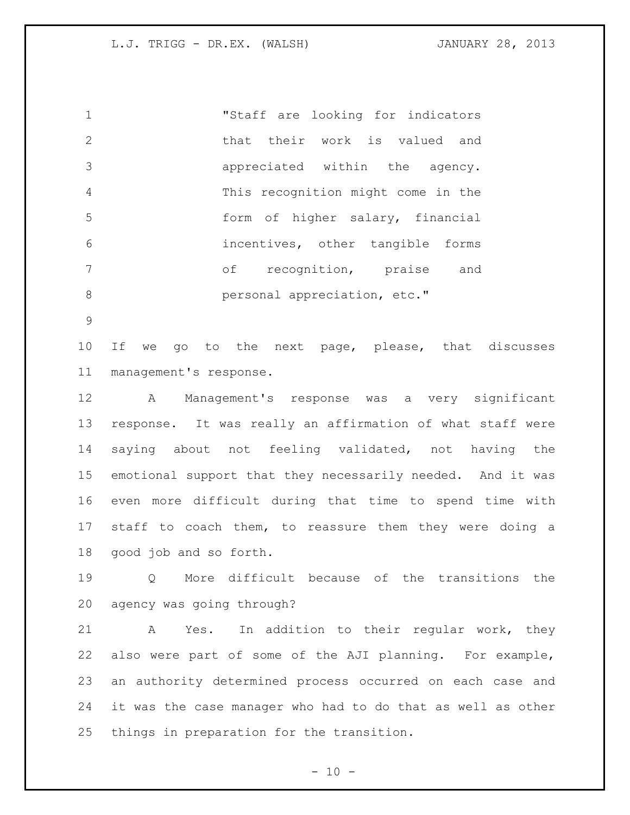"Staff are looking for indicators 2 that their work is valued and appreciated within the agency. This recognition might come in the form of higher salary, financial incentives, other tangible forms of recognition, praise and **b** personal appreciation, etc."

 If we go to the next page, please, that discusses management's response.

 A Management's response was a very significant response. It was really an affirmation of what staff were saying about not feeling validated, not having the emotional support that they necessarily needed. And it was even more difficult during that time to spend time with staff to coach them, to reassure them they were doing a good job and so forth.

 Q More difficult because of the transitions the agency was going through?

 A Yes. In addition to their regular work, they also were part of some of the AJI planning. For example, an authority determined process occurred on each case and it was the case manager who had to do that as well as other things in preparation for the transition.

 $- 10 -$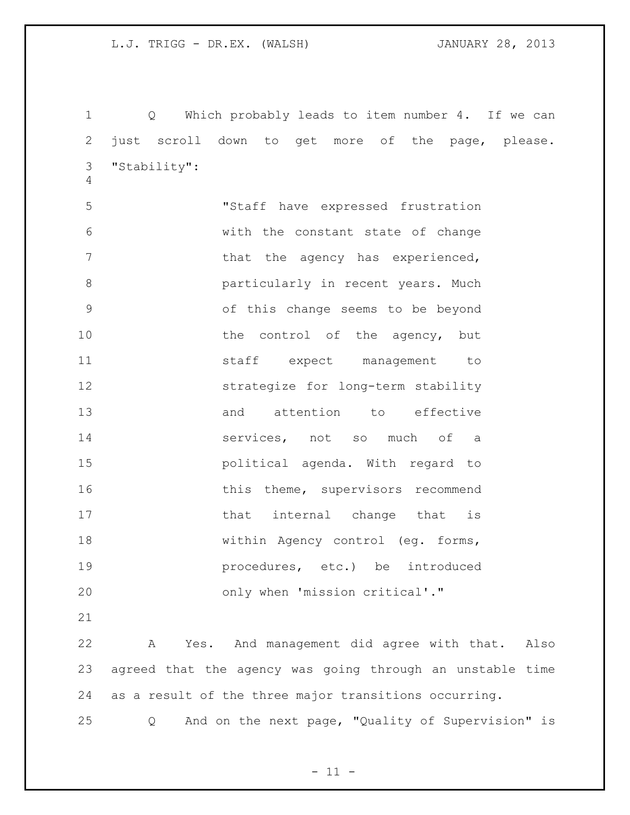Q Which probably leads to item number 4. If we can just scroll down to get more of the page, please. "Stability":

 "Staff have expressed frustration with the constant state of change 7 that the agency has experienced, **b** particularly in recent years. Much of this change seems to be beyond 10 the control of the agency, but 11 staff expect management to strategize for long-term stability 13 and attention to effective services, not so much of a political agenda. With regard to 16 this theme, supervisors recommend 17 that internal change that is within Agency control (eg. forms, procedures, etc.) be introduced only when 'mission critical'."

 A Yes. And management did agree with that. Also agreed that the agency was going through an unstable time as a result of the three major transitions occurring.

Q And on the next page, "Quality of Supervision" is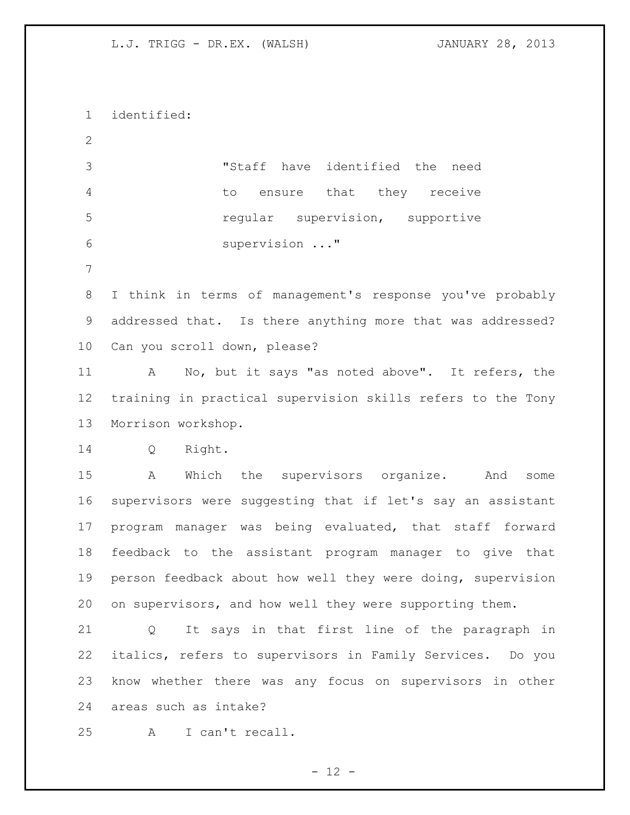identified: "Staff have identified the need to ensure that they receive regular supervision, supportive supervision ..." I think in terms of management's response you've probably addressed that. Is there anything more that was addressed? Can you scroll down, please? A No, but it says "as noted above". It refers, the training in practical supervision skills refers to the Tony Morrison workshop. Q Right. A Which the supervisors organize. And some supervisors were suggesting that if let's say an assistant program manager was being evaluated, that staff forward feedback to the assistant program manager to give that person feedback about how well they were doing, supervision on supervisors, and how well they were supporting them. Q It says in that first line of the paragraph in italics, refers to supervisors in Family Services. Do you know whether there was any focus on supervisors in other areas such as intake? A I can't recall.

 $- 12 -$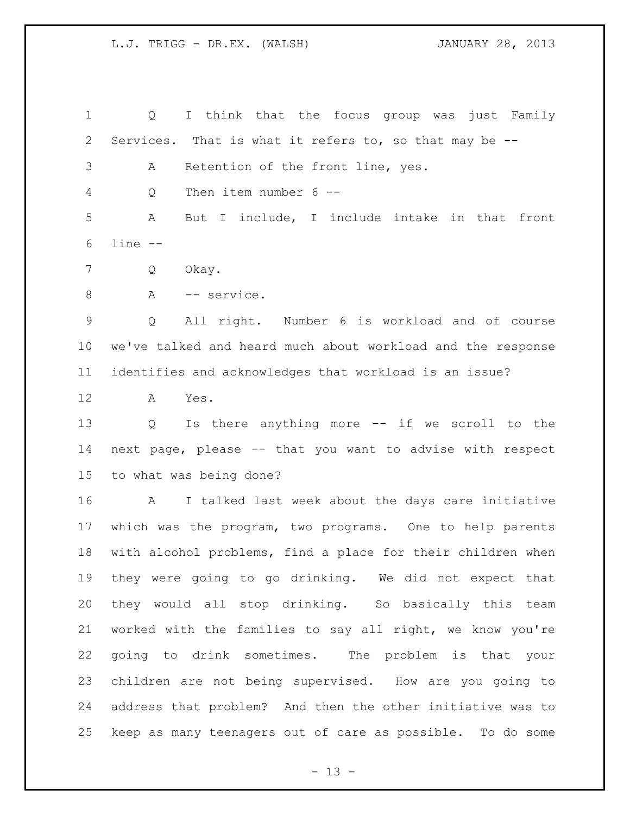Q I think that the focus group was just Family Services. That is what it refers to, so that may be -- A Retention of the front line, yes. Q Then item number 6 -- A But I include, I include intake in that front line -- Q Okay. 8 A -- service. Q All right. Number 6 is workload and of course we've talked and heard much about workload and the response identifies and acknowledges that workload is an issue? A Yes. Q Is there anything more -- if we scroll to the next page, please -- that you want to advise with respect to what was being done? A I talked last week about the days care initiative which was the program, two programs. One to help parents with alcohol problems, find a place for their children when they were going to go drinking. We did not expect that they would all stop drinking. So basically this team worked with the families to say all right, we know you're going to drink sometimes. The problem is that your children are not being supervised. How are you going to address that problem? And then the other initiative was to keep as many teenagers out of care as possible. To do some

 $- 13 -$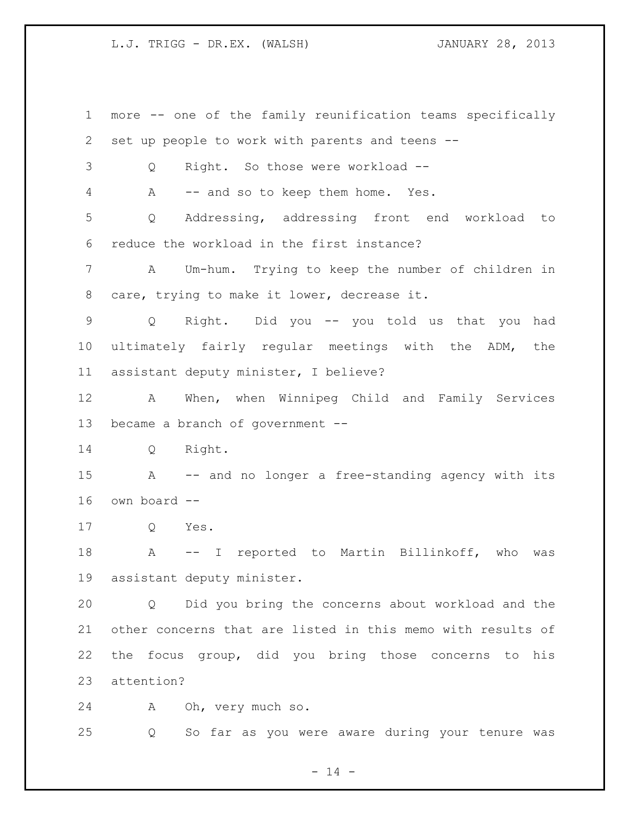more -- one of the family reunification teams specifically set up people to work with parents and teens -- Q Right. So those were workload -- A -- and so to keep them home. Yes. Q Addressing, addressing front end workload to reduce the workload in the first instance? A Um-hum. Trying to keep the number of children in care, trying to make it lower, decrease it. Q Right. Did you -- you told us that you had ultimately fairly regular meetings with the ADM, the assistant deputy minister, I believe? A When, when Winnipeg Child and Family Services became a branch of government -- Q Right. A -- and no longer a free-standing agency with its own board -- Q Yes. A -- I reported to Martin Billinkoff, who was assistant deputy minister. Q Did you bring the concerns about workload and the other concerns that are listed in this memo with results of the focus group, did you bring those concerns to his attention? A Oh, very much so.

Q So far as you were aware during your tenure was

 $- 14 -$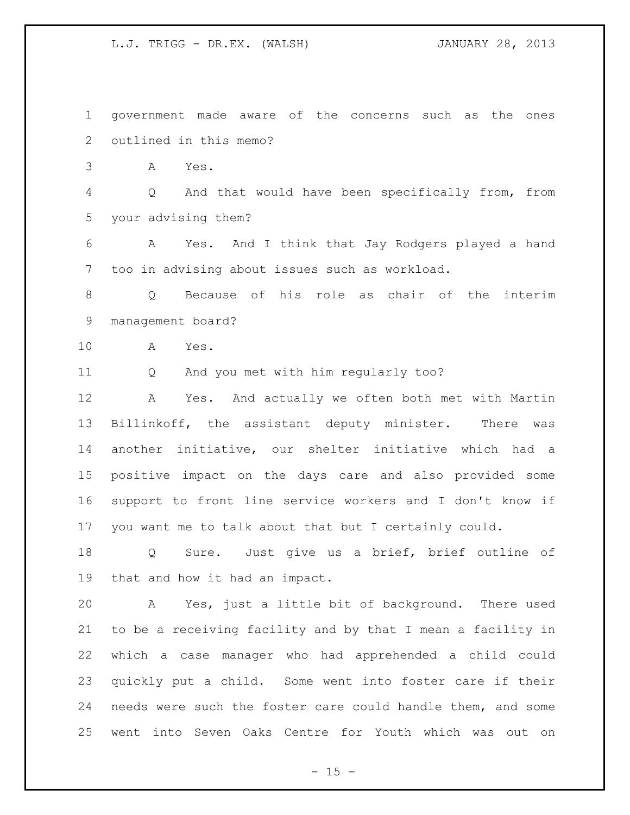government made aware of the concerns such as the ones outlined in this memo? A Yes. Q And that would have been specifically from, from your advising them? A Yes. And I think that Jay Rodgers played a hand too in advising about issues such as workload. Q Because of his role as chair of the interim management board? A Yes. Q And you met with him regularly too? A Yes. And actually we often both met with Martin Billinkoff, the assistant deputy minister. There was

 another initiative, our shelter initiative which had a positive impact on the days care and also provided some support to front line service workers and I don't know if you want me to talk about that but I certainly could.

 Q Sure. Just give us a brief, brief outline of that and how it had an impact.

 A Yes, just a little bit of background. There used to be a receiving facility and by that I mean a facility in which a case manager who had apprehended a child could quickly put a child. Some went into foster care if their needs were such the foster care could handle them, and some went into Seven Oaks Centre for Youth which was out on

 $- 15 -$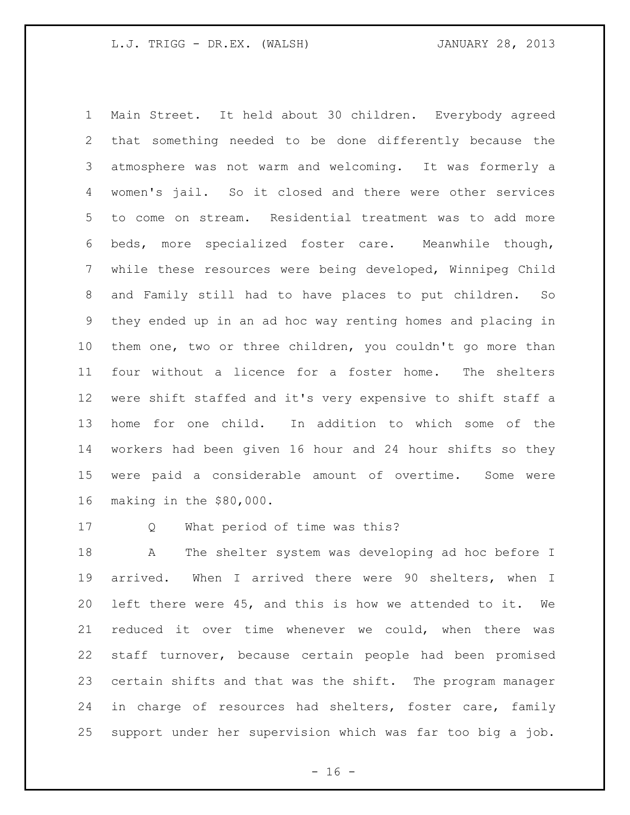Main Street. It held about 30 children. Everybody agreed that something needed to be done differently because the atmosphere was not warm and welcoming. It was formerly a women's jail. So it closed and there were other services to come on stream. Residential treatment was to add more beds, more specialized foster care. Meanwhile though, while these resources were being developed, Winnipeg Child and Family still had to have places to put children. So they ended up in an ad hoc way renting homes and placing in them one, two or three children, you couldn't go more than four without a licence for a foster home. The shelters were shift staffed and it's very expensive to shift staff a home for one child. In addition to which some of the workers had been given 16 hour and 24 hour shifts so they were paid a considerable amount of overtime. Some were making in the \$80,000.

Q What period of time was this?

 A The shelter system was developing ad hoc before I arrived. When I arrived there were 90 shelters, when I left there were 45, and this is how we attended to it. We reduced it over time whenever we could, when there was staff turnover, because certain people had been promised certain shifts and that was the shift. The program manager 24 in charge of resources had shelters, foster care, family support under her supervision which was far too big a job.

 $- 16 -$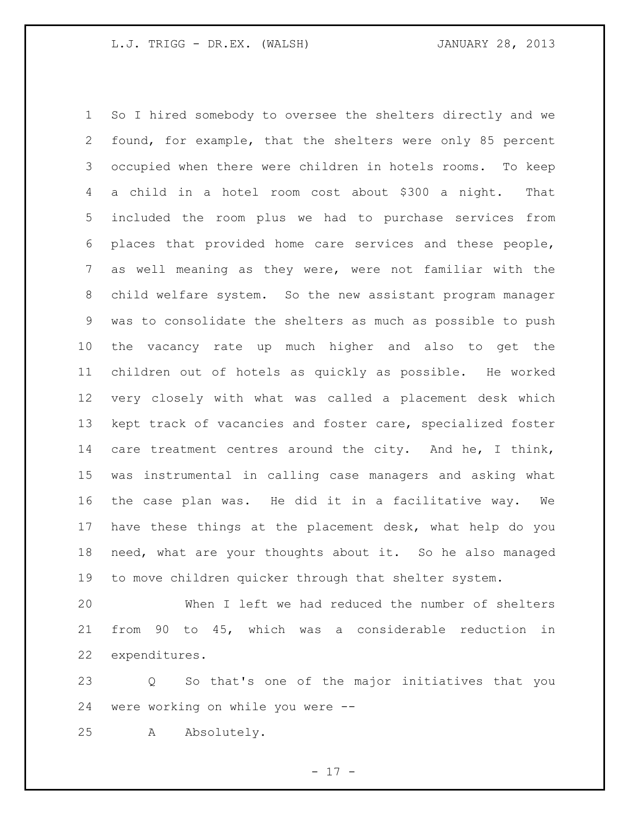So I hired somebody to oversee the shelters directly and we found, for example, that the shelters were only 85 percent occupied when there were children in hotels rooms. To keep a child in a hotel room cost about \$300 a night. That included the room plus we had to purchase services from places that provided home care services and these people, as well meaning as they were, were not familiar with the child welfare system. So the new assistant program manager was to consolidate the shelters as much as possible to push the vacancy rate up much higher and also to get the children out of hotels as quickly as possible. He worked very closely with what was called a placement desk which kept track of vacancies and foster care, specialized foster 14 care treatment centres around the city. And he, I think, was instrumental in calling case managers and asking what the case plan was. He did it in a facilitative way. We have these things at the placement desk, what help do you need, what are your thoughts about it. So he also managed to move children quicker through that shelter system.

 When I left we had reduced the number of shelters from 90 to 45, which was a considerable reduction in expenditures.

 Q So that's one of the major initiatives that you were working on while you were --

A Absolutely.

- 17 -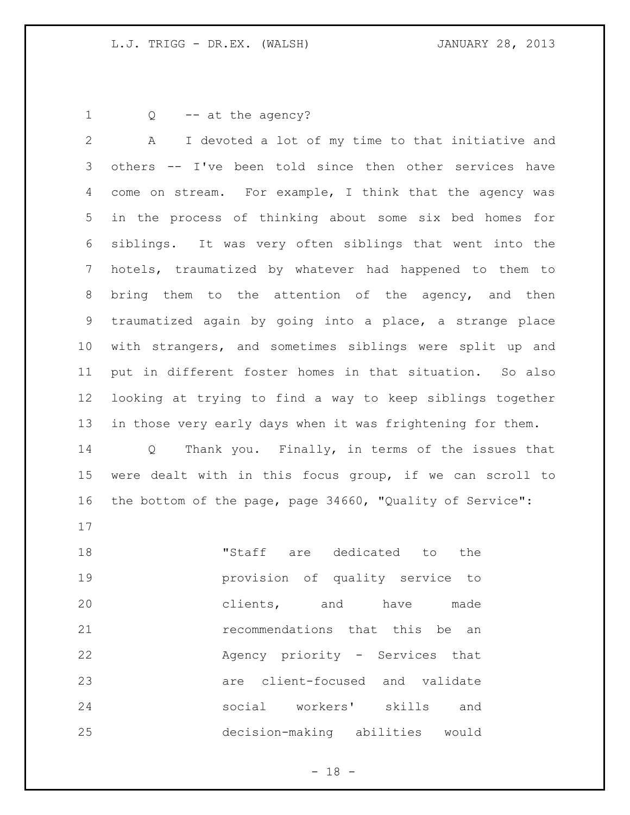1 Q -- at the agency?

 A I devoted a lot of my time to that initiative and others -- I've been told since then other services have come on stream. For example, I think that the agency was in the process of thinking about some six bed homes for siblings. It was very often siblings that went into the hotels, traumatized by whatever had happened to them to bring them to the attention of the agency, and then traumatized again by going into a place, a strange place with strangers, and sometimes siblings were split up and put in different foster homes in that situation. So also looking at trying to find a way to keep siblings together in those very early days when it was frightening for them.

 Q Thank you. Finally, in terms of the issues that were dealt with in this focus group, if we can scroll to the bottom of the page, page 34660, "Quality of Service":

 "Staff are dedicated to the provision of quality service to clients, and have made recommendations that this be an Agency priority - Services that are client-focused and validate social workers' skills and decision-making abilities would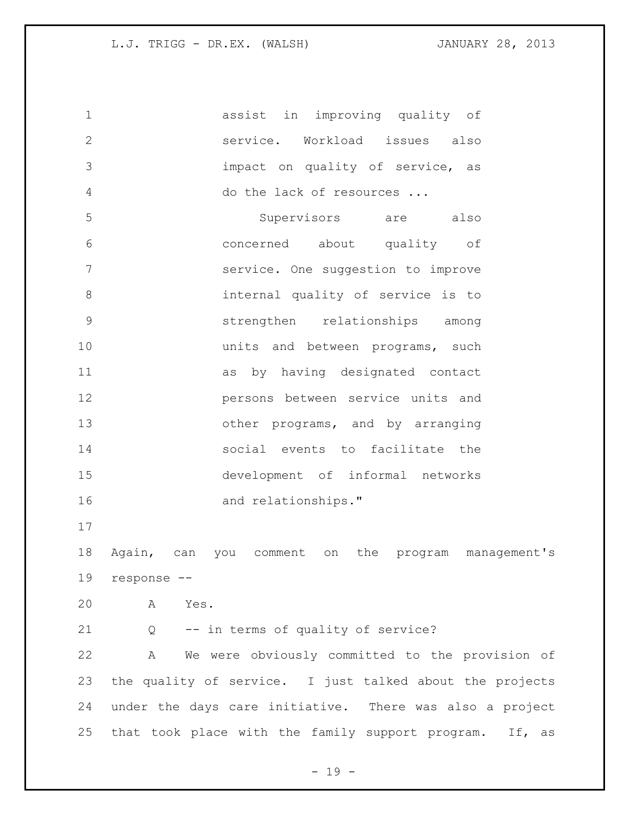assist in improving quality of service. Workload issues also impact on quality of service, as do the lack of resources ... Supervisors are also concerned about quality of service. One suggestion to improve internal quality of service is to strengthen relationships among **10** units and between programs, such as by having designated contact persons between service units and 13 other programs, and by arranging social events to facilitate the development of informal networks and relationships." 

 Again, can you comment on the program management's response --

A Yes.

Q -- in terms of quality of service?

 A We were obviously committed to the provision of the quality of service. I just talked about the projects under the days care initiative. There was also a project that took place with the family support program. If, as

 $- 19 -$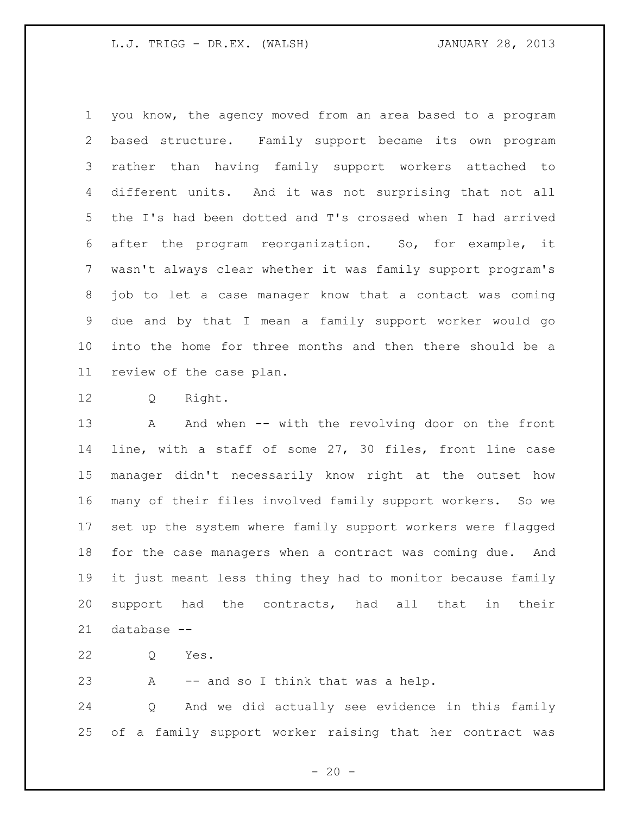you know, the agency moved from an area based to a program based structure. Family support became its own program rather than having family support workers attached to different units. And it was not surprising that not all the I's had been dotted and T's crossed when I had arrived after the program reorganization. So, for example, it wasn't always clear whether it was family support program's job to let a case manager know that a contact was coming due and by that I mean a family support worker would go into the home for three months and then there should be a review of the case plan.

Q Right.

13 A And when -- with the revolving door on the front line, with a staff of some 27, 30 files, front line case manager didn't necessarily know right at the outset how many of their files involved family support workers. So we set up the system where family support workers were flagged for the case managers when a contract was coming due. And it just meant less thing they had to monitor because family support had the contracts, had all that in their database --

Q Yes.

A -- and so I think that was a help.

 Q And we did actually see evidence in this family of a family support worker raising that her contract was

 $- 20 -$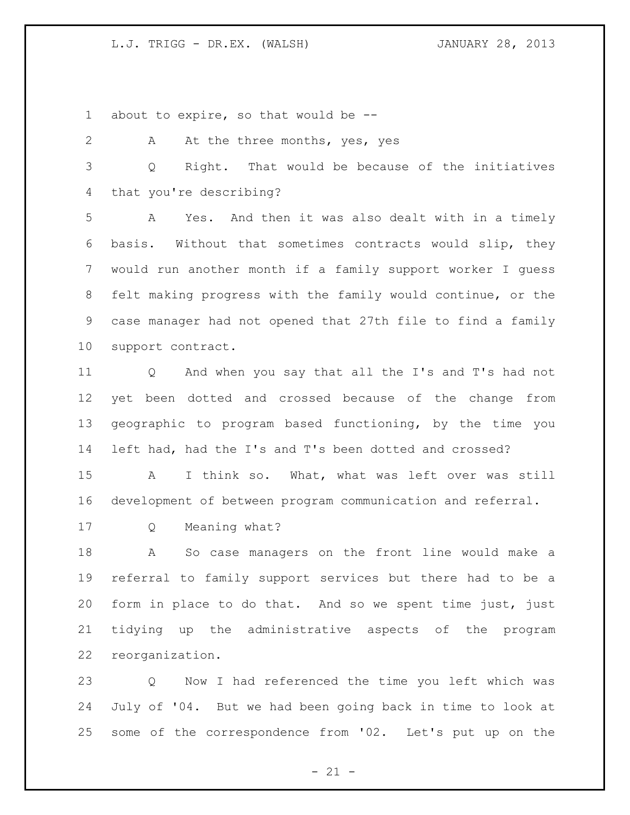about to expire, so that would be --

2 A At the three months, yes, yes Q Right. That would be because of the initiatives that you're describing? A Yes. And then it was also dealt with in a timely basis. Without that sometimes contracts would slip, they would run another month if a family support worker I guess felt making progress with the family would continue, or the case manager had not opened that 27th file to find a family support contract. Q And when you say that all the I's and T's had not yet been dotted and crossed because of the change from geographic to program based functioning, by the time you left had, had the I's and T's been dotted and crossed? A I think so. What, what was left over was still development of between program communication and referral. Q Meaning what? A So case managers on the front line would make a referral to family support services but there had to be a form in place to do that. And so we spent time just, just tidying up the administrative aspects of the program reorganization.

 Q Now I had referenced the time you left which was July of '04. But we had been going back in time to look at some of the correspondence from '02. Let's put up on the

 $- 21 -$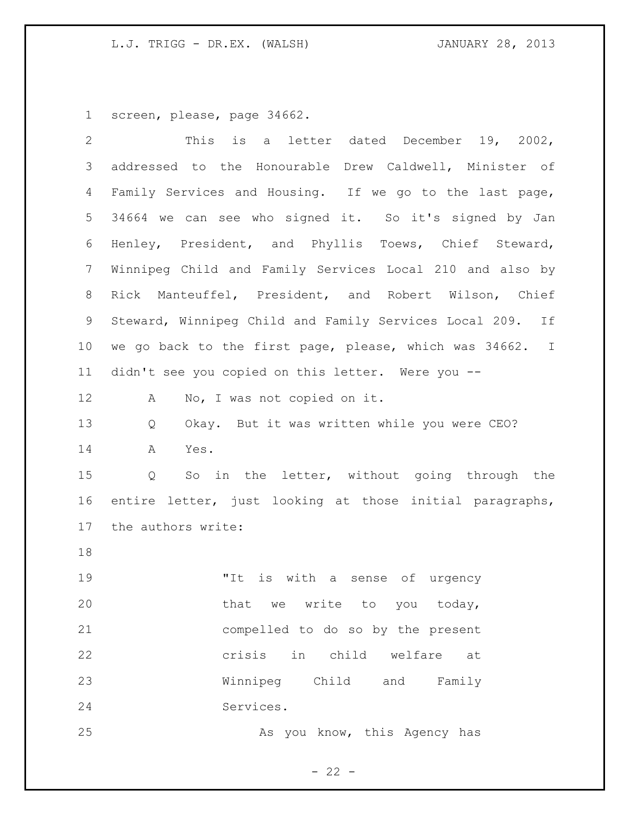screen, please, page 34662.

| $\overline{2}$ | is a letter dated December 19, 2002,<br>This              |
|----------------|-----------------------------------------------------------|
| 3              | addressed to the Honourable Drew Caldwell, Minister of    |
| 4              | Family Services and Housing. If we go to the last page,   |
| 5              | 34664 we can see who signed it. So it's signed by Jan     |
| 6              | Henley, President, and Phyllis Toews, Chief Steward,      |
| 7              | Winnipeg Child and Family Services Local 210 and also by  |
| 8              | Rick Manteuffel, President, and Robert Wilson, Chief      |
| 9              | Steward, Winnipeg Child and Family Services Local 209. If |
| 10             | we go back to the first page, please, which was 34662. I  |
| 11             | didn't see you copied on this letter. Were you --         |
| 12             | No, I was not copied on it.<br>A                          |
| 13             | Okay. But it was written while you were CEO?<br>Q         |
| 14             | A<br>Yes.                                                 |
| 15             | So in the letter, without going through the<br>Q          |
| 16             | entire letter, just looking at those initial paragraphs,  |
| 17             | the authors write:                                        |
| 18             |                                                           |
| 19             | "It<br>is<br>with a sense of urgency                      |
| 20             | that<br>we write to you today,                            |
| 21             | compelled to do so by the present                         |
| 22             | in child welfare<br>crisis<br>at                          |
| 23             | Winnipeg Child and Family                                 |
| 24             | Services.                                                 |
| 25             | As you know, this Agency has                              |
|                |                                                           |

- 22 -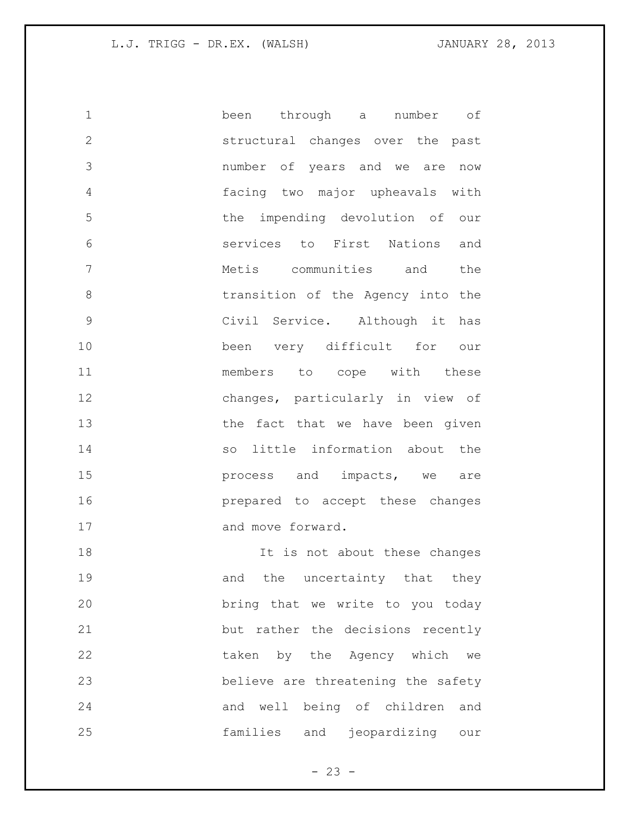been through a number of structural changes over the past number of years and we are now facing two major upheavals with the impending devolution of our services to First Nations and Metis communities and the transition of the Agency into the Civil Service. Although it has been very difficult for our members to cope with these changes, particularly in view of 13 the fact that we have been given so little information about the **process** and impacts, we are prepared to accept these changes 17 and move forward. **It is not about these changes** 

19 and the uncertainty that they bring that we write to you today but rather the decisions recently taken by the Agency which we believe are threatening the safety and well being of children and families and jeopardizing our

 $- 23 -$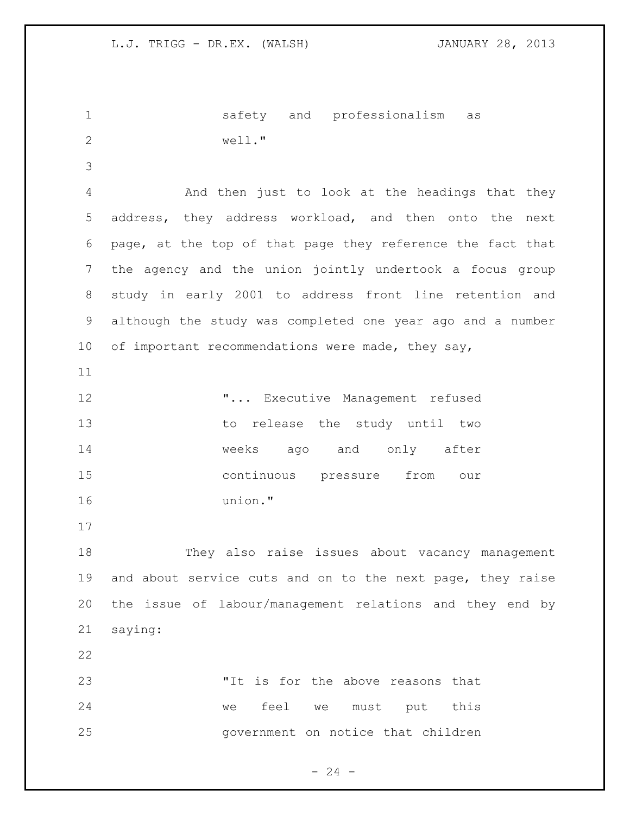safety and professionalism as well." And then just to look at the headings that they address, they address workload, and then onto the next page, at the top of that page they reference the fact that the agency and the union jointly undertook a focus group study in early 2001 to address front line retention and although the study was completed one year ago and a number 10 of important recommendations were made, they say, **"...** Executive Management refused to release the study until two weeks ago and only after continuous pressure from our union." They also raise issues about vacancy management and about service cuts and on to the next page, they raise the issue of labour/management relations and they end by saying: "It is for the above reasons that we feel we must put this government on notice that children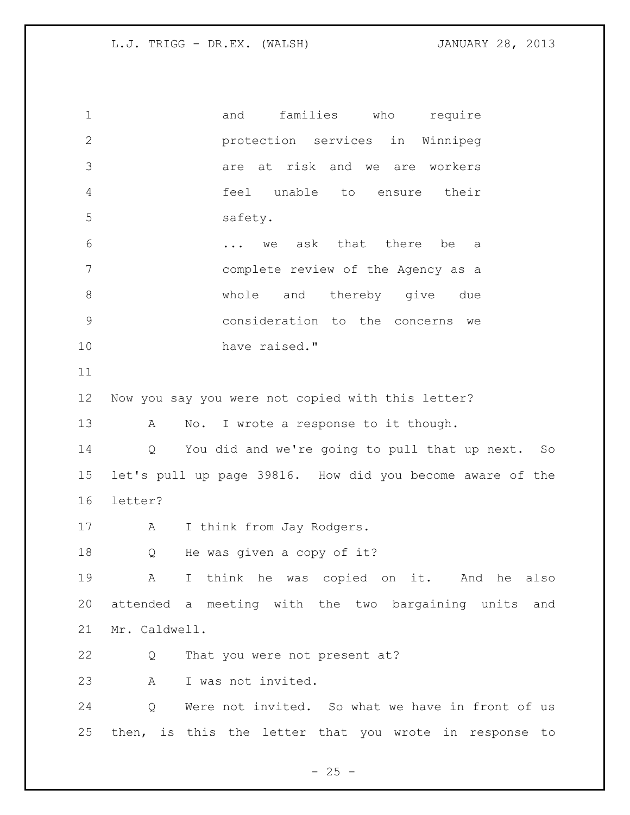1 and families who require protection services in Winnipeg are at risk and we are workers feel unable to ensure their safety. ... we ask that there be a complete review of the Agency as a whole and thereby give due consideration to the concerns we have raised." Now you say you were not copied with this letter? 13 A No. I wrote a response to it though. Q You did and we're going to pull that up next. So let's pull up page 39816. How did you become aware of the letter? 17 A I think from Jay Rodgers. Q He was given a copy of it? A I think he was copied on it. And he also attended a meeting with the two bargaining units and Mr. Caldwell. Q That you were not present at? A I was not invited. Q Were not invited. So what we have in front of us then, is this the letter that you wrote in response to

 $- 25 -$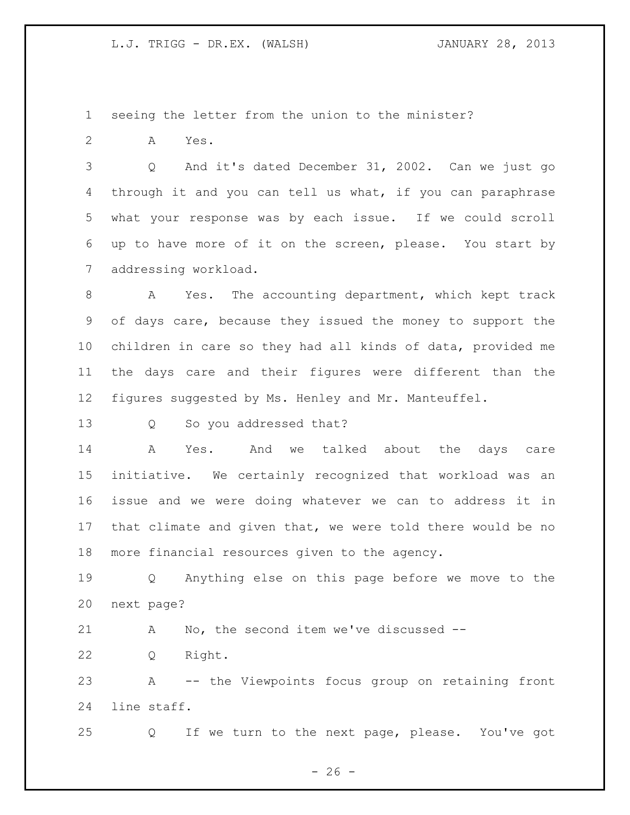seeing the letter from the union to the minister?

A Yes.

 Q And it's dated December 31, 2002. Can we just go through it and you can tell us what, if you can paraphrase what your response was by each issue. If we could scroll up to have more of it on the screen, please. You start by addressing workload.

 A Yes. The accounting department, which kept track of days care, because they issued the money to support the children in care so they had all kinds of data, provided me the days care and their figures were different than the figures suggested by Ms. Henley and Mr. Manteuffel.

Q So you addressed that?

 A Yes. And we talked about the days care initiative. We certainly recognized that workload was an issue and we were doing whatever we can to address it in that climate and given that, we were told there would be no more financial resources given to the agency.

 Q Anything else on this page before we move to the next page?

A No, the second item we've discussed --

Q Right.

 A -- the Viewpoints focus group on retaining front line staff.

Q If we turn to the next page, please. You've got

 $- 26 -$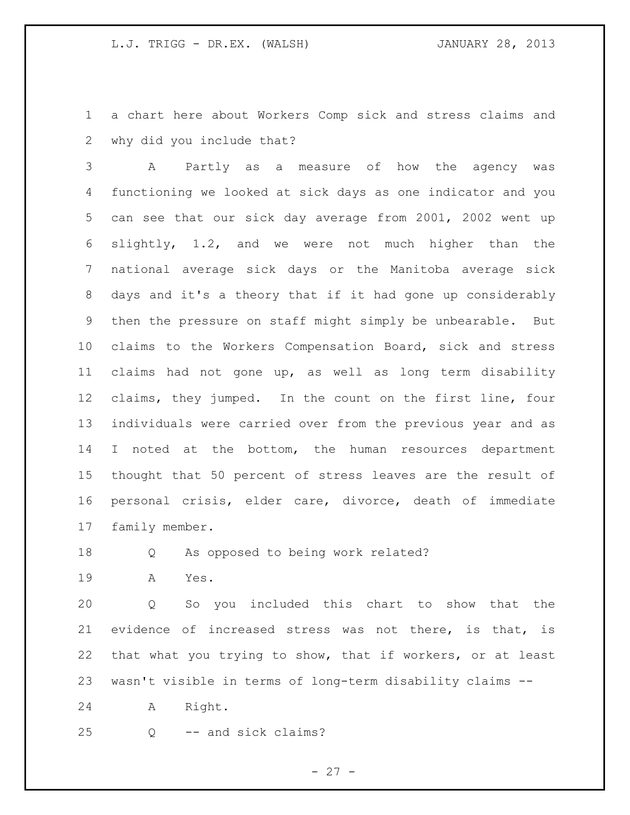a chart here about Workers Comp sick and stress claims and why did you include that?

 A Partly as a measure of how the agency was functioning we looked at sick days as one indicator and you can see that our sick day average from 2001, 2002 went up slightly, 1.2, and we were not much higher than the national average sick days or the Manitoba average sick days and it's a theory that if it had gone up considerably then the pressure on staff might simply be unbearable. But claims to the Workers Compensation Board, sick and stress claims had not gone up, as well as long term disability claims, they jumped. In the count on the first line, four individuals were carried over from the previous year and as 14 I noted at the bottom, the human resources department thought that 50 percent of stress leaves are the result of personal crisis, elder care, divorce, death of immediate family member.

Q As opposed to being work related?

A Yes.

 Q So you included this chart to show that the evidence of increased stress was not there, is that, is that what you trying to show, that if workers, or at least wasn't visible in terms of long-term disability claims --

A Right.

Q -- and sick claims?

 $- 27 -$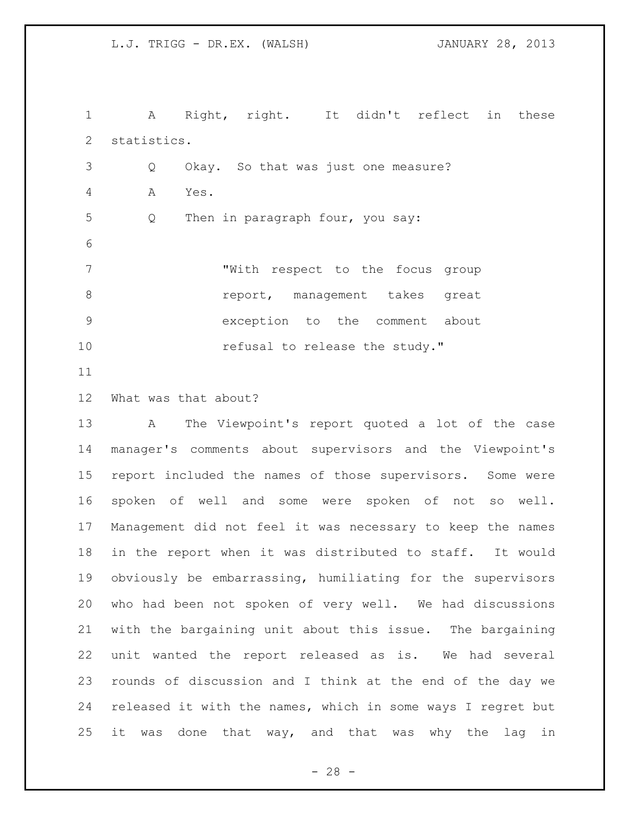A Right, right. It didn't reflect in these statistics. Q Okay. So that was just one measure? A Yes. 5 Q Then in paragraph four, you say: "With respect to the focus group **8 report, management takes great**  exception to the comment about **refusal to release the study."** 

What was that about?

 A The Viewpoint's report quoted a lot of the case manager's comments about supervisors and the Viewpoint's report included the names of those supervisors. Some were spoken of well and some were spoken of not so well. Management did not feel it was necessary to keep the names in the report when it was distributed to staff. It would obviously be embarrassing, humiliating for the supervisors who had been not spoken of very well. We had discussions with the bargaining unit about this issue. The bargaining unit wanted the report released as is. We had several rounds of discussion and I think at the end of the day we released it with the names, which in some ways I regret but it was done that way, and that was why the lag in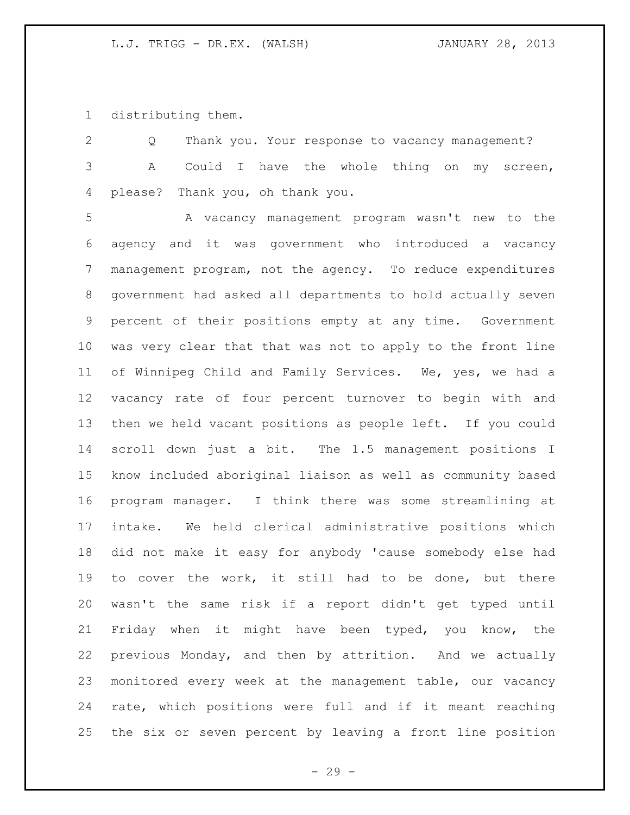distributing them.

 Q Thank you. Your response to vacancy management? A Could I have the whole thing on my screen, please? Thank you, oh thank you.

 A vacancy management program wasn't new to the agency and it was government who introduced a vacancy management program, not the agency. To reduce expenditures government had asked all departments to hold actually seven percent of their positions empty at any time. Government was very clear that that was not to apply to the front line of Winnipeg Child and Family Services. We, yes, we had a vacancy rate of four percent turnover to begin with and then we held vacant positions as people left. If you could scroll down just a bit. The 1.5 management positions I know included aboriginal liaison as well as community based program manager. I think there was some streamlining at intake. We held clerical administrative positions which did not make it easy for anybody 'cause somebody else had to cover the work, it still had to be done, but there wasn't the same risk if a report didn't get typed until Friday when it might have been typed, you know, the previous Monday, and then by attrition. And we actually monitored every week at the management table, our vacancy rate, which positions were full and if it meant reaching the six or seven percent by leaving a front line position

 $- 29 -$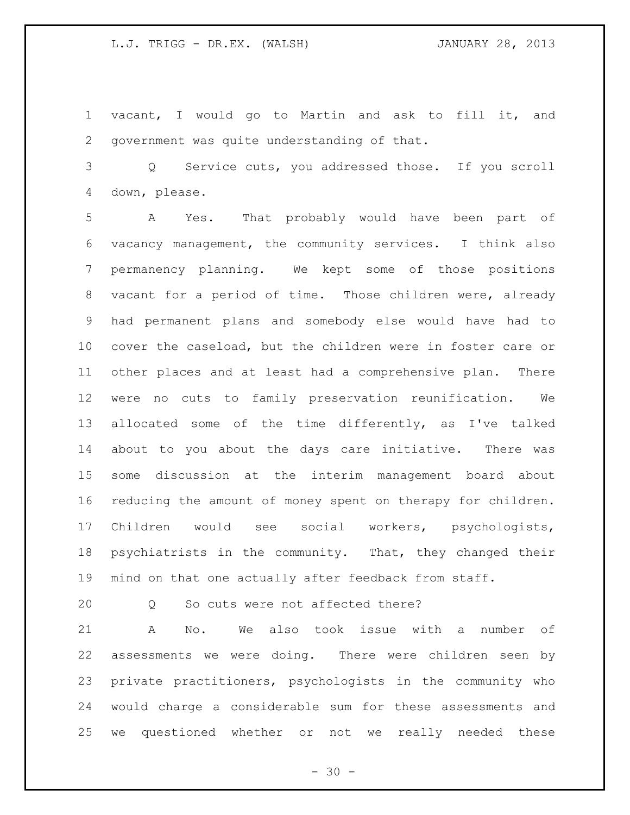vacant, I would go to Martin and ask to fill it, and government was quite understanding of that.

 Q Service cuts, you addressed those. If you scroll down, please.

 A Yes. That probably would have been part of vacancy management, the community services. I think also permanency planning. We kept some of those positions vacant for a period of time. Those children were, already had permanent plans and somebody else would have had to cover the caseload, but the children were in foster care or other places and at least had a comprehensive plan. There were no cuts to family preservation reunification. We allocated some of the time differently, as I've talked about to you about the days care initiative. There was some discussion at the interim management board about reducing the amount of money spent on therapy for children. Children would see social workers, psychologists, psychiatrists in the community. That, they changed their mind on that one actually after feedback from staff.

Q So cuts were not affected there?

 A No. We also took issue with a number of assessments we were doing. There were children seen by private practitioners, psychologists in the community who would charge a considerable sum for these assessments and we questioned whether or not we really needed these

 $- 30 -$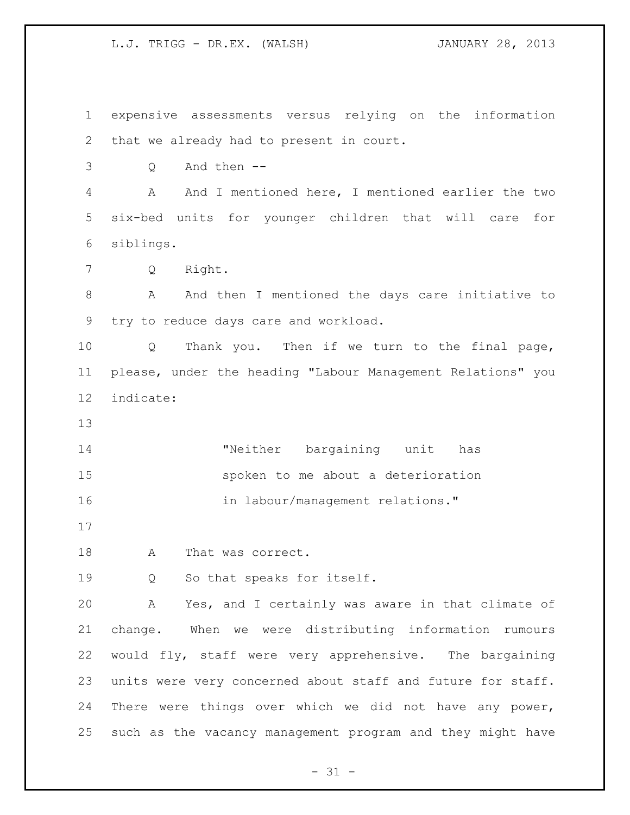expensive assessments versus relying on the information that we already had to present in court.

Q And then --

 A And I mentioned here, I mentioned earlier the two six-bed units for younger children that will care for siblings.

Q Right.

8 A And then I mentioned the days care initiative to try to reduce days care and workload.

 Q Thank you. Then if we turn to the final page, please, under the heading "Labour Management Relations" you indicate:

14 Theither bargaining unit has spoken to me about a deterioration 16 in labour/management relations."

A That was correct.

Q So that speaks for itself.

 A Yes, and I certainly was aware in that climate of change. When we were distributing information rumours would fly, staff were very apprehensive. The bargaining units were very concerned about staff and future for staff. There were things over which we did not have any power, such as the vacancy management program and they might have

 $- 31 -$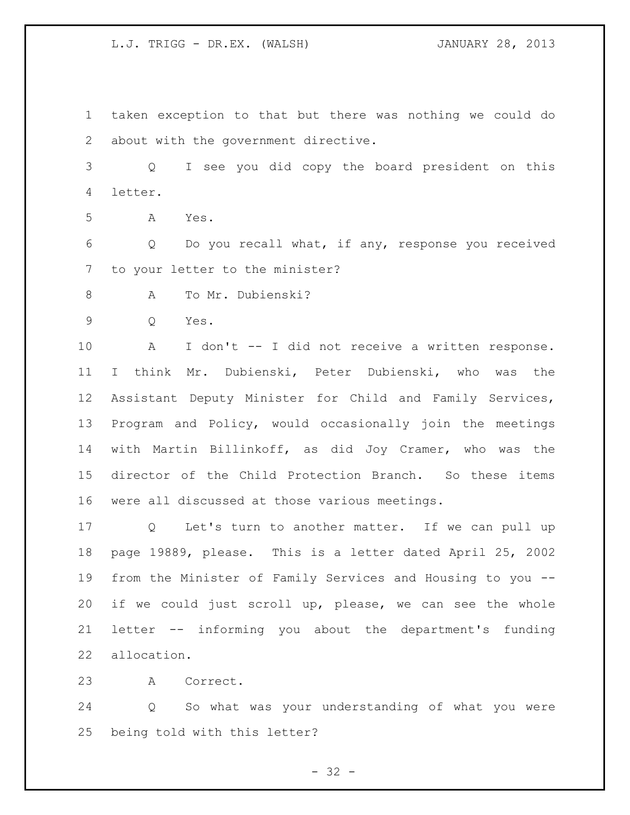taken exception to that but there was nothing we could do about with the government directive.

 Q I see you did copy the board president on this letter.

A Yes.

 Q Do you recall what, if any, response you received to your letter to the minister?

A To Mr. Dubienski?

Q Yes.

 A I don't -- I did not receive a written response. I think Mr. Dubienski, Peter Dubienski, who was the Assistant Deputy Minister for Child and Family Services, Program and Policy, would occasionally join the meetings with Martin Billinkoff, as did Joy Cramer, who was the director of the Child Protection Branch. So these items were all discussed at those various meetings.

 Q Let's turn to another matter. If we can pull up page 19889, please. This is a letter dated April 25, 2002 from the Minister of Family Services and Housing to you -- if we could just scroll up, please, we can see the whole letter -- informing you about the department's funding allocation.

A Correct.

 Q So what was your understanding of what you were being told with this letter?

 $- 32 -$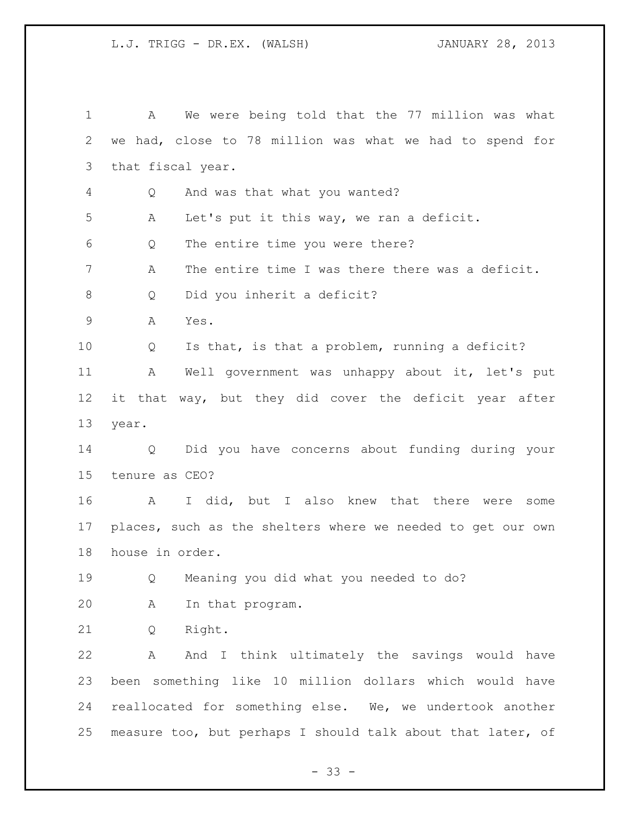| 1            | We were being told that the 77 million was what<br>A        |
|--------------|-------------------------------------------------------------|
| $\mathbf{2}$ | we had, close to 78 million was what we had to spend for    |
| 3            | that fiscal year.                                           |
| 4            | And was that what you wanted?<br>Q                          |
| 5            | Let's put it this way, we ran a deficit.<br>A               |
| 6            | The entire time you were there?<br>Q                        |
| 7            | The entire time I was there there was a deficit.<br>Α       |
| 8            | Did you inherit a deficit?<br>Q                             |
| $\mathsf 9$  | Α<br>Yes.                                                   |
| 10           | Is that, is that a problem, running a deficit?<br>Q         |
| 11           | Well government was unhappy about it, let's put<br>A        |
| 12           | it that way, but they did cover the deficit year after      |
| 13           | year.                                                       |
| 14           | Did you have concerns about funding during your<br>Q        |
| 15           | tenure as CEO?                                              |
| 16           | I did, but I also knew that there were<br>A<br>some         |
| 17           | places, such as the shelters where we needed to get our own |
| 18           | house in order.                                             |
| 19           | Meaning you did what you needed to do?<br>Q                 |
| 20           | In that program.<br>Α                                       |
| 21           | Right.<br>Q                                                 |
| 22           | And I think ultimately the savings would have<br>Α          |
| 23           | been something like 10 million dollars which would have     |
| 24           | reallocated for something else. We, we undertook another    |
| 25           | measure too, but perhaps I should talk about that later, of |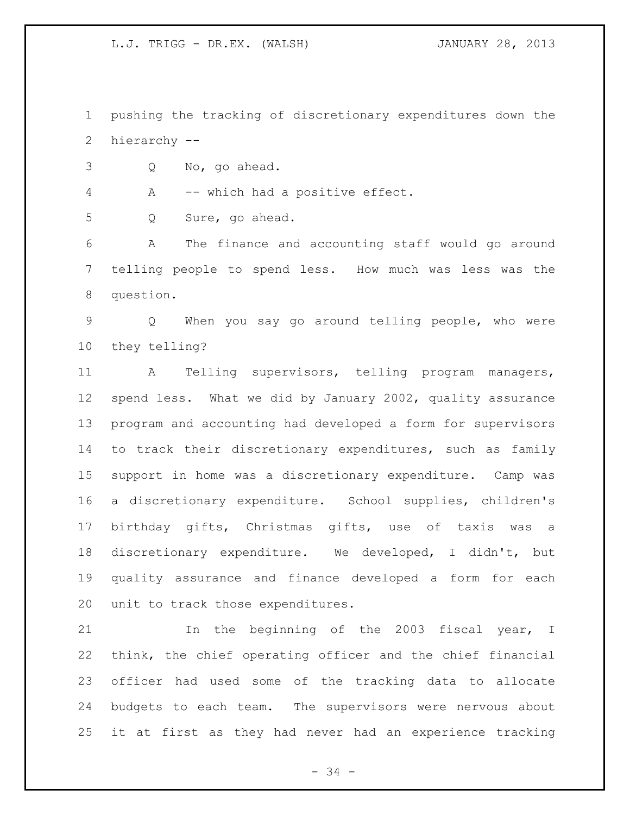pushing the tracking of discretionary expenditures down the hierarchy --

Q No, go ahead.

A -- which had a positive effect.

Q Sure, go ahead.

 A The finance and accounting staff would go around telling people to spend less. How much was less was the question.

 Q When you say go around telling people, who were they telling?

 A Telling supervisors, telling program managers, spend less. What we did by January 2002, quality assurance program and accounting had developed a form for supervisors to track their discretionary expenditures, such as family support in home was a discretionary expenditure. Camp was a discretionary expenditure. School supplies, children's birthday gifts, Christmas gifts, use of taxis was a discretionary expenditure. We developed, I didn't, but quality assurance and finance developed a form for each unit to track those expenditures.

 In the beginning of the 2003 fiscal year, I think, the chief operating officer and the chief financial officer had used some of the tracking data to allocate budgets to each team. The supervisors were nervous about it at first as they had never had an experience tracking

- 34 -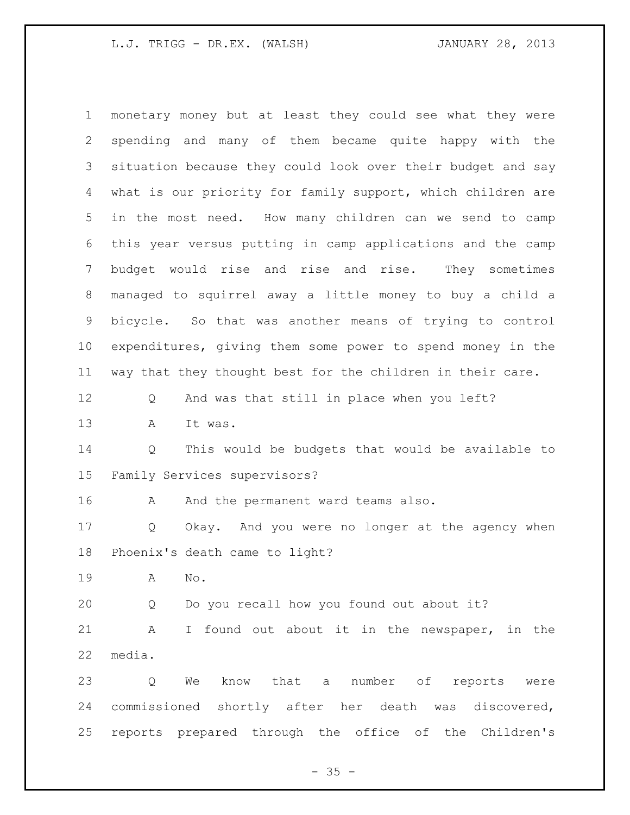monetary money but at least they could see what they were spending and many of them became quite happy with the situation because they could look over their budget and say what is our priority for family support, which children are in the most need. How many children can we send to camp this year versus putting in camp applications and the camp budget would rise and rise and rise. They sometimes managed to squirrel away a little money to buy a child a bicycle. So that was another means of trying to control expenditures, giving them some power to spend money in the way that they thought best for the children in their care. Q And was that still in place when you left? A It was. Q This would be budgets that would be available to Family Services supervisors? 16 A And the permanent ward teams also. Q Okay. And you were no longer at the agency when Phoenix's death came to light? A No. Q Do you recall how you found out about it? A I found out about it in the newspaper, in the media. Q We know that a number of reports were commissioned shortly after her death was discovered, reports prepared through the office of the Children's

 $- 35 -$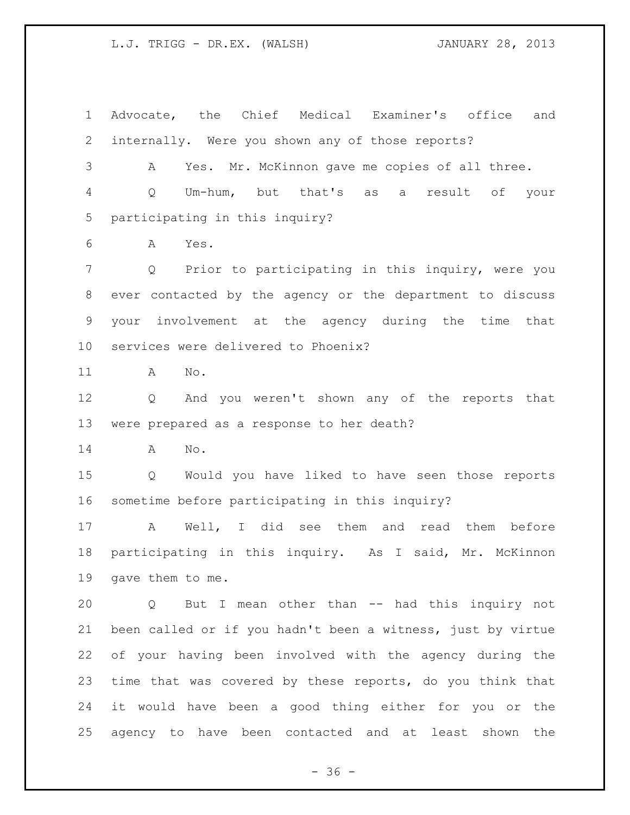Advocate, the Chief Medical Examiner's office and internally. Were you shown any of those reports? A Yes. Mr. McKinnon gave me copies of all three. Q Um-hum, but that's as a result of your participating in this inquiry? A Yes. Q Prior to participating in this inquiry, were you ever contacted by the agency or the department to discuss your involvement at the agency during the time that services were delivered to Phoenix? A No. Q And you weren't shown any of the reports that were prepared as a response to her death? A No. Q Would you have liked to have seen those reports sometime before participating in this inquiry? A Well, I did see them and read them before participating in this inquiry. As I said, Mr. McKinnon gave them to me. Q But I mean other than -- had this inquiry not been called or if you hadn't been a witness, just by virtue of your having been involved with the agency during the time that was covered by these reports, do you think that it would have been a good thing either for you or the agency to have been contacted and at least shown the

 $- 36 -$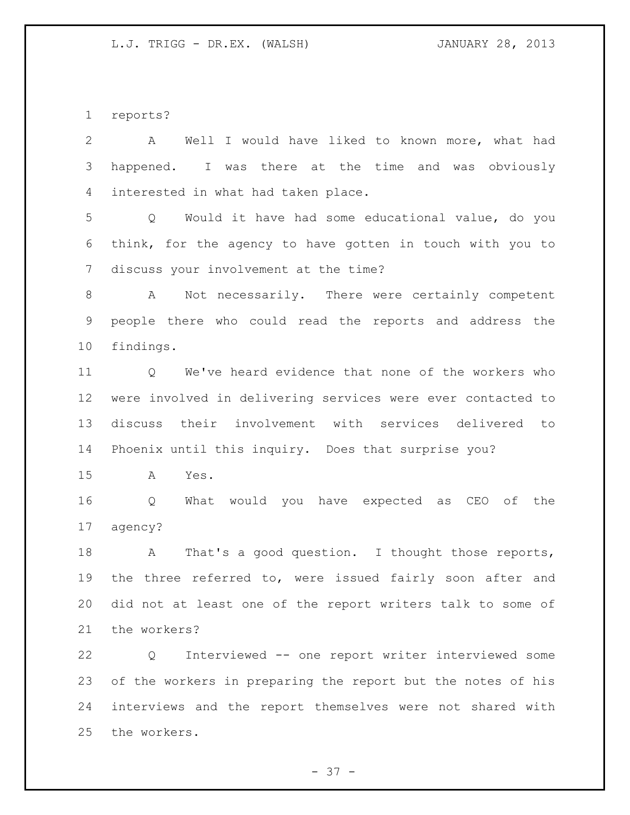reports?

| $\overline{2}$  | Well I would have liked to known more, what had<br>$\mathbf{A}$  |
|-----------------|------------------------------------------------------------------|
| 3               | happened. I was there at the time and was obviously              |
| 4               | interested in what had taken place.                              |
| 5               | Q Would it have had some educational value, do you               |
| 6               | think, for the agency to have gotten in touch with you to        |
| 7               | discuss your involvement at the time?                            |
| 8               | A Not necessarily. There were certainly competent                |
| 9               | people there who could read the reports and address the          |
| 10 <sub>o</sub> | findings.                                                        |
| 11              | Q We've heard evidence that none of the workers who              |
| 12              | were involved in delivering services were ever contacted to      |
| 13              | discuss their involvement with services delivered to             |
| 14              | Phoenix until this inquiry. Does that surprise you?              |
| 15              | A<br>Yes.                                                        |
| 16              | What would you have expected as CEO of the<br>$Q \qquad \qquad$  |
| 17              | agency?                                                          |
| 18              | That's a good question. I thought those reports,<br>$\mathbf{A}$ |
| 19              | the three referred to, were issued fairly soon after and         |
| 20              | did not at least one of the report writers talk to some of       |
| 21              | the workers?                                                     |
| 22              | Interviewed -- one report writer interviewed some<br>Q           |
| 23              | of the workers in preparing the report but the notes of his      |
| 24              | interviews and the report themselves were not shared with        |
| 25              | the workers.                                                     |

- 37 -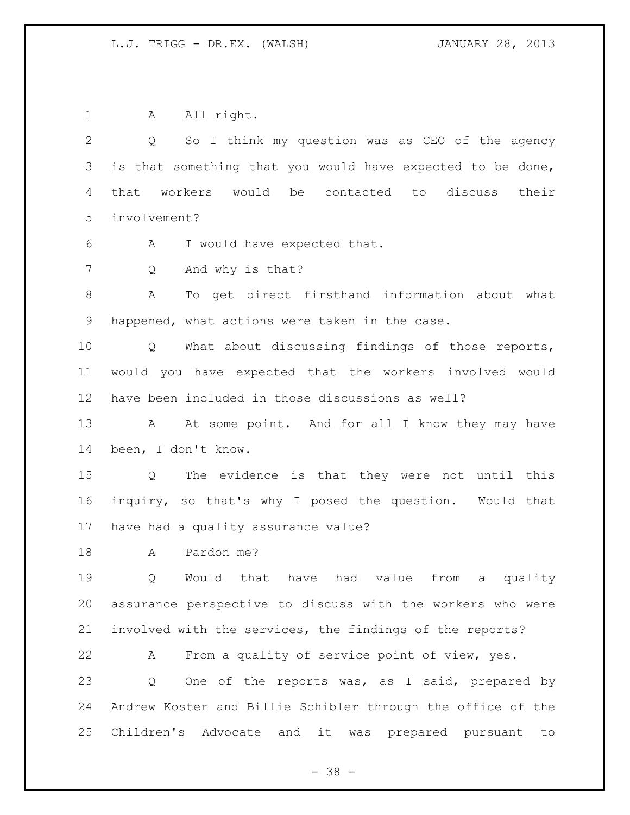1 A All right. Q So I think my question was as CEO of the agency is that something that you would have expected to be done, that workers would be contacted to discuss their involvement? A I would have expected that. Q And why is that? A To get direct firsthand information about what happened, what actions were taken in the case. Q What about discussing findings of those reports, would you have expected that the workers involved would have been included in those discussions as well? 13 A At some point. And for all I know they may have been, I don't know. Q The evidence is that they were not until this inquiry, so that's why I posed the question. Would that have had a quality assurance value? A Pardon me? Q Would that have had value from a quality assurance perspective to discuss with the workers who were involved with the services, the findings of the reports? A From a quality of service point of view, yes. Q One of the reports was, as I said, prepared by Andrew Koster and Billie Schibler through the office of the Children's Advocate and it was prepared pursuant to

- 38 -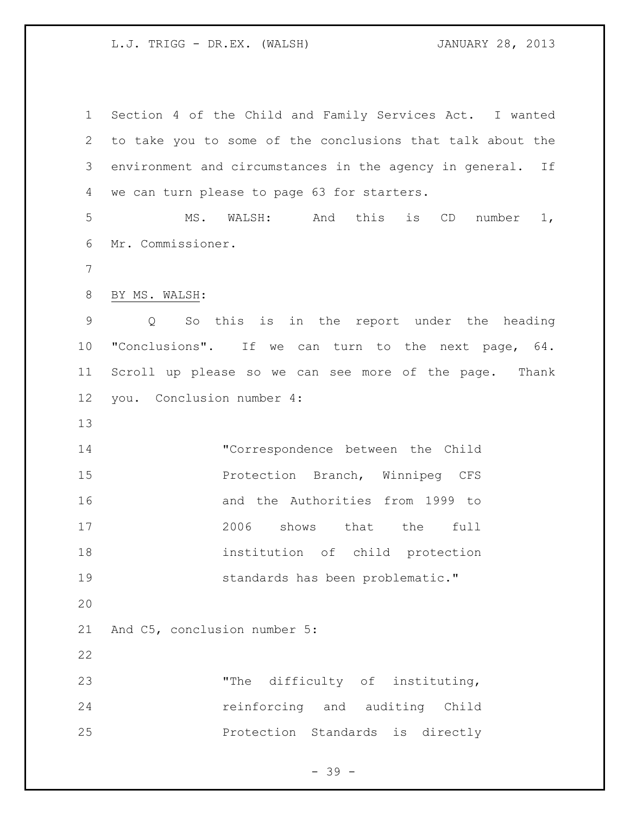Section 4 of the Child and Family Services Act. I wanted to take you to some of the conclusions that talk about the environment and circumstances in the agency in general. If we can turn please to page 63 for starters. MS. WALSH: And this is CD number 1, Mr. Commissioner. BY MS. WALSH: Q So this is in the report under the heading "Conclusions". If we can turn to the next page, 64. Scroll up please so we can see more of the page. Thank you. Conclusion number 4: "Correspondence between the Child Protection Branch, Winnipeg CFS and the Authorities from 1999 to 2006 shows that the full institution of child protection standards has been problematic." And C5, conclusion number 5: "The difficulty of instituting, reinforcing and auditing Child Protection Standards is directly

- 39 -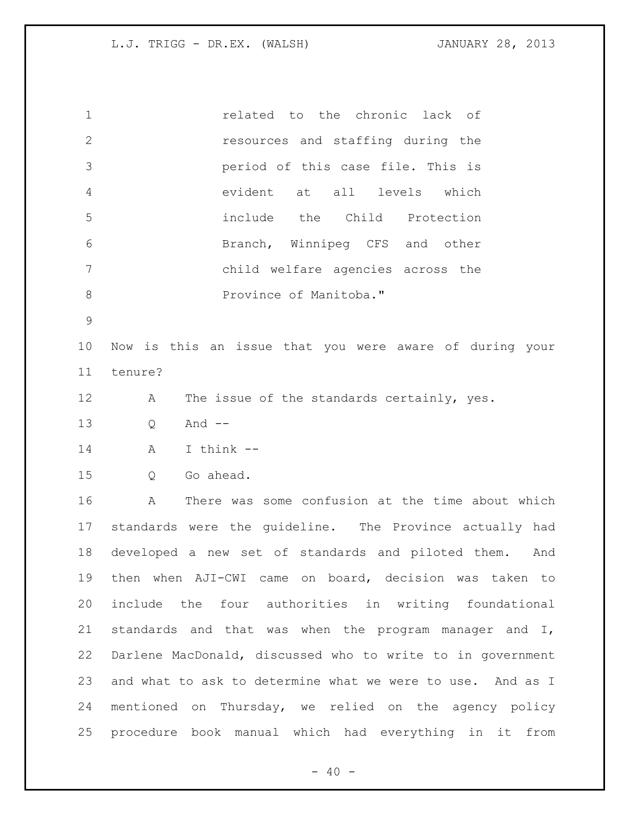| $\mathbf 1$    | related to the chronic lack of                             |
|----------------|------------------------------------------------------------|
| $\mathbf{2}$   | resources and staffing during the                          |
| 3              | period of this case file. This is                          |
| $\overline{4}$ | evident at all levels which                                |
| 5              | include the Child Protection                               |
| 6              | Branch, Winnipeg CFS and other                             |
| 7              | child welfare agencies across the                          |
| $8\,$          | Province of Manitoba."                                     |
| $\mathcal{G}$  |                                                            |
| 10             | Now is this an issue that you were aware of during your    |
| 11             | tenure?                                                    |
| 12             | The issue of the standards certainly, yes.<br>Α            |
| 13             | And $--$<br>Q                                              |
| 14             | I think --<br>A                                            |
| 15             | Go ahead.<br>Q                                             |
| 16             | There was some confusion at the time about which<br>Α      |
| 17             | standards were the guideline. The Province actually had    |
| 18             | developed a new set of standards and piloted them. And     |
| 19             | then when AJI-CWI came on board, decision was taken to     |
| 20             | include the four authorities in writing foundational       |
| 21             | standards and that was when the program manager and I,     |
| 22             | Darlene MacDonald, discussed who to write to in government |
| 23             | and what to ask to determine what we were to use. And as I |
| 24             | mentioned on Thursday, we relied on the agency policy      |
| 25             | procedure book manual which had everything in it from      |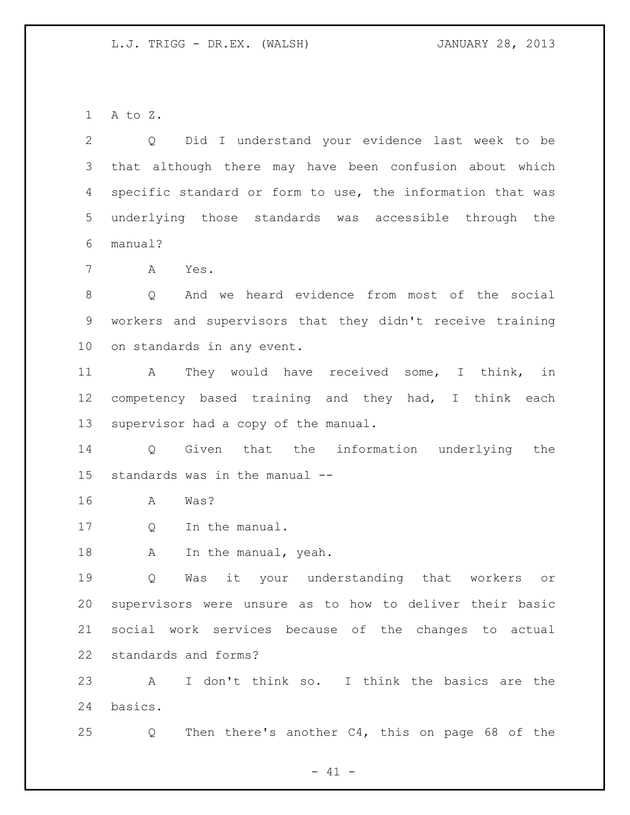A to Z.

 Q Did I understand your evidence last week to be that although there may have been confusion about which specific standard or form to use, the information that was underlying those standards was accessible through the manual?

A Yes.

 Q And we heard evidence from most of the social workers and supervisors that they didn't receive training on standards in any event.

 A They would have received some, I think, in competency based training and they had, I think each supervisor had a copy of the manual.

 Q Given that the information underlying the standards was in the manual --

A Was?

Q In the manual.

18 A In the manual, yeah.

 Q Was it your understanding that workers or supervisors were unsure as to how to deliver their basic social work services because of the changes to actual standards and forms?

 A I don't think so. I think the basics are the basics.

Q Then there's another C4, this on page 68 of the

 $- 41 -$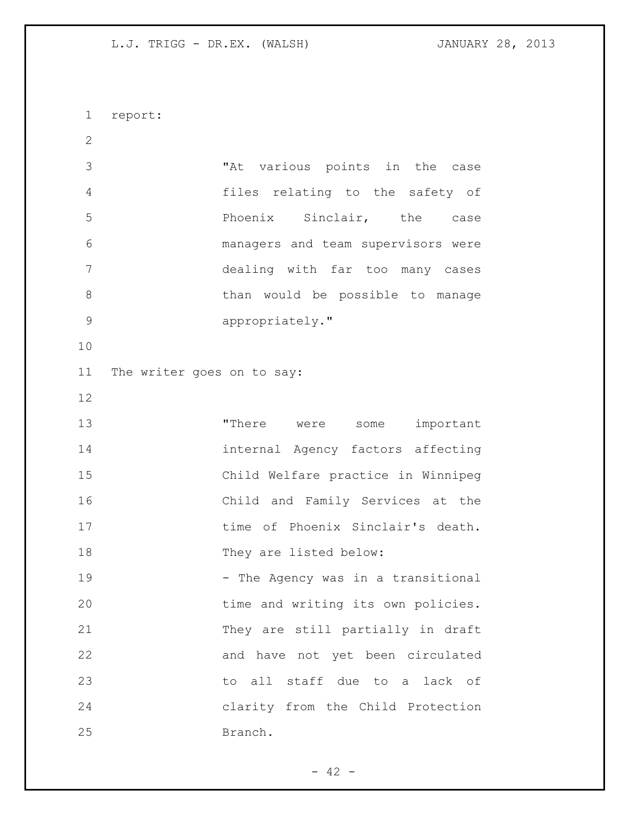report: "At various points in the case files relating to the safety of Phoenix Sinclair, the case managers and team supervisors were dealing with far too many cases 8 b than would be possible to manage appropriately." The writer goes on to say: 13 There were some important internal Agency factors affecting Child Welfare practice in Winnipeg Child and Family Services at the 17 time of Phoenix Sinclair's death. 18 They are listed below: 19 - The Agency was in a transitional 20 time and writing its own policies. They are still partially in draft and have not yet been circulated to all staff due to a lack of clarity from the Child Protection Branch.

 $- 42 -$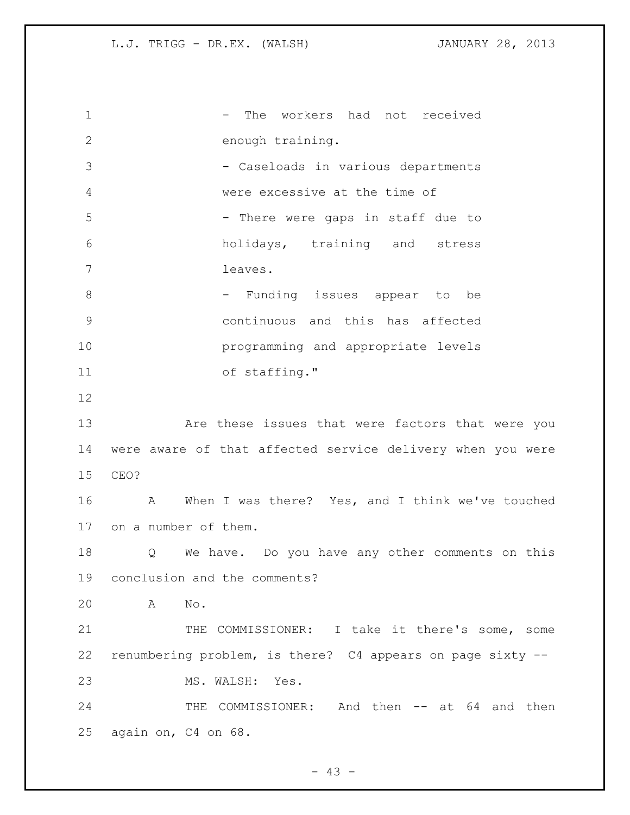1 - The workers had not received enough training. - Caseloads in various departments were excessive at the time of 5 - There were gaps in staff due to holidays, training and stress leaves. 8 - Funding issues appear to be continuous and this has affected programming and appropriate levels of staffing." Are these issues that were factors that were you were aware of that affected service delivery when you were CEO? A When I was there? Yes, and I think we've touched on a number of them. Q We have. Do you have any other comments on this conclusion and the comments? A No. THE COMMISSIONER: I take it there's some, some renumbering problem, is there? C4 appears on page sixty -- MS. WALSH: Yes. 24 THE COMMISSIONER: And then -- at 64 and then again on, C4 on 68.

 $- 43 -$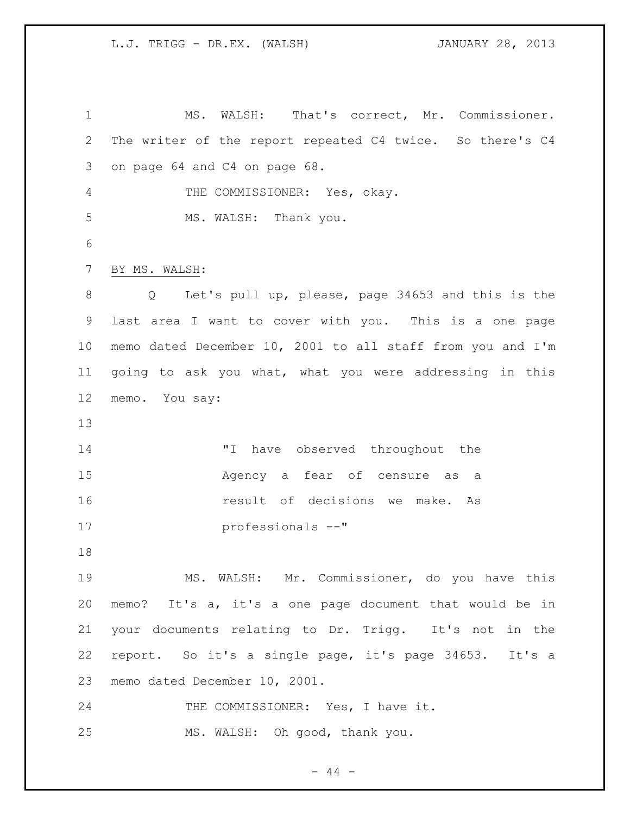MS. WALSH: That's correct, Mr. Commissioner. The writer of the report repeated C4 twice. So there's C4 on page 64 and C4 on page 68. THE COMMISSIONER: Yes, okay. MS. WALSH: Thank you. BY MS. WALSH: Q Let's pull up, please, page 34653 and this is the last area I want to cover with you. This is a one page memo dated December 10, 2001 to all staff from you and I'm going to ask you what, what you were addressing in this memo. You say: 14 T have observed throughout the Agency a fear of censure as a result of decisions we make. As professionals --" MS. WALSH: Mr. Commissioner, do you have this memo? It's a, it's a one page document that would be in your documents relating to Dr. Trigg. It's not in the report. So it's a single page, it's page 34653. It's a memo dated December 10, 2001. 24 THE COMMISSIONER: Yes, I have it. MS. WALSH: Oh good, thank you.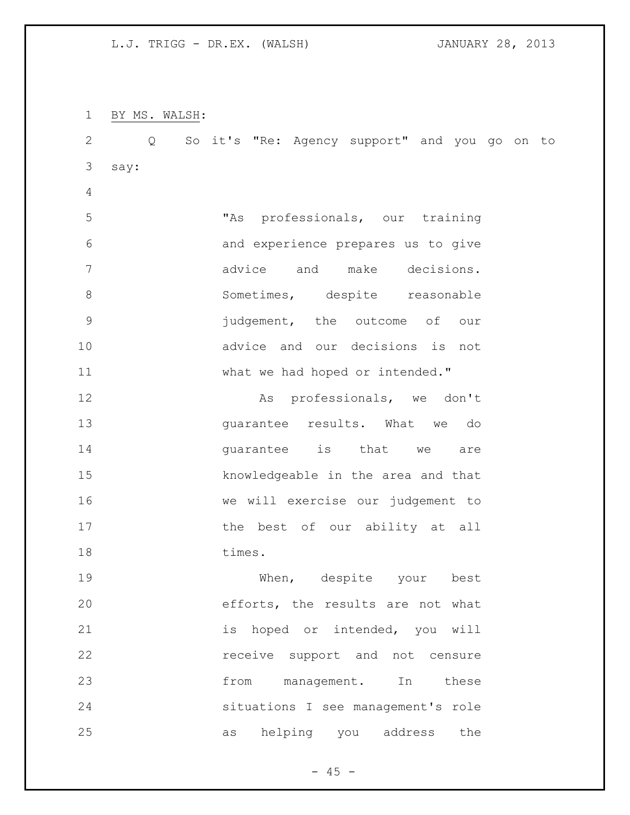BY MS. WALSH: Q So it's "Re: Agency support" and you go on to say: "As professionals, our training and experience prepares us to give advice and make decisions. 8 Sometimes, despite reasonable judgement, the outcome of our advice and our decisions is not 11 What we had hoped or intended." **As professionals, we don't**  guarantee results. What we do **guarantee** is that we are knowledgeable in the area and that we will exercise our judgement to 17 the best of our ability at all 18 times. When, despite your best efforts, the results are not what 21 is hoped or intended, you will **receive** support and not censure 23 from management. In these situations I see management's role as helping you address the

 $- 45 -$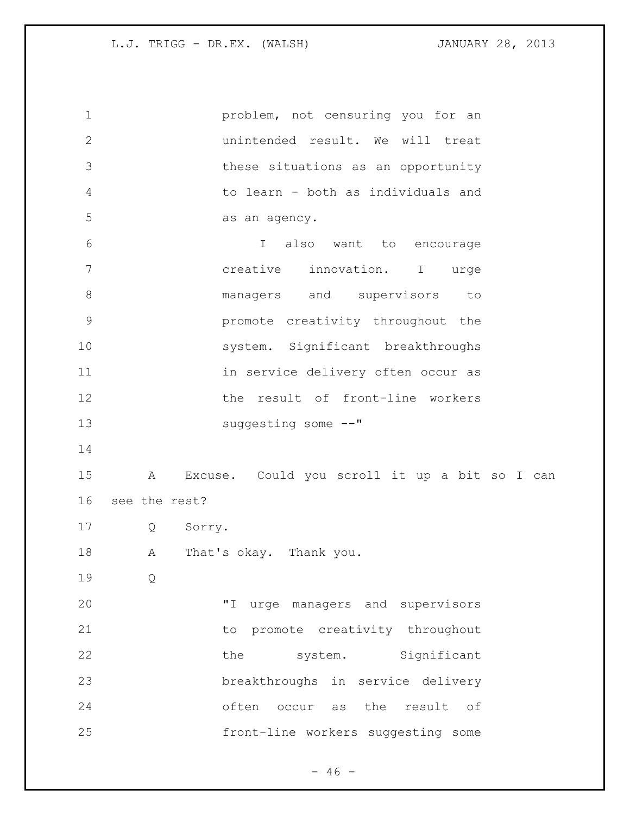problem, not censuring you for an unintended result. We will treat these situations as an opportunity to learn - both as individuals and as an agency. I also want to encourage creative innovation. I urge **8 managers** and supervisors to promote creativity throughout the 10 system. Significant breakthroughs 11 in service delivery often occur as the result of front-line workers 13 suggesting some  $--"$  A Excuse. Could you scroll it up a bit so I can see the rest? Q Sorry. A That's okay. Thank you. Q "I urge managers and supervisors 21 to promote creativity throughout 22 the system. Significant breakthroughs in service delivery often occur as the result of front-line workers suggesting some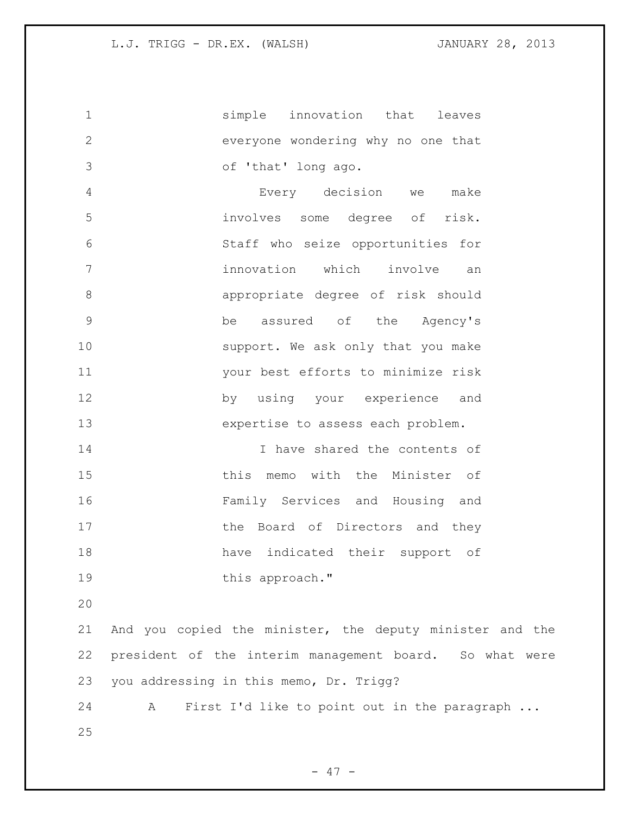simple innovation that leaves everyone wondering why no one that of 'that' long ago. Every decision we make involves some degree of risk. Staff who seize opportunities for innovation which involve an appropriate degree of risk should be assured of the Agency's 10 support. We ask only that you make your best efforts to minimize risk by using your experience and expertise to assess each problem. I have shared the contents of this memo with the Minister of Family Services and Housing and 17 the Board of Directors and they have indicated their support of 19 this approach." And you copied the minister, the deputy minister and the president of the interim management board. So what were you addressing in this memo, Dr. Trigg? A First I'd like to point out in the paragraph ...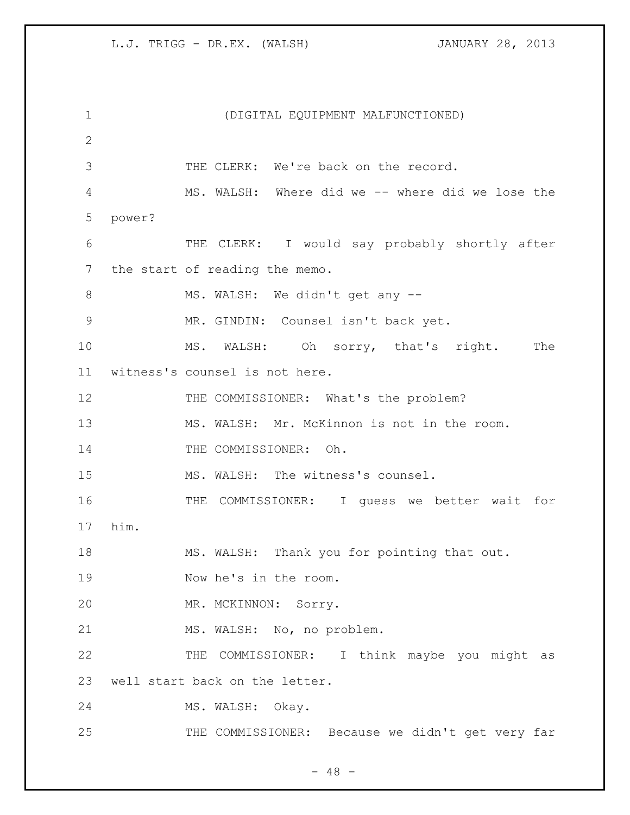(DIGITAL EQUIPMENT MALFUNCTIONED) THE CLERK: We're back on the record. MS. WALSH: Where did we -- where did we lose the power? THE CLERK: I would say probably shortly after the start of reading the memo. 8 MS. WALSH: We didn't get any -- MR. GINDIN: Counsel isn't back yet. MS. WALSH: Oh sorry, that's right. The witness's counsel is not here. 12 THE COMMISSIONER: What's the problem? MS. WALSH: Mr. McKinnon is not in the room. 14 THE COMMISSIONER: Oh. 15 MS. WALSH: The witness's counsel. THE COMMISSIONER: I guess we better wait for him. MS. WALSH: Thank you for pointing that out. Now he's in the room. MR. MCKINNON: Sorry. 21 MS. WALSH: No, no problem. THE COMMISSIONER: I think maybe you might as well start back on the letter. MS. WALSH: Okay. 25 THE COMMISSIONER: Because we didn't get very far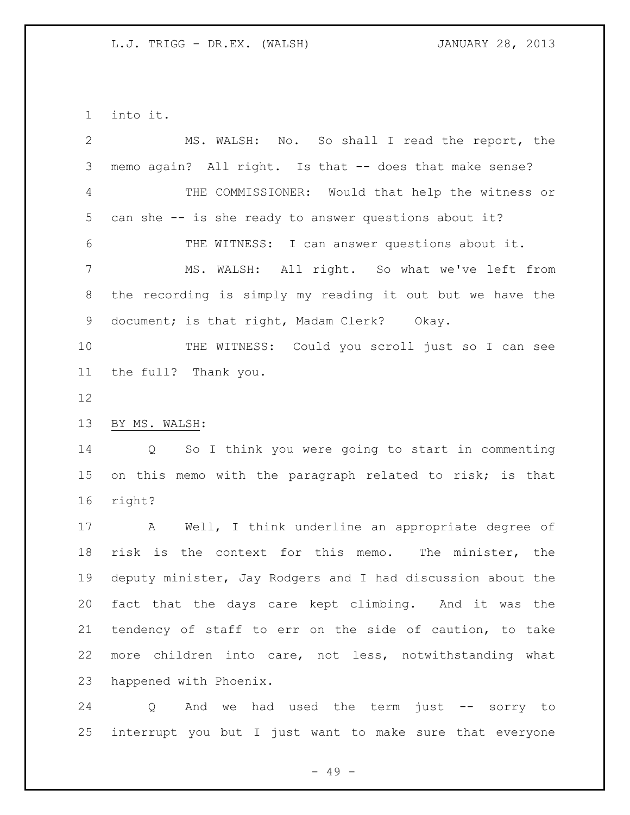into it.

| $\overline{2}$ | MS. WALSH: No. So shall I read the report, the                |
|----------------|---------------------------------------------------------------|
| 3              | memo again? All right. Is that -- does that make sense?       |
| 4              | THE COMMISSIONER: Would that help the witness or              |
| 5              | can she -- is she ready to answer questions about it?         |
| 6              | THE WITNESS: I can answer questions about it.                 |
| $7\phantom{.}$ | MS. WALSH: All right. So what we've left from                 |
| 8              | the recording is simply my reading it out but we have the     |
| 9              | document; is that right, Madam Clerk? Okay.                   |
| 10             | THE WITNESS: Could you scroll just so I can see               |
| 11             | the full? Thank you.                                          |
| 12             |                                                               |
| 13             | BY MS. WALSH:                                                 |
| 14             | So I think you were going to start in commenting<br>Q         |
| 15             | on this memo with the paragraph related to risk; is that      |
| 16             | right?                                                        |
| 17             | Well, I think underline an appropriate degree of<br>A         |
| 18             | risk is the context for this memo. The minister, the          |
| 19             | deputy minister, Jay Rodgers and I had discussion about the   |
| 20             | fact that the days care kept climbing. And it was the         |
| 21             | tendency of staff to err on the side of caution, to take      |
| 22             | more children into care, not less, notwithstanding what       |
| 23             | happened with Phoenix.                                        |
| 24             | And<br>had used the term<br>just --<br>we<br>Q<br>sorry<br>to |

interrupt you but I just want to make sure that everyone

- 49 -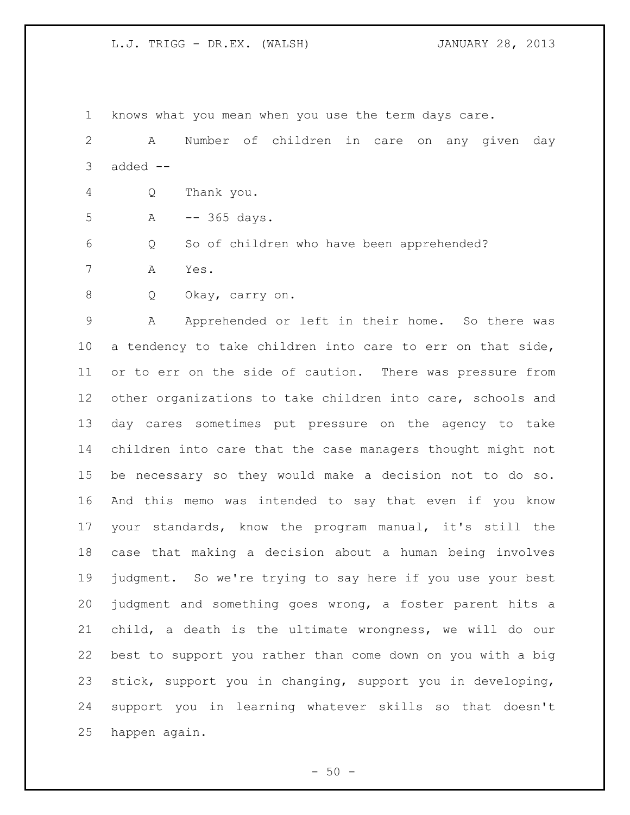knows what you mean when you use the term days care.

 A Number of children in care on any given day added  $--$ 

Q Thank you.

A -- 365 days.

Q So of children who have been apprehended?

A Yes.

Q Okay, carry on.

 A Apprehended or left in their home. So there was a tendency to take children into care to err on that side, or to err on the side of caution. There was pressure from other organizations to take children into care, schools and day cares sometimes put pressure on the agency to take children into care that the case managers thought might not be necessary so they would make a decision not to do so. And this memo was intended to say that even if you know your standards, know the program manual, it's still the case that making a decision about a human being involves judgment. So we're trying to say here if you use your best judgment and something goes wrong, a foster parent hits a child, a death is the ultimate wrongness, we will do our best to support you rather than come down on you with a big stick, support you in changing, support you in developing, support you in learning whatever skills so that doesn't happen again.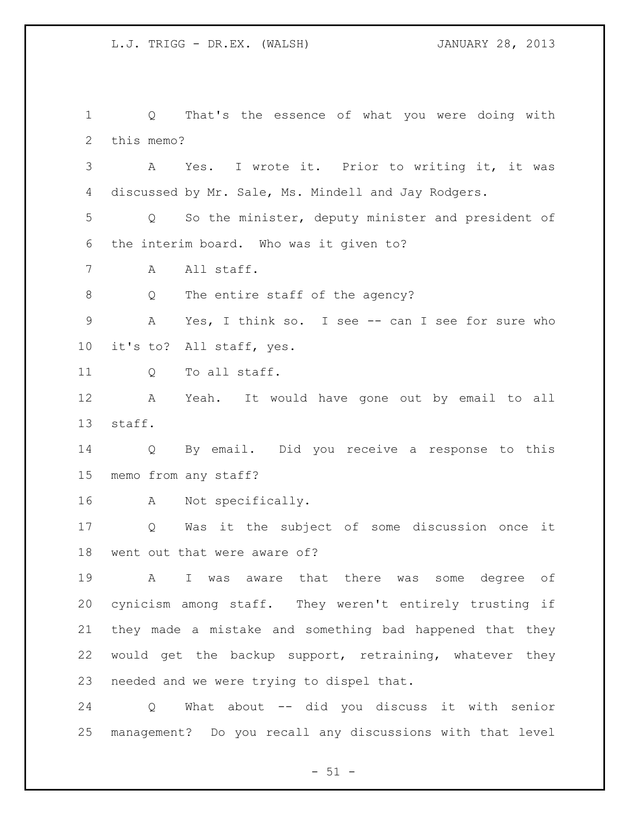Q That's the essence of what you were doing with this memo? A Yes. I wrote it. Prior to writing it, it was discussed by Mr. Sale, Ms. Mindell and Jay Rodgers. Q So the minister, deputy minister and president of the interim board. Who was it given to? A All staff. 8 Q The entire staff of the agency? A Yes, I think so. I see -- can I see for sure who it's to? All staff, yes. 11 Q To all staff. A Yeah. It would have gone out by email to all staff. Q By email. Did you receive a response to this memo from any staff? A Not specifically. Q Was it the subject of some discussion once it went out that were aware of? A I was aware that there was some degree of cynicism among staff. They weren't entirely trusting if they made a mistake and something bad happened that they would get the backup support, retraining, whatever they needed and we were trying to dispel that. Q What about -- did you discuss it with senior management? Do you recall any discussions with that level

 $- 51 -$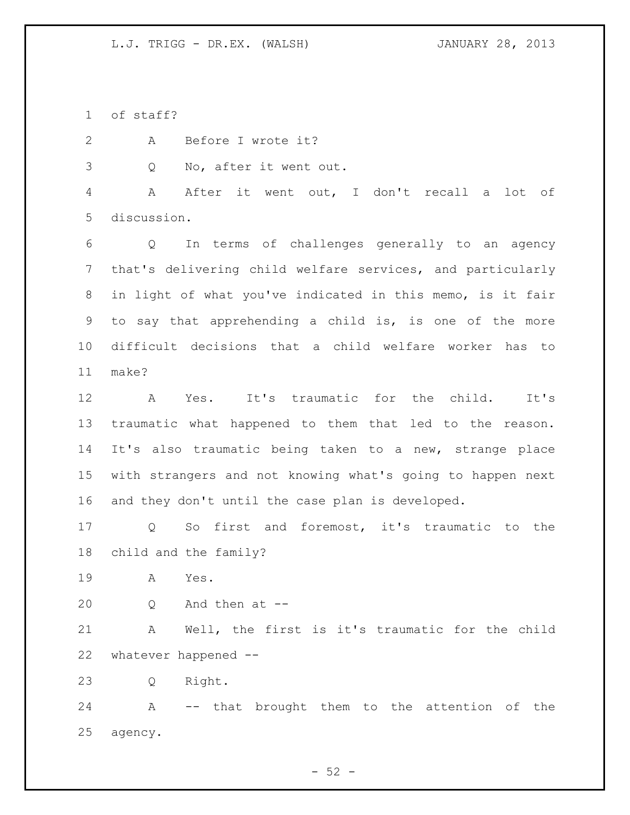of staff?

A Before I wrote it?

Q No, after it went out.

 A After it went out, I don't recall a lot of discussion.

 Q In terms of challenges generally to an agency that's delivering child welfare services, and particularly in light of what you've indicated in this memo, is it fair to say that apprehending a child is, is one of the more difficult decisions that a child welfare worker has to make?

 A Yes. It's traumatic for the child. It's traumatic what happened to them that led to the reason. It's also traumatic being taken to a new, strange place with strangers and not knowing what's going to happen next and they don't until the case plan is developed.

 Q So first and foremost, it's traumatic to the child and the family?

A Yes.

Q And then at --

 A Well, the first is it's traumatic for the child whatever happened --

Q Right.

 A -- that brought them to the attention of the agency.

 $-52 -$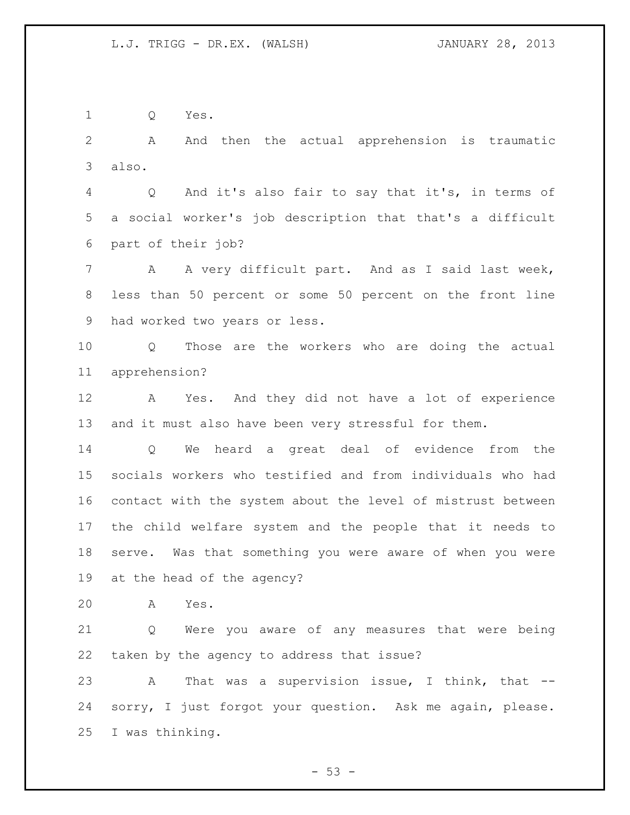Q Yes.

 A And then the actual apprehension is traumatic also.

 Q And it's also fair to say that it's, in terms of a social worker's job description that that's a difficult part of their job?

7 A A very difficult part. And as I said last week, less than 50 percent or some 50 percent on the front line had worked two years or less.

 Q Those are the workers who are doing the actual apprehension?

 A Yes. And they did not have a lot of experience and it must also have been very stressful for them.

 Q We heard a great deal of evidence from the socials workers who testified and from individuals who had contact with the system about the level of mistrust between the child welfare system and the people that it needs to serve. Was that something you were aware of when you were at the head of the agency?

A Yes.

 Q Were you aware of any measures that were being taken by the agency to address that issue?

23 A That was a supervision issue, I think, that -- sorry, I just forgot your question. Ask me again, please. I was thinking.

 $-53 -$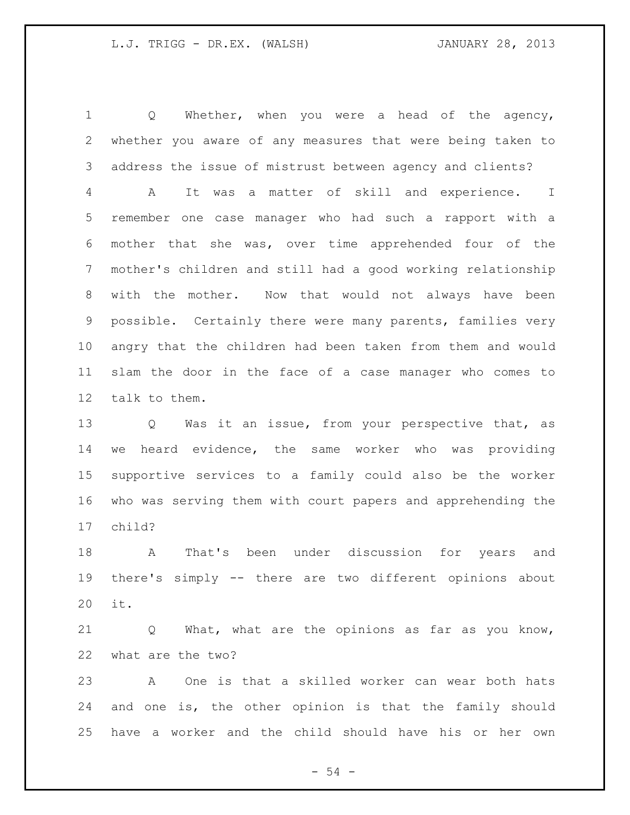Q Whether, when you were a head of the agency, whether you aware of any measures that were being taken to address the issue of mistrust between agency and clients? A It was a matter of skill and experience. I remember one case manager who had such a rapport with a mother that she was, over time apprehended four of the mother's children and still had a good working relationship with the mother. Now that would not always have been possible. Certainly there were many parents, families very angry that the children had been taken from them and would slam the door in the face of a case manager who comes to talk to them.

 Q Was it an issue, from your perspective that, as we heard evidence, the same worker who was providing supportive services to a family could also be the worker who was serving them with court papers and apprehending the child?

 A That's been under discussion for years and there's simply -- there are two different opinions about it.

 Q What, what are the opinions as far as you know, what are the two?

 A One is that a skilled worker can wear both hats and one is, the other opinion is that the family should have a worker and the child should have his or her own

 $-54 -$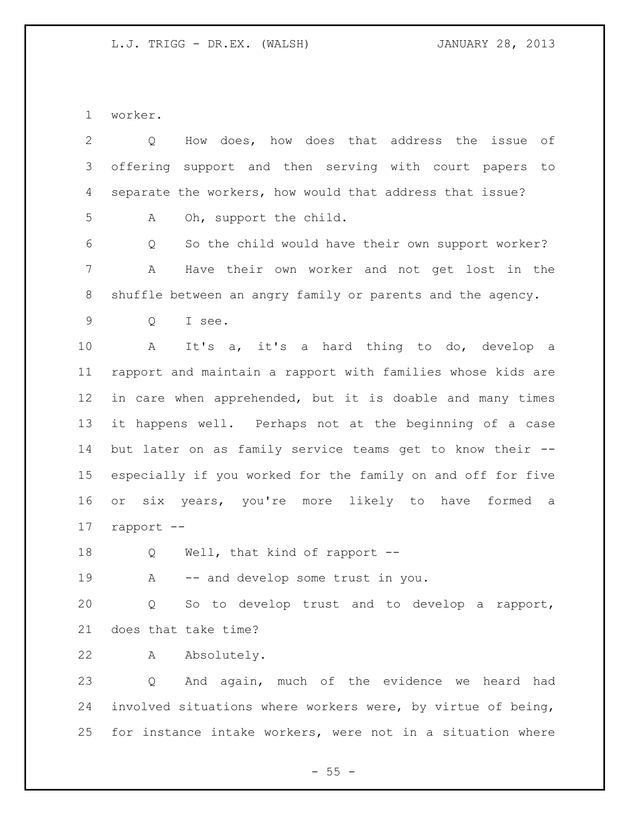worker.

| $\mathbf{2}$ | How does, how does that address the issue of<br>Q           |
|--------------|-------------------------------------------------------------|
| 3            | offering support and then serving with court papers to      |
| 4            | separate the workers, how would that address that issue?    |
| 5            | Oh, support the child.<br>А                                 |
| 6            | So the child would have their own support worker?<br>Q      |
| 7            | Have their own worker and not get lost in the<br>Α          |
| 8            | shuffle between an angry family or parents and the agency.  |
| 9            | I see.<br>Q                                                 |
| 10           | It's a, it's a hard thing to do, develop a<br>A             |
| 11           | rapport and maintain a rapport with families whose kids are |
| 12           | in care when apprehended, but it is doable and many times   |
| 13           | it happens well. Perhaps not at the beginning of a case     |
| 14           | but later on as family service teams get to know their --   |
| 15           | especially if you worked for the family on and off for five |
| 16           | or six years, you're more likely to have formed a           |
| 17           | rapport --                                                  |
| 18           | Well, that kind of rapport --<br>Q                          |
| 19           | -- and develop some trust in you.<br>A                      |
| 20           | Q So to develop trust and to develop a rapport,             |
| 21           | does that take time?                                        |
| 22           | Absolutely.<br>A                                            |
| 23           | And again, much of the evidence we heard had<br>Q           |
| 24           | involved situations where workers were, by virtue of being, |
| 25           | for instance intake workers, were not in a situation where  |
|              |                                                             |

 $- 55 -$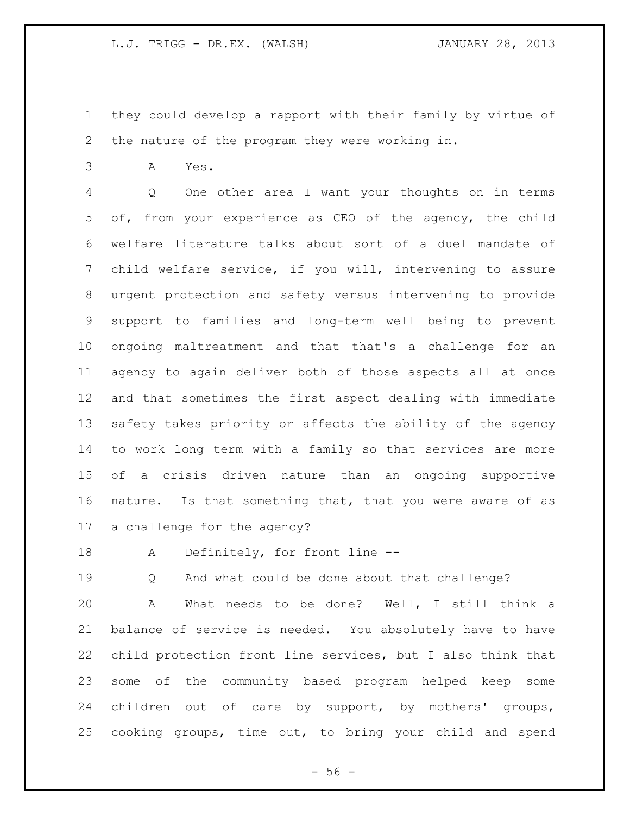- they could develop a rapport with their family by virtue of the nature of the program they were working in.
- A Yes.

 Q One other area I want your thoughts on in terms of, from your experience as CEO of the agency, the child welfare literature talks about sort of a duel mandate of child welfare service, if you will, intervening to assure urgent protection and safety versus intervening to provide support to families and long-term well being to prevent ongoing maltreatment and that that's a challenge for an agency to again deliver both of those aspects all at once and that sometimes the first aspect dealing with immediate safety takes priority or affects the ability of the agency to work long term with a family so that services are more of a crisis driven nature than an ongoing supportive nature. Is that something that, that you were aware of as a challenge for the agency?

A Definitely, for front line --

Q And what could be done about that challenge?

 A What needs to be done? Well, I still think a balance of service is needed. You absolutely have to have child protection front line services, but I also think that some of the community based program helped keep some children out of care by support, by mothers' groups, cooking groups, time out, to bring your child and spend

 $- 56 -$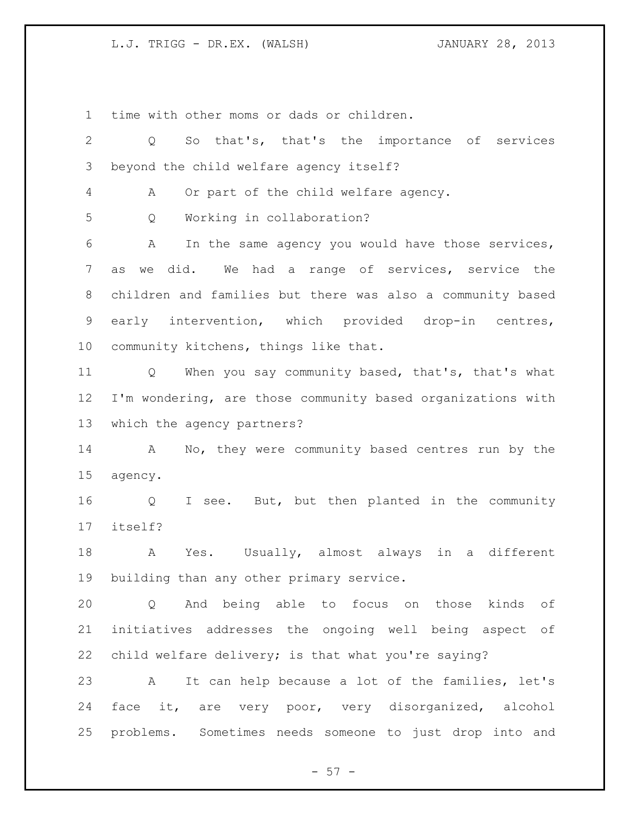time with other moms or dads or children.

| $\overline{2}$ | So that's, that's the importance of services<br>Q                      |
|----------------|------------------------------------------------------------------------|
| 3              | beyond the child welfare agency itself?                                |
| 4              | Or part of the child welfare agency.<br>A                              |
| 5              | Working in collaboration?<br>Q                                         |
| 6              | In the same agency you would have those services,<br>Α                 |
| 7              | we did. We had a range of services, service the<br>as                  |
| 8              | children and families but there was also a community based             |
| 9              | early intervention, which provided drop-in centres,                    |
| 10             | community kitchens, things like that.                                  |
| 11             | When you say community based, that's, that's what<br>$Q \qquad \qquad$ |
| 12             | I'm wondering, are those community based organizations with            |
| 13             | which the agency partners?                                             |
| 14             | No, they were community based centres run by the<br>A                  |
| 15             | agency.                                                                |
| 16             | I see. But, but then planted in the community<br>Q                     |
| 17             | itself?                                                                |
| 18             | Yes. Usually, almost always in a different<br>A                        |
| 19             | building than any other primary service.                               |
| 20             | And being able to focus on those kinds of<br>Q                         |
| 21             | initiatives addresses the ongoing well being aspect of                 |
| 22             | child welfare delivery; is that what you're saying?                    |
| 23             | It can help because a lot of the families, let's<br>$\mathbf{A}$       |
| 24             | face it, are very poor, very disorganized, alcohol                     |
| 25             | problems. Sometimes needs someone to just drop into and                |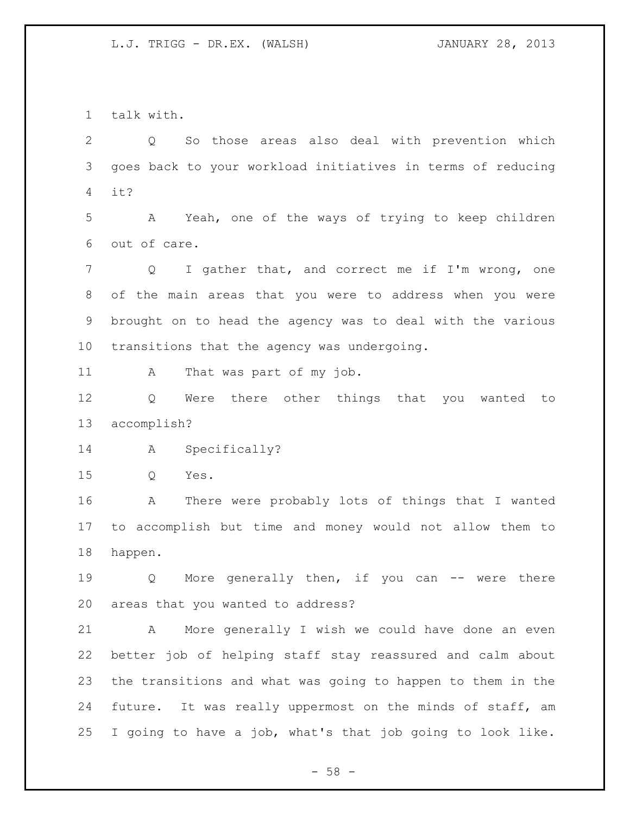talk with.

 Q So those areas also deal with prevention which goes back to your workload initiatives in terms of reducing it?

 A Yeah, one of the ways of trying to keep children out of care.

 Q I gather that, and correct me if I'm wrong, one of the main areas that you were to address when you were brought on to head the agency was to deal with the various transitions that the agency was undergoing.

11 A That was part of my job.

 Q Were there other things that you wanted to accomplish?

A Specifically?

Q Yes.

 A There were probably lots of things that I wanted to accomplish but time and money would not allow them to happen.

19 Q More generally then, if you can -- were there areas that you wanted to address?

 A More generally I wish we could have done an even better job of helping staff stay reassured and calm about the transitions and what was going to happen to them in the future. It was really uppermost on the minds of staff, am I going to have a job, what's that job going to look like.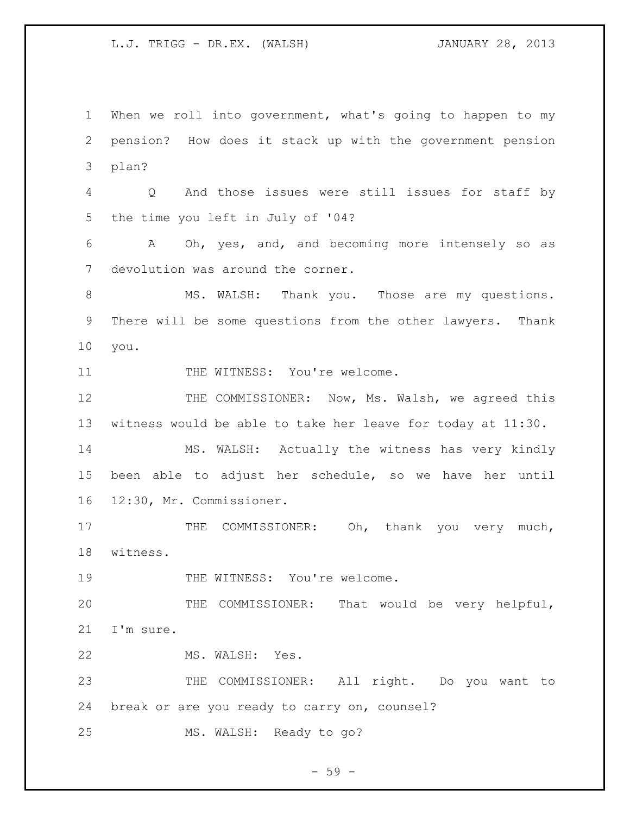When we roll into government, what's going to happen to my pension? How does it stack up with the government pension plan? Q And those issues were still issues for staff by the time you left in July of '04? A Oh, yes, and, and becoming more intensely so as devolution was around the corner. 8 MS. WALSH: Thank you. Those are my questions. There will be some questions from the other lawyers. Thank you. 11 THE WITNESS: You're welcome. 12 THE COMMISSIONER: Now, Ms. Walsh, we agreed this witness would be able to take her leave for today at 11:30. MS. WALSH: Actually the witness has very kindly been able to adjust her schedule, so we have her until 12:30, Mr. Commissioner. 17 THE COMMISSIONER: Oh, thank you very much, witness. 19 THE WITNESS: You're welcome. THE COMMISSIONER: That would be very helpful, I'm sure. MS. WALSH: Yes. THE COMMISSIONER: All right. Do you want to break or are you ready to carry on, counsel? MS. WALSH: Ready to go?

 $-59 -$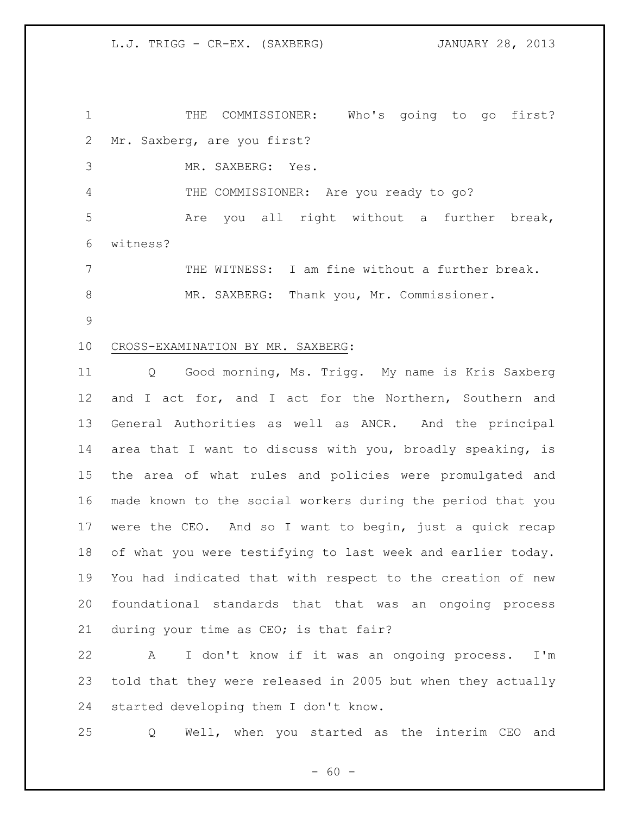THE COMMISSIONER: Who's going to go first? Mr. Saxberg, are you first?

MR. SAXBERG: Yes.

THE COMMISSIONER: Are you ready to go?

 Are you all right without a further break, witness?

 THE WITNESS: I am fine without a further break. 8 MR. SAXBERG: Thank you, Mr. Commissioner.

### CROSS-EXAMINATION BY MR. SAXBERG:

 Q Good morning, Ms. Trigg. My name is Kris Saxberg 12 and I act for, and I act for the Northern, Southern and General Authorities as well as ANCR. And the principal area that I want to discuss with you, broadly speaking, is the area of what rules and policies were promulgated and made known to the social workers during the period that you were the CEO. And so I want to begin, just a quick recap of what you were testifying to last week and earlier today. You had indicated that with respect to the creation of new foundational standards that that was an ongoing process during your time as CEO; is that fair?

 A I don't know if it was an ongoing process. I'm told that they were released in 2005 but when they actually started developing them I don't know.

Q Well, when you started as the interim CEO and

 $- 60 -$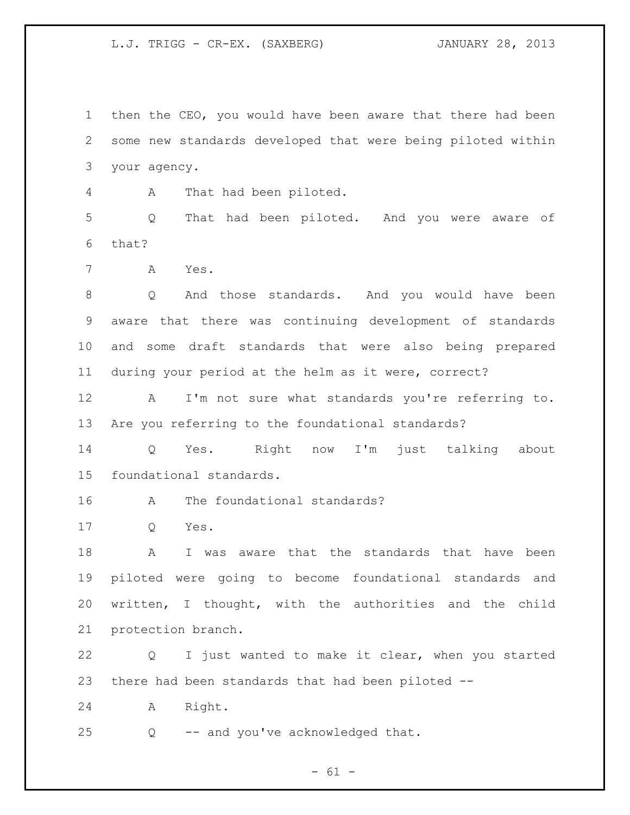then the CEO, you would have been aware that there had been some new standards developed that were being piloted within your agency.

A That had been piloted.

 Q That had been piloted. And you were aware of that?

A Yes.

 Q And those standards. And you would have been aware that there was continuing development of standards and some draft standards that were also being prepared during your period at the helm as it were, correct?

 A I'm not sure what standards you're referring to. Are you referring to the foundational standards?

 Q Yes. Right now I'm just talking about foundational standards.

A The foundational standards?

Q Yes.

18 A I was aware that the standards that have been piloted were going to become foundational standards and written, I thought, with the authorities and the child protection branch.

 Q I just wanted to make it clear, when you started there had been standards that had been piloted --

A Right.

Q -- and you've acknowledged that.

 $- 61 -$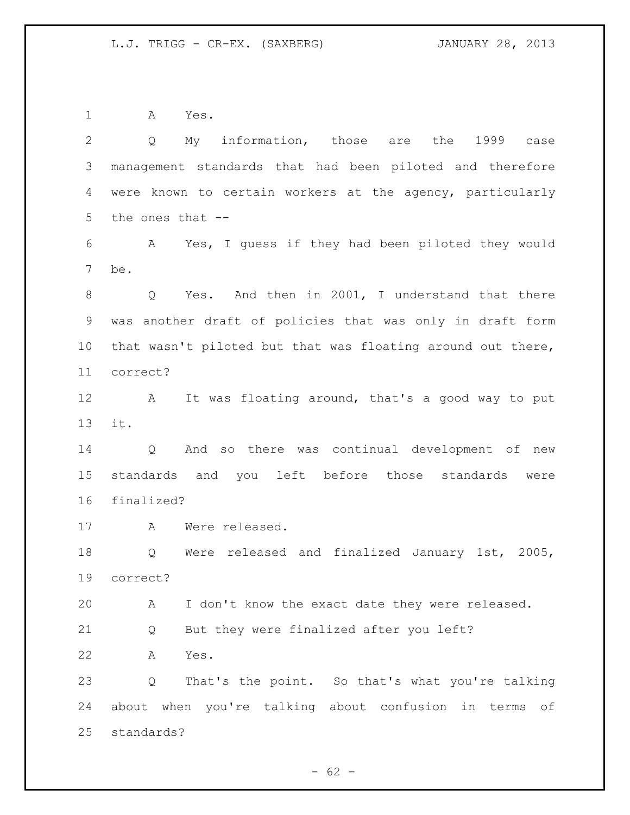A Yes.

| 2               | My information, those<br>are the<br>1999<br>case<br>Q       |
|-----------------|-------------------------------------------------------------|
| 3               | management standards that had been piloted and therefore    |
| 4               | were known to certain workers at the agency, particularly   |
| 5               | the ones that --                                            |
| 6               | Yes, I quess if they had been piloted they would<br>A       |
| $\overline{7}$  | be.                                                         |
| 8               | Q Yes. And then in 2001, I understand that there            |
| 9               | was another draft of policies that was only in draft form   |
| 10 <sub>o</sub> | that wasn't piloted but that was floating around out there, |
| 11              | correct?                                                    |
| 12              | It was floating around, that's a good way to put<br>A       |
| 13              | it.                                                         |
| 14              | And so there was continual development of new<br>Q          |
| 15              | standards and you left before those standards<br>were       |
| 16              | finalized?                                                  |
| 17              | Were released.<br>A                                         |
| 18              | Were released and finalized January 1st, 2005,<br>Q         |
| 19              | correct?                                                    |
| 20              | I don't know the exact date they were released.<br>Α        |
| 21              | But they were finalized after you left?<br>Q                |
| 22              | Α<br>Yes.                                                   |
| 23              | That's the point. So that's what you're talking<br>Q        |
| 24              | about when you're talking about confusion in terms<br>оf    |
| 25              | standards?                                                  |
|                 |                                                             |

- 62 -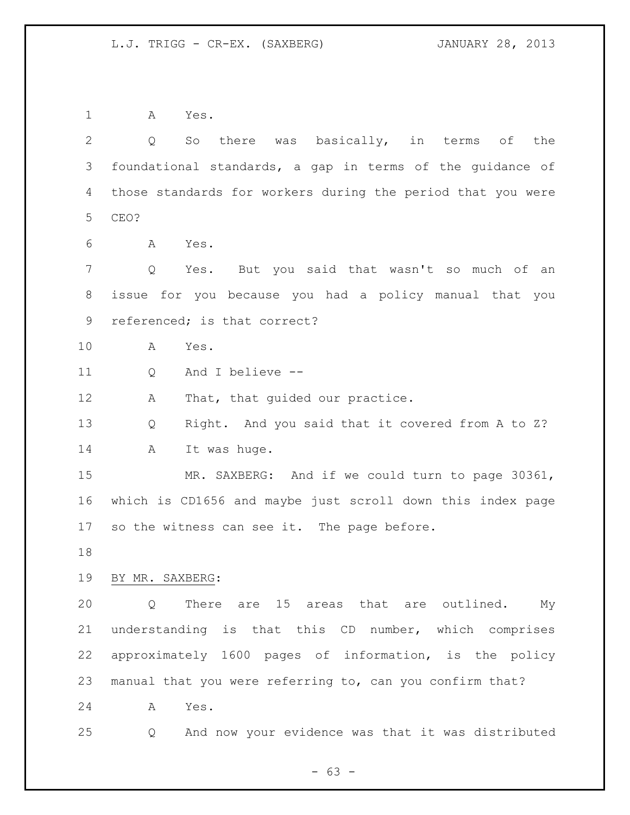A Yes. Q So there was basically, in terms of the foundational standards, a gap in terms of the guidance of those standards for workers during the period that you were CEO? A Yes. Q Yes. But you said that wasn't so much of an issue for you because you had a policy manual that you referenced; is that correct? A Yes. Q And I believe -- 12 A That, that guided our practice. Q Right. And you said that it covered from A to Z? 14 A It was huge. MR. SAXBERG: And if we could turn to page 30361, which is CD1656 and maybe just scroll down this index page so the witness can see it. The page before.

BY MR. SAXBERG:

 Q There are 15 areas that are outlined. My understanding is that this CD number, which comprises approximately 1600 pages of information, is the policy manual that you were referring to, can you confirm that?

A Yes.

Q And now your evidence was that it was distributed

- 63 -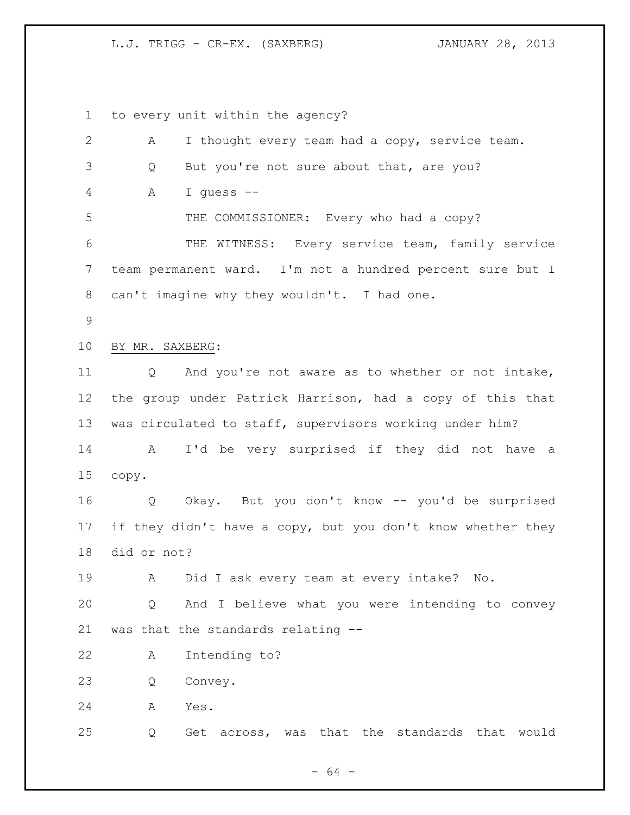to every unit within the agency?

| I thought every team had a copy, service team.<br>А               |
|-------------------------------------------------------------------|
| But you're not sure about that, are you?<br>Q                     |
|                                                                   |
| Α<br>I quess --                                                   |
| THE COMMISSIONER: Every who had a copy?                           |
| THE WITNESS: Every service team, family service                   |
| team permanent ward. I'm not a hundred percent sure but I         |
| can't imagine why they wouldn't. I had one.                       |
|                                                                   |
| BY MR. SAXBERG:                                                   |
| And you're not aware as to whether or not intake,<br>Q            |
| the group under Patrick Harrison, had a copy of this that         |
| was circulated to staff, supervisors working under him?           |
| I'd be very surprised if they did not have a<br>A                 |
| copy.                                                             |
| Okay. But you don't know -- you'd be surprised<br>Q               |
| if they didn't have a copy, but you don't know whether they       |
| did or not?                                                       |
| Did I ask every team at every intake?<br>A<br>No.                 |
| And I believe what you were intending to convey<br>$\overline{Q}$ |
| was that the standards relating --                                |
| Intending to?<br>A                                                |
| Convey.<br>Q                                                      |
| Α<br>Yes.                                                         |
| Get across, was that the standards that would<br>Q                |
|                                                                   |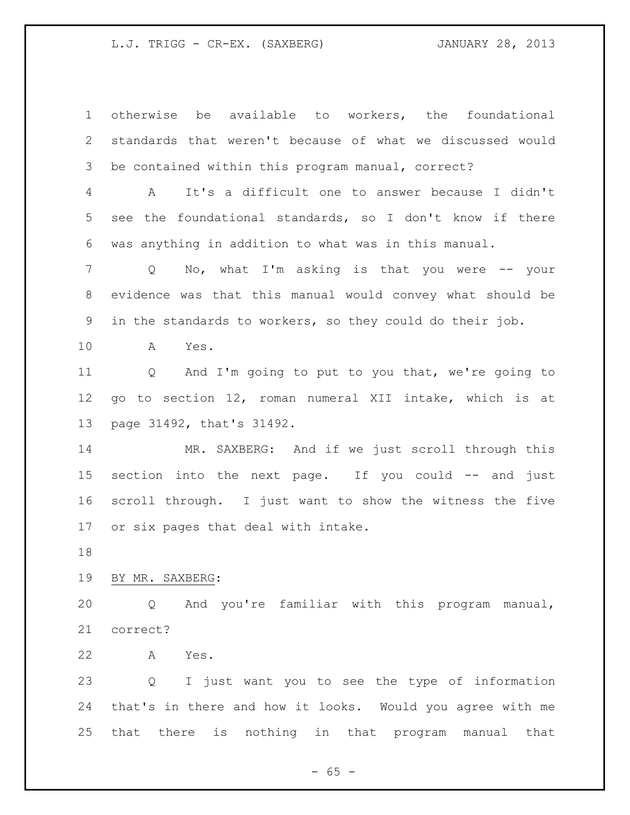otherwise be available to workers, the foundational standards that weren't because of what we discussed would be contained within this program manual, correct? A It's a difficult one to answer because I didn't see the foundational standards, so I don't know if there was anything in addition to what was in this manual. Q No, what I'm asking is that you were -- your evidence was that this manual would convey what should be in the standards to workers, so they could do their job. A Yes. Q And I'm going to put to you that, we're going to go to section 12, roman numeral XII intake, which is at page 31492, that's 31492. 14 MR. SAXBERG: And if we just scroll through this section into the next page. If you could -- and just scroll through. I just want to show the witness the five or six pages that deal with intake. BY MR. SAXBERG: Q And you're familiar with this program manual, correct? A Yes. Q I just want you to see the type of information that's in there and how it looks. Would you agree with me that there is nothing in that program manual that

 $- 65 -$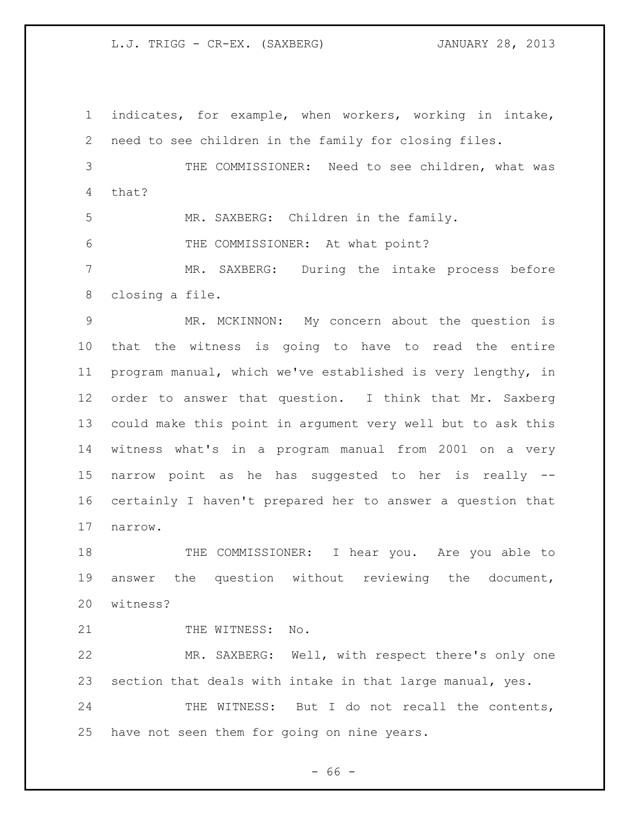indicates, for example, when workers, working in intake, need to see children in the family for closing files. THE COMMISSIONER: Need to see children, what was that? MR. SAXBERG: Children in the family. THE COMMISSIONER: At what point? MR. SAXBERG: During the intake process before closing a file. MR. MCKINNON: My concern about the question is that the witness is going to have to read the entire program manual, which we've established is very lengthy, in order to answer that question. I think that Mr. Saxberg could make this point in argument very well but to ask this witness what's in a program manual from 2001 on a very narrow point as he has suggested to her is really -- certainly I haven't prepared her to answer a question that narrow. THE COMMISSIONER: I hear you. Are you able to answer the question without reviewing the document, witness? 21 THE WITNESS: No. MR. SAXBERG: Well, with respect there's only one section that deals with intake in that large manual, yes. 24 THE WITNESS: But I do not recall the contents, have not seen them for going on nine years.

 $- 66 -$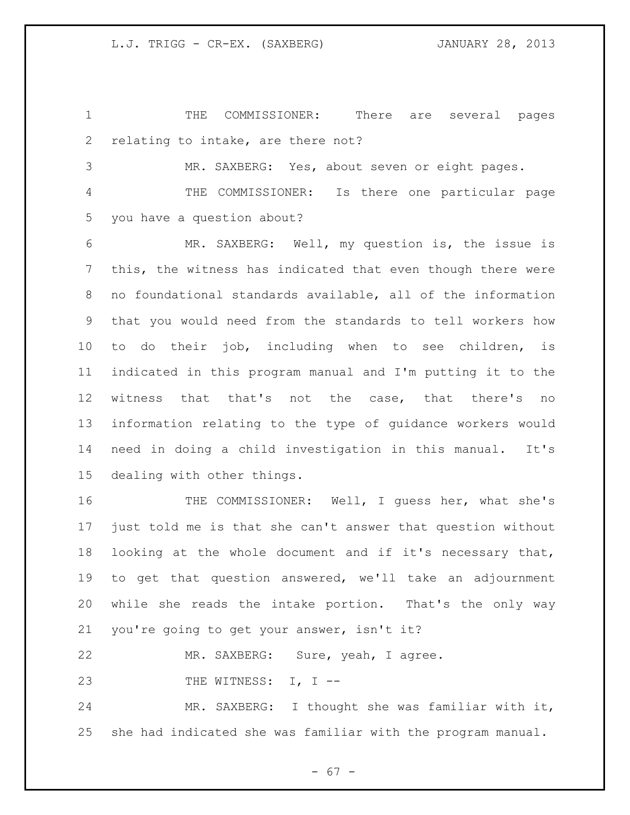THE COMMISSIONER: There are several pages relating to intake, are there not?

MR. SAXBERG: Yes, about seven or eight pages.

 THE COMMISSIONER: Is there one particular page you have a question about?

 MR. SAXBERG: Well, my question is, the issue is this, the witness has indicated that even though there were no foundational standards available, all of the information that you would need from the standards to tell workers how to do their job, including when to see children, is indicated in this program manual and I'm putting it to the witness that that's not the case, that there's no information relating to the type of guidance workers would need in doing a child investigation in this manual. It's dealing with other things.

16 THE COMMISSIONER: Well, I guess her, what she's just told me is that she can't answer that question without looking at the whole document and if it's necessary that, to get that question answered, we'll take an adjournment while she reads the intake portion. That's the only way you're going to get your answer, isn't it?

MR. SAXBERG: Sure, yeah, I agree.

23 THE WITNESS: I, I --

 MR. SAXBERG: I thought she was familiar with it, she had indicated she was familiar with the program manual.

 $- 67 -$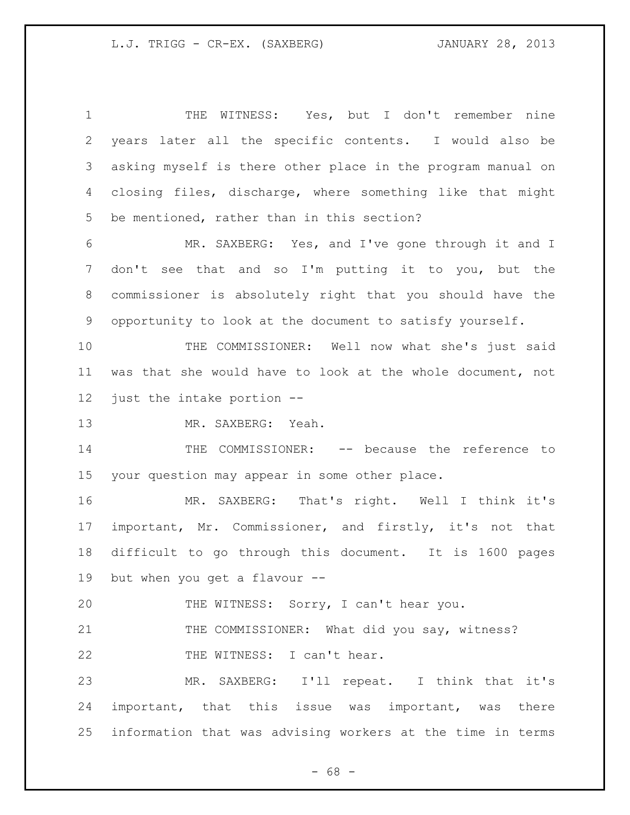THE WITNESS: Yes, but I don't remember nine years later all the specific contents. I would also be asking myself is there other place in the program manual on closing files, discharge, where something like that might be mentioned, rather than in this section? MR. SAXBERG: Yes, and I've gone through it and I don't see that and so I'm putting it to you, but the commissioner is absolutely right that you should have the opportunity to look at the document to satisfy yourself. 10 THE COMMISSIONER: Well now what she's just said was that she would have to look at the whole document, not just the intake portion -- MR. SAXBERG: Yeah. 14 THE COMMISSIONER: -- because the reference to your question may appear in some other place. MR. SAXBERG: That's right. Well I think it's important, Mr. Commissioner, and firstly, it's not that difficult to go through this document. It is 1600 pages but when you get a flavour -- THE WITNESS: Sorry, I can't hear you. 21 THE COMMISSIONER: What did you say, witness? 22 THE WITNESS: I can't hear. MR. SAXBERG: I'll repeat. I think that it's important, that this issue was important, was there information that was advising workers at the time in terms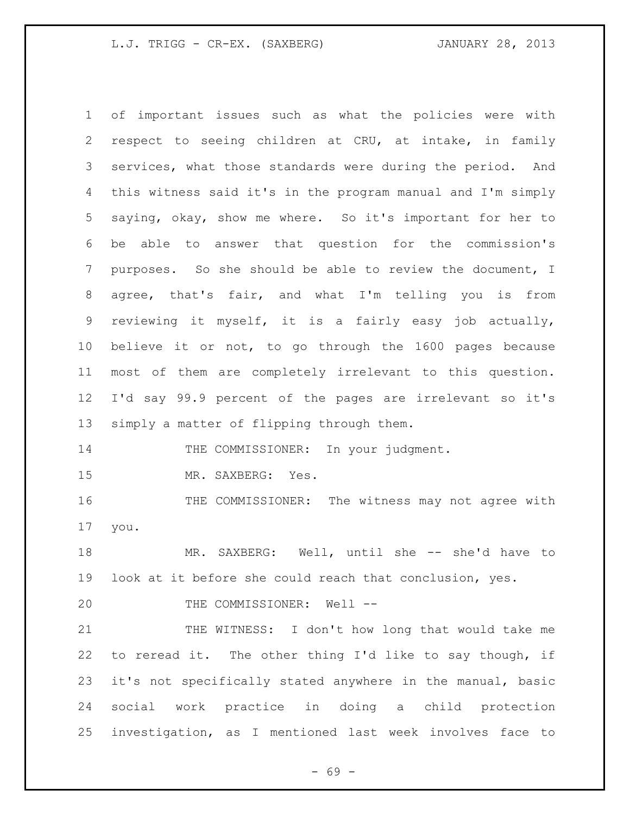of important issues such as what the policies were with respect to seeing children at CRU, at intake, in family services, what those standards were during the period. And this witness said it's in the program manual and I'm simply saying, okay, show me where. So it's important for her to be able to answer that question for the commission's purposes. So she should be able to review the document, I agree, that's fair, and what I'm telling you is from reviewing it myself, it is a fairly easy job actually, believe it or not, to go through the 1600 pages because most of them are completely irrelevant to this question. I'd say 99.9 percent of the pages are irrelevant so it's simply a matter of flipping through them. 14 THE COMMISSIONER: In your judgment. MR. SAXBERG: Yes. THE COMMISSIONER: The witness may not agree with you. MR. SAXBERG: Well, until she -- she'd have to look at it before she could reach that conclusion, yes.

20 THE COMMISSIONER: Well --

21 THE WITNESS: I don't how long that would take me to reread it. The other thing I'd like to say though, if it's not specifically stated anywhere in the manual, basic social work practice in doing a child protection investigation, as I mentioned last week involves face to

- 69 -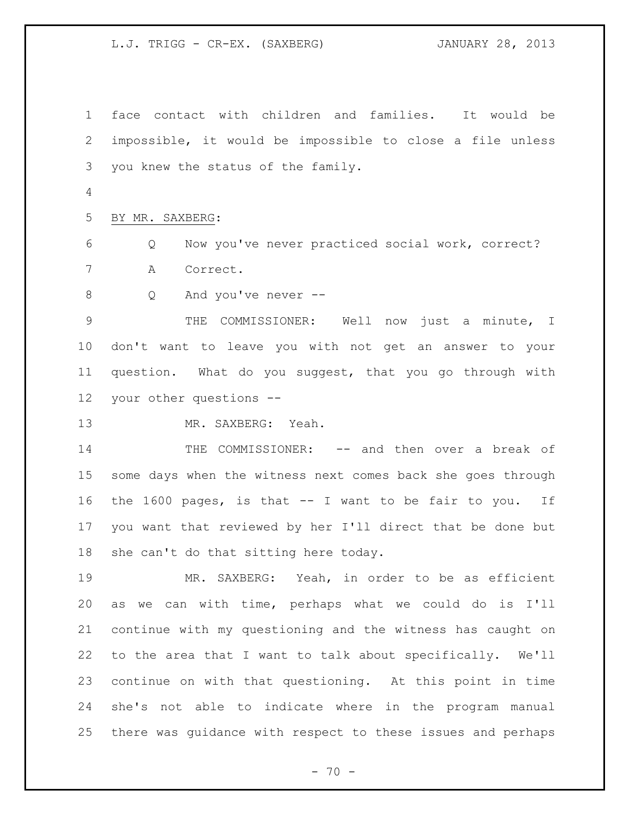face contact with children and families. It would be impossible, it would be impossible to close a file unless you knew the status of the family.

BY MR. SAXBERG:

 Q Now you've never practiced social work, correct? A Correct.

Q And you've never --

 THE COMMISSIONER: Well now just a minute, I don't want to leave you with not get an answer to your question. What do you suggest, that you go through with your other questions --

MR. SAXBERG: Yeah.

 THE COMMISSIONER: -- and then over a break of some days when the witness next comes back she goes through the 1600 pages, is that -- I want to be fair to you. If you want that reviewed by her I'll direct that be done but she can't do that sitting here today.

 MR. SAXBERG: Yeah, in order to be as efficient as we can with time, perhaps what we could do is I'll continue with my questioning and the witness has caught on to the area that I want to talk about specifically. We'll continue on with that questioning. At this point in time she's not able to indicate where in the program manual there was guidance with respect to these issues and perhaps

 $- 70 -$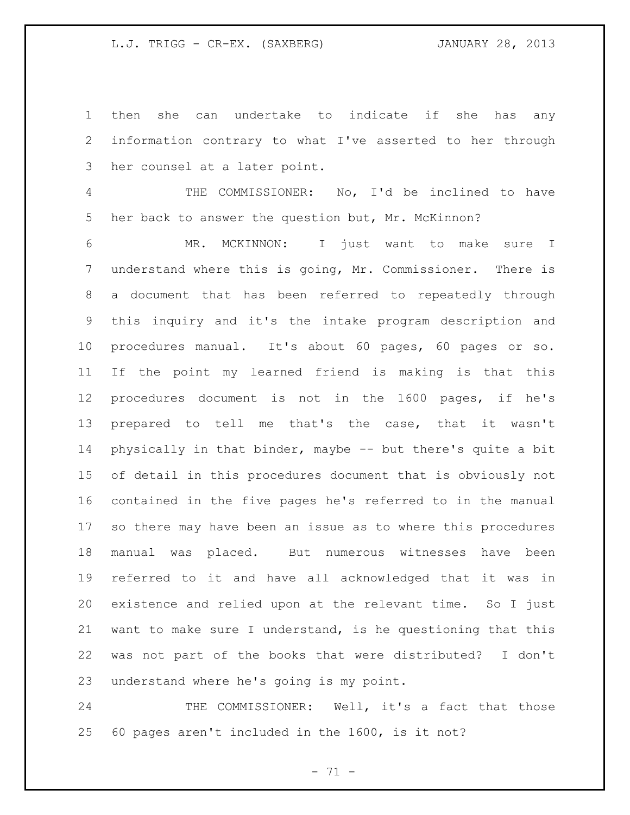then she can undertake to indicate if she has any information contrary to what I've asserted to her through her counsel at a later point.

 THE COMMISSIONER: No, I'd be inclined to have her back to answer the question but, Mr. McKinnon?

 MR. MCKINNON: I just want to make sure I understand where this is going, Mr. Commissioner. There is a document that has been referred to repeatedly through this inquiry and it's the intake program description and procedures manual. It's about 60 pages, 60 pages or so. If the point my learned friend is making is that this procedures document is not in the 1600 pages, if he's prepared to tell me that's the case, that it wasn't physically in that binder, maybe -- but there's quite a bit of detail in this procedures document that is obviously not contained in the five pages he's referred to in the manual so there may have been an issue as to where this procedures manual was placed. But numerous witnesses have been referred to it and have all acknowledged that it was in existence and relied upon at the relevant time. So I just want to make sure I understand, is he questioning that this was not part of the books that were distributed? I don't understand where he's going is my point.

24 THE COMMISSIONER: Well, it's a fact that those 60 pages aren't included in the 1600, is it not?

- 71 -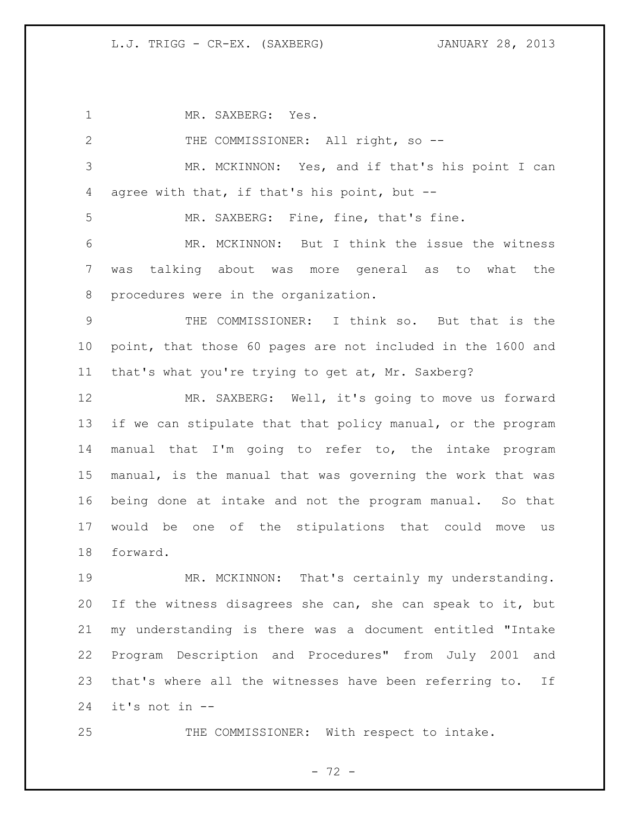MR. SAXBERG: Yes. 2 THE COMMISSIONER: All right, so -- MR. MCKINNON: Yes, and if that's his point I can agree with that, if that's his point, but -- MR. SAXBERG: Fine, fine, that's fine. MR. MCKINNON: But I think the issue the witness was talking about was more general as to what the procedures were in the organization. THE COMMISSIONER: I think so. But that is the point, that those 60 pages are not included in the 1600 and that's what you're trying to get at, Mr. Saxberg? MR. SAXBERG: Well, it's going to move us forward if we can stipulate that that policy manual, or the program manual that I'm going to refer to, the intake program manual, is the manual that was governing the work that was being done at intake and not the program manual. So that would be one of the stipulations that could move us forward. MR. MCKINNON: That's certainly my understanding. If the witness disagrees she can, she can speak to it, but my understanding is there was a document entitled "Intake Program Description and Procedures" from July 2001 and that's where all the witnesses have been referring to. If it's not in --

25 THE COMMISSIONER: With respect to intake.

- 72 -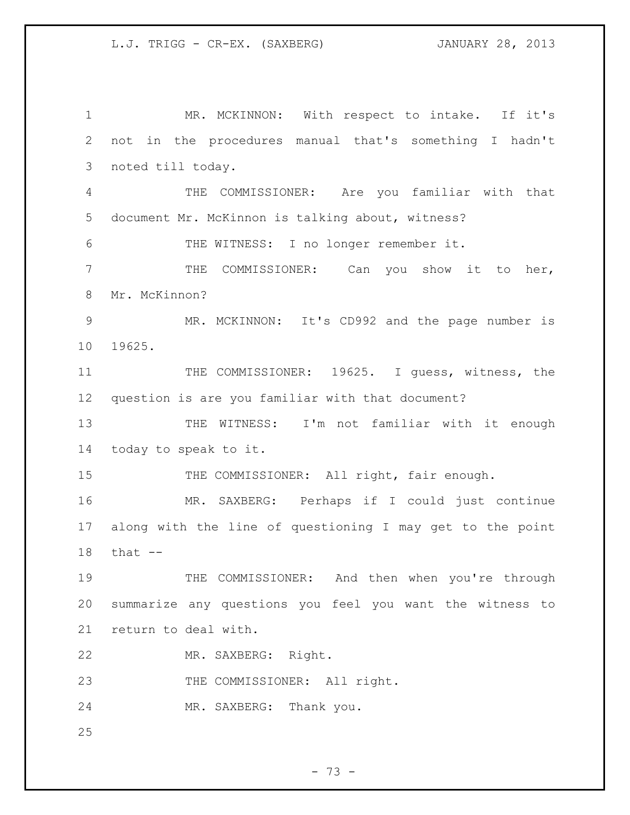MR. MCKINNON: With respect to intake. If it's not in the procedures manual that's something I hadn't noted till today. THE COMMISSIONER: Are you familiar with that document Mr. McKinnon is talking about, witness? THE WITNESS: I no longer remember it. THE COMMISSIONER: Can you show it to her, Mr. McKinnon? MR. MCKINNON: It's CD992 and the page number is 19625. THE COMMISSIONER: 19625. I guess, witness, the question is are you familiar with that document? THE WITNESS: I'm not familiar with it enough today to speak to it. 15 THE COMMISSIONER: All right, fair enough. MR. SAXBERG: Perhaps if I could just continue along with the line of questioning I may get to the point that -- THE COMMISSIONER: And then when you're through summarize any questions you feel you want the witness to return to deal with. MR. SAXBERG: Right. 23 THE COMMISSIONER: All right. MR. SAXBERG: Thank you.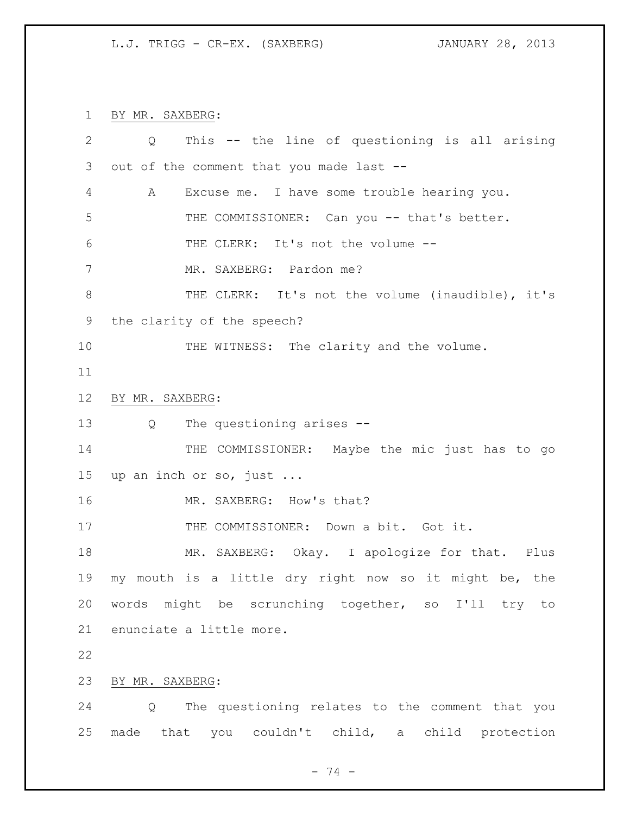BY MR. SAXBERG:

| 2  | This -- the line of questioning is all arising<br>Q    |
|----|--------------------------------------------------------|
| 3  | out of the comment that you made last --               |
| 4  | Excuse me. I have some trouble hearing you.<br>A       |
| 5  | THE COMMISSIONER: Can you -- that's better.            |
| 6  | THE CLERK: It's not the volume --                      |
| 7  | MR. SAXBERG: Pardon me?                                |
| 8  | THE CLERK: It's not the volume (inaudible), it's       |
| 9  | the clarity of the speech?                             |
| 10 | THE WITNESS: The clarity and the volume.               |
| 11 |                                                        |
| 12 | BY MR. SAXBERG:                                        |
| 13 | The questioning arises --<br>$Q \qquad \qquad$         |
| 14 | THE COMMISSIONER: Maybe the mic just has to go         |
| 15 | up an inch or so, just                                 |
| 16 | MR. SAXBERG: How's that?                               |
| 17 | THE COMMISSIONER: Down a bit. Got it.                  |
| 18 | MR. SAXBERG: Okay. I apologize for that. Plus          |
| 19 | my mouth is a little dry right now so it might be, the |
| 20 | words might be scrunching together, so I'll try<br>to  |
| 21 | enunciate a little more.                               |
| 22 |                                                        |
| 23 | BY MR. SAXBERG:                                        |
| 24 | The questioning relates to the comment that you<br>Q   |
| 25 | made that you couldn't child, a child protection       |

- 74 -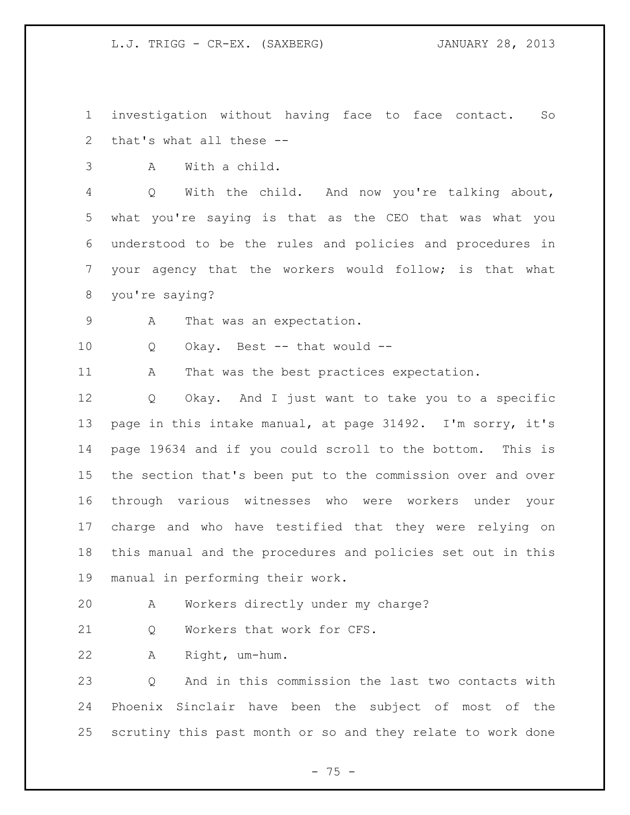investigation without having face to face contact. So that's what all these --

A With a child.

 Q With the child. And now you're talking about, what you're saying is that as the CEO that was what you understood to be the rules and policies and procedures in your agency that the workers would follow; is that what you're saying?

9 A That was an expectation.

Q Okay. Best -- that would --

11 A That was the best practices expectation.

 Q Okay. And I just want to take you to a specific page in this intake manual, at page 31492. I'm sorry, it's page 19634 and if you could scroll to the bottom. This is the section that's been put to the commission over and over through various witnesses who were workers under your charge and who have testified that they were relying on this manual and the procedures and policies set out in this manual in performing their work.

A Workers directly under my charge?

21 0 Workers that work for CFS.

A Right, um-hum.

 Q And in this commission the last two contacts with Phoenix Sinclair have been the subject of most of the scrutiny this past month or so and they relate to work done

- 75 -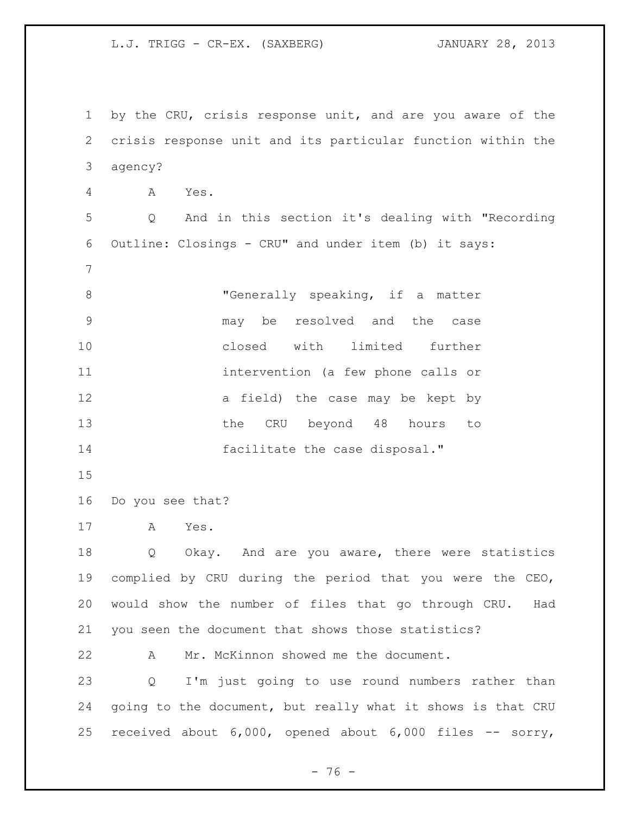by the CRU, crisis response unit, and are you aware of the crisis response unit and its particular function within the agency? A Yes. Q And in this section it's dealing with "Recording Outline: Closings - CRU" and under item (b) it says: "Generally speaking, if a matter may be resolved and the case closed with limited further intervention (a few phone calls or 12 a field) the case may be kept by 13 the CRU beyond 48 hours to facilitate the case disposal." Do you see that? A Yes. 18 Q Okay. And are you aware, there were statistics complied by CRU during the period that you were the CEO, would show the number of files that go through CRU. Had you seen the document that shows those statistics? A Mr. McKinnon showed me the document. Q I'm just going to use round numbers rather than going to the document, but really what it shows is that CRU received about 6,000, opened about 6,000 files -- sorry,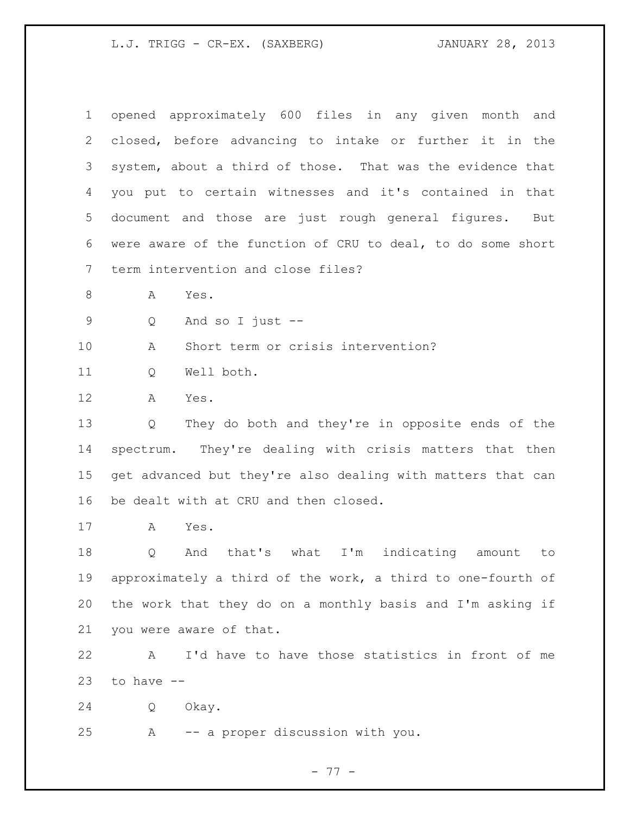opened approximately 600 files in any given month and closed, before advancing to intake or further it in the system, about a third of those. That was the evidence that you put to certain witnesses and it's contained in that document and those are just rough general figures. But were aware of the function of CRU to deal, to do some short term intervention and close files?

A Yes.

Q And so I just --

A Short term or crisis intervention?

Q Well both.

A Yes.

 Q They do both and they're in opposite ends of the spectrum. They're dealing with crisis matters that then get advanced but they're also dealing with matters that can be dealt with at CRU and then closed.

A Yes.

 Q And that's what I'm indicating amount to approximately a third of the work, a third to one-fourth of the work that they do on a monthly basis and I'm asking if you were aware of that.

 A I'd have to have those statistics in front of me to have  $-$ 

Q Okay.

A -- a proper discussion with you.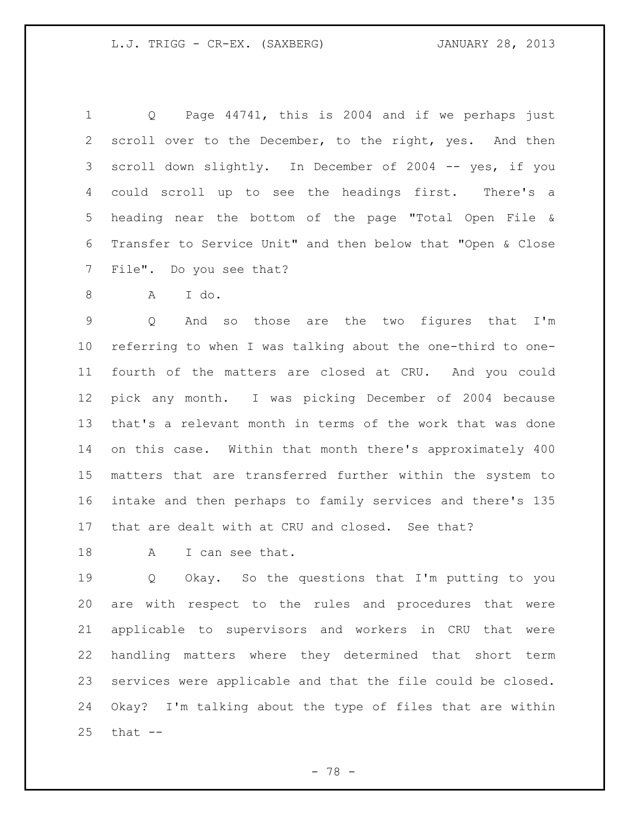Q Page 44741, this is 2004 and if we perhaps just scroll over to the December, to the right, yes. And then scroll down slightly. In December of 2004 -- yes, if you could scroll up to see the headings first. There's a heading near the bottom of the page "Total Open File & Transfer to Service Unit" and then below that "Open & Close File". Do you see that?

A I do.

 Q And so those are the two figures that I'm referring to when I was talking about the one-third to one- fourth of the matters are closed at CRU. And you could pick any month. I was picking December of 2004 because that's a relevant month in terms of the work that was done on this case. Within that month there's approximately 400 matters that are transferred further within the system to intake and then perhaps to family services and there's 135 that are dealt with at CRU and closed. See that?

18 A I can see that.

 Q Okay. So the questions that I'm putting to you are with respect to the rules and procedures that were applicable to supervisors and workers in CRU that were handling matters where they determined that short term services were applicable and that the file could be closed. Okay? I'm talking about the type of files that are within that  $-$ 

- 78 -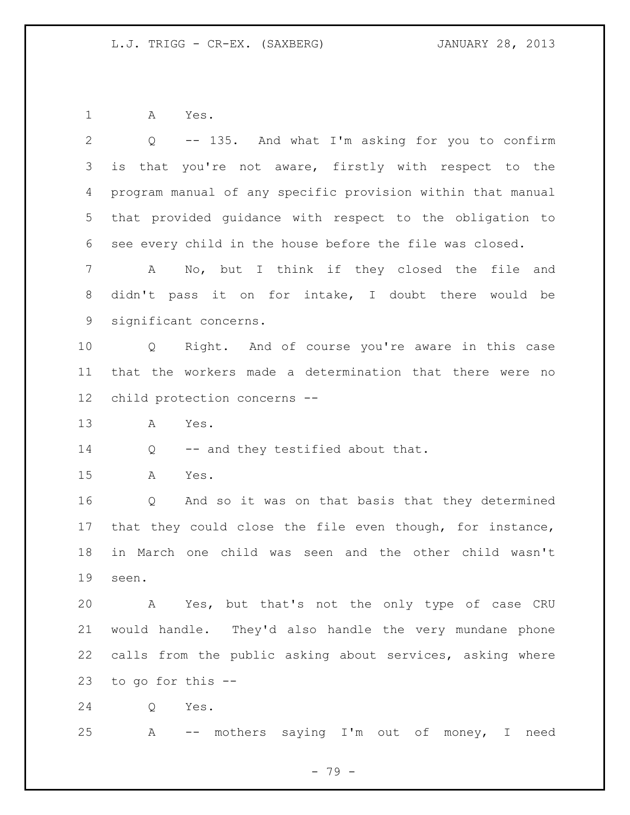A Yes.

| $\overline{2}$ | -- 135. And what I'm asking for you to confirm<br>Q         |
|----------------|-------------------------------------------------------------|
| 3              | that you're not aware, firstly with respect to the<br>is    |
| 4              | program manual of any specific provision within that manual |
| 5              | that provided guidance with respect to the obligation to    |
| 6              | see every child in the house before the file was closed.    |
| $7\phantom{.}$ | No, but I think if they closed the file and<br>A            |
| 8              | didn't pass it on for intake, I doubt there would be        |
| 9              | significant concerns.                                       |
| 10             | Q Right. And of course you're aware in this case            |
| 11             | that the workers made a determination that there were no    |
| 12             | child protection concerns --                                |
| 13             | Α<br>Yes.                                                   |
| 14             | -- and they testified about that.<br>Q                      |
| 15             | Yes.<br>A                                                   |
| 16             | And so it was on that basis that they determined<br>Q       |
| 17             | that they could close the file even though, for instance,   |
| 18             | in March one child was seen and the other child wasn't      |
| 19             | seen.                                                       |
| 20             | A Yes, but that's not the only type of case CRU             |
| 21             | would handle. They'd also handle the very mundane phone     |
| 22             | calls from the public asking about services, asking where   |
| 23             | to go for this --                                           |
| 24             | Yes.<br>Q                                                   |
| 25             | -- mothers saying I'm out of money, I need<br>Α             |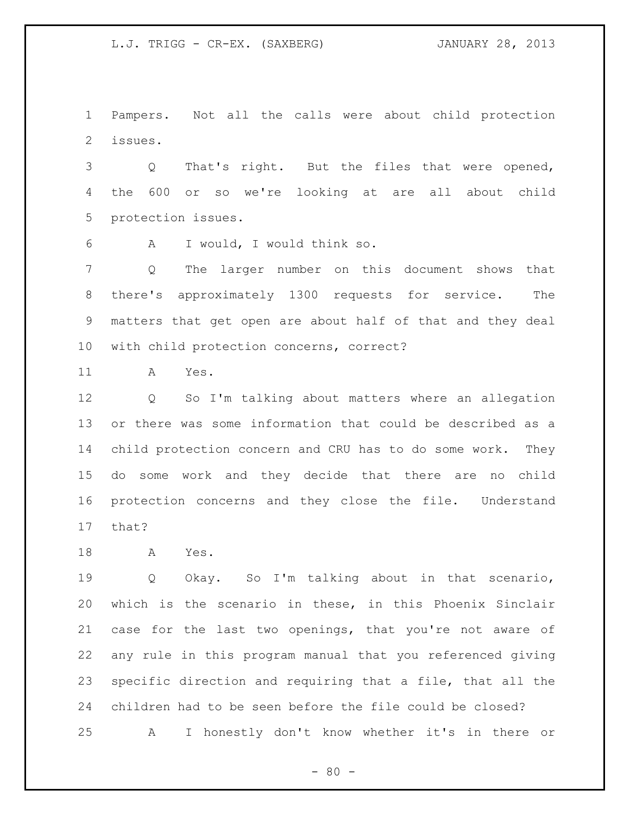Pampers. Not all the calls were about child protection issues.

 Q That's right. But the files that were opened, the 600 or so we're looking at are all about child protection issues.

A I would, I would think so.

 Q The larger number on this document shows that there's approximately 1300 requests for service. The matters that get open are about half of that and they deal with child protection concerns, correct?

A Yes.

 Q So I'm talking about matters where an allegation or there was some information that could be described as a child protection concern and CRU has to do some work. They do some work and they decide that there are no child protection concerns and they close the file. Understand that?

A Yes.

 Q Okay. So I'm talking about in that scenario, which is the scenario in these, in this Phoenix Sinclair case for the last two openings, that you're not aware of any rule in this program manual that you referenced giving specific direction and requiring that a file, that all the children had to be seen before the file could be closed? A I honestly don't know whether it's in there or

 $- 80 -$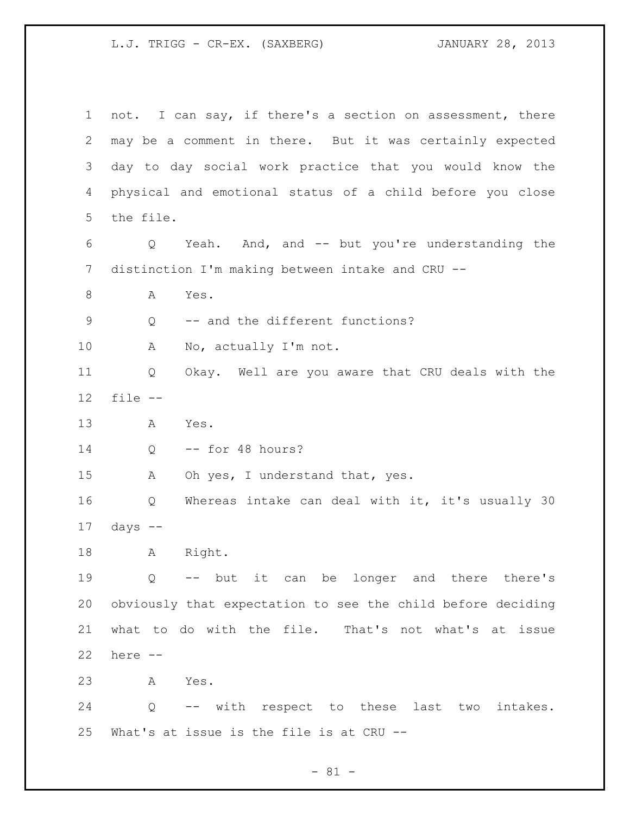not. I can say, if there's a section on assessment, there may be a comment in there. But it was certainly expected day to day social work practice that you would know the physical and emotional status of a child before you close the file. Q Yeah. And, and -- but you're understanding the distinction I'm making between intake and CRU -- 8 A Yes. Q -- and the different functions? A No, actually I'm not. Q Okay. Well are you aware that CRU deals with the file -- A Yes. Q -- for 48 hours? 15 A Oh yes, I understand that, yes. Q Whereas intake can deal with it, it's usually 30 days  $-$  A Right. Q -- but it can be longer and there there's obviously that expectation to see the child before deciding what to do with the file. That's not what's at issue here -- A Yes. Q -- with respect to these last two intakes. What's at issue is the file is at CRU --

- 81 -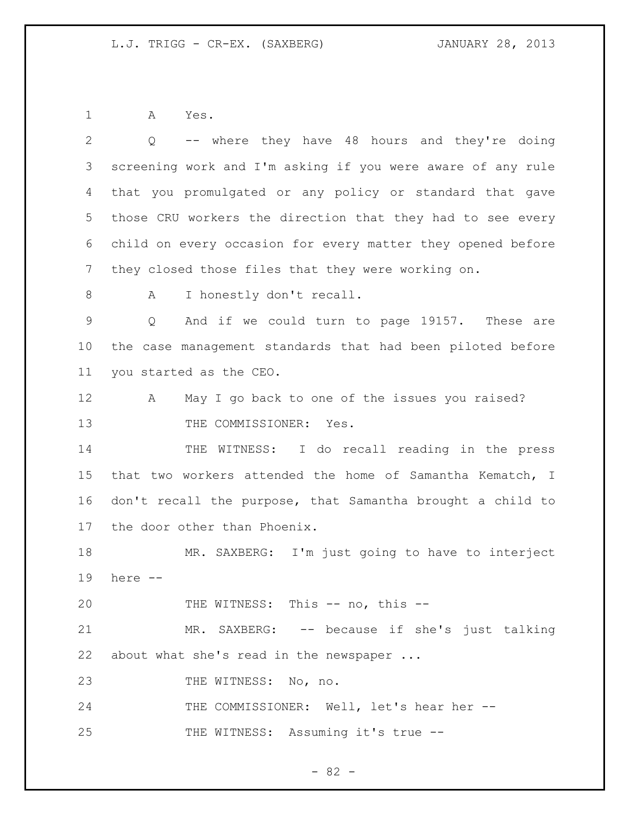A Yes.

| 2           | -- where they have 48 hours and they're doing<br>Q          |
|-------------|-------------------------------------------------------------|
| 3           | screening work and I'm asking if you were aware of any rule |
| 4           | that you promulgated or any policy or standard that gave    |
| 5           | those CRU workers the direction that they had to see every  |
| 6           | child on every occasion for every matter they opened before |
| 7           | they closed those files that they were working on.          |
| 8           | I honestly don't recall.<br>A                               |
| $\mathsf 9$ | And if we could turn to page 19157. These are<br>Q          |
| $10 \,$     | the case management standards that had been piloted before  |
| 11          | you started as the CEO.                                     |
| 12          | May I go back to one of the issues you raised?<br>A         |
| 13          | THE COMMISSIONER: Yes.                                      |
| 14          | THE WITNESS: I do recall reading in the press               |
| 15          | that two workers attended the home of Samantha Kematch, I   |
| 16          | don't recall the purpose, that Samantha brought a child to  |
| 17          | the door other than Phoenix.                                |
| 18          | MR. SAXBERG: I'm just going to have to interject            |
| 19          | here --                                                     |
| 20          | THE WITNESS: This -- no, this --                            |
| 21          | MR. SAXBERG: -- because if she's just talking               |
| 22          | about what she's read in the newspaper                      |
| 23          | THE WITNESS: No, no.                                        |
| 24          | THE COMMISSIONER: Well, let's hear her --                   |
| 25          | THE WITNESS: Assuming it's true --                          |

- 82 -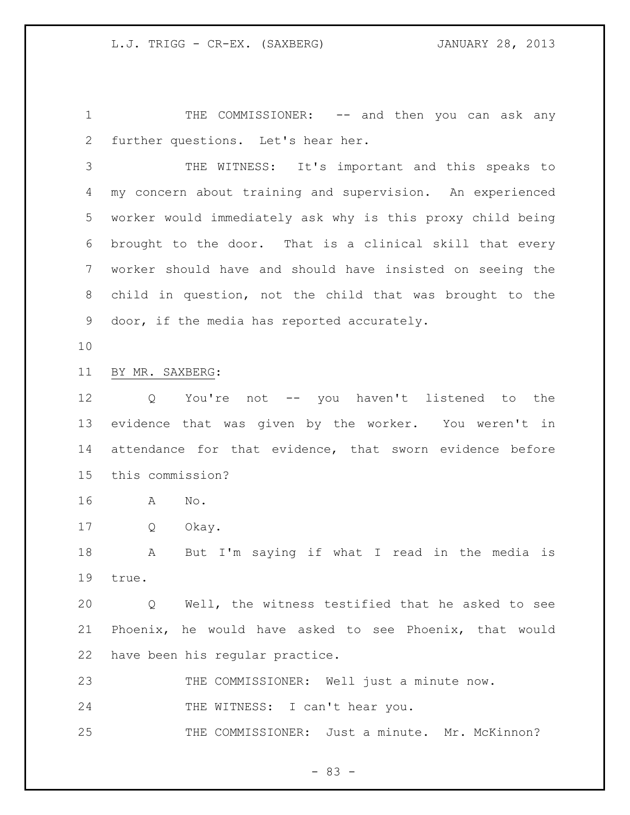1 THE COMMISSIONER: -- and then you can ask any further questions. Let's hear her.

 THE WITNESS: It's important and this speaks to my concern about training and supervision. An experienced worker would immediately ask why is this proxy child being brought to the door. That is a clinical skill that every worker should have and should have insisted on seeing the child in question, not the child that was brought to the door, if the media has reported accurately.

### BY MR. SAXBERG:

 Q You're not -- you haven't listened to the evidence that was given by the worker. You weren't in attendance for that evidence, that sworn evidence before this commission?

- A No.
- Q Okay.

 A But I'm saying if what I read in the media is true.

 Q Well, the witness testified that he asked to see Phoenix, he would have asked to see Phoenix, that would have been his regular practice.

THE COMMISSIONER: Well just a minute now.

24 THE WITNESS: I can't hear you.

THE COMMISSIONER: Just a minute. Mr. McKinnon?

 $- 83 -$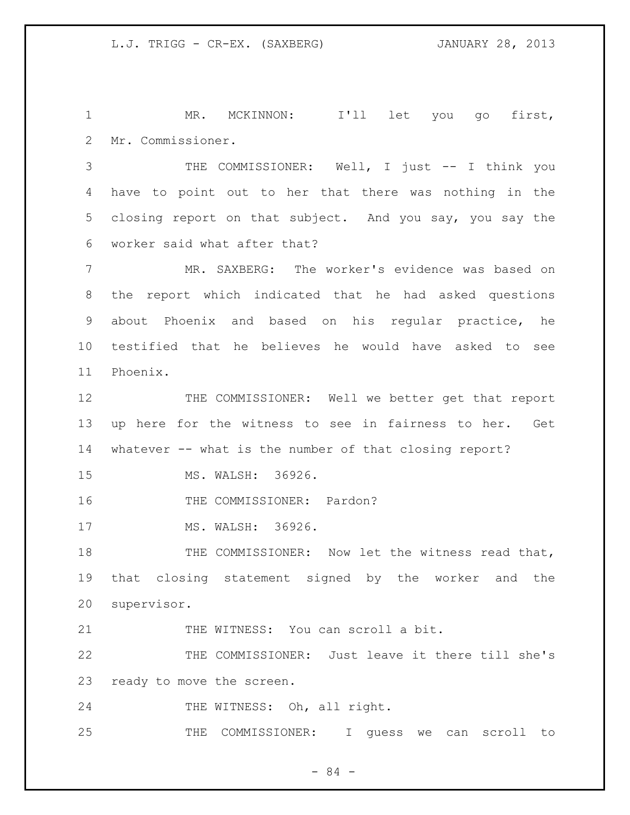MR. MCKINNON: I'll let you go first, Mr. Commissioner.

 THE COMMISSIONER: Well, I just -- I think you have to point out to her that there was nothing in the closing report on that subject. And you say, you say the worker said what after that?

 MR. SAXBERG: The worker's evidence was based on the report which indicated that he had asked questions about Phoenix and based on his regular practice, he testified that he believes he would have asked to see Phoenix.

 THE COMMISSIONER: Well we better get that report up here for the witness to see in fairness to her. Get whatever -- what is the number of that closing report?

MS. WALSH: 36926.

16 THE COMMISSIONER: Pardon?

17 MS. WALSH: 36926.

18 THE COMMISSIONER: Now let the witness read that, that closing statement signed by the worker and the supervisor.

THE WITNESS: You can scroll a bit.

 THE COMMISSIONER: Just leave it there till she's ready to move the screen.

24 THE WITNESS: Oh, all right.

THE COMMISSIONER: I guess we can scroll to

- 84 -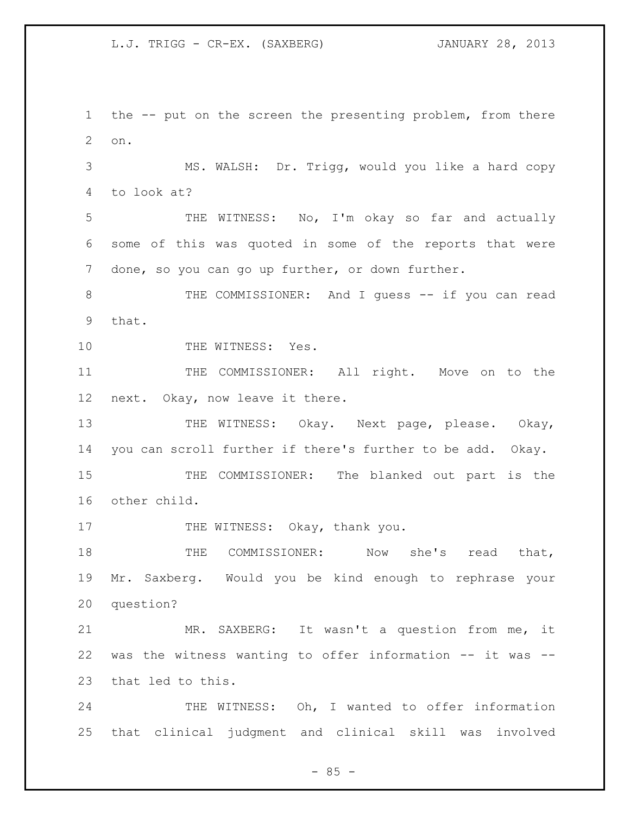the -- put on the screen the presenting problem, from there on.

 MS. WALSH: Dr. Trigg, would you like a hard copy to look at?

 THE WITNESS: No, I'm okay so far and actually some of this was quoted in some of the reports that were done, so you can go up further, or down further.

8 THE COMMISSIONER: And I quess -- if you can read that.

10 THE WITNESS: Yes.

11 THE COMMISSIONER: All right. Move on to the next. Okay, now leave it there.

13 THE WITNESS: Okay. Next page, please. Okay, you can scroll further if there's further to be add. Okay.

 THE COMMISSIONER: The blanked out part is the other child.

17 THE WITNESS: Okay, thank you.

18 THE COMMISSIONER: Now she's read that, Mr. Saxberg. Would you be kind enough to rephrase your question?

 MR. SAXBERG: It wasn't a question from me, it was the witness wanting to offer information -- it was -- that led to this.

24 THE WITNESS: Oh, I wanted to offer information that clinical judgment and clinical skill was involved

 $- 85 -$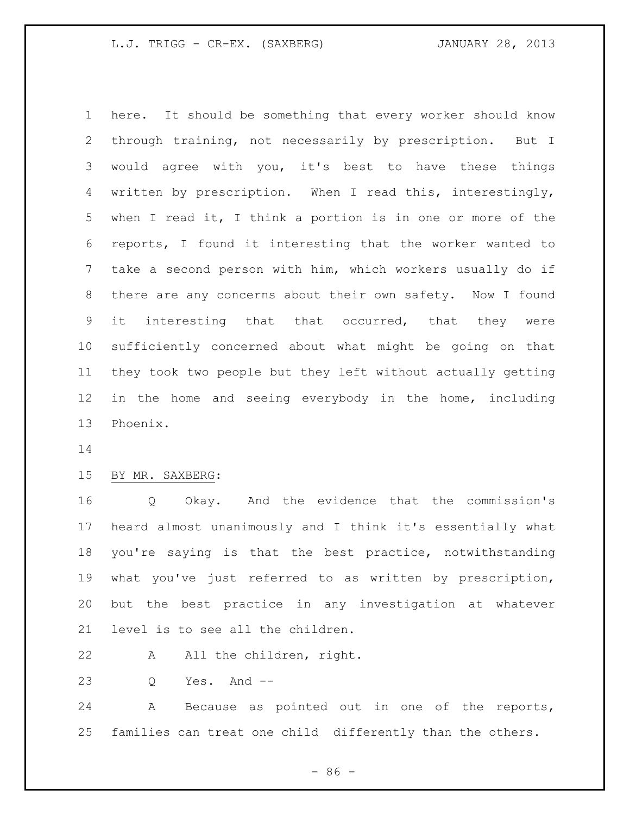here. It should be something that every worker should know through training, not necessarily by prescription. But I would agree with you, it's best to have these things written by prescription. When I read this, interestingly, when I read it, I think a portion is in one or more of the reports, I found it interesting that the worker wanted to take a second person with him, which workers usually do if there are any concerns about their own safety. Now I found it interesting that that occurred, that they were sufficiently concerned about what might be going on that they took two people but they left without actually getting in the home and seeing everybody in the home, including Phoenix.

### BY MR. SAXBERG:

 Q Okay. And the evidence that the commission's heard almost unanimously and I think it's essentially what you're saying is that the best practice, notwithstanding what you've just referred to as written by prescription, but the best practice in any investigation at whatever level is to see all the children.

22 A All the children, right.

Q Yes. And --

 A Because as pointed out in one of the reports, families can treat one child differently than the others.

 $-86 -$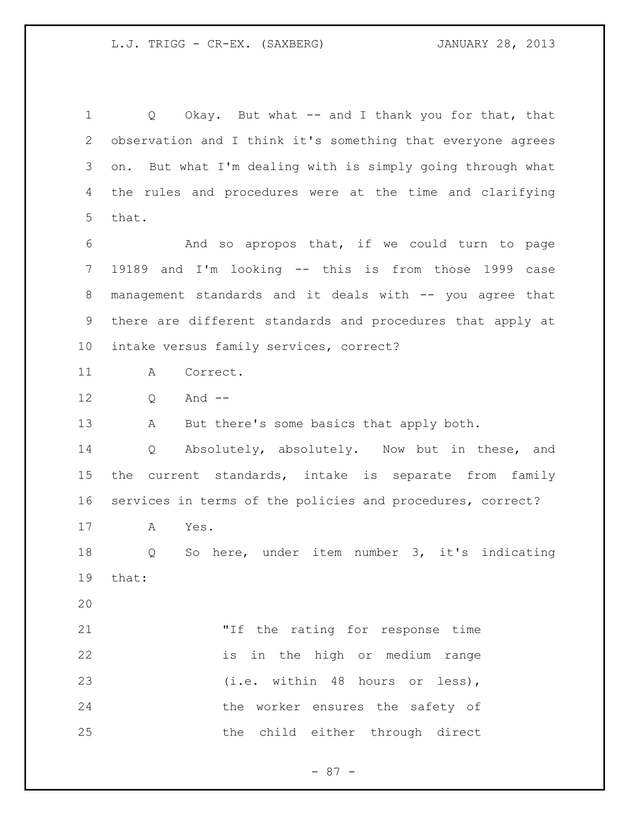1 Q Okay. But what -- and I thank you for that, that observation and I think it's something that everyone agrees on. But what I'm dealing with is simply going through what the rules and procedures were at the time and clarifying that. And so apropos that, if we could turn to page 19189 and I'm looking -- this is from those 1999 case management standards and it deals with -- you agree that there are different standards and procedures that apply at intake versus family services, correct? A Correct. Q And -- 13 A But there's some basics that apply both. Q Absolutely, absolutely. Now but in these, and

 the current standards, intake is separate from family services in terms of the policies and procedures, correct?

A Yes.

 Q So here, under item number 3, it's indicating that:

 "If the rating for response time is in the high or medium range 23 (i.e. within 48 hours or less), the worker ensures the safety of the child either through direct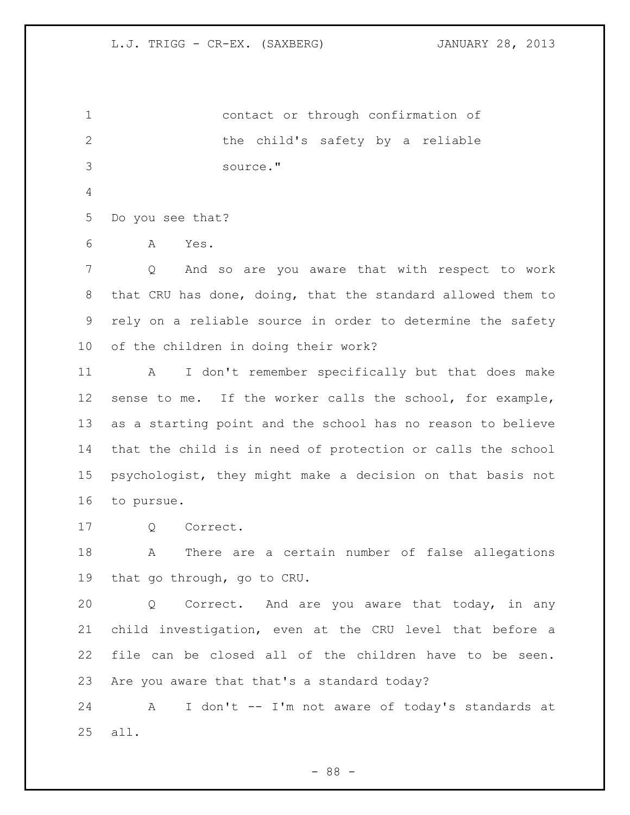contact or through confirmation of the child's safety by a reliable source." Do you see that? A Yes. Q And so are you aware that with respect to work that CRU has done, doing, that the standard allowed them to rely on a reliable source in order to determine the safety of the children in doing their work? A I don't remember specifically but that does make sense to me. If the worker calls the school, for example, as a starting point and the school has no reason to believe that the child is in need of protection or calls the school psychologist, they might make a decision on that basis not to pursue. Q Correct. A There are a certain number of false allegations that go through, go to CRU. Q Correct. And are you aware that today, in any child investigation, even at the CRU level that before a file can be closed all of the children have to be seen. Are you aware that that's a standard today? A I don't -- I'm not aware of today's standards at all.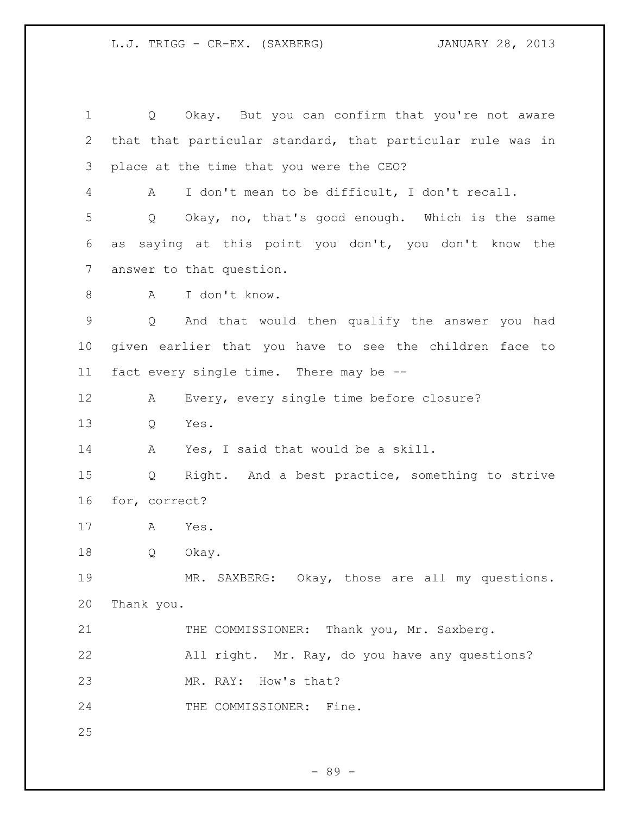Q Okay. But you can confirm that you're not aware that that particular standard, that particular rule was in place at the time that you were the CEO? A I don't mean to be difficult, I don't recall. Q Okay, no, that's good enough. Which is the same as saying at this point you don't, you don't know the answer to that question. A I don't know. Q And that would then qualify the answer you had given earlier that you have to see the children face to fact every single time. There may be -- A Every, every single time before closure? Q Yes. A Yes, I said that would be a skill. Q Right. And a best practice, something to strive for, correct? A Yes. Q Okay. MR. SAXBERG: Okay, those are all my questions. Thank you. 21 THE COMMISSIONER: Thank you, Mr. Saxberg. All right. Mr. Ray, do you have any questions? MR. RAY: How's that? 24 THE COMMISSIONER: Fine.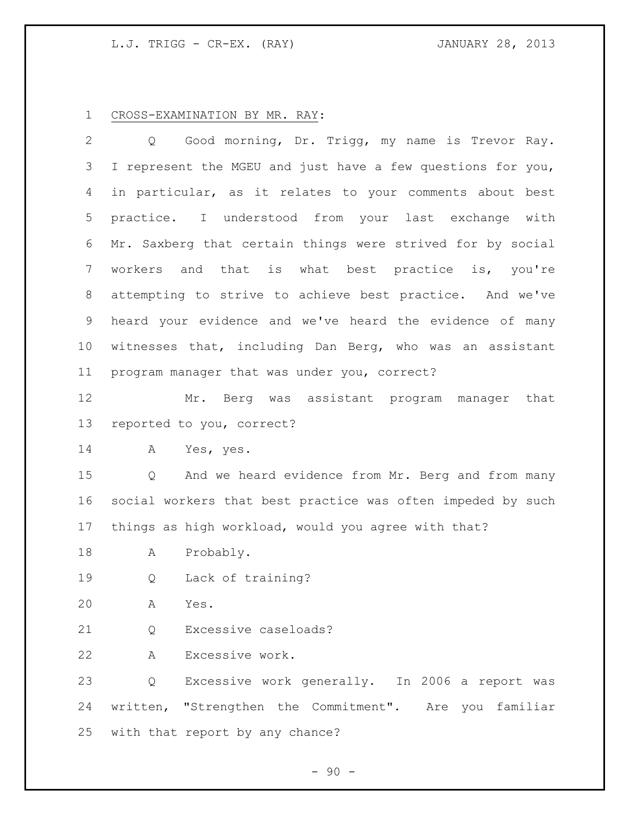### L.J. TRIGG - CR-EX. (RAY) JANUARY 28, 2013

#### CROSS-EXAMINATION BY MR. RAY:

 Q Good morning, Dr. Trigg, my name is Trevor Ray. I represent the MGEU and just have a few questions for you, in particular, as it relates to your comments about best practice. I understood from your last exchange with Mr. Saxberg that certain things were strived for by social workers and that is what best practice is, you're attempting to strive to achieve best practice. And we've heard your evidence and we've heard the evidence of many witnesses that, including Dan Berg, who was an assistant program manager that was under you, correct?

 Mr. Berg was assistant program manager that reported to you, correct?

A Yes, yes.

 Q And we heard evidence from Mr. Berg and from many social workers that best practice was often impeded by such things as high workload, would you agree with that?

- A Probably.
- Q Lack of training?
- A Yes.

21 0 Excessive caseloads?

A Excessive work.

 Q Excessive work generally. In 2006 a report was written, "Strengthen the Commitment". Are you familiar with that report by any chance?

 $-90 -$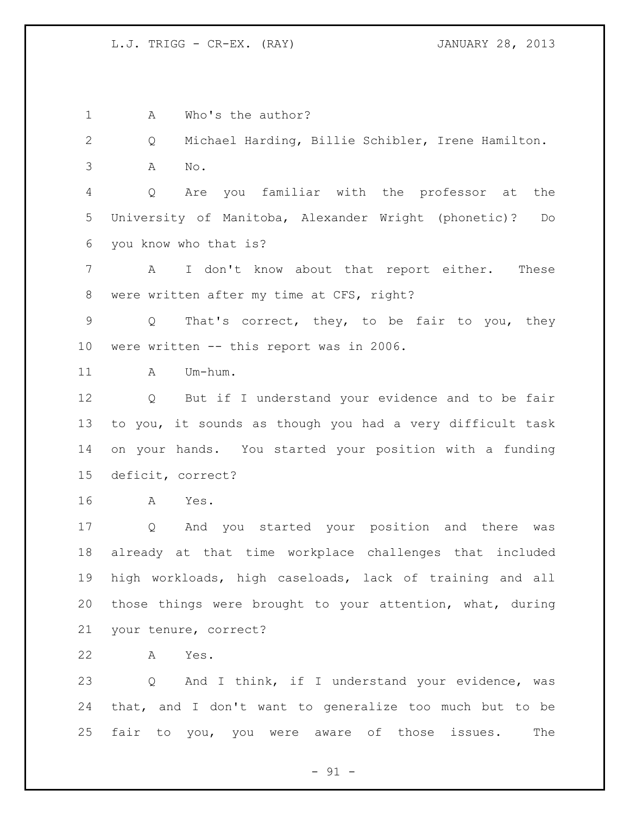1 A Who's the author? Q Michael Harding, Billie Schibler, Irene Hamilton. A No. Q Are you familiar with the professor at the University of Manitoba, Alexander Wright (phonetic)? Do you know who that is? A I don't know about that report either. These were written after my time at CFS, right? Q That's correct, they, to be fair to you, they were written -- this report was in 2006. 11 A Um-hum. Q But if I understand your evidence and to be fair to you, it sounds as though you had a very difficult task on your hands. You started your position with a funding deficit, correct? A Yes. Q And you started your position and there was already at that time workplace challenges that included high workloads, high caseloads, lack of training and all those things were brought to your attention, what, during your tenure, correct? A Yes. Q And I think, if I understand your evidence, was that, and I don't want to generalize too much but to be fair to you, you were aware of those issues. The

 $-91 -$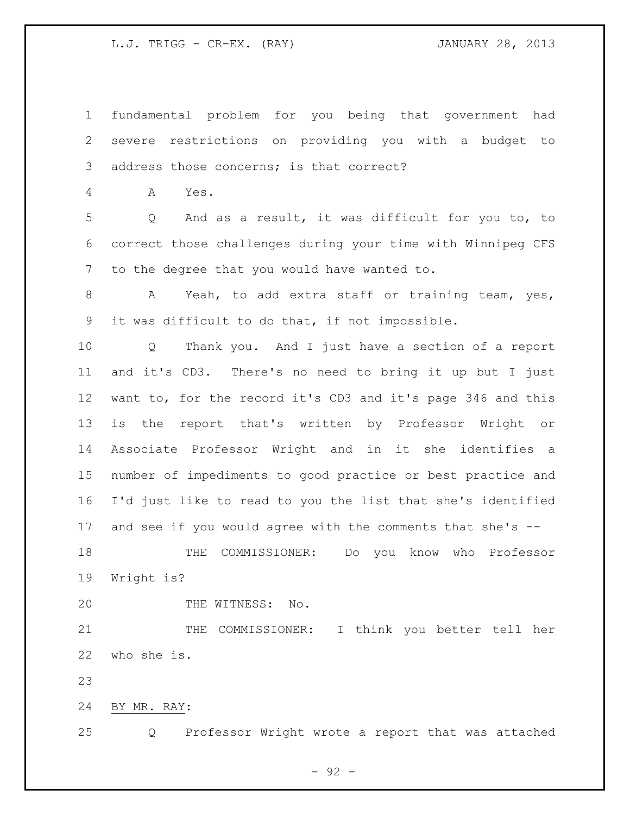L.J. TRIGG - CR-EX. (RAY) JANUARY 28, 2013

 fundamental problem for you being that government had severe restrictions on providing you with a budget to address those concerns; is that correct?

A Yes.

 Q And as a result, it was difficult for you to, to correct those challenges during your time with Winnipeg CFS to the degree that you would have wanted to.

8 A Yeah, to add extra staff or training team, yes, it was difficult to do that, if not impossible.

 Q Thank you. And I just have a section of a report and it's CD3. There's no need to bring it up but I just want to, for the record it's CD3 and it's page 346 and this is the report that's written by Professor Wright or Associate Professor Wright and in it she identifies a number of impediments to good practice or best practice and I'd just like to read to you the list that she's identified and see if you would agree with the comments that she's --

 THE COMMISSIONER: Do you know who Professor Wright is?

20 THE WITNESS: No.

 THE COMMISSIONER: I think you better tell her who she is.

BY MR. RAY:

Q Professor Wright wrote a report that was attached

- 92 -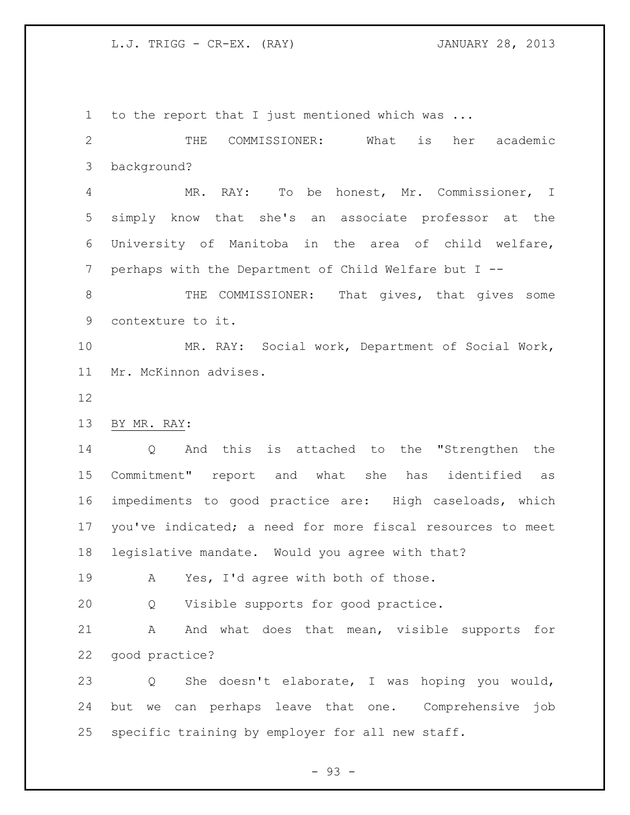L.J. TRIGG - CR-EX. (RAY) JANUARY 28, 2013

to the report that I just mentioned which was ...

 THE COMMISSIONER: What is her academic background?

 MR. RAY: To be honest, Mr. Commissioner, I simply know that she's an associate professor at the University of Manitoba in the area of child welfare, perhaps with the Department of Child Welfare but I --

8 THE COMMISSIONER: That gives, that gives some contexture to it.

 MR. RAY: Social work, Department of Social Work, Mr. McKinnon advises.

BY MR. RAY:

 Q And this is attached to the "Strengthen the Commitment" report and what she has identified as impediments to good practice are: High caseloads, which you've indicated; a need for more fiscal resources to meet legislative mandate. Would you agree with that?

A Yes, I'd agree with both of those.

Q Visible supports for good practice.

21 A And what does that mean, visible supports for good practice?

 Q She doesn't elaborate, I was hoping you would, but we can perhaps leave that one. Comprehensive job specific training by employer for all new staff.

- 93 -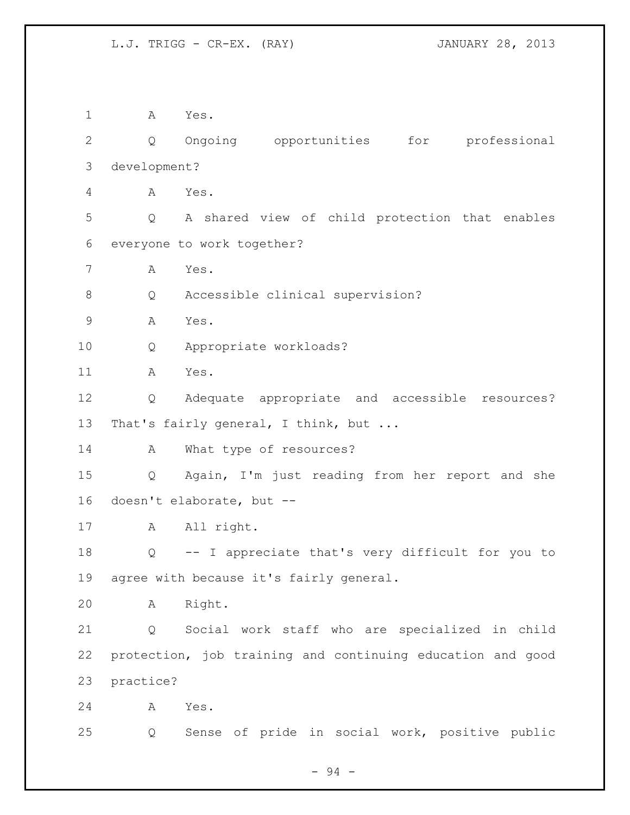A Yes. Q Ongoing opportunities for professional development? A Yes. Q A shared view of child protection that enables everyone to work together? A Yes. Q Accessible clinical supervision? A Yes. Q Appropriate workloads? A Yes. Q Adequate appropriate and accessible resources? 13 That's fairly general, I think, but ... 14 A What type of resources? Q Again, I'm just reading from her report and she doesn't elaborate, but -- 17 A All right. Q -- I appreciate that's very difficult for you to agree with because it's fairly general. A Right. Q Social work staff who are specialized in child protection, job training and continuing education and good practice? A Yes. Q Sense of pride in social work, positive public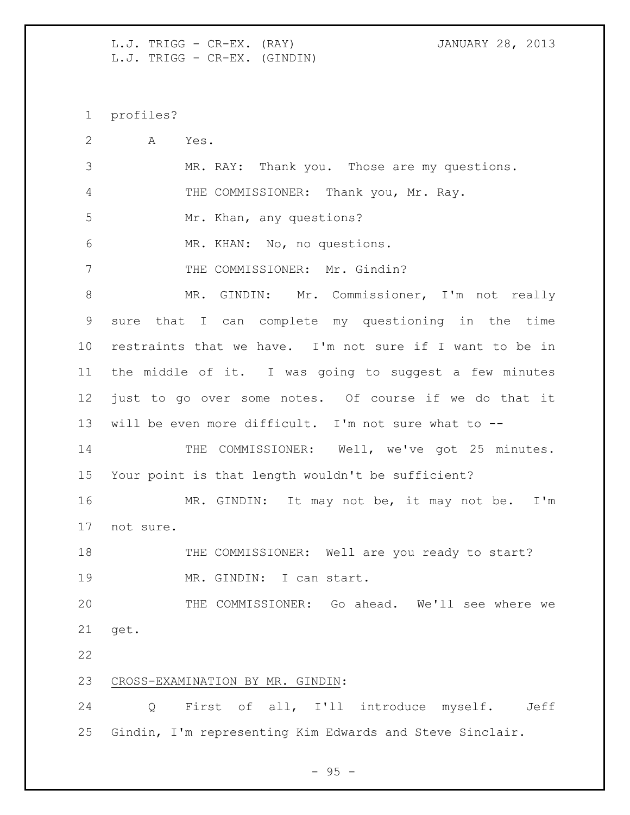L.J. TRIGG - CR-EX. (RAY) JANUARY 28, 2013 L.J. TRIGG - CR-EX. (GINDIN)

profiles?

 A Yes. MR. RAY: Thank you. Those are my questions. 4 THE COMMISSIONER: Thank you, Mr. Ray. Mr. Khan, any questions? MR. KHAN: No, no questions. 7 THE COMMISSIONER: Mr. Gindin? MR. GINDIN: Mr. Commissioner, I'm not really sure that I can complete my questioning in the time restraints that we have. I'm not sure if I want to be in the middle of it. I was going to suggest a few minutes just to go over some notes. Of course if we do that it will be even more difficult. I'm not sure what to -- 14 THE COMMISSIONER: Well, we've got 25 minutes. Your point is that length wouldn't be sufficient? MR. GINDIN: It may not be, it may not be. I'm not sure. 18 THE COMMISSIONER: Well are you ready to start? 19 MR. GINDIN: I can start. THE COMMISSIONER: Go ahead. We'll see where we get. CROSS-EXAMINATION BY MR. GINDIN: Q First of all, I'll introduce myself. Jeff Gindin, I'm representing Kim Edwards and Steve Sinclair.

 $-95 -$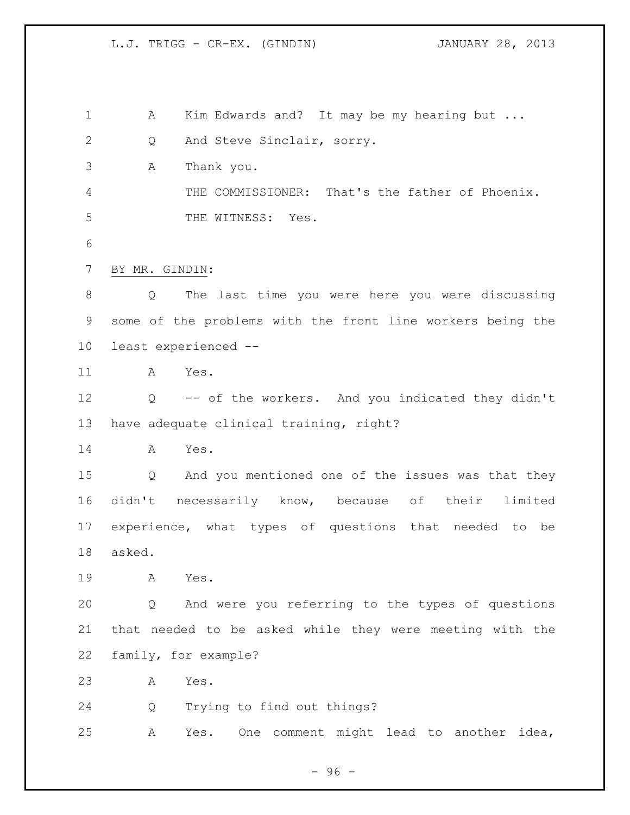1 A Kim Edwards and? It may be my hearing but ... 2 Q And Steve Sinclair, sorry. A Thank you. THE COMMISSIONER: That's the father of Phoenix. 5 THE WITNESS: Yes. BY MR. GINDIN: Q The last time you were here you were discussing some of the problems with the front line workers being the least experienced -- A Yes. Q -- of the workers. And you indicated they didn't have adequate clinical training, right? A Yes. Q And you mentioned one of the issues was that they didn't necessarily know, because of their limited experience, what types of questions that needed to be asked. A Yes. Q And were you referring to the types of questions that needed to be asked while they were meeting with the family, for example? A Yes. Q Trying to find out things? A Yes. One comment might lead to another idea,

 $-96 -$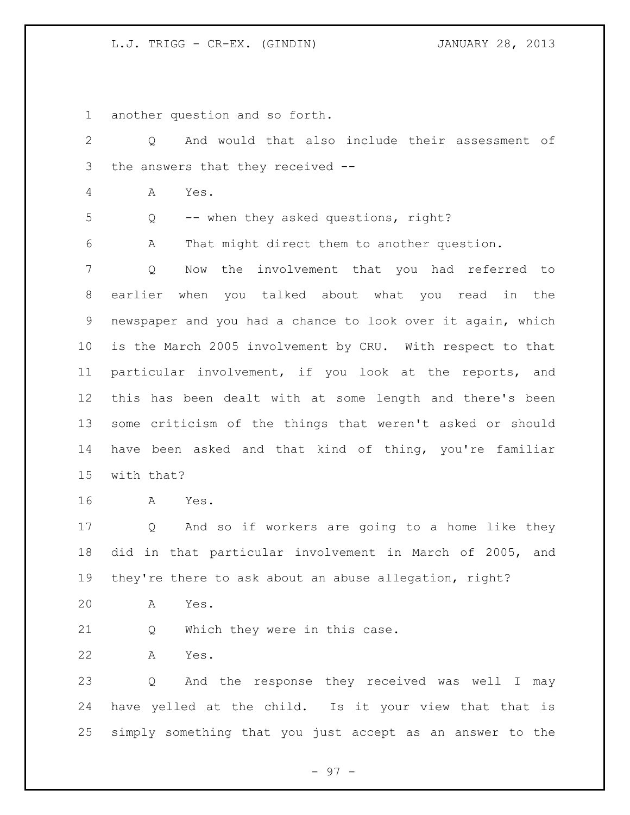another question and so forth.

| 2               | And would that also include their assessment of<br>Q        |
|-----------------|-------------------------------------------------------------|
| 3               | the answers that they received --                           |
| 4               | Yes.<br>A                                                   |
| 5               | -- when they asked questions, right?<br>Q                   |
| 6               | That might direct them to another question.<br>Α            |
| 7               | the involvement that you had referred to<br>Q<br>Now        |
| 8               | earlier when you talked about what you read in the          |
| 9               | newspaper and you had a chance to look over it again, which |
| 10 <sub>o</sub> | is the March 2005 involvement by CRU. With respect to that  |
| 11              | particular involvement, if you look at the reports, and     |
| 12              | this has been dealt with at some length and there's been    |
| 13              | some criticism of the things that weren't asked or should   |
| 14              | have been asked and that kind of thing, you're familiar     |
| 15              | with that?                                                  |
| 16              | Α<br>Yes.                                                   |
| 17              | And so if workers are going to a home like they<br>Q        |
| 18              | did in that particular involvement in March of 2005, and    |
| 19              | they're there to ask about an abuse allegation, right?      |
| 20              | Α<br>Yes.                                                   |
| 21              | Which they were in this case.<br>Q                          |
| 22              | Α<br>Yes.                                                   |
| 23              | And the response they received was well I may<br>Q          |
| 24              | have yelled at the child. Is it your view that that is      |
| 25              | simply something that you just accept as an answer to the   |

- 97 -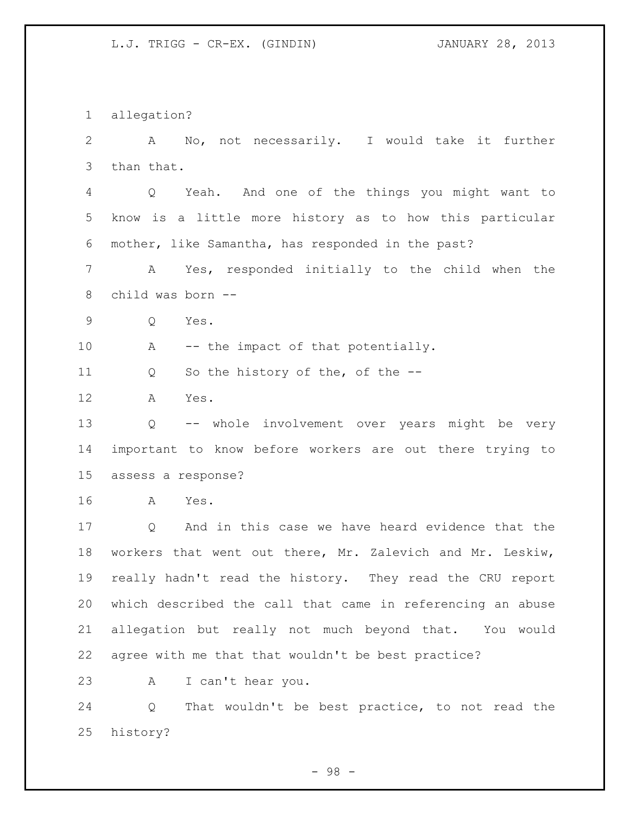allegation? A No, not necessarily. I would take it further than that. Q Yeah. And one of the things you might want to know is a little more history as to how this particular mother, like Samantha, has responded in the past? A Yes, responded initially to the child when the child was born -- Q Yes. 10 A -- the impact of that potentially. Q So the history of the, of the -- A Yes. Q -- whole involvement over years might be very important to know before workers are out there trying to assess a response? A Yes. Q And in this case we have heard evidence that the workers that went out there, Mr. Zalevich and Mr. Leskiw, really hadn't read the history. They read the CRU report which described the call that came in referencing an abuse allegation but really not much beyond that. You would agree with me that that wouldn't be best practice? A I can't hear you. Q That wouldn't be best practice, to not read the history?

- 98 -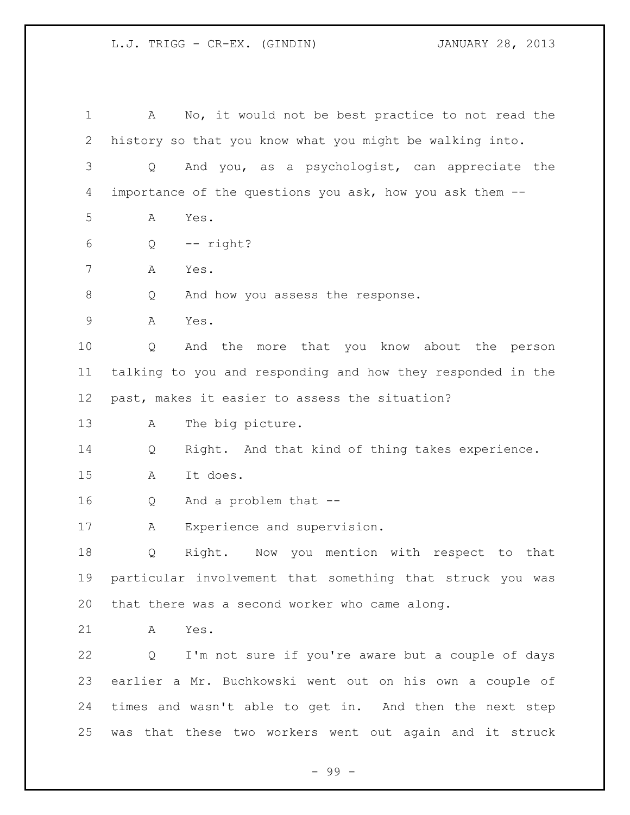A No, it would not be best practice to not read the history so that you know what you might be walking into. Q And you, as a psychologist, can appreciate the importance of the questions you ask, how you ask them -- A Yes. Q -- right? A Yes. 8 Q And how you assess the response. A Yes. Q And the more that you know about the person talking to you and responding and how they responded in the past, makes it easier to assess the situation? A The big picture. Q Right. And that kind of thing takes experience. A It does. Q And a problem that -- A Experience and supervision. Q Right. Now you mention with respect to that particular involvement that something that struck you was that there was a second worker who came along. A Yes. Q I'm not sure if you're aware but a couple of days earlier a Mr. Buchkowski went out on his own a couple of times and wasn't able to get in. And then the next step was that these two workers went out again and it struck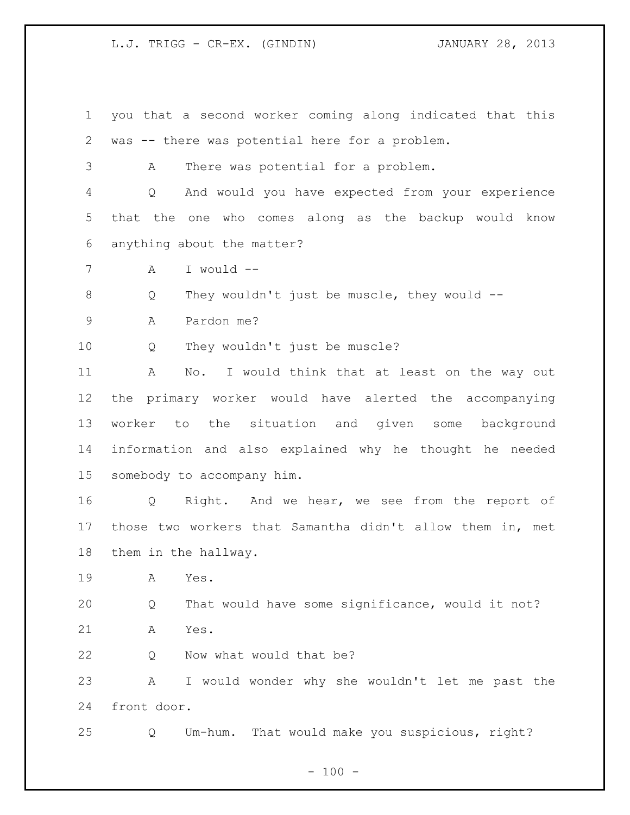- you that a second worker coming along indicated that this was -- there was potential here for a problem.
- A There was potential for a problem.

 Q And would you have expected from your experience that the one who comes along as the backup would know anything about the matter?

A I would --

Q They wouldn't just be muscle, they would --

A Pardon me?

Q They wouldn't just be muscle?

 A No. I would think that at least on the way out the primary worker would have alerted the accompanying worker to the situation and given some background information and also explained why he thought he needed somebody to accompany him.

 Q Right. And we hear, we see from the report of those two workers that Samantha didn't allow them in, met them in the hallway.

A Yes.

 Q That would have some significance, would it not? A Yes.

22 Q Now what would that be?

 A I would wonder why she wouldn't let me past the front door.

Q Um-hum. That would make you suspicious, right?

 $- 100 -$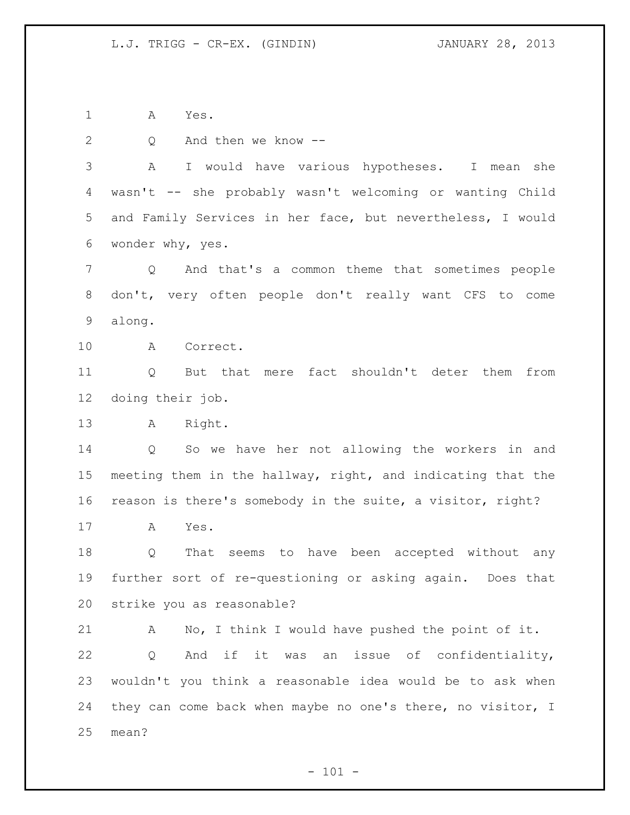A Yes.

 Q And then we know -- A I would have various hypotheses. I mean she wasn't -- she probably wasn't welcoming or wanting Child and Family Services in her face, but nevertheless, I would wonder why, yes. Q And that's a common theme that sometimes people don't, very often people don't really want CFS to come along. A Correct. Q But that mere fact shouldn't deter them from doing their job. A Right. Q So we have her not allowing the workers in and meeting them in the hallway, right, and indicating that the reason is there's somebody in the suite, a visitor, right? A Yes. Q That seems to have been accepted without any further sort of re-questioning or asking again. Does that strike you as reasonable? A No, I think I would have pushed the point of it. Q And if it was an issue of confidentiality, wouldn't you think a reasonable idea would be to ask when they can come back when maybe no one's there, no visitor, I mean?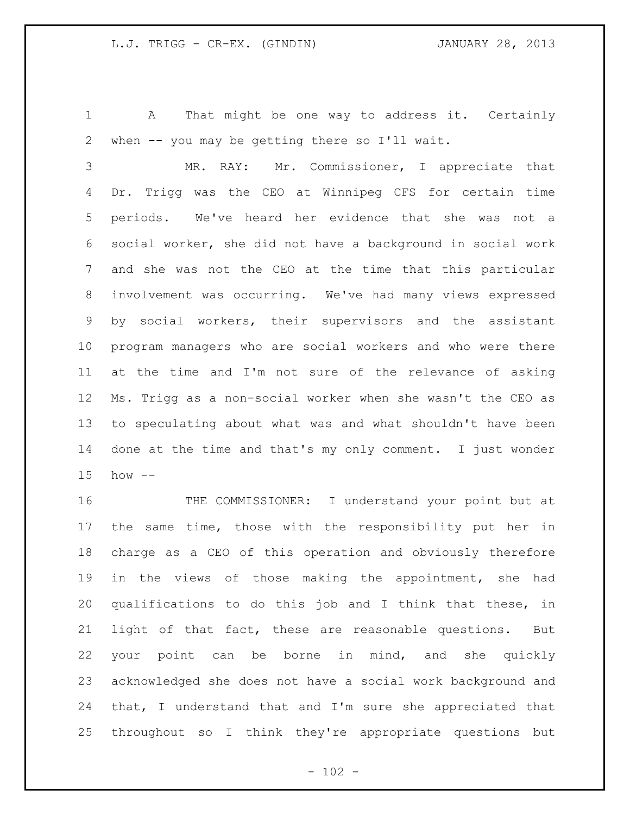A That might be one way to address it. Certainly when -- you may be getting there so I'll wait.

 MR. RAY: Mr. Commissioner, I appreciate that Dr. Trigg was the CEO at Winnipeg CFS for certain time periods. We've heard her evidence that she was not a social worker, she did not have a background in social work and she was not the CEO at the time that this particular involvement was occurring. We've had many views expressed by social workers, their supervisors and the assistant program managers who are social workers and who were there at the time and I'm not sure of the relevance of asking Ms. Trigg as a non-social worker when she wasn't the CEO as to speculating about what was and what shouldn't have been done at the time and that's my only comment. I just wonder how --

 THE COMMISSIONER: I understand your point but at the same time, those with the responsibility put her in charge as a CEO of this operation and obviously therefore in the views of those making the appointment, she had qualifications to do this job and I think that these, in light of that fact, these are reasonable questions. But your point can be borne in mind, and she quickly acknowledged she does not have a social work background and that, I understand that and I'm sure she appreciated that throughout so I think they're appropriate questions but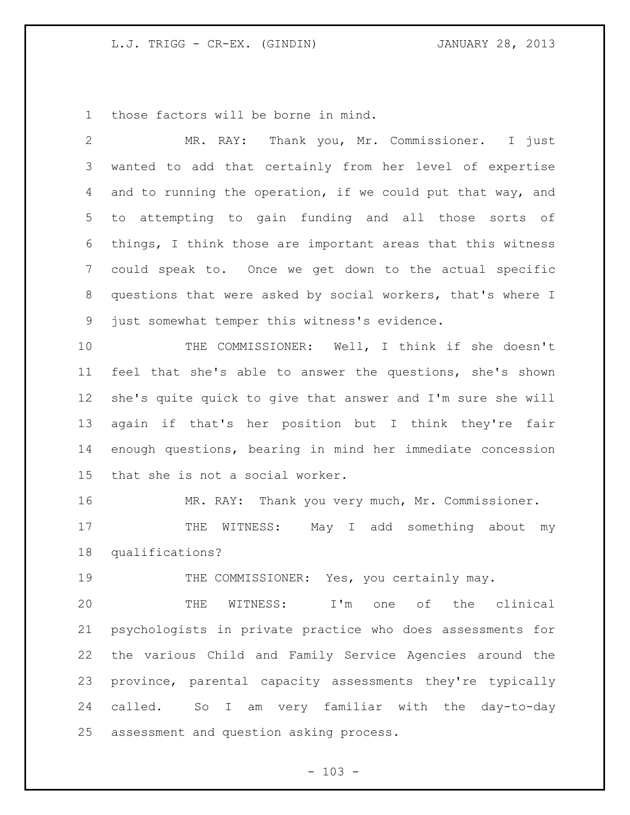those factors will be borne in mind.

| $\overline{2}$ | Thank you, Mr. Commissioner. I just<br>MR. RAY:             |
|----------------|-------------------------------------------------------------|
| 3              | wanted to add that certainly from her level of expertise    |
| 4              | and to running the operation, if we could put that way, and |
| 5              | to attempting to gain funding and all those sorts of        |
| 6              | things, I think those are important areas that this witness |
| $7\phantom{.}$ | could speak to. Once we get down to the actual specific     |
| 8              | questions that were asked by social workers, that's where I |
| 9              | just somewhat temper this witness's evidence.               |
| 10             | THE COMMISSIONER: Well, I think if she doesn't              |
| 11             | feel that she's able to answer the questions, she's shown   |
| 12             | she's quite quick to give that answer and I'm sure she will |
| 13             | again if that's her position but I think they're fair       |
| 14             | enough questions, bearing in mind her immediate concession  |
| 15             | that she is not a social worker.                            |
| 16             | MR. RAY: Thank you very much, Mr. Commissioner.             |
| 17             | WITNESS: May I add something about my<br>THE                |
| 18             | qualifications?                                             |
| 19             | THE COMMISSIONER: Yes, you certainly may.                   |
| 20             | THE WITNESS: I'm one of the clinical                        |
| 21             | psychologists in private practice who does assessments for  |
| 22             | the various Child and Family Service Agencies around the    |
| 23             | province, parental capacity assessments they're typically   |
| 24             | called. So I am very familiar with the day-to-day           |
| 25             | assessment and question asking process.                     |

- 103 -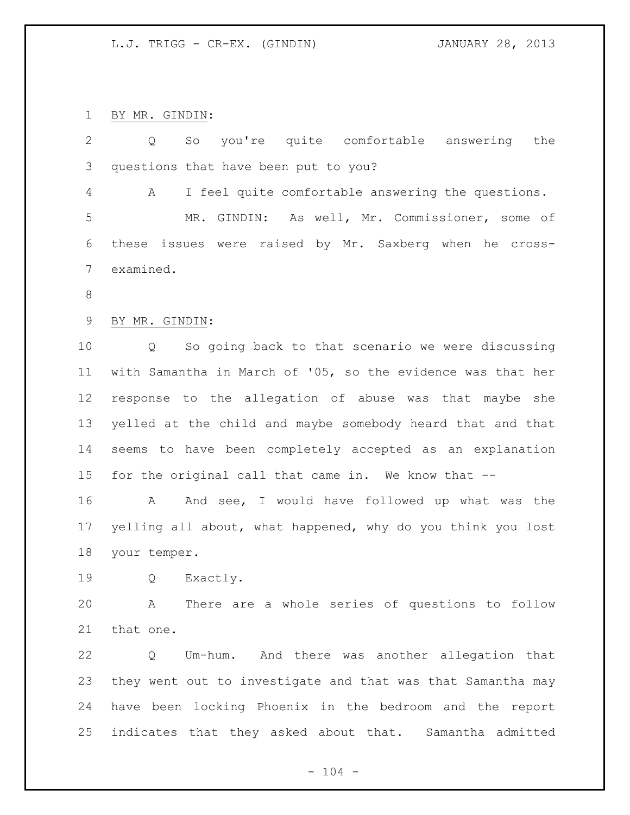BY MR. GINDIN:

| $\overline{2}$ | you're quite comfortable answering<br>So<br>the<br>Q        |
|----------------|-------------------------------------------------------------|
| 3              | questions that have been put to you?                        |
| 4              | I feel quite comfortable answering the questions.<br>A      |
| 5              | MR. GINDIN: As well, Mr. Commissioner, some of              |
| 6              | issues were raised by Mr. Saxberg when he cross-<br>these   |
| 7              | examined.                                                   |
| 8              |                                                             |
| $\mathsf 9$    | BY MR. GINDIN:                                              |
| 10             | So going back to that scenario we were discussing<br>Q      |
| 11             | with Samantha in March of '05, so the evidence was that her |
| 12             | response to the allegation of abuse was that maybe she      |
| 13             | yelled at the child and maybe somebody heard that and that  |
| 14             | seems to have been completely accepted as an explanation    |
| 15             | for the original call that came in. We know that --         |
| 16             | And see, I would have followed up what was the<br>A         |
| 17             | yelling all about, what happened, why do you think you lost |
| 18             | your temper.                                                |
| 19             | Exactly.<br>Q                                               |
| 20             | A There are a whole series of questions to follow           |
| 21             | that one.                                                   |
| 22             | Um-hum. And there was another allegation that<br>Q          |
| 23             | they went out to investigate and that was that Samantha may |
| 24             | have been locking Phoenix in the bedroom and the report     |
| 25             | indicates that they asked about that. Samantha admitted     |
|                |                                                             |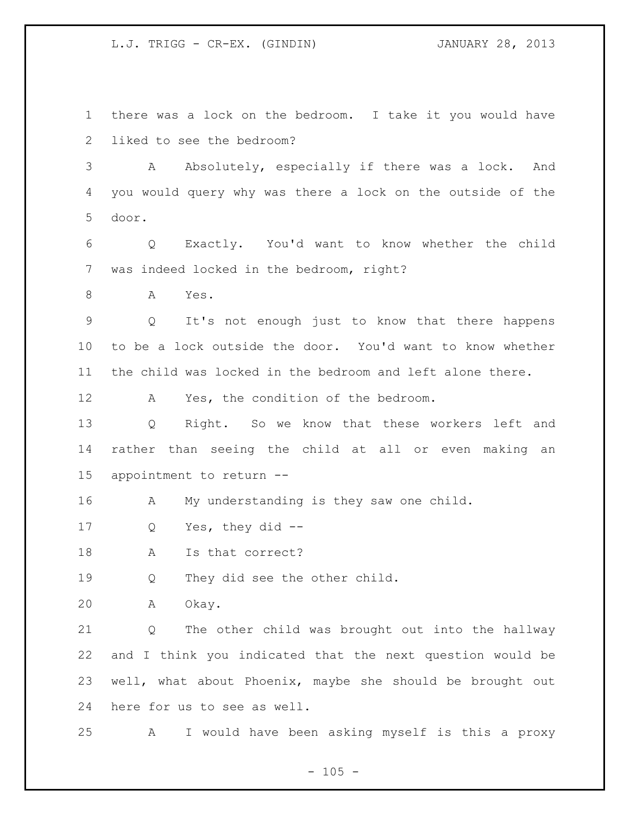there was a lock on the bedroom. I take it you would have liked to see the bedroom?

3 A Absolutely, especially if there was a lock. And you would query why was there a lock on the outside of the door.

 Q Exactly. You'd want to know whether the child was indeed locked in the bedroom, right?

A Yes.

 Q It's not enough just to know that there happens to be a lock outside the door. You'd want to know whether the child was locked in the bedroom and left alone there.

A Yes, the condition of the bedroom.

 Q Right. So we know that these workers left and rather than seeing the child at all or even making an appointment to return --

A My understanding is they saw one child.

Q Yes, they did --

18 A Is that correct?

19 0 They did see the other child.

A Okay.

 Q The other child was brought out into the hallway and I think you indicated that the next question would be well, what about Phoenix, maybe she should be brought out here for us to see as well.

A I would have been asking myself is this a proxy

 $- 105 -$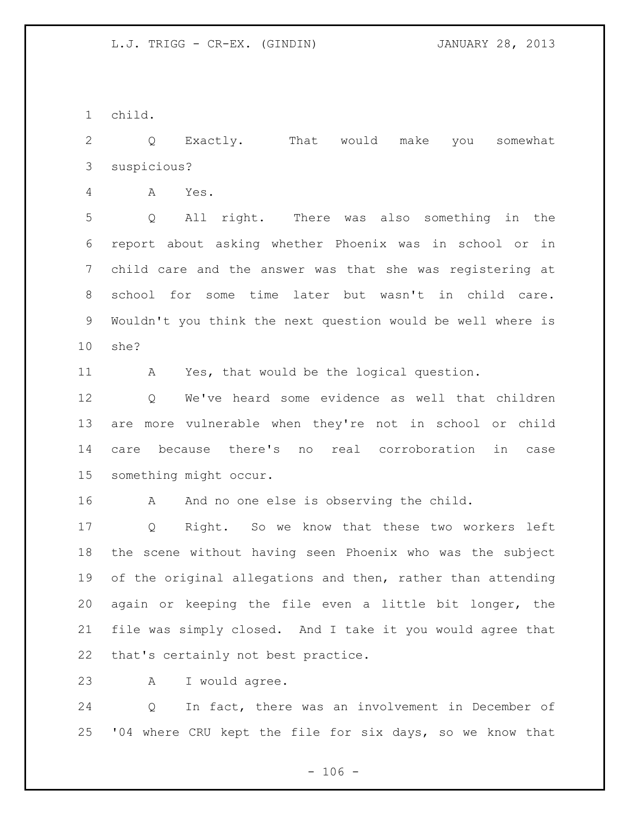child.

 Q Exactly. That would make you somewhat suspicious?

A Yes.

 Q All right. There was also something in the report about asking whether Phoenix was in school or in child care and the answer was that she was registering at school for some time later but wasn't in child care. Wouldn't you think the next question would be well where is she?

A Yes, that would be the logical question.

 Q We've heard some evidence as well that children are more vulnerable when they're not in school or child care because there's no real corroboration in case something might occur.

16 A And no one else is observing the child.

 Q Right. So we know that these two workers left the scene without having seen Phoenix who was the subject 19 of the original allegations and then, rather than attending again or keeping the file even a little bit longer, the file was simply closed. And I take it you would agree that that's certainly not best practice.

A I would agree.

 Q In fact, there was an involvement in December of '04 where CRU kept the file for six days, so we know that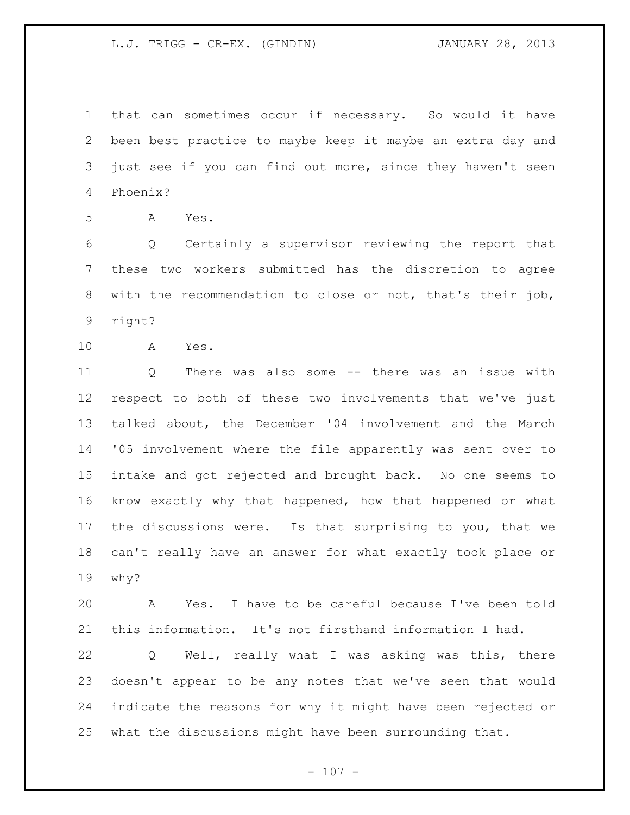that can sometimes occur if necessary. So would it have been best practice to maybe keep it maybe an extra day and just see if you can find out more, since they haven't seen Phoenix?

A Yes.

 Q Certainly a supervisor reviewing the report that these two workers submitted has the discretion to agree with the recommendation to close or not, that's their job, right?

A Yes.

 Q There was also some -- there was an issue with respect to both of these two involvements that we've just talked about, the December '04 involvement and the March '05 involvement where the file apparently was sent over to intake and got rejected and brought back. No one seems to know exactly why that happened, how that happened or what the discussions were. Is that surprising to you, that we can't really have an answer for what exactly took place or why?

 A Yes. I have to be careful because I've been told this information. It's not firsthand information I had.

 Q Well, really what I was asking was this, there doesn't appear to be any notes that we've seen that would indicate the reasons for why it might have been rejected or what the discussions might have been surrounding that.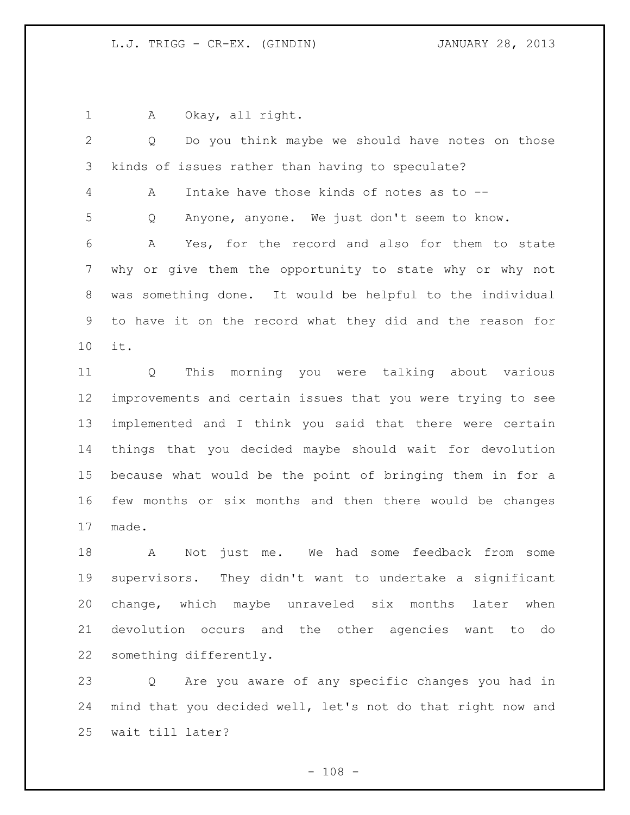1 A Okay, all right.

 Q Do you think maybe we should have notes on those kinds of issues rather than having to speculate? A Intake have those kinds of notes as to -- Q Anyone, anyone. We just don't seem to know. A Yes, for the record and also for them to state why or give them the opportunity to state why or why not was something done. It would be helpful to the individual to have it on the record what they did and the reason for it. Q This morning you were talking about various improvements and certain issues that you were trying to see implemented and I think you said that there were certain things that you decided maybe should wait for devolution because what would be the point of bringing them in for a few months or six months and then there would be changes made. A Not just me. We had some feedback from some

 supervisors. They didn't want to undertake a significant change, which maybe unraveled six months later when devolution occurs and the other agencies want to do something differently.

 Q Are you aware of any specific changes you had in mind that you decided well, let's not do that right now and wait till later?

 $- 108 -$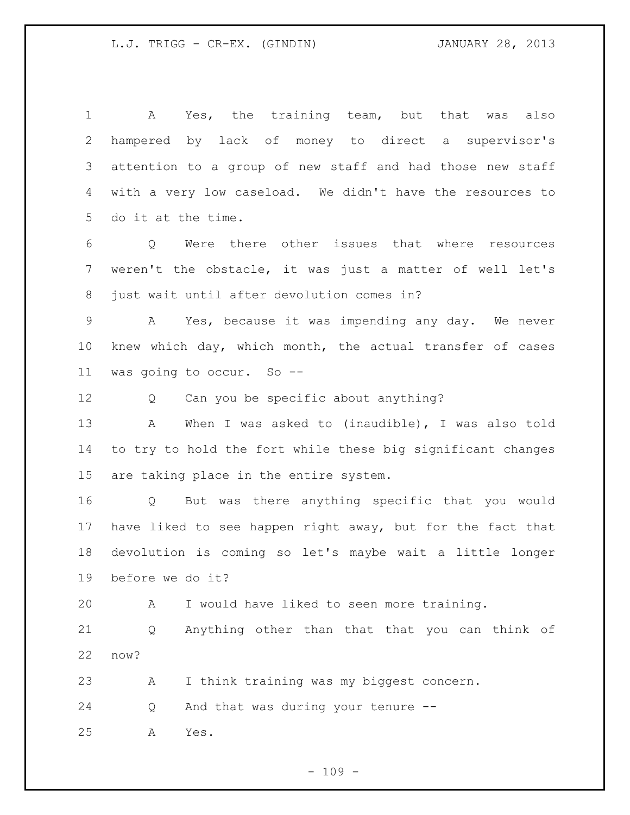A Yes, the training team, but that was also hampered by lack of money to direct a supervisor's attention to a group of new staff and had those new staff with a very low caseload. We didn't have the resources to do it at the time.

 Q Were there other issues that where resources weren't the obstacle, it was just a matter of well let's just wait until after devolution comes in?

 A Yes, because it was impending any day. We never knew which day, which month, the actual transfer of cases was going to occur. So --

12 Q Can you be specific about anything?

 A When I was asked to (inaudible), I was also told to try to hold the fort while these big significant changes are taking place in the entire system.

 Q But was there anything specific that you would have liked to see happen right away, but for the fact that devolution is coming so let's maybe wait a little longer before we do it?

A I would have liked to seen more training.

 Q Anything other than that that you can think of now?

A I think training was my biggest concern.

Q And that was during your tenure --

A Yes.

 $- 109 -$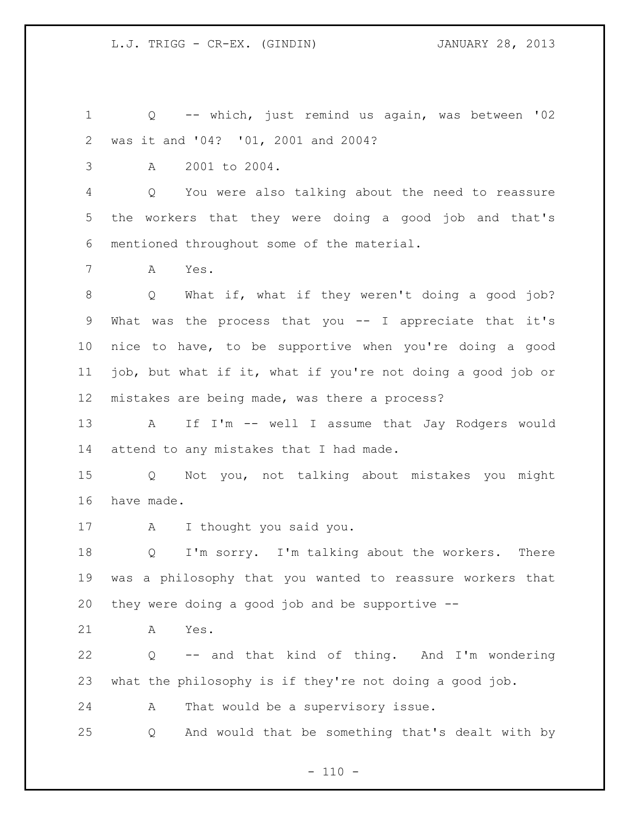Q -- which, just remind us again, was between '02 was it and '04? '01, 2001 and 2004?

A 2001 to 2004.

 Q You were also talking about the need to reassure the workers that they were doing a good job and that's mentioned throughout some of the material.

A Yes.

 Q What if, what if they weren't doing a good job? What was the process that you -- I appreciate that it's nice to have, to be supportive when you're doing a good job, but what if it, what if you're not doing a good job or mistakes are being made, was there a process?

 A If I'm -- well I assume that Jay Rodgers would attend to any mistakes that I had made.

 Q Not you, not talking about mistakes you might have made.

A I thought you said you.

 Q I'm sorry. I'm talking about the workers. There was a philosophy that you wanted to reassure workers that they were doing a good job and be supportive --

A Yes.

 Q -- and that kind of thing. And I'm wondering what the philosophy is if they're not doing a good job.

A That would be a supervisory issue.

Q And would that be something that's dealt with by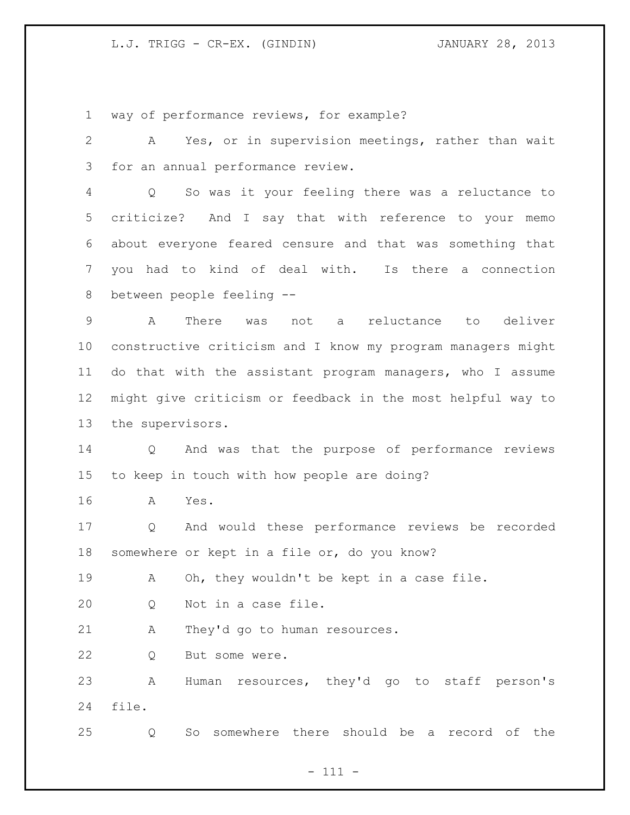way of performance reviews, for example?

 A Yes, or in supervision meetings, rather than wait for an annual performance review.

 Q So was it your feeling there was a reluctance to criticize? And I say that with reference to your memo about everyone feared censure and that was something that you had to kind of deal with. Is there a connection between people feeling --

 A There was not a reluctance to deliver constructive criticism and I know my program managers might do that with the assistant program managers, who I assume might give criticism or feedback in the most helpful way to the supervisors.

 Q And was that the purpose of performance reviews to keep in touch with how people are doing?

A Yes.

 Q And would these performance reviews be recorded somewhere or kept in a file or, do you know?

A Oh, they wouldn't be kept in a case file.

Q Not in a case file.

A They'd go to human resources.

Q But some were.

 A Human resources, they'd go to staff person's file.

Q So somewhere there should be a record of the

- 111 -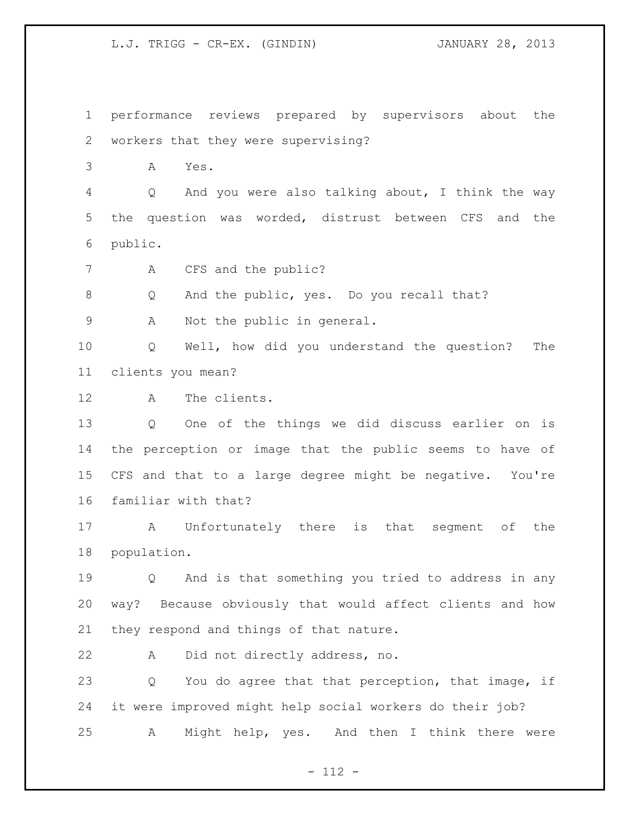performance reviews prepared by supervisors about the workers that they were supervising?

A Yes.

 Q And you were also talking about, I think the way the question was worded, distrust between CFS and the public.

7 A CFS and the public?

Q And the public, yes. Do you recall that?

A Not the public in general.

 Q Well, how did you understand the question? The clients you mean?

A The clients.

 Q One of the things we did discuss earlier on is the perception or image that the public seems to have of CFS and that to a large degree might be negative. You're familiar with that?

 A Unfortunately there is that segment of the population.

 Q And is that something you tried to address in any way? Because obviously that would affect clients and how they respond and things of that nature.

A Did not directly address, no.

 Q You do agree that that perception, that image, if it were improved might help social workers do their job? A Might help, yes. And then I think there were

- 112 -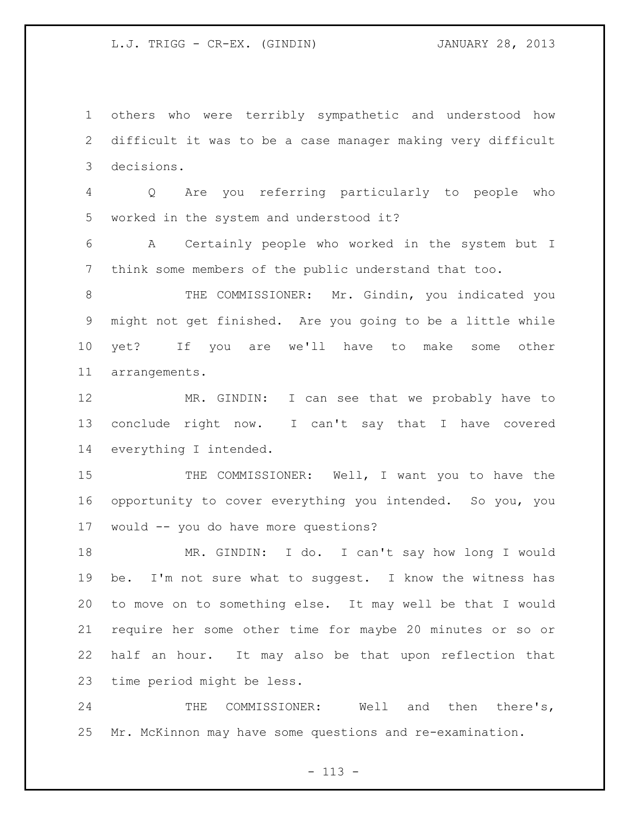others who were terribly sympathetic and understood how difficult it was to be a case manager making very difficult decisions.

 Q Are you referring particularly to people who worked in the system and understood it?

 A Certainly people who worked in the system but I think some members of the public understand that too.

8 THE COMMISSIONER: Mr. Gindin, you indicated you might not get finished. Are you going to be a little while yet? If you are we'll have to make some other arrangements.

 MR. GINDIN: I can see that we probably have to conclude right now. I can't say that I have covered everything I intended.

15 THE COMMISSIONER: Well, I want you to have the opportunity to cover everything you intended. So you, you would -- you do have more questions?

 MR. GINDIN: I do. I can't say how long I would be. I'm not sure what to suggest. I know the witness has to move on to something else. It may well be that I would require her some other time for maybe 20 minutes or so or half an hour. It may also be that upon reflection that time period might be less.

 THE COMMISSIONER: Well and then there's, Mr. McKinnon may have some questions and re-examination.

 $- 113 -$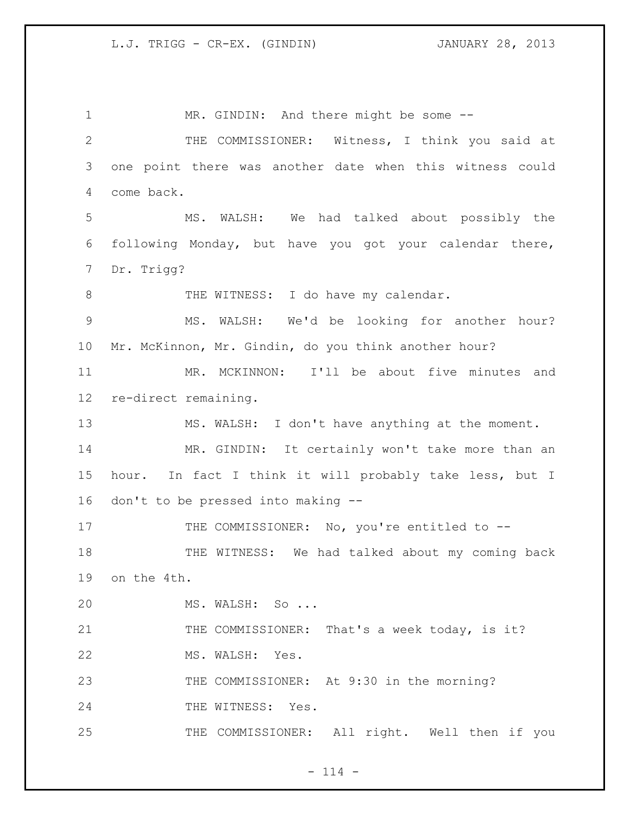1 MR. GINDIN: And there might be some -- THE COMMISSIONER: Witness, I think you said at one point there was another date when this witness could come back. MS. WALSH: We had talked about possibly the following Monday, but have you got your calendar there, Dr. Trigg? 8 THE WITNESS: I do have my calendar. MS. WALSH: We'd be looking for another hour? Mr. McKinnon, Mr. Gindin, do you think another hour? MR. MCKINNON: I'll be about five minutes and re-direct remaining. MS. WALSH: I don't have anything at the moment. MR. GINDIN: It certainly won't take more than an hour. In fact I think it will probably take less, but I don't to be pressed into making -- 17 THE COMMISSIONER: No, you're entitled to -- THE WITNESS: We had talked about my coming back on the 4th. MS. WALSH: So ... 21 THE COMMISSIONER: That's a week today, is it? MS. WALSH: Yes. 23 THE COMMISSIONER: At 9:30 in the morning? 24 THE WITNESS: Yes. THE COMMISSIONER: All right. Well then if you

 $- 114 -$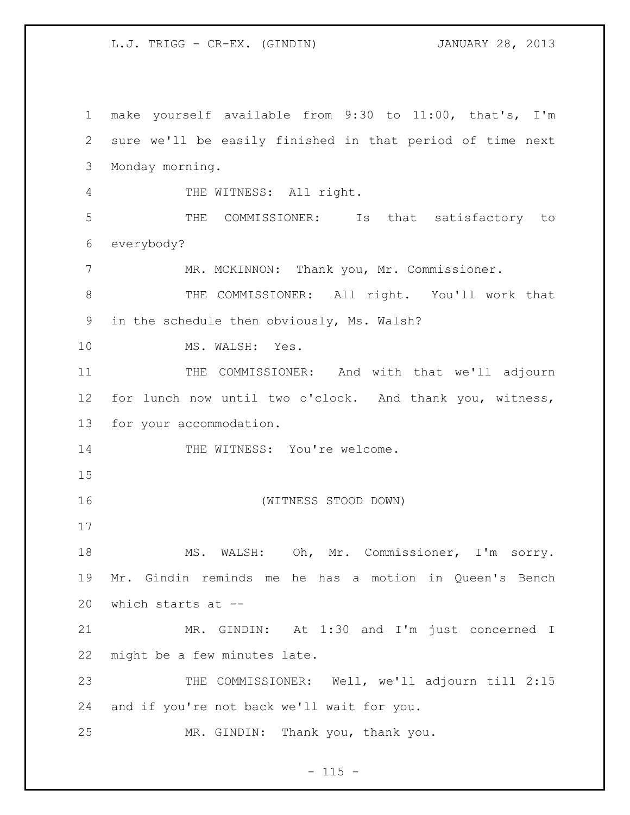make yourself available from 9:30 to 11:00, that's, I'm sure we'll be easily finished in that period of time next Monday morning. THE WITNESS: All right. THE COMMISSIONER: Is that satisfactory to everybody? 7 MR. MCKINNON: Thank you, Mr. Commissioner. THE COMMISSIONER: All right. You'll work that in the schedule then obviously, Ms. Walsh? 10 MS. WALSH: Yes. 11 THE COMMISSIONER: And with that we'll adjourn for lunch now until two o'clock. And thank you, witness, for your accommodation. 14 THE WITNESS: You're welcome. (WITNESS STOOD DOWN) MS. WALSH: Oh, Mr. Commissioner, I'm sorry. Mr. Gindin reminds me he has a motion in Queen's Bench which starts at -- MR. GINDIN: At 1:30 and I'm just concerned I might be a few minutes late. 23 THE COMMISSIONER: Well, we'll adjourn till 2:15 and if you're not back we'll wait for you. MR. GINDIN: Thank you, thank you.

 $- 115 -$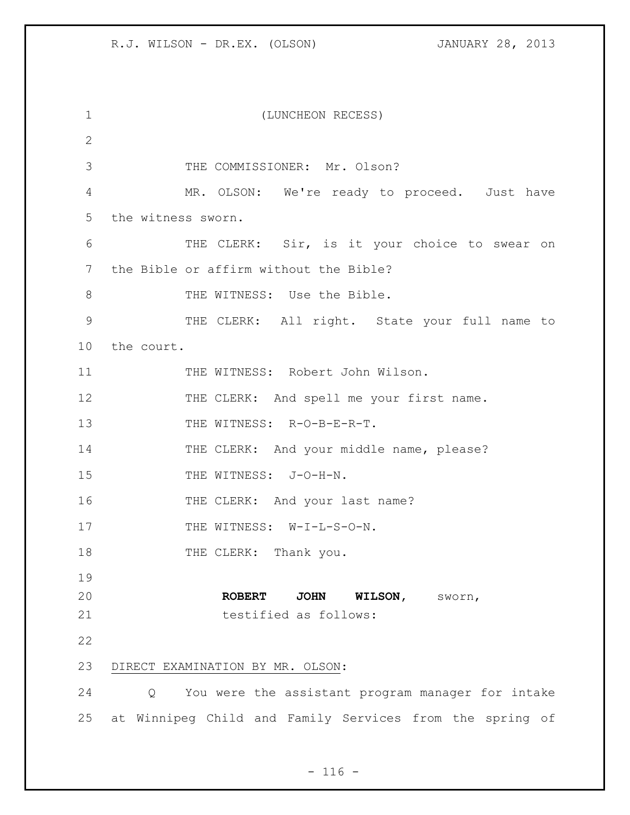| $\mathbf 1$  | (LUNCHEON RECESS)                                        |
|--------------|----------------------------------------------------------|
| $\mathbf{2}$ |                                                          |
| 3            | THE COMMISSIONER: Mr. Olson?                             |
| 4            | MR. OLSON: We're ready to proceed. Just have             |
| 5            | the witness sworn.                                       |
| 6            | THE CLERK: Sir, is it your choice to swear on            |
| 7            | the Bible or affirm without the Bible?                   |
| 8            | THE WITNESS: Use the Bible.                              |
| 9            | THE CLERK: All right. State your full name to            |
| 10           | the court.                                               |
| 11           | THE WITNESS: Robert John Wilson.                         |
| 12           | THE CLERK: And spell me your first name.                 |
| 13           | THE WITNESS: R-O-B-E-R-T.                                |
| 14           | THE CLERK: And your middle name, please?                 |
| 15           | THE WITNESS: J-O-H-N.                                    |
| 16           | THE CLERK: And your last name?                           |
| 17           | THE WITNESS: W-I-L-S-O-N.                                |
| 18           | THE CLERK: Thank you.                                    |
| 19           |                                                          |
| 20           | <b>ROBERT</b><br>JOHN WILSON, SWOYN,                     |
| 21           | testified as follows:                                    |
| 22           |                                                          |
| 23           | DIRECT EXAMINATION BY MR. OLSON:                         |
| 24           | You were the assistant program manager for intake<br>Q   |
| 25           | at Winnipeg Child and Family Services from the spring of |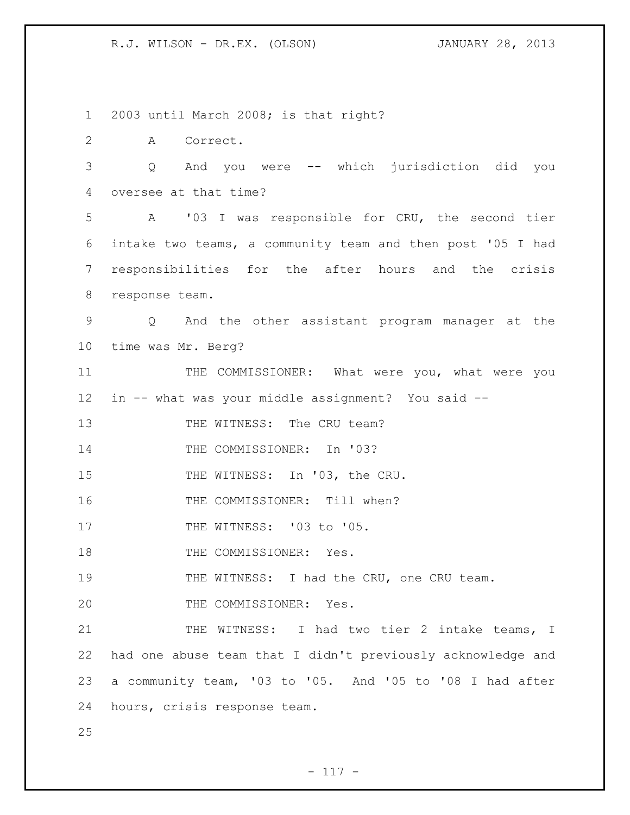1 2003 until March 2008; is that right?

2 A Correct.

3 Q And you were -- which jurisdiction did you 4 oversee at that time?

 A '03 I was responsible for CRU, the second tier intake two teams, a community team and then post '05 I had responsibilities for the after hours and the crisis response team.

9 Q And the other assistant program manager at the 10 time was Mr. Berg?

11 THE COMMISSIONER: What were you, what were you 12 in -- what was your middle assignment? You said --

13 THE WITNESS: The CRU team?

14 THE COMMISSIONER: In '03?

15 THE WITNESS: In '03, the CRU.

16 THE COMMISSIONER: Till when?

17 THE WITNESS: '03 to '05.

18 THE COMMISSIONER: Yes.

19 THE WITNESS: I had the CRU, one CRU team.

20 THE COMMISSIONER: Yes.

21 THE WITNESS: I had two tier 2 intake teams, I had one abuse team that I didn't previously acknowledge and a community team, '03 to '05. And '05 to '08 I had after hours, crisis response team.

25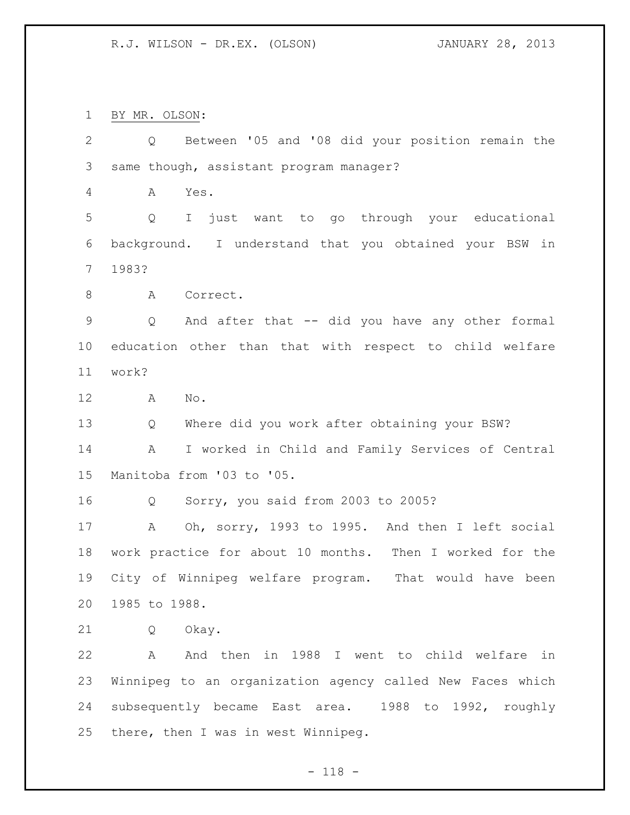BY MR. OLSON:

 Q Between '05 and '08 did your position remain the same though, assistant program manager? A Yes. Q I just want to go through your educational background. I understand that you obtained your BSW in 1983? 8 A Correct. Q And after that -- did you have any other formal education other than that with respect to child welfare work? A No. Q Where did you work after obtaining your BSW? A I worked in Child and Family Services of Central Manitoba from '03 to '05. Q Sorry, you said from 2003 to 2005? A Oh, sorry, 1993 to 1995. And then I left social work practice for about 10 months. Then I worked for the City of Winnipeg welfare program. That would have been 1985 to 1988. Q Okay. A And then in 1988 I went to child welfare in Winnipeg to an organization agency called New Faces which subsequently became East area. 1988 to 1992, roughly there, then I was in west Winnipeg.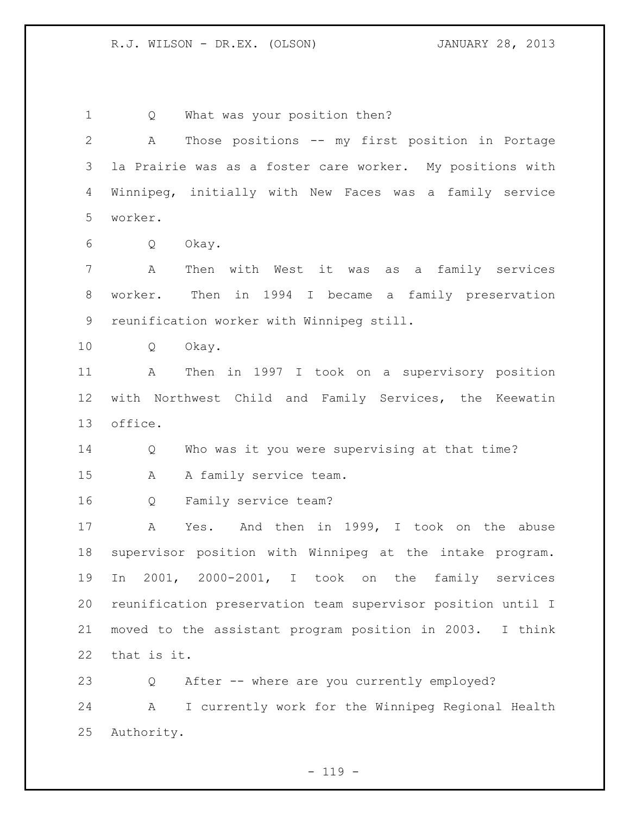Q What was your position then? A Those positions -- my first position in Portage la Prairie was as a foster care worker. My positions with Winnipeg, initially with New Faces was a family service worker. Q Okay. A Then with West it was as a family services worker. Then in 1994 I became a family preservation reunification worker with Winnipeg still. Q Okay. A Then in 1997 I took on a supervisory position with Northwest Child and Family Services, the Keewatin office. Q Who was it you were supervising at that time? A A family service team. Q Family service team? A Yes. And then in 1999, I took on the abuse supervisor position with Winnipeg at the intake program. In 2001, 2000-2001, I took on the family services reunification preservation team supervisor position until I moved to the assistant program position in 2003. I think that is it. Q After -- where are you currently employed? A I currently work for the Winnipeg Regional Health Authority.

 $- 119 -$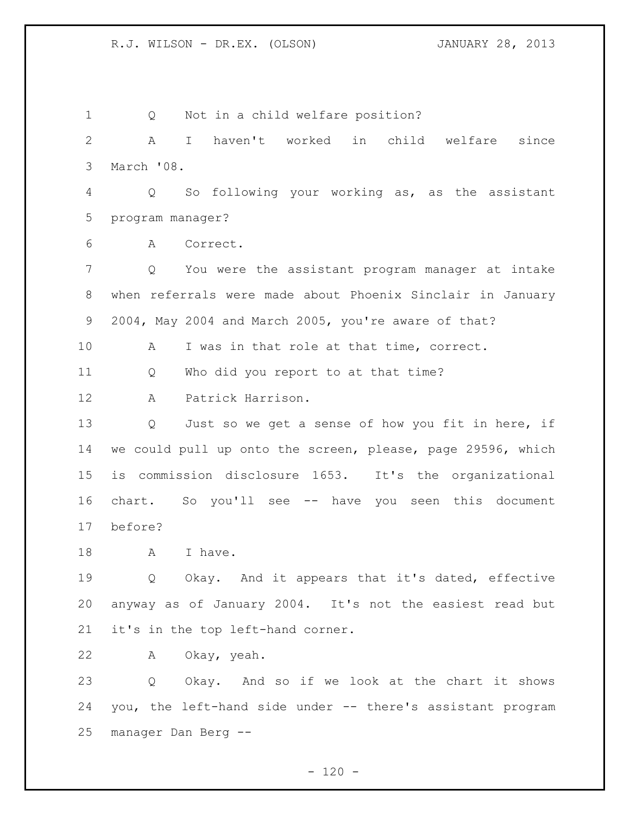Q Not in a child welfare position? A I haven't worked in child welfare since March '08. Q So following your working as, as the assistant program manager? A Correct. Q You were the assistant program manager at intake when referrals were made about Phoenix Sinclair in January 2004, May 2004 and March 2005, you're aware of that? A I was in that role at that time, correct. Q Who did you report to at that time? A Patrick Harrison. Q Just so we get a sense of how you fit in here, if we could pull up onto the screen, please, page 29596, which is commission disclosure 1653. It's the organizational chart. So you'll see -- have you seen this document before? 18 A I have. Q Okay. And it appears that it's dated, effective anyway as of January 2004. It's not the easiest read but it's in the top left-hand corner. A Okay, yeah. Q Okay. And so if we look at the chart it shows you, the left-hand side under -- there's assistant program manager Dan Berg --

 $- 120 -$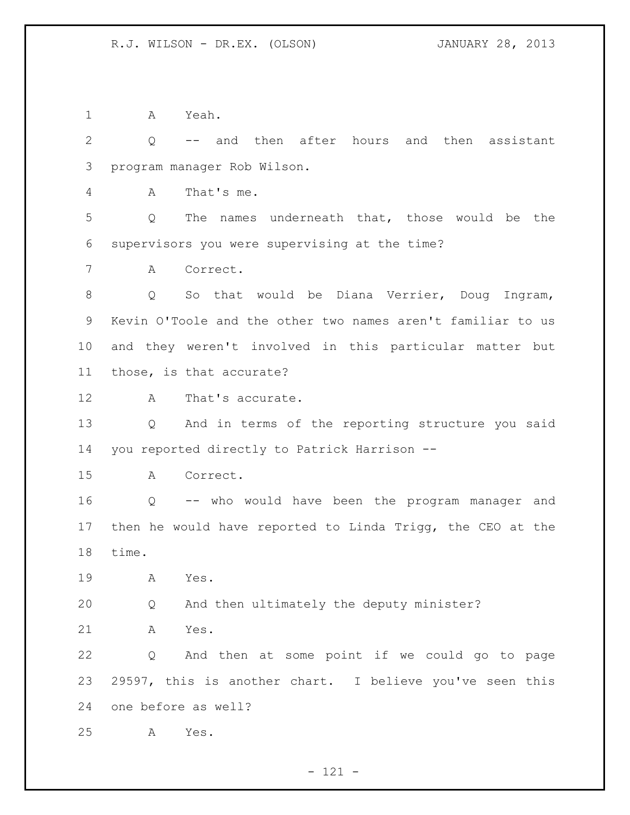A Yeah.

 Q -- and then after hours and then assistant program manager Rob Wilson.

A That's me.

 Q The names underneath that, those would be the supervisors you were supervising at the time?

A Correct.

8 O So that would be Diana Verrier, Doug Ingram, Kevin O'Toole and the other two names aren't familiar to us and they weren't involved in this particular matter but those, is that accurate?

12 A That's accurate.

 Q And in terms of the reporting structure you said you reported directly to Patrick Harrison --

A Correct.

 Q -- who would have been the program manager and then he would have reported to Linda Trigg, the CEO at the time.

A Yes.

Q And then ultimately the deputy minister?

A Yes.

 Q And then at some point if we could go to page 29597, this is another chart. I believe you've seen this one before as well?

A Yes.

- 121 -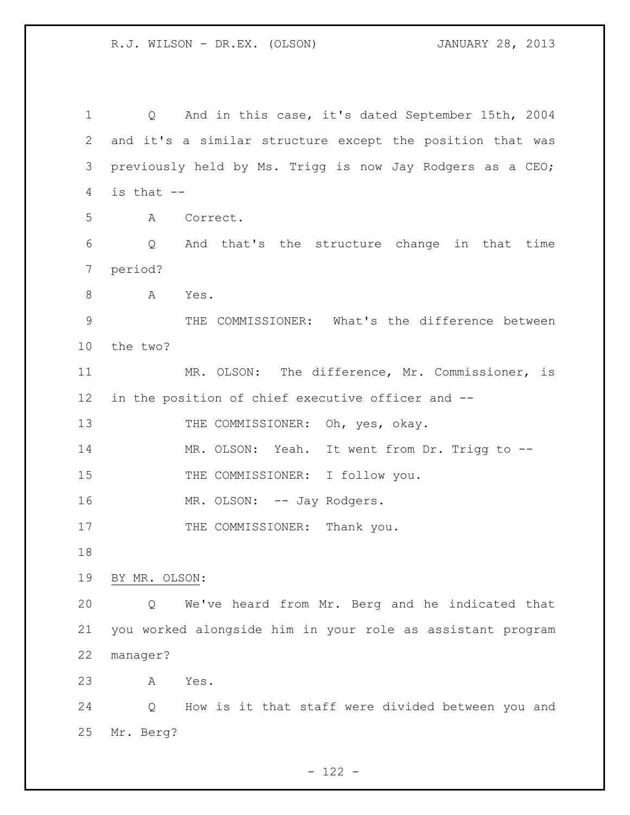Q And in this case, it's dated September 15th, 2004 and it's a similar structure except the position that was previously held by Ms. Trigg is now Jay Rodgers as a CEO; is that  $-$  A Correct. Q And that's the structure change in that time period? 8 A Yes. THE COMMISSIONER: What's the difference between the two? MR. OLSON: The difference, Mr. Commissioner, is in the position of chief executive officer and -- 13 THE COMMISSIONER: Oh, yes, okay. MR. OLSON: Yeah. It went from Dr. Trigg to -- 15 THE COMMISSIONER: I follow you. 16 MR. OLSON: -- Jay Rodgers. 17 THE COMMISSIONER: Thank you. BY MR. OLSON: Q We've heard from Mr. Berg and he indicated that you worked alongside him in your role as assistant program manager? A Yes. Q How is it that staff were divided between you and Mr. Berg?

 $- 122 -$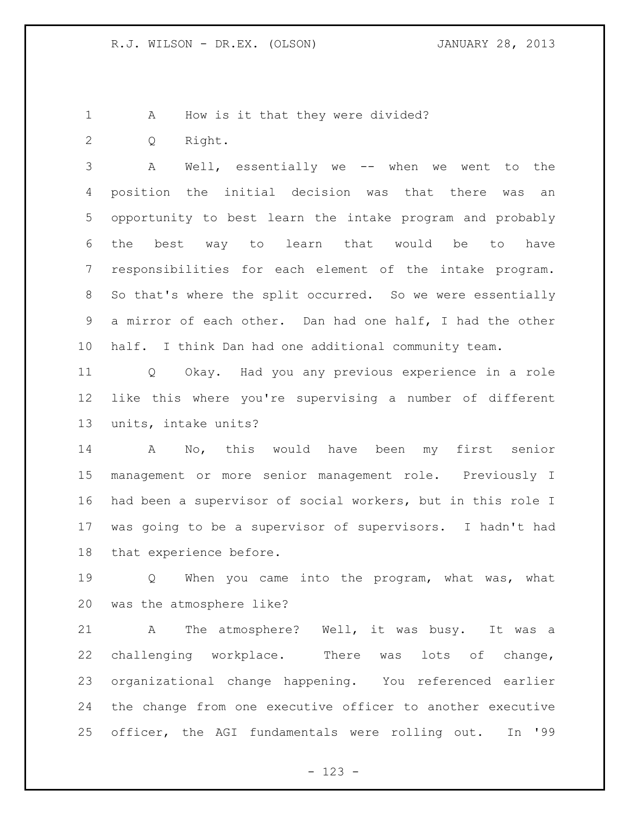1 A How is it that they were divided?

Q Right.

 A Well, essentially we -- when we went to the position the initial decision was that there was an opportunity to best learn the intake program and probably the best way to learn that would be to have responsibilities for each element of the intake program. So that's where the split occurred. So we were essentially a mirror of each other. Dan had one half, I had the other half. I think Dan had one additional community team.

 Q Okay. Had you any previous experience in a role like this where you're supervising a number of different units, intake units?

 A No, this would have been my first senior management or more senior management role. Previously I had been a supervisor of social workers, but in this role I was going to be a supervisor of supervisors. I hadn't had that experience before.

 Q When you came into the program, what was, what was the atmosphere like?

 A The atmosphere? Well, it was busy. It was a challenging workplace. There was lots of change, organizational change happening. You referenced earlier the change from one executive officer to another executive officer, the AGI fundamentals were rolling out. In '99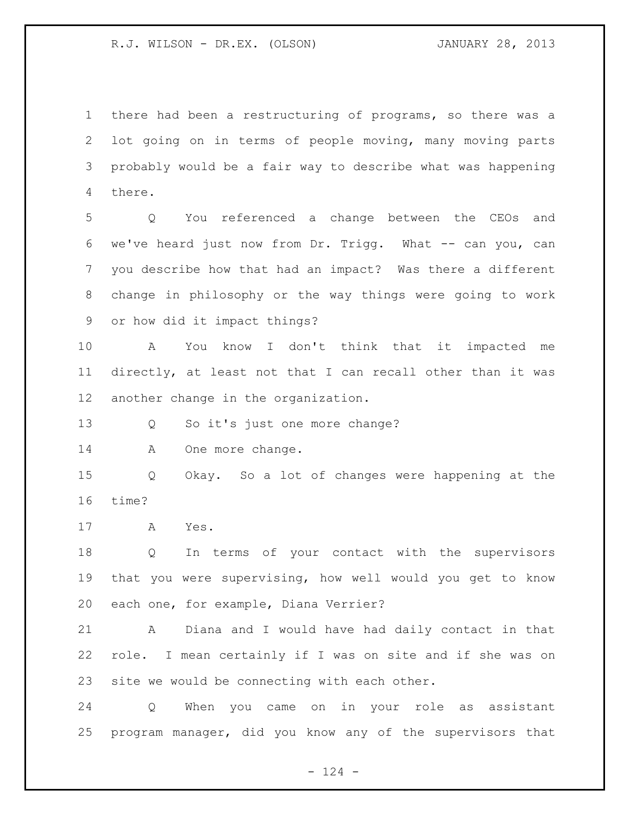there had been a restructuring of programs, so there was a lot going on in terms of people moving, many moving parts probably would be a fair way to describe what was happening there.

 Q You referenced a change between the CEOs and we've heard just now from Dr. Trigg. What -- can you, can you describe how that had an impact? Was there a different change in philosophy or the way things were going to work or how did it impact things?

 A You know I don't think that it impacted me directly, at least not that I can recall other than it was another change in the organization.

Q So it's just one more change?

14 A One more change.

 Q Okay. So a lot of changes were happening at the time?

A Yes.

 Q In terms of your contact with the supervisors that you were supervising, how well would you get to know each one, for example, Diana Verrier?

 A Diana and I would have had daily contact in that role. I mean certainly if I was on site and if she was on site we would be connecting with each other.

 Q When you came on in your role as assistant program manager, did you know any of the supervisors that

 $- 124 -$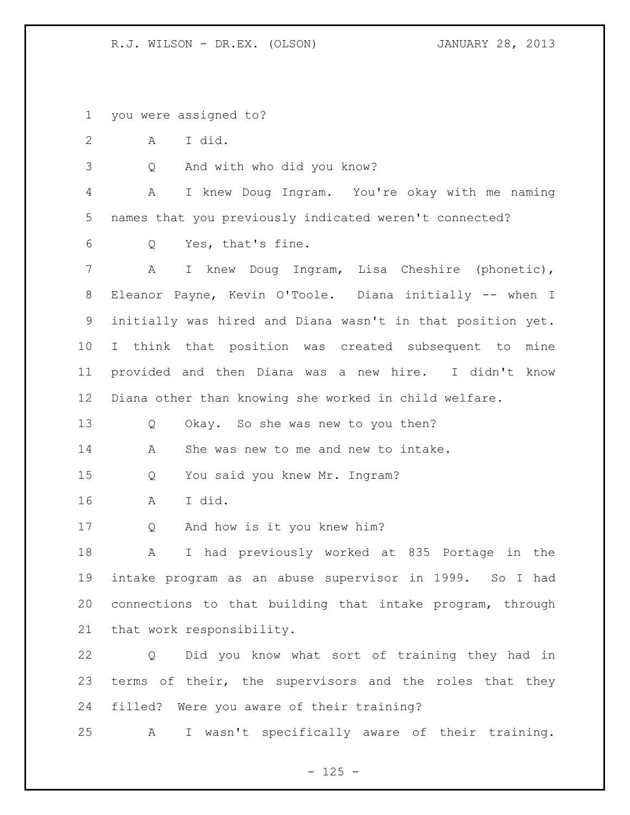you were assigned to?

A I did.

Q And with who did you know?

 A I knew Doug Ingram. You're okay with me naming names that you previously indicated weren't connected?

Q Yes, that's fine.

 A I knew Doug Ingram, Lisa Cheshire (phonetic), Eleanor Payne, Kevin O'Toole. Diana initially -- when I initially was hired and Diana wasn't in that position yet. I think that position was created subsequent to mine provided and then Diana was a new hire. I didn't know Diana other than knowing she worked in child welfare.

Q Okay. So she was new to you then?

A She was new to me and new to intake.

Q You said you knew Mr. Ingram?

A I did.

Q And how is it you knew him?

 A I had previously worked at 835 Portage in the intake program as an abuse supervisor in 1999. So I had connections to that building that intake program, through that work responsibility.

 Q Did you know what sort of training they had in terms of their, the supervisors and the roles that they filled? Were you aware of their training?

A I wasn't specifically aware of their training.

 $- 125 -$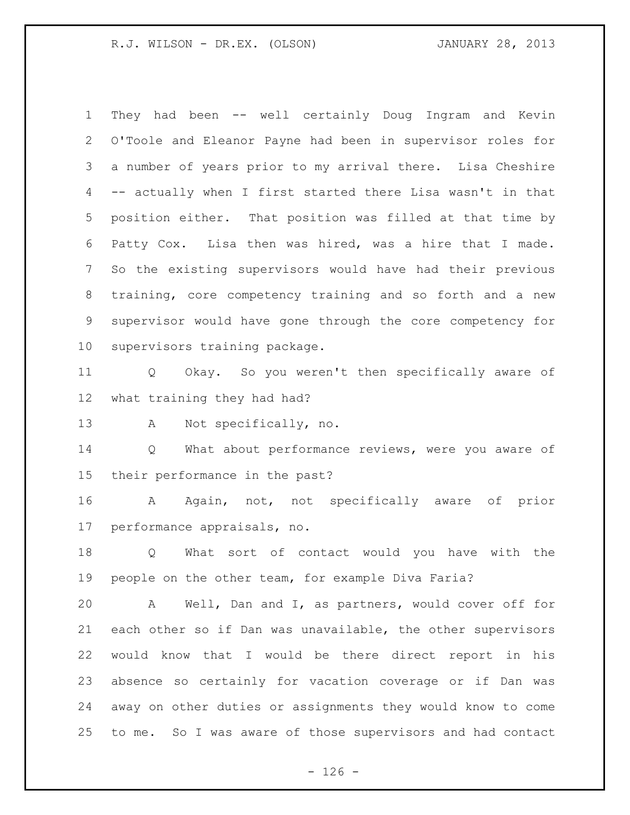They had been -- well certainly Doug Ingram and Kevin O'Toole and Eleanor Payne had been in supervisor roles for a number of years prior to my arrival there. Lisa Cheshire -- actually when I first started there Lisa wasn't in that position either. That position was filled at that time by Patty Cox. Lisa then was hired, was a hire that I made. So the existing supervisors would have had their previous training, core competency training and so forth and a new supervisor would have gone through the core competency for supervisors training package.

 Q Okay. So you weren't then specifically aware of what training they had had?

A Not specifically, no.

14 Q What about performance reviews, were you aware of their performance in the past?

 A Again, not, not specifically aware of prior performance appraisals, no.

 Q What sort of contact would you have with the people on the other team, for example Diva Faria?

 A Well, Dan and I, as partners, would cover off for each other so if Dan was unavailable, the other supervisors would know that I would be there direct report in his absence so certainly for vacation coverage or if Dan was away on other duties or assignments they would know to come to me. So I was aware of those supervisors and had contact

 $- 126 -$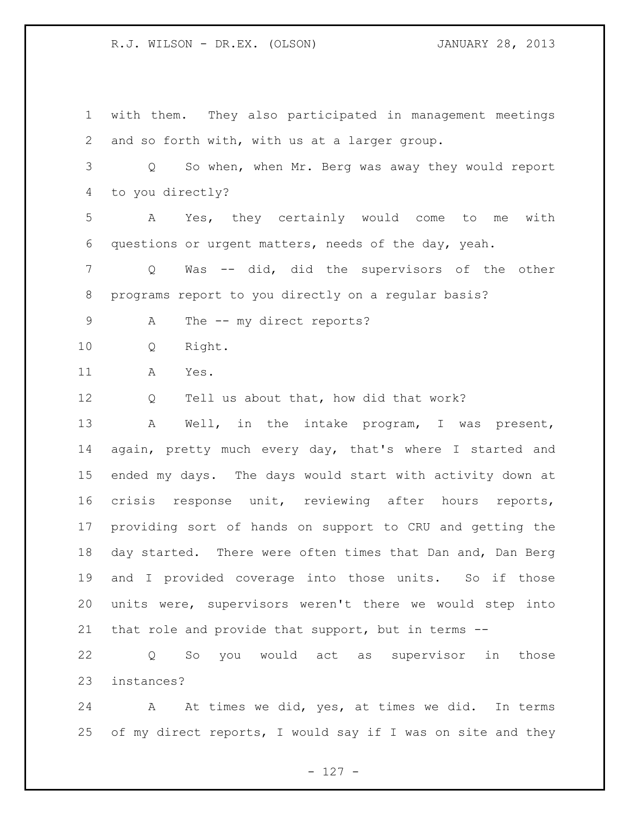with them. They also participated in management meetings and so forth with, with us at a larger group. Q So when, when Mr. Berg was away they would report to you directly? A Yes, they certainly would come to me with questions or urgent matters, needs of the day, yeah. Q Was -- did, did the supervisors of the other programs report to you directly on a regular basis? 9 A The -- my direct reports? Q Right. A Yes. 12 Q Tell us about that, how did that work? A Well, in the intake program, I was present, again, pretty much every day, that's where I started and ended my days. The days would start with activity down at crisis response unit, reviewing after hours reports, providing sort of hands on support to CRU and getting the day started. There were often times that Dan and, Dan Berg and I provided coverage into those units. So if those units were, supervisors weren't there we would step into that role and provide that support, but in terms -- Q So you would act as supervisor in those

instances?

24 A At times we did, yes, at times we did. In terms of my direct reports, I would say if I was on site and they

- 127 -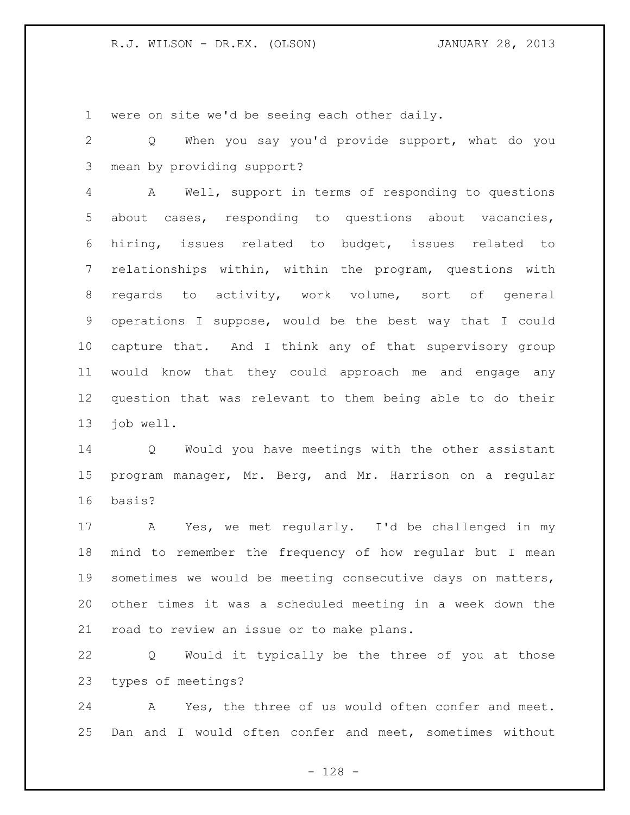were on site we'd be seeing each other daily.

 Q When you say you'd provide support, what do you mean by providing support?

 A Well, support in terms of responding to questions about cases, responding to questions about vacancies, hiring, issues related to budget, issues related to relationships within, within the program, questions with regards to activity, work volume, sort of general operations I suppose, would be the best way that I could capture that. And I think any of that supervisory group would know that they could approach me and engage any question that was relevant to them being able to do their job well.

 Q Would you have meetings with the other assistant program manager, Mr. Berg, and Mr. Harrison on a regular basis?

 A Yes, we met regularly. I'd be challenged in my mind to remember the frequency of how regular but I mean sometimes we would be meeting consecutive days on matters, other times it was a scheduled meeting in a week down the road to review an issue or to make plans.

 Q Would it typically be the three of you at those types of meetings?

 A Yes, the three of us would often confer and meet. Dan and I would often confer and meet, sometimes without

- 128 -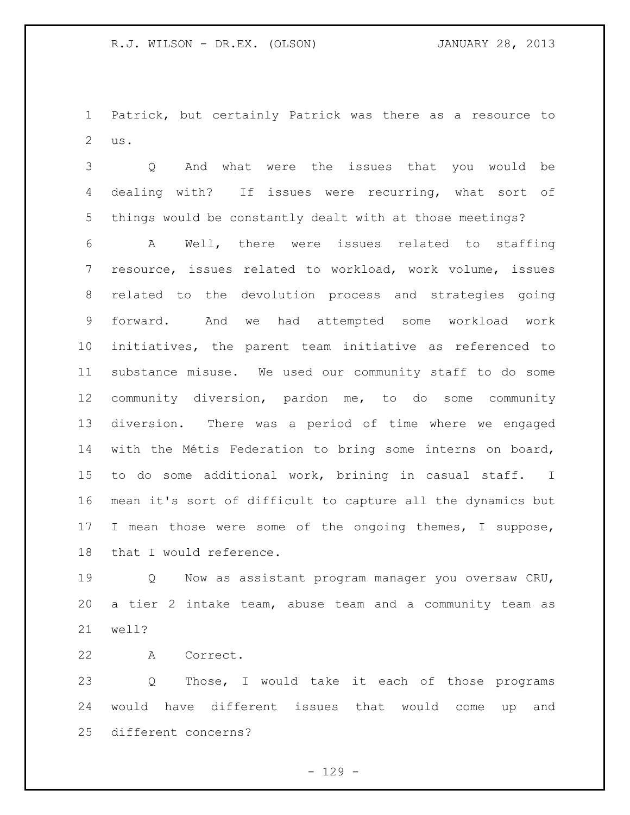Patrick, but certainly Patrick was there as a resource to us.

 Q And what were the issues that you would be dealing with? If issues were recurring, what sort of things would be constantly dealt with at those meetings?

 A Well, there were issues related to staffing resource, issues related to workload, work volume, issues related to the devolution process and strategies going forward. And we had attempted some workload work initiatives, the parent team initiative as referenced to substance misuse. We used our community staff to do some community diversion, pardon me, to do some community diversion. There was a period of time where we engaged with the Métis Federation to bring some interns on board, to do some additional work, brining in casual staff. I mean it's sort of difficult to capture all the dynamics but 17 I mean those were some of the ongoing themes, I suppose, that I would reference.

19 0 Now as assistant program manager you oversaw CRU, a tier 2 intake team, abuse team and a community team as well?

A Correct.

 Q Those, I would take it each of those programs would have different issues that would come up and different concerns?

 $- 129 -$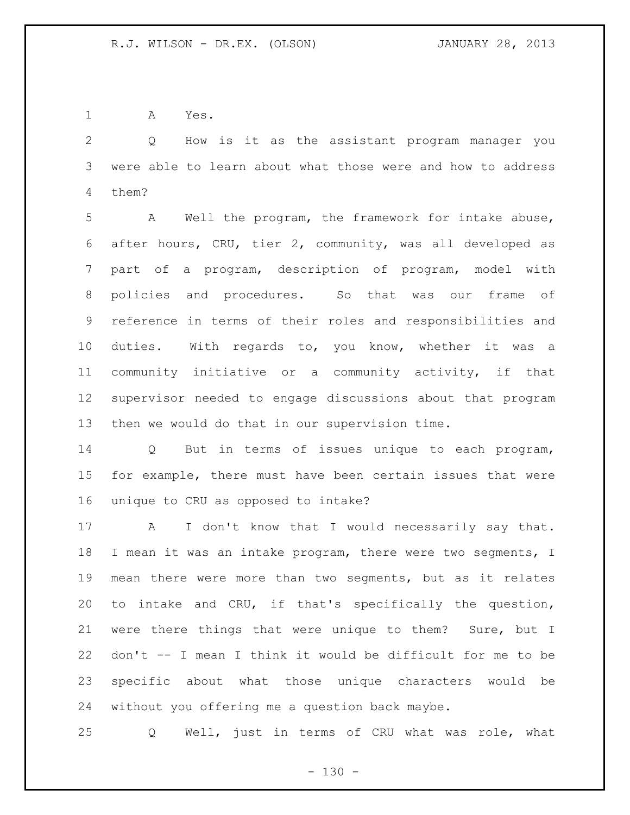A Yes.

 Q How is it as the assistant program manager you were able to learn about what those were and how to address them?

 A Well the program, the framework for intake abuse, after hours, CRU, tier 2, community, was all developed as part of a program, description of program, model with policies and procedures. So that was our frame of reference in terms of their roles and responsibilities and duties. With regards to, you know, whether it was a community initiative or a community activity, if that supervisor needed to engage discussions about that program then we would do that in our supervision time.

 Q But in terms of issues unique to each program, for example, there must have been certain issues that were unique to CRU as opposed to intake?

17 A I don't know that I would necessarily say that. I mean it was an intake program, there were two segments, I mean there were more than two segments, but as it relates to intake and CRU, if that's specifically the question, were there things that were unique to them? Sure, but I don't -- I mean I think it would be difficult for me to be specific about what those unique characters would be without you offering me a question back maybe.

Q Well, just in terms of CRU what was role, what

 $- 130 -$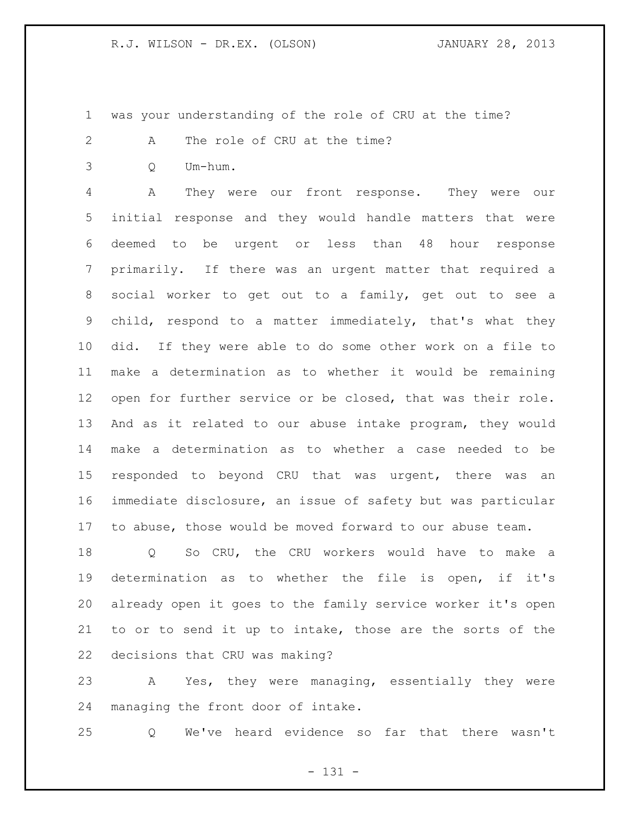was your understanding of the role of CRU at the time?

A The role of CRU at the time?

Q Um-hum.

 A They were our front response. They were our initial response and they would handle matters that were deemed to be urgent or less than 48 hour response primarily. If there was an urgent matter that required a social worker to get out to a family, get out to see a child, respond to a matter immediately, that's what they did. If they were able to do some other work on a file to make a determination as to whether it would be remaining open for further service or be closed, that was their role. And as it related to our abuse intake program, they would make a determination as to whether a case needed to be responded to beyond CRU that was urgent, there was an immediate disclosure, an issue of safety but was particular to abuse, those would be moved forward to our abuse team.

 Q So CRU, the CRU workers would have to make a determination as to whether the file is open, if it's already open it goes to the family service worker it's open to or to send it up to intake, those are the sorts of the decisions that CRU was making?

 A Yes, they were managing, essentially they were managing the front door of intake.

Q We've heard evidence so far that there wasn't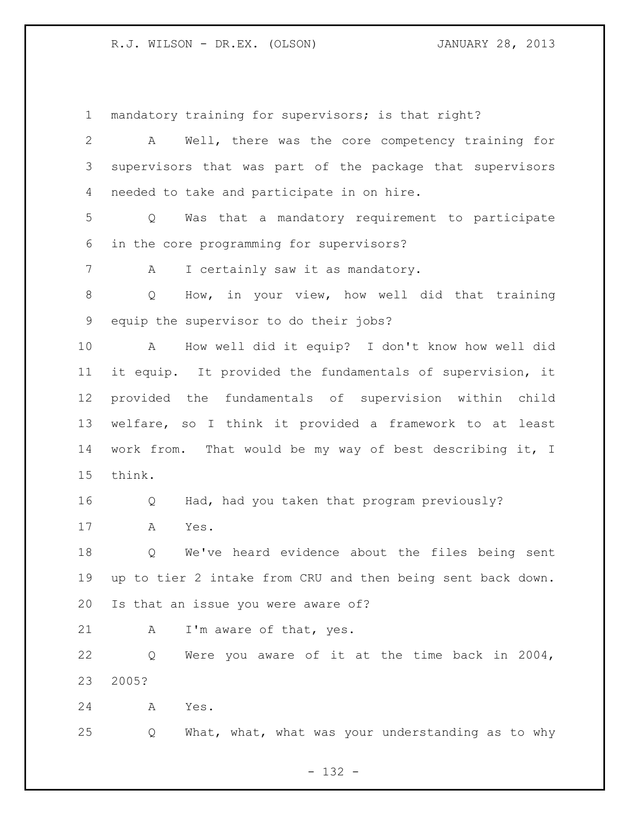mandatory training for supervisors; is that right?

 A Well, there was the core competency training for supervisors that was part of the package that supervisors needed to take and participate in on hire.

 Q Was that a mandatory requirement to participate in the core programming for supervisors?

7 A I certainly saw it as mandatory.

 Q How, in your view, how well did that training equip the supervisor to do their jobs?

 A How well did it equip? I don't know how well did it equip. It provided the fundamentals of supervision, it provided the fundamentals of supervision within child welfare, so I think it provided a framework to at least work from. That would be my way of best describing it, I think.

Q Had, had you taken that program previously?

A Yes.

 Q We've heard evidence about the files being sent up to tier 2 intake from CRU and then being sent back down. Is that an issue you were aware of?

21 A I'm aware of that, yes.

 Q Were you aware of it at the time back in 2004, 2005?

A Yes.

Q What, what, what was your understanding as to why

- 132 -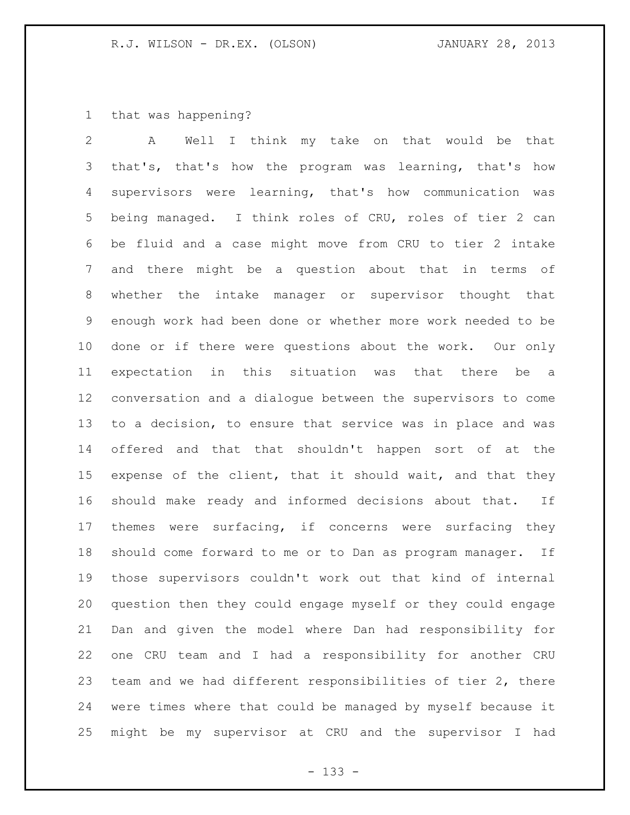that was happening?

 A Well I think my take on that would be that that's, that's how the program was learning, that's how supervisors were learning, that's how communication was being managed. I think roles of CRU, roles of tier 2 can be fluid and a case might move from CRU to tier 2 intake and there might be a question about that in terms of whether the intake manager or supervisor thought that enough work had been done or whether more work needed to be done or if there were questions about the work. Our only expectation in this situation was that there be a conversation and a dialogue between the supervisors to come to a decision, to ensure that service was in place and was offered and that that shouldn't happen sort of at the 15 expense of the client, that it should wait, and that they should make ready and informed decisions about that. If themes were surfacing, if concerns were surfacing they should come forward to me or to Dan as program manager. If those supervisors couldn't work out that kind of internal question then they could engage myself or they could engage Dan and given the model where Dan had responsibility for one CRU team and I had a responsibility for another CRU team and we had different responsibilities of tier 2, there were times where that could be managed by myself because it might be my supervisor at CRU and the supervisor I had

- 133 -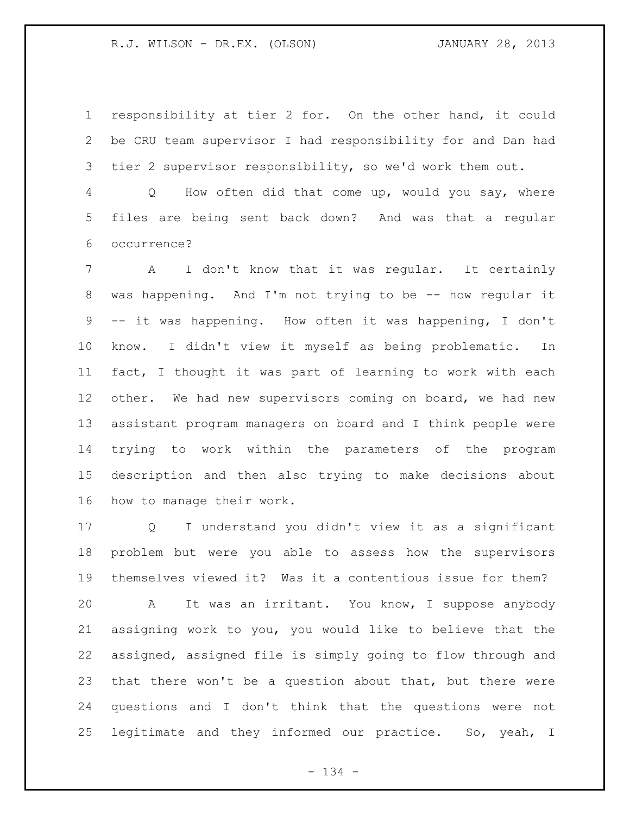responsibility at tier 2 for. On the other hand, it could be CRU team supervisor I had responsibility for and Dan had tier 2 supervisor responsibility, so we'd work them out.

 Q How often did that come up, would you say, where files are being sent back down? And was that a regular occurrence?

 A I don't know that it was regular. It certainly was happening. And I'm not trying to be -- how regular it -- it was happening. How often it was happening, I don't know. I didn't view it myself as being problematic. In fact, I thought it was part of learning to work with each 12 other. We had new supervisors coming on board, we had new assistant program managers on board and I think people were trying to work within the parameters of the program description and then also trying to make decisions about how to manage their work.

 Q I understand you didn't view it as a significant problem but were you able to assess how the supervisors themselves viewed it? Was it a contentious issue for them? A It was an irritant. You know, I suppose anybody assigning work to you, you would like to believe that the assigned, assigned file is simply going to flow through and that there won't be a question about that, but there were questions and I don't think that the questions were not legitimate and they informed our practice. So, yeah, I

- 134 -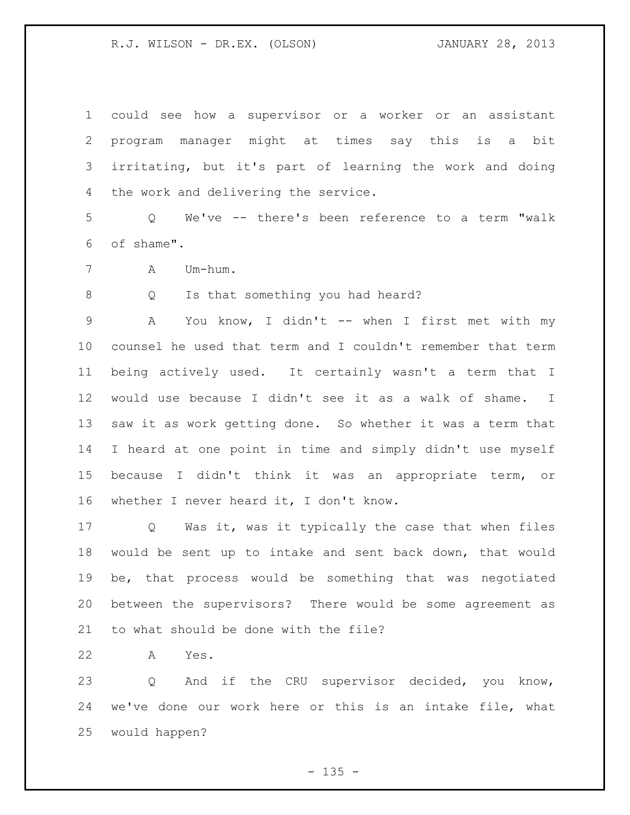could see how a supervisor or a worker or an assistant program manager might at times say this is a bit irritating, but it's part of learning the work and doing the work and delivering the service.

 Q We've -- there's been reference to a term "walk of shame".

A Um-hum.

8 Q Is that something you had heard?

 A You know, I didn't -- when I first met with my counsel he used that term and I couldn't remember that term being actively used. It certainly wasn't a term that I would use because I didn't see it as a walk of shame. I saw it as work getting done. So whether it was a term that I heard at one point in time and simply didn't use myself because I didn't think it was an appropriate term, or whether I never heard it, I don't know.

 Q Was it, was it typically the case that when files would be sent up to intake and sent back down, that would be, that process would be something that was negotiated between the supervisors? There would be some agreement as to what should be done with the file?

A Yes.

23 Q And if the CRU supervisor decided, you know, we've done our work here or this is an intake file, what would happen?

 $- 135 -$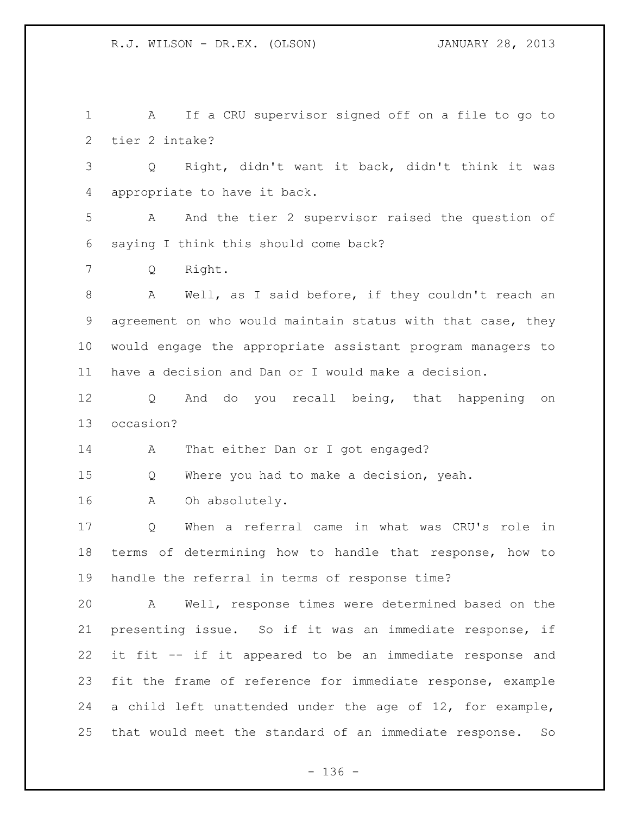A If a CRU supervisor signed off on a file to go to tier 2 intake?

 Q Right, didn't want it back, didn't think it was appropriate to have it back.

 A And the tier 2 supervisor raised the question of saying I think this should come back?

Q Right.

 A Well, as I said before, if they couldn't reach an agreement on who would maintain status with that case, they would engage the appropriate assistant program managers to have a decision and Dan or I would make a decision.

 Q And do you recall being, that happening on occasion?

14 A That either Dan or I got engaged?

Q Where you had to make a decision, yeah.

A Oh absolutely.

 Q When a referral came in what was CRU's role in terms of determining how to handle that response, how to handle the referral in terms of response time?

 A Well, response times were determined based on the presenting issue. So if it was an immediate response, if it fit -- if it appeared to be an immediate response and fit the frame of reference for immediate response, example a child left unattended under the age of 12, for example, that would meet the standard of an immediate response. So

- 136 -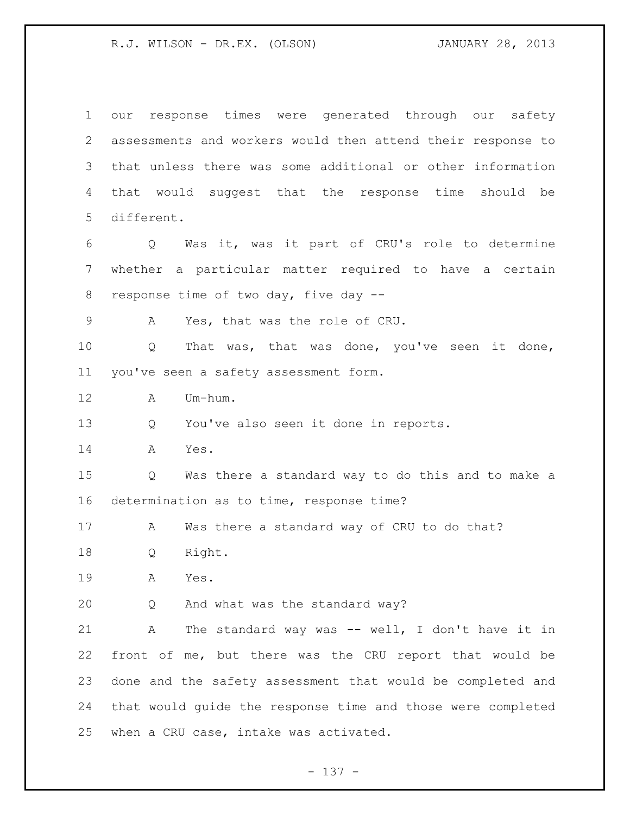our response times were generated through our safety assessments and workers would then attend their response to that unless there was some additional or other information that would suggest that the response time should be different. Q Was it, was it part of CRU's role to determine whether a particular matter required to have a certain response time of two day, five day -- A Yes, that was the role of CRU. Q That was, that was done, you've seen it done, you've seen a safety assessment form. A Um-hum. Q You've also seen it done in reports. A Yes. Q Was there a standard way to do this and to make a determination as to time, response time? A Was there a standard way of CRU to do that? Q Right. A Yes. Q And what was the standard way? A The standard way was -- well, I don't have it in front of me, but there was the CRU report that would be done and the safety assessment that would be completed and that would guide the response time and those were completed when a CRU case, intake was activated.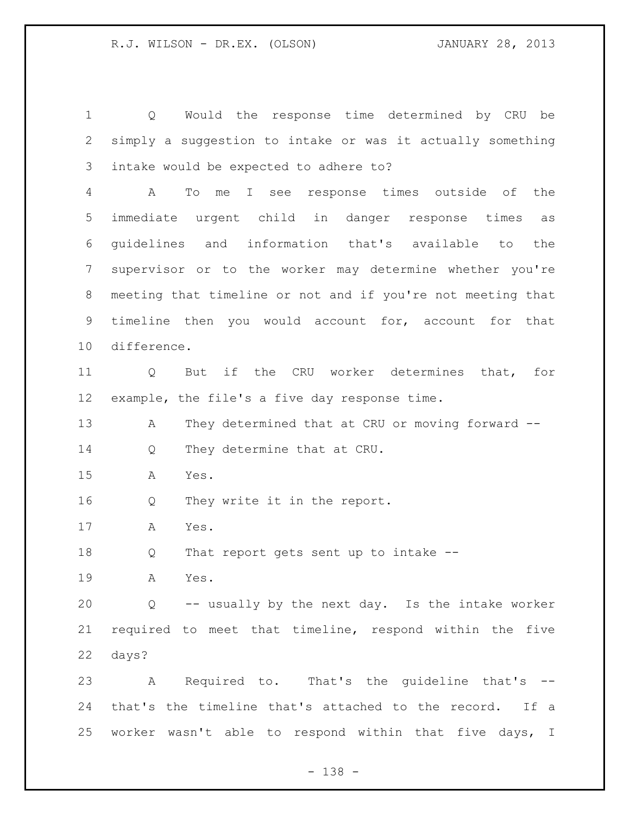Q Would the response time determined by CRU be simply a suggestion to intake or was it actually something intake would be expected to adhere to?

 A To me I see response times outside of the immediate urgent child in danger response times as guidelines and information that's available to the supervisor or to the worker may determine whether you're meeting that timeline or not and if you're not meeting that timeline then you would account for, account for that difference.

 Q But if the CRU worker determines that, for example, the file's a five day response time.

13 A They determined that at CRU or moving forward --14 Q They determine that at CRU.

A Yes.

Q They write it in the report.

A Yes.

Q That report gets sent up to intake --

A Yes.

 Q -- usually by the next day. Is the intake worker required to meet that timeline, respond within the five days?

 A Required to. That's the guideline that's -- that's the timeline that's attached to the record. If a worker wasn't able to respond within that five days, I

- 138 -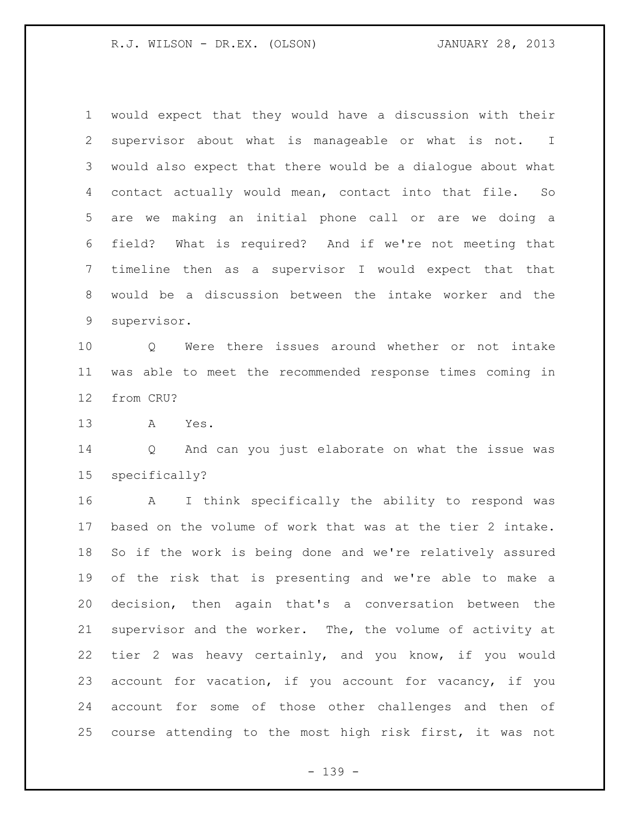would expect that they would have a discussion with their supervisor about what is manageable or what is not. I would also expect that there would be a dialogue about what contact actually would mean, contact into that file. So are we making an initial phone call or are we doing a field? What is required? And if we're not meeting that timeline then as a supervisor I would expect that that would be a discussion between the intake worker and the supervisor.

 Q Were there issues around whether or not intake was able to meet the recommended response times coming in from CRU?

A Yes.

 Q And can you just elaborate on what the issue was specifically?

 A I think specifically the ability to respond was based on the volume of work that was at the tier 2 intake. So if the work is being done and we're relatively assured of the risk that is presenting and we're able to make a decision, then again that's a conversation between the supervisor and the worker. The, the volume of activity at tier 2 was heavy certainly, and you know, if you would account for vacation, if you account for vacancy, if you account for some of those other challenges and then of course attending to the most high risk first, it was not

- 139 -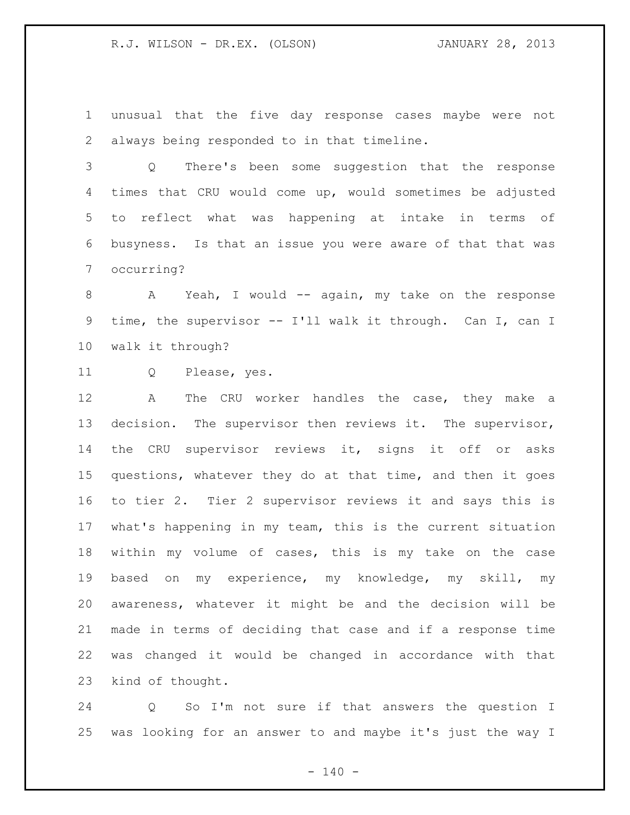unusual that the five day response cases maybe were not always being responded to in that timeline.

 Q There's been some suggestion that the response times that CRU would come up, would sometimes be adjusted to reflect what was happening at intake in terms of busyness. Is that an issue you were aware of that that was occurring?

8 A Yeah, I would -- again, my take on the response time, the supervisor -- I'll walk it through. Can I, can I walk it through?

Q Please, yes.

 A The CRU worker handles the case, they make a decision. The supervisor then reviews it. The supervisor, the CRU supervisor reviews it, signs it off or asks questions, whatever they do at that time, and then it goes to tier 2. Tier 2 supervisor reviews it and says this is what's happening in my team, this is the current situation within my volume of cases, this is my take on the case based on my experience, my knowledge, my skill, my awareness, whatever it might be and the decision will be made in terms of deciding that case and if a response time was changed it would be changed in accordance with that kind of thought.

 Q So I'm not sure if that answers the question I was looking for an answer to and maybe it's just the way I

 $- 140 -$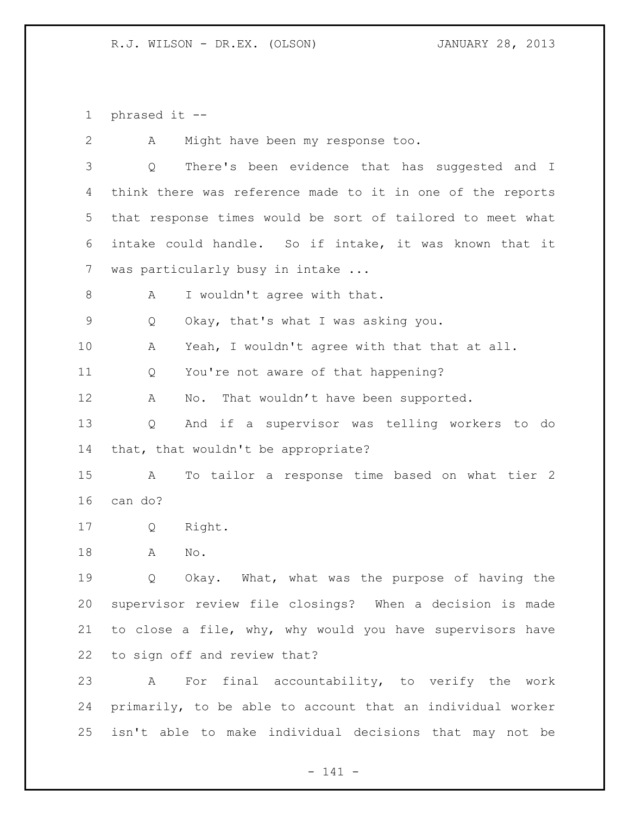phrased it --

 A Might have been my response too. Q There's been evidence that has suggested and I think there was reference made to it in one of the reports that response times would be sort of tailored to meet what intake could handle. So if intake, it was known that it was particularly busy in intake ... 8 A I wouldn't agree with that. Q Okay, that's what I was asking you. 10 A Yeah, I wouldn't agree with that that at all. Q You're not aware of that happening? 12 A No. That wouldn't have been supported. Q And if a supervisor was telling workers to do that, that wouldn't be appropriate? A To tailor a response time based on what tier 2 can do? Q Right. A No. Q Okay. What, what was the purpose of having the supervisor review file closings? When a decision is made to close a file, why, why would you have supervisors have to sign off and review that? A For final accountability, to verify the work primarily, to be able to account that an individual worker isn't able to make individual decisions that may not be

- 141 -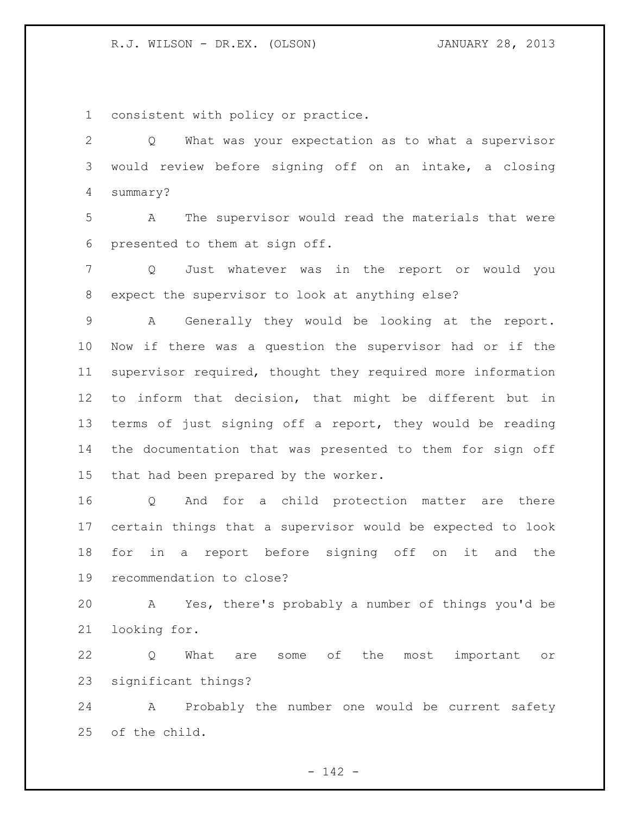consistent with policy or practice.

 Q What was your expectation as to what a supervisor would review before signing off on an intake, a closing summary?

 A The supervisor would read the materials that were presented to them at sign off.

 Q Just whatever was in the report or would you expect the supervisor to look at anything else?

 A Generally they would be looking at the report. Now if there was a question the supervisor had or if the supervisor required, thought they required more information to inform that decision, that might be different but in terms of just signing off a report, they would be reading the documentation that was presented to them for sign off that had been prepared by the worker.

 Q And for a child protection matter are there certain things that a supervisor would be expected to look for in a report before signing off on it and the recommendation to close?

 A Yes, there's probably a number of things you'd be looking for.

 Q What are some of the most important or significant things?

 A Probably the number one would be current safety of the child.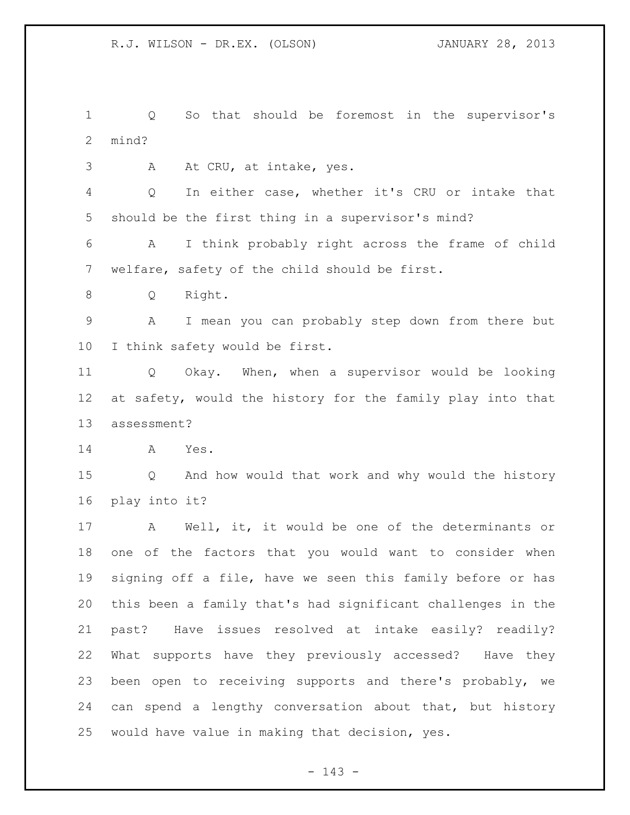Q So that should be foremost in the supervisor's mind?

3 A At CRU, at intake, yes.

 Q In either case, whether it's CRU or intake that should be the first thing in a supervisor's mind?

 A I think probably right across the frame of child welfare, safety of the child should be first.

8 Q Right.

 A I mean you can probably step down from there but I think safety would be first.

 Q Okay. When, when a supervisor would be looking at safety, would the history for the family play into that assessment?

A Yes.

 Q And how would that work and why would the history play into it?

 A Well, it, it would be one of the determinants or one of the factors that you would want to consider when signing off a file, have we seen this family before or has this been a family that's had significant challenges in the past? Have issues resolved at intake easily? readily? What supports have they previously accessed? Have they been open to receiving supports and there's probably, we can spend a lengthy conversation about that, but history would have value in making that decision, yes.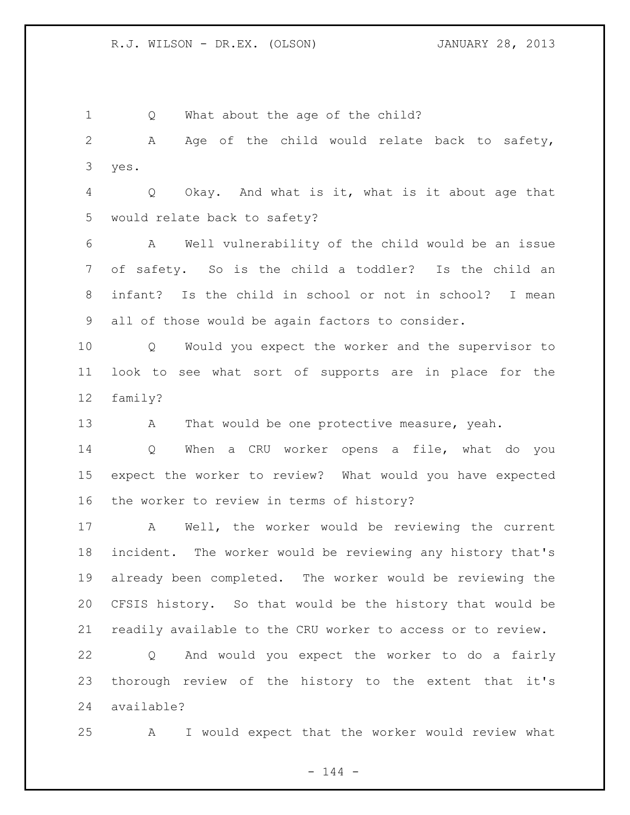1 Q What about the age of the child?

 A Age of the child would relate back to safety, yes.

 Q Okay. And what is it, what is it about age that would relate back to safety?

 A Well vulnerability of the child would be an issue of safety. So is the child a toddler? Is the child an infant? Is the child in school or not in school? I mean all of those would be again factors to consider.

 Q Would you expect the worker and the supervisor to look to see what sort of supports are in place for the family?

13 A That would be one protective measure, yeah.

 Q When a CRU worker opens a file, what do you expect the worker to review? What would you have expected the worker to review in terms of history?

 A Well, the worker would be reviewing the current incident. The worker would be reviewing any history that's already been completed. The worker would be reviewing the CFSIS history. So that would be the history that would be readily available to the CRU worker to access or to review.

 Q And would you expect the worker to do a fairly thorough review of the history to the extent that it's available?

A I would expect that the worker would review what

 $- 144 -$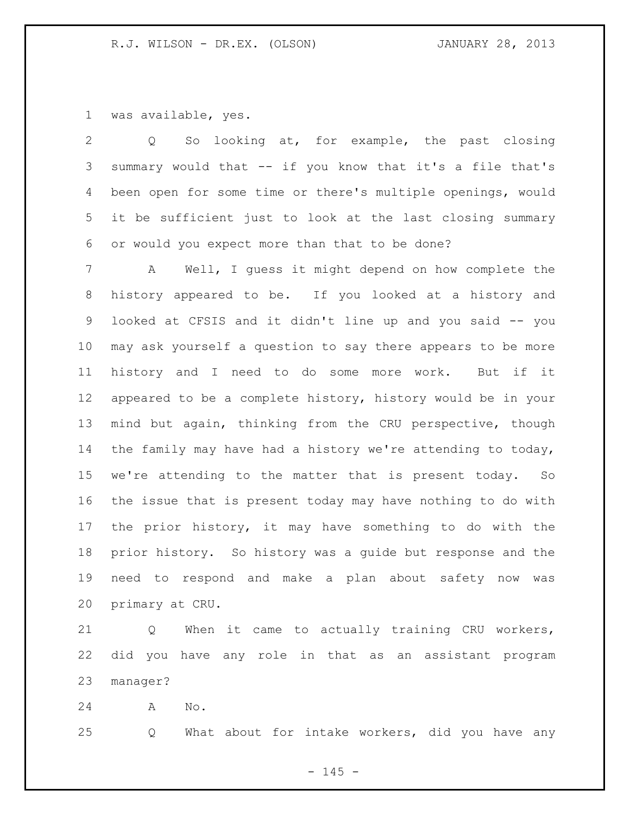was available, yes.

 Q So looking at, for example, the past closing summary would that -- if you know that it's a file that's been open for some time or there's multiple openings, would it be sufficient just to look at the last closing summary or would you expect more than that to be done?

 A Well, I guess it might depend on how complete the history appeared to be. If you looked at a history and looked at CFSIS and it didn't line up and you said -- you may ask yourself a question to say there appears to be more history and I need to do some more work. But if it appeared to be a complete history, history would be in your mind but again, thinking from the CRU perspective, though the family may have had a history we're attending to today, we're attending to the matter that is present today. So the issue that is present today may have nothing to do with the prior history, it may have something to do with the prior history. So history was a guide but response and the need to respond and make a plan about safety now was primary at CRU.

 Q When it came to actually training CRU workers, did you have any role in that as an assistant program manager?

A No.

Q What about for intake workers, did you have any

 $- 145 -$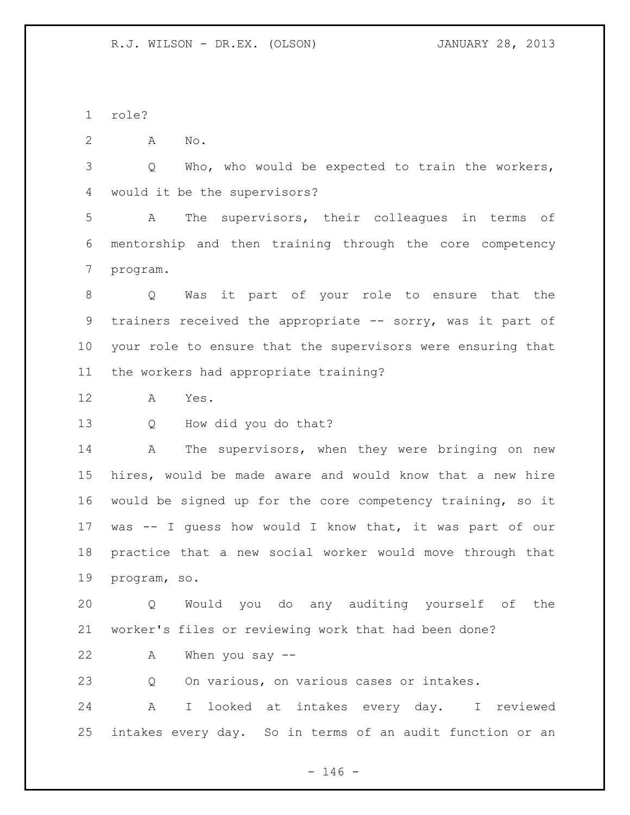role?

A No.

 Q Who, who would be expected to train the workers, would it be the supervisors?

 A The supervisors, their colleagues in terms of mentorship and then training through the core competency program.

 Q Was it part of your role to ensure that the 9 trainers received the appropriate -- sorry, was it part of your role to ensure that the supervisors were ensuring that the workers had appropriate training?

A Yes.

Q How did you do that?

14 A The supervisors, when they were bringing on new hires, would be made aware and would know that a new hire would be signed up for the core competency training, so it was -- I guess how would I know that, it was part of our practice that a new social worker would move through that program, so.

 Q Would you do any auditing yourself of the worker's files or reviewing work that had been done?

A When you say --

Q On various, on various cases or intakes.

 A I looked at intakes every day. I reviewed intakes every day. So in terms of an audit function or an

 $- 146 -$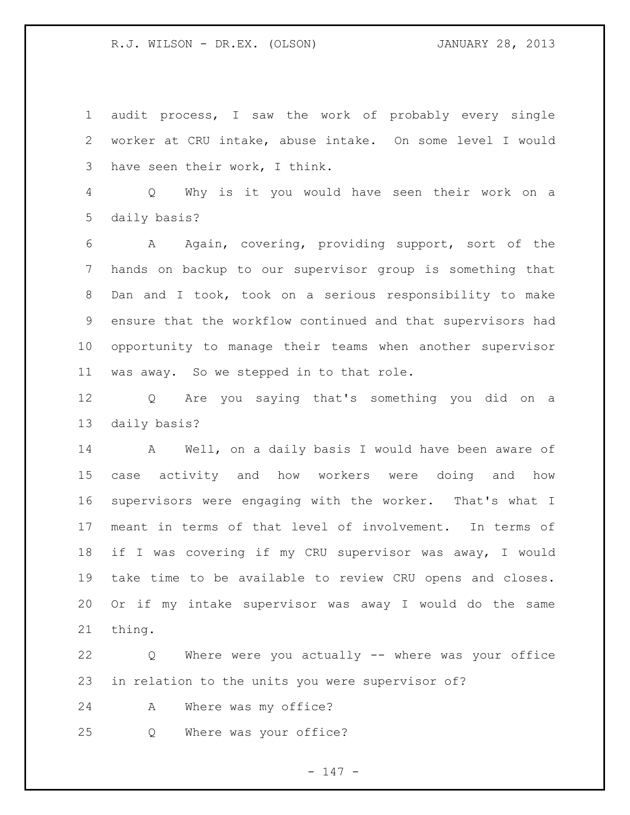audit process, I saw the work of probably every single worker at CRU intake, abuse intake. On some level I would have seen their work, I think.

 Q Why is it you would have seen their work on a daily basis?

 A Again, covering, providing support, sort of the hands on backup to our supervisor group is something that Dan and I took, took on a serious responsibility to make ensure that the workflow continued and that supervisors had opportunity to manage their teams when another supervisor was away. So we stepped in to that role.

 Q Are you saying that's something you did on a daily basis?

 A Well, on a daily basis I would have been aware of case activity and how workers were doing and how supervisors were engaging with the worker. That's what I meant in terms of that level of involvement. In terms of if I was covering if my CRU supervisor was away, I would take time to be available to review CRU opens and closes. Or if my intake supervisor was away I would do the same thing.

 Q Where were you actually -- where was your office in relation to the units you were supervisor of?

A Where was my office?

Q Where was your office?

 $- 147 -$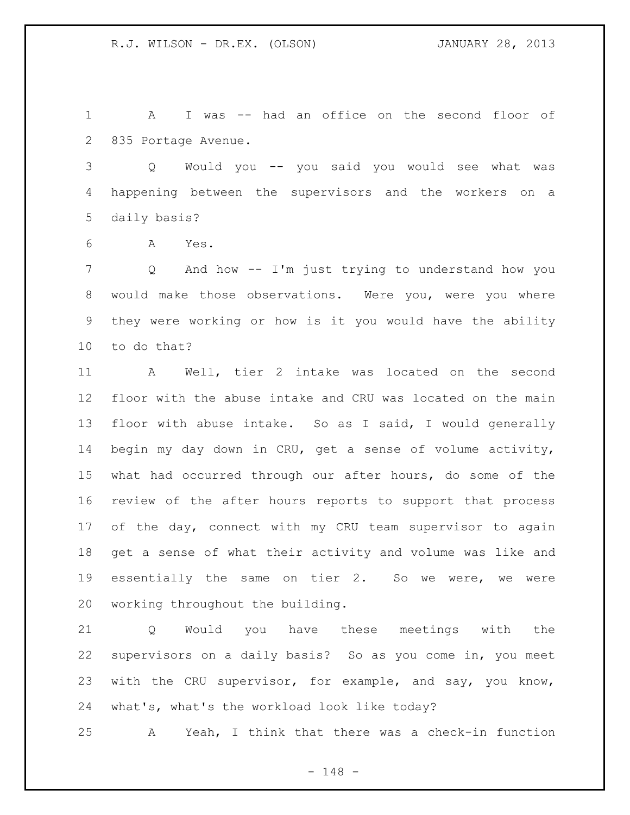A I was -- had an office on the second floor of 835 Portage Avenue.

 Q Would you -- you said you would see what was happening between the supervisors and the workers on a daily basis?

A Yes.

 Q And how -- I'm just trying to understand how you would make those observations. Were you, were you where they were working or how is it you would have the ability to do that?

 A Well, tier 2 intake was located on the second floor with the abuse intake and CRU was located on the main floor with abuse intake. So as I said, I would generally begin my day down in CRU, get a sense of volume activity, what had occurred through our after hours, do some of the review of the after hours reports to support that process 17 of the day, connect with my CRU team supervisor to again get a sense of what their activity and volume was like and essentially the same on tier 2. So we were, we were working throughout the building.

 Q Would you have these meetings with the supervisors on a daily basis? So as you come in, you meet with the CRU supervisor, for example, and say, you know, what's, what's the workload look like today?

A Yeah, I think that there was a check-in function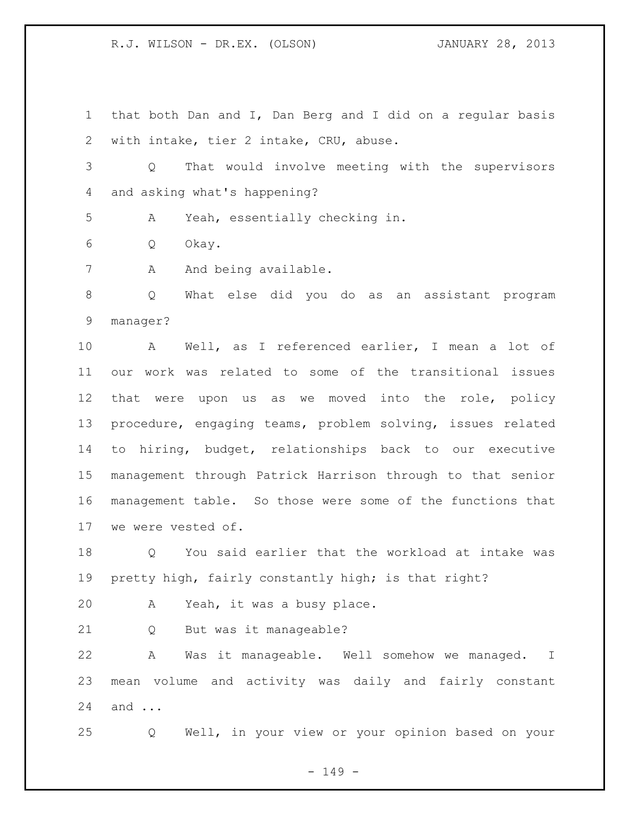that both Dan and I, Dan Berg and I did on a regular basis with intake, tier 2 intake, CRU, abuse.

 Q That would involve meeting with the supervisors and asking what's happening?

A Yeah, essentially checking in.

Q Okay.

7 A And being available.

 Q What else did you do as an assistant program manager?

 A Well, as I referenced earlier, I mean a lot of our work was related to some of the transitional issues that were upon us as we moved into the role, policy procedure, engaging teams, problem solving, issues related to hiring, budget, relationships back to our executive management through Patrick Harrison through to that senior management table. So those were some of the functions that we were vested of.

 Q You said earlier that the workload at intake was 19 pretty high, fairly constantly high; is that right?

A Yeah, it was a busy place.

Q But was it manageable?

 A Was it manageable. Well somehow we managed. I mean volume and activity was daily and fairly constant and ...

Q Well, in your view or your opinion based on your

- 149 -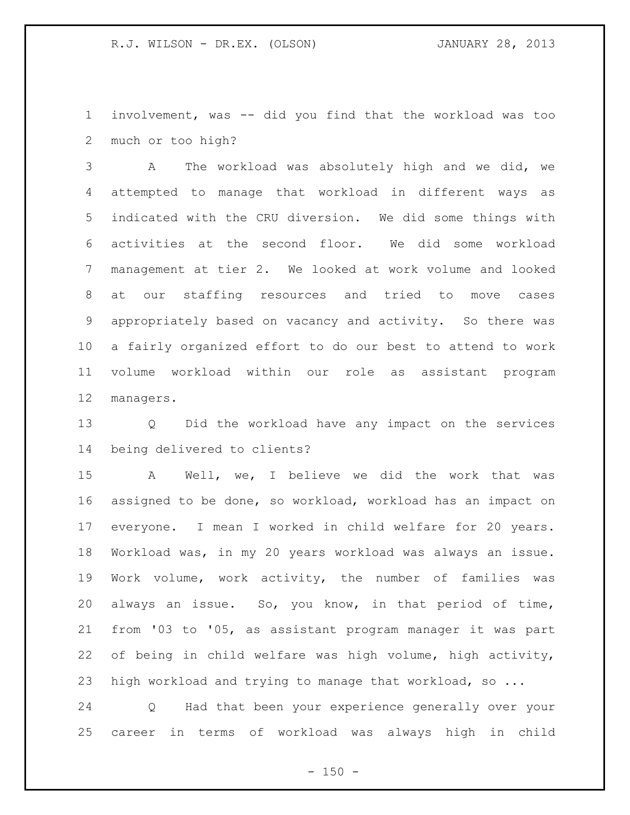involvement, was -- did you find that the workload was too much or too high?

 A The workload was absolutely high and we did, we attempted to manage that workload in different ways as indicated with the CRU diversion. We did some things with activities at the second floor. We did some workload management at tier 2. We looked at work volume and looked at our staffing resources and tried to move cases appropriately based on vacancy and activity. So there was a fairly organized effort to do our best to attend to work volume workload within our role as assistant program managers.

 Q Did the workload have any impact on the services being delivered to clients?

 A Well, we, I believe we did the work that was assigned to be done, so workload, workload has an impact on everyone. I mean I worked in child welfare for 20 years. Workload was, in my 20 years workload was always an issue. Work volume, work activity, the number of families was always an issue. So, you know, in that period of time, from '03 to '05, as assistant program manager it was part of being in child welfare was high volume, high activity, high workload and trying to manage that workload, so ...

 Q Had that been your experience generally over your career in terms of workload was always high in child

 $- 150 -$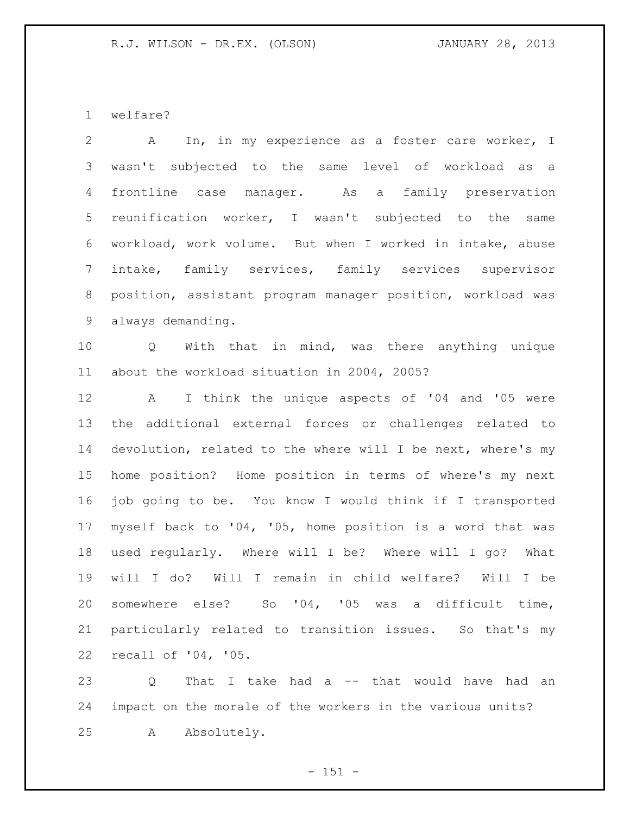welfare?

| $\mathbf{2}$    | In, in my experience as a foster care worker, I<br>$\mathbf{A}$ |
|-----------------|-----------------------------------------------------------------|
| 3               | wasn't subjected to the same level of workload as a             |
| $\overline{4}$  | frontline case manager. As a family preservation                |
| 5               | reunification worker, I wasn't subjected to the same            |
| 6               | workload, work volume. But when I worked in intake, abuse       |
| $7\overline{ }$ | intake, family services, family services supervisor             |
| 8               | position, assistant program manager position, workload was      |
| 9               | always demanding.                                               |
| 10              | Q With that in mind, was there anything unique                  |
| 11              | about the workload situation in 2004, 2005?                     |
| 12              | A I think the unique aspects of '04 and '05 were                |
| 13              | the additional external forces or challenges related to         |
| 14              | devolution, related to the where will I be next, where's my     |
| 15              | home position? Home position in terms of where's my next        |
| 16              | job going to be. You know I would think if I transported        |
| 17              | myself back to '04, '05, home position is a word that was       |
| 18              | used regularly. Where will I be? Where will I go? What          |
| 19              | will I do? Will I remain in child welfare? Will I be            |
| 20              | somewhere else? So '04, '05 was a difficult time,               |
| 21              | particularly related to transition issues. So that's my         |
| 22              | recall of '04, '05.                                             |
| 23              | That I take had a -- that would have had an<br>Q                |

 impact on the morale of the workers in the various units? A Absolutely.

- 151 -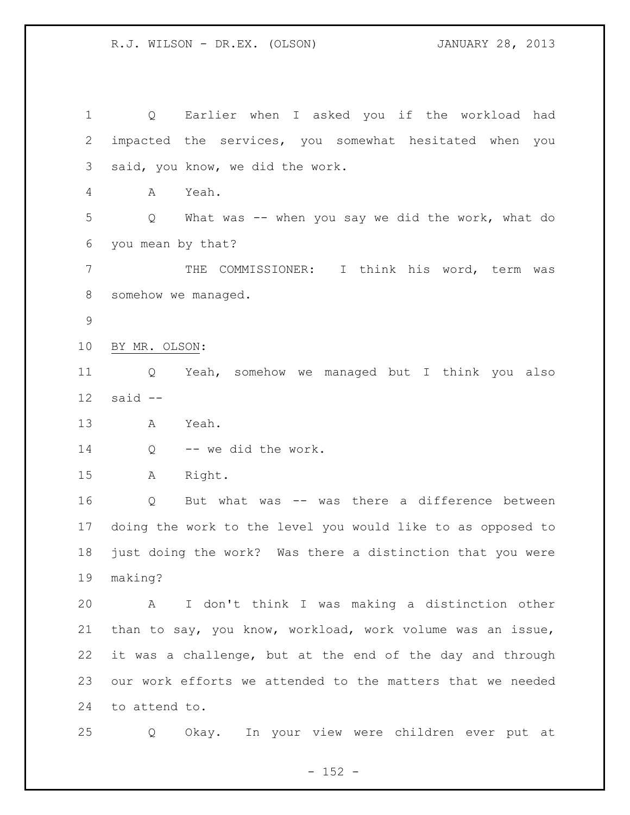Q Earlier when I asked you if the workload had impacted the services, you somewhat hesitated when you said, you know, we did the work. A Yeah. Q What was -- when you say we did the work, what do you mean by that? THE COMMISSIONER: I think his word, term was somehow we managed. BY MR. OLSON: Q Yeah, somehow we managed but I think you also said -- A Yeah. 14 Q -- we did the work. A Right. Q But what was -- was there a difference between doing the work to the level you would like to as opposed to just doing the work? Was there a distinction that you were making? A I don't think I was making a distinction other than to say, you know, workload, work volume was an issue, it was a challenge, but at the end of the day and through our work efforts we attended to the matters that we needed to attend to. Q Okay. In your view were children ever put at

 $- 152 -$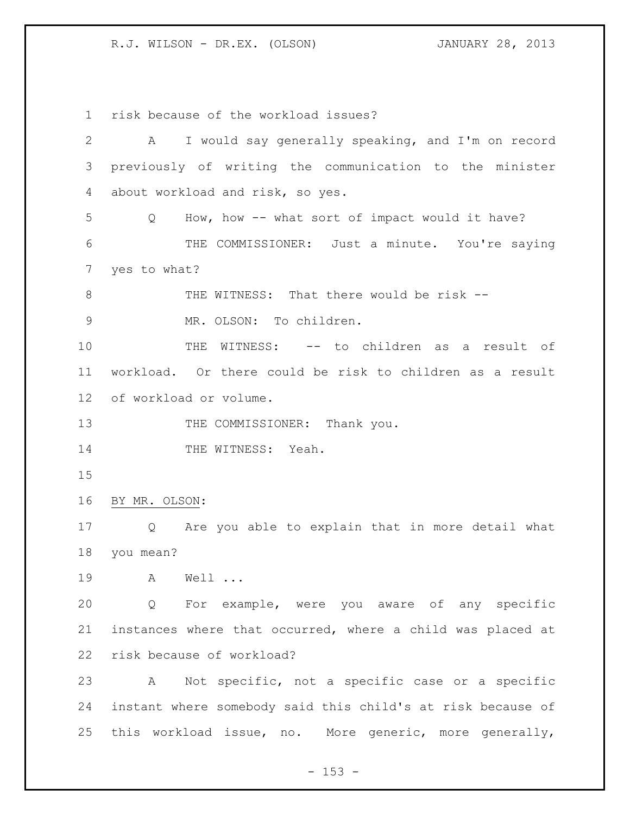risk because of the workload issues? A I would say generally speaking, and I'm on record previously of writing the communication to the minister about workload and risk, so yes. Q How, how -- what sort of impact would it have? THE COMMISSIONER: Just a minute. You're saying yes to what? 8 THE WITNESS: That there would be risk -- MR. OLSON: To children. THE WITNESS: -- to children as a result of workload. Or there could be risk to children as a result of workload or volume. 13 THE COMMISSIONER: Thank you. 14 THE WITNESS: Yeah. BY MR. OLSON: Q Are you able to explain that in more detail what you mean? A Well ... Q For example, were you aware of any specific instances where that occurred, where a child was placed at risk because of workload? A Not specific, not a specific case or a specific instant where somebody said this child's at risk because of this workload issue, no. More generic, more generally,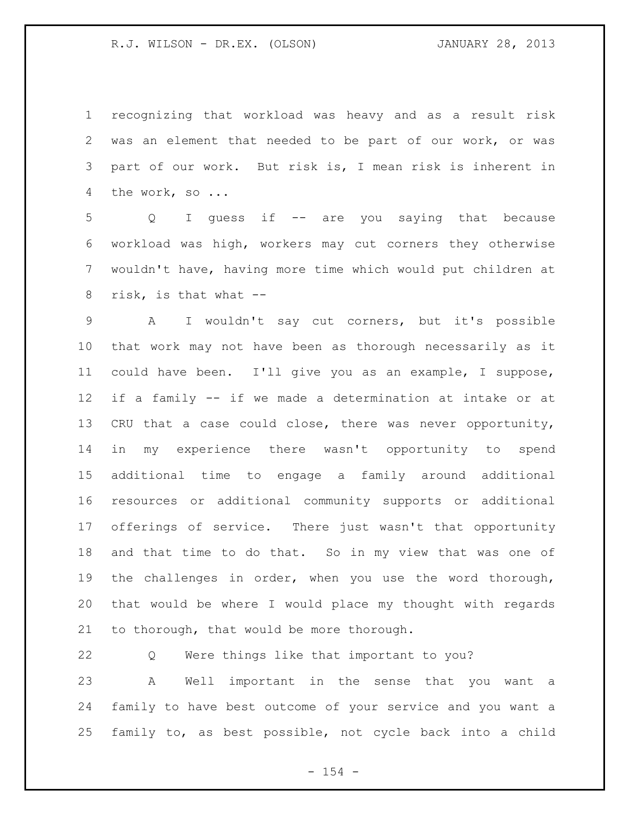recognizing that workload was heavy and as a result risk was an element that needed to be part of our work, or was part of our work. But risk is, I mean risk is inherent in the work, so ...

 Q I guess if -- are you saying that because workload was high, workers may cut corners they otherwise wouldn't have, having more time which would put children at risk, is that what --

 A I wouldn't say cut corners, but it's possible that work may not have been as thorough necessarily as it could have been. I'll give you as an example, I suppose, if a family -- if we made a determination at intake or at CRU that a case could close, there was never opportunity, in my experience there wasn't opportunity to spend additional time to engage a family around additional resources or additional community supports or additional offerings of service. There just wasn't that opportunity and that time to do that. So in my view that was one of the challenges in order, when you use the word thorough, that would be where I would place my thought with regards to thorough, that would be more thorough.

 Q Were things like that important to you? A Well important in the sense that you want a family to have best outcome of your service and you want a family to, as best possible, not cycle back into a child

 $- 154 -$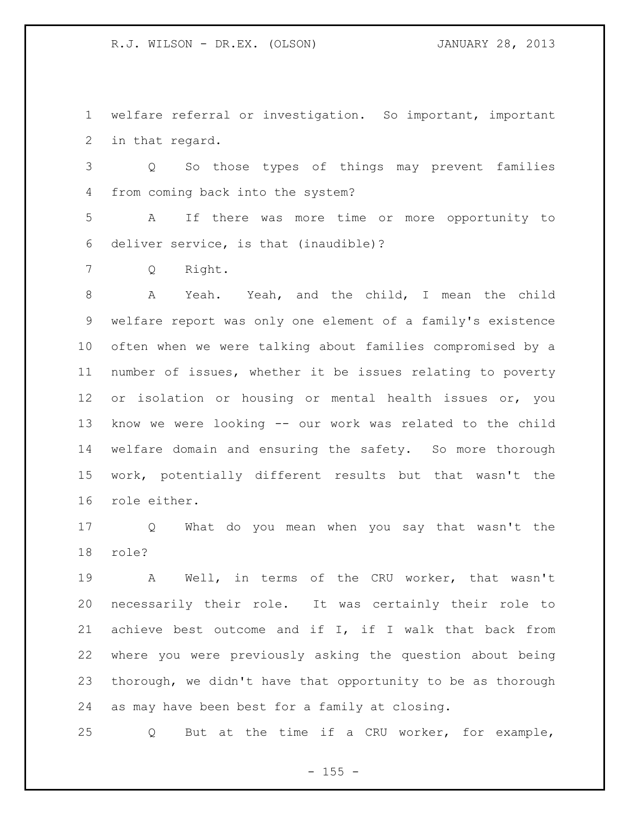welfare referral or investigation. So important, important in that regard.

 Q So those types of things may prevent families from coming back into the system?

 A If there was more time or more opportunity to deliver service, is that (inaudible)?

Q Right.

 A Yeah. Yeah, and the child, I mean the child welfare report was only one element of a family's existence often when we were talking about families compromised by a number of issues, whether it be issues relating to poverty or isolation or housing or mental health issues or, you know we were looking -- our work was related to the child welfare domain and ensuring the safety. So more thorough work, potentially different results but that wasn't the role either.

 Q What do you mean when you say that wasn't the role?

 A Well, in terms of the CRU worker, that wasn't necessarily their role. It was certainly their role to achieve best outcome and if I, if I walk that back from where you were previously asking the question about being thorough, we didn't have that opportunity to be as thorough as may have been best for a family at closing.

Q But at the time if a CRU worker, for example,

 $- 155 -$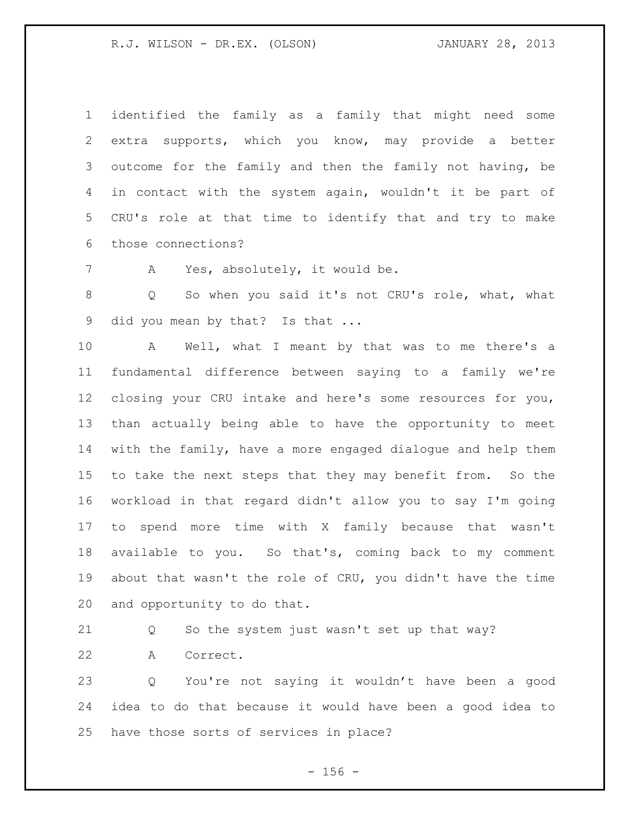identified the family as a family that might need some extra supports, which you know, may provide a better outcome for the family and then the family not having, be in contact with the system again, wouldn't it be part of CRU's role at that time to identify that and try to make those connections?

A Yes, absolutely, it would be.

 Q So when you said it's not CRU's role, what, what 9 did you mean by that? Is that ...

 A Well, what I meant by that was to me there's a fundamental difference between saying to a family we're closing your CRU intake and here's some resources for you, than actually being able to have the opportunity to meet with the family, have a more engaged dialogue and help them to take the next steps that they may benefit from. So the workload in that regard didn't allow you to say I'm going to spend more time with X family because that wasn't available to you. So that's, coming back to my comment about that wasn't the role of CRU, you didn't have the time and opportunity to do that.

Q So the system just wasn't set up that way?

A Correct.

 Q You're not saying it wouldn't have been a good idea to do that because it would have been a good idea to have those sorts of services in place?

 $- 156 -$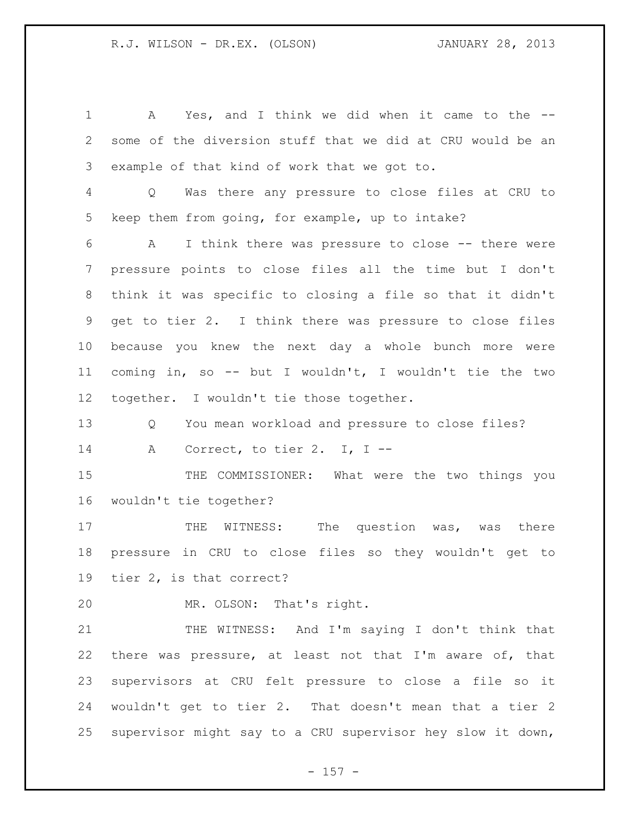A Yes, and I think we did when it came to the -- some of the diversion stuff that we did at CRU would be an example of that kind of work that we got to. Q Was there any pressure to close files at CRU to keep them from going, for example, up to intake? A I think there was pressure to close -- there were pressure points to close files all the time but I don't think it was specific to closing a file so that it didn't get to tier 2. I think there was pressure to close files because you knew the next day a whole bunch more were coming in, so -- but I wouldn't, I wouldn't tie the two together. I wouldn't tie those together. Q You mean workload and pressure to close files? A Correct, to tier 2. I, I -- 15 THE COMMISSIONER: What were the two things you wouldn't tie together? 17 THE WITNESS: The question was, was there pressure in CRU to close files so they wouldn't get to tier 2, is that correct? MR. OLSON: That's right.

 THE WITNESS: And I'm saying I don't think that there was pressure, at least not that I'm aware of, that supervisors at CRU felt pressure to close a file so it wouldn't get to tier 2. That doesn't mean that a tier 2 supervisor might say to a CRU supervisor hey slow it down,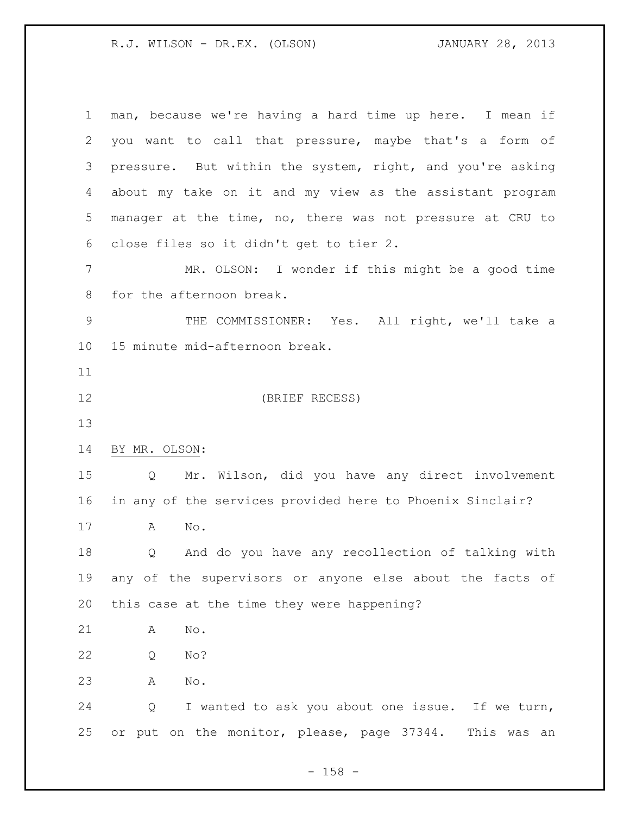| 1              | man, because we're having a hard time up here. I mean if  |
|----------------|-----------------------------------------------------------|
| $\overline{2}$ | you want to call that pressure, maybe that's a form of    |
| 3              | pressure. But within the system, right, and you're asking |
| 4              | about my take on it and my view as the assistant program  |
| 5              | manager at the time, no, there was not pressure at CRU to |
| 6              | close files so it didn't get to tier 2.                   |
| 7              | MR. OLSON: I wonder if this might be a good time          |
| $8\,$          | for the afternoon break.                                  |
| $\mathsf 9$    | THE COMMISSIONER: Yes. All right, we'll take a            |
| 10             | 15 minute mid-afternoon break.                            |
| 11             |                                                           |
| 12             | (BRIEF RECESS)                                            |
| 13             |                                                           |
| 14             | BY MR. OLSON:                                             |
|                |                                                           |
| 15             | Mr. Wilson, did you have any direct involvement<br>Q      |
| 16             | in any of the services provided here to Phoenix Sinclair? |
| 17             | No.<br>A                                                  |
| 18             | And do you have any recollection of talking with<br>Q     |
| 19             | any of the supervisors or anyone else about the facts of  |
| 20             | this case at the time they were happening?                |
| 21             | No.<br>A                                                  |
| 22             | No?<br>Q                                                  |
| 23             | Α<br>No.                                                  |
| 24             | I wanted to ask you about one issue. If we turn,<br>Q     |

- 158 -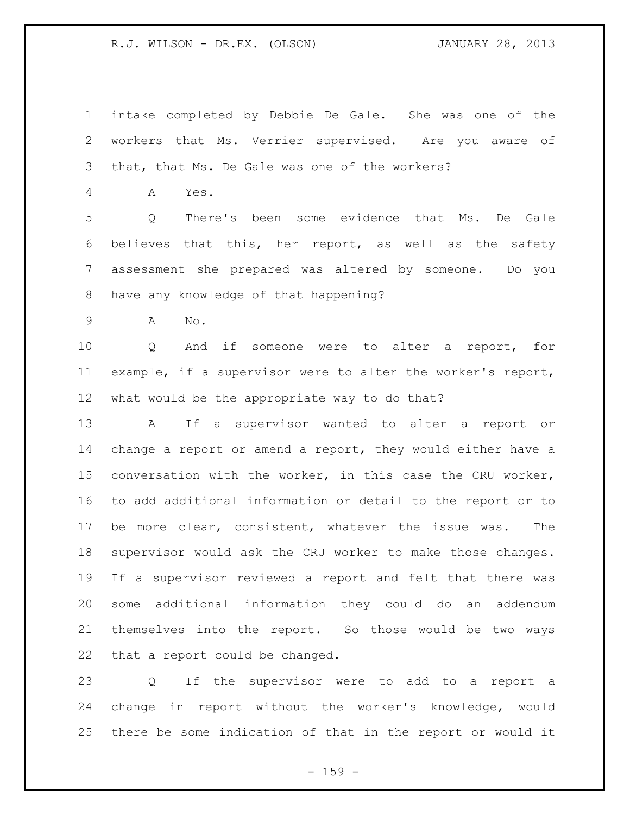intake completed by Debbie De Gale. She was one of the workers that Ms. Verrier supervised. Are you aware of that, that Ms. De Gale was one of the workers?

A Yes.

 Q There's been some evidence that Ms. De Gale believes that this, her report, as well as the safety assessment she prepared was altered by someone. Do you have any knowledge of that happening?

A No.

 Q And if someone were to alter a report, for example, if a supervisor were to alter the worker's report, what would be the appropriate way to do that?

 A If a supervisor wanted to alter a report or change a report or amend a report, they would either have a conversation with the worker, in this case the CRU worker, to add additional information or detail to the report or to be more clear, consistent, whatever the issue was. The supervisor would ask the CRU worker to make those changes. If a supervisor reviewed a report and felt that there was some additional information they could do an addendum themselves into the report. So those would be two ways that a report could be changed.

 Q If the supervisor were to add to a report a change in report without the worker's knowledge, would there be some indication of that in the report or would it

- 159 -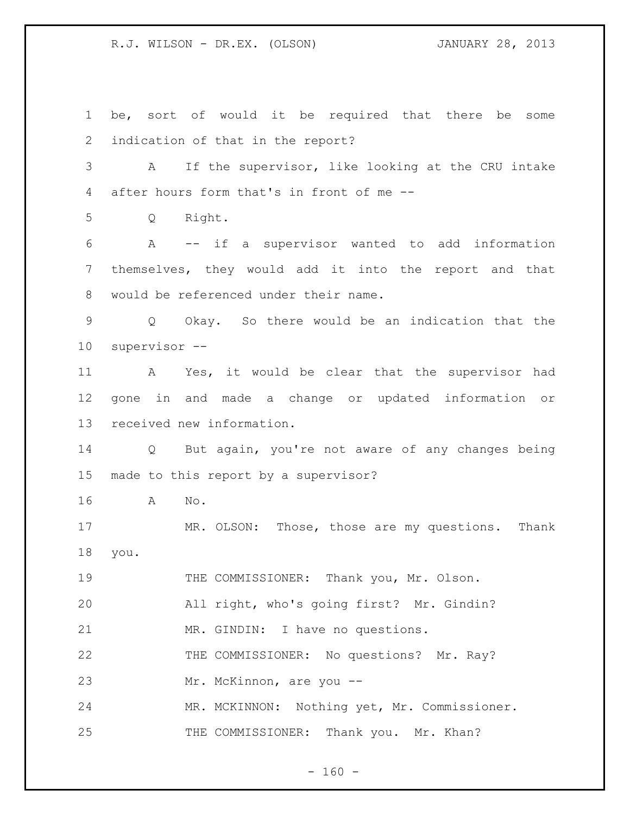be, sort of would it be required that there be some indication of that in the report? A If the supervisor, like looking at the CRU intake after hours form that's in front of me -- Q Right. A -- if a supervisor wanted to add information themselves, they would add it into the report and that would be referenced under their name. Q Okay. So there would be an indication that the supervisor -- A Yes, it would be clear that the supervisor had gone in and made a change or updated information or received new information. Q But again, you're not aware of any changes being made to this report by a supervisor? A No. MR. OLSON: Those, those are my questions. Thank you. THE COMMISSIONER: Thank you, Mr. Olson. All right, who's going first? Mr. Gindin? MR. GINDIN: I have no questions. THE COMMISSIONER: No questions? Mr. Ray? Mr. McKinnon, are you -- MR. MCKINNON: Nothing yet, Mr. Commissioner. 25 THE COMMISSIONER: Thank you. Mr. Khan?

 $- 160 -$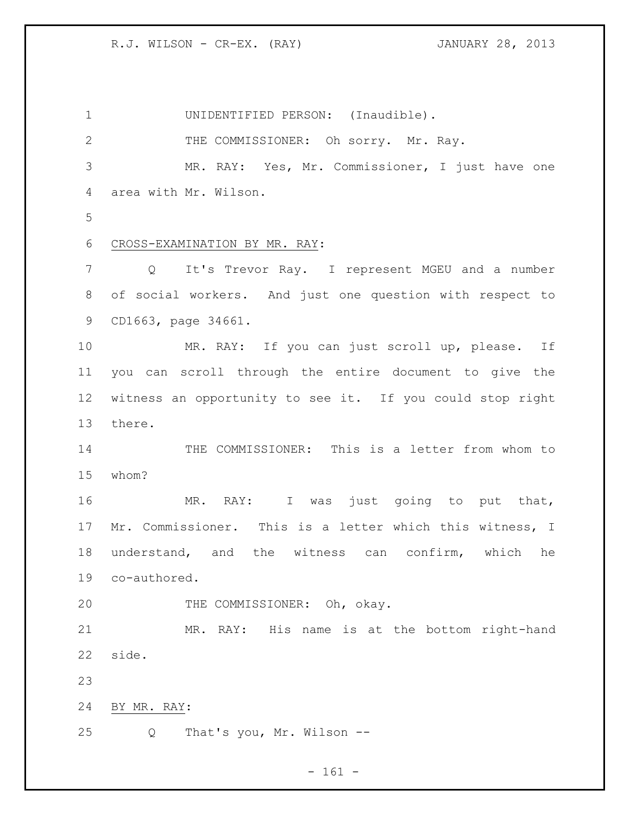R.J. WILSON - CR-EX. (RAY) JANUARY 28, 2013

 UNIDENTIFIED PERSON: (Inaudible). 2 THE COMMISSIONER: Oh sorry. Mr. Ray. MR. RAY: Yes, Mr. Commissioner, I just have one area with Mr. Wilson. CROSS-EXAMINATION BY MR. RAY: Q It's Trevor Ray. I represent MGEU and a number of social workers. And just one question with respect to CD1663, page 34661. MR. RAY: If you can just scroll up, please. If you can scroll through the entire document to give the witness an opportunity to see it. If you could stop right there. THE COMMISSIONER: This is a letter from whom to whom? MR. RAY: I was just going to put that, Mr. Commissioner. This is a letter which this witness, I understand, and the witness can confirm, which he co-authored. THE COMMISSIONER: Oh, okay. MR. RAY: His name is at the bottom right-hand side. BY MR. RAY: Q That's you, Mr. Wilson --

 $- 161 -$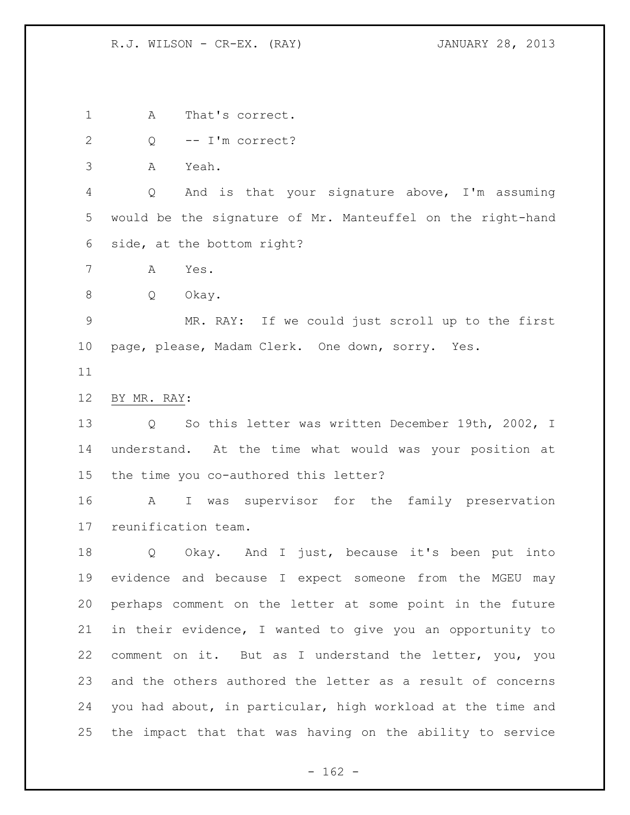R.J. WILSON - CR-EX. (RAY) JANUARY 28, 2013

A That's correct.

Q -- I'm correct?

A Yeah.

 Q And is that your signature above, I'm assuming would be the signature of Mr. Manteuffel on the right-hand side, at the bottom right?

A Yes.

Q Okay.

 MR. RAY: If we could just scroll up to the first page, please, Madam Clerk. One down, sorry. Yes.

BY MR. RAY:

 Q So this letter was written December 19th, 2002, I understand. At the time what would was your position at the time you co-authored this letter?

 A I was supervisor for the family preservation reunification team.

 Q Okay. And I just, because it's been put into evidence and because I expect someone from the MGEU may perhaps comment on the letter at some point in the future in their evidence, I wanted to give you an opportunity to comment on it. But as I understand the letter, you, you and the others authored the letter as a result of concerns you had about, in particular, high workload at the time and the impact that that was having on the ability to service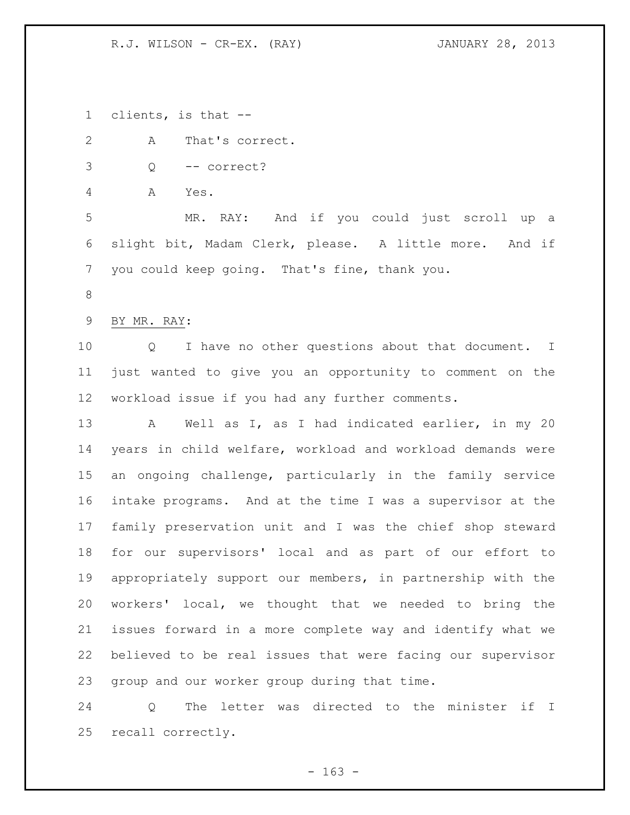R.J. WILSON - CR-EX. (RAY) JANUARY 28, 2013

clients, is that --

 A That's correct. Q -- correct? A Yes. MR. RAY: And if you could just scroll up a slight bit, Madam Clerk, please. A little more. And if you could keep going. That's fine, thank you. BY MR. RAY: Q I have no other questions about that document. I just wanted to give you an opportunity to comment on the workload issue if you had any further comments. A Well as I, as I had indicated earlier, in my 20 years in child welfare, workload and workload demands were an ongoing challenge, particularly in the family service intake programs. And at the time I was a supervisor at the family preservation unit and I was the chief shop steward for our supervisors' local and as part of our effort to appropriately support our members, in partnership with the workers' local, we thought that we needed to bring the issues forward in a more complete way and identify what we believed to be real issues that were facing our supervisor group and our worker group during that time.

 Q The letter was directed to the minister if I recall correctly.

 $- 163 -$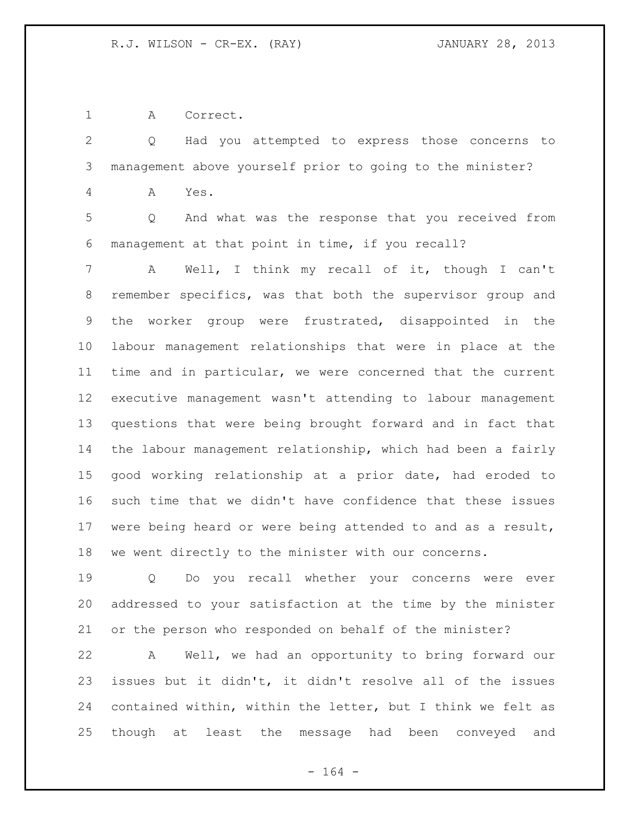A Correct.

 Q Had you attempted to express those concerns to management above yourself prior to going to the minister? A Yes. Q And what was the response that you received from management at that point in time, if you recall? A Well, I think my recall of it, though I can't remember specifics, was that both the supervisor group and the worker group were frustrated, disappointed in the labour management relationships that were in place at the time and in particular, we were concerned that the current executive management wasn't attending to labour management questions that were being brought forward and in fact that the labour management relationship, which had been a fairly good working relationship at a prior date, had eroded to such time that we didn't have confidence that these issues were being heard or were being attended to and as a result, we went directly to the minister with our concerns. Q Do you recall whether your concerns were ever

 addressed to your satisfaction at the time by the minister or the person who responded on behalf of the minister?

 A Well, we had an opportunity to bring forward our issues but it didn't, it didn't resolve all of the issues contained within, within the letter, but I think we felt as though at least the message had been conveyed and

- 164 -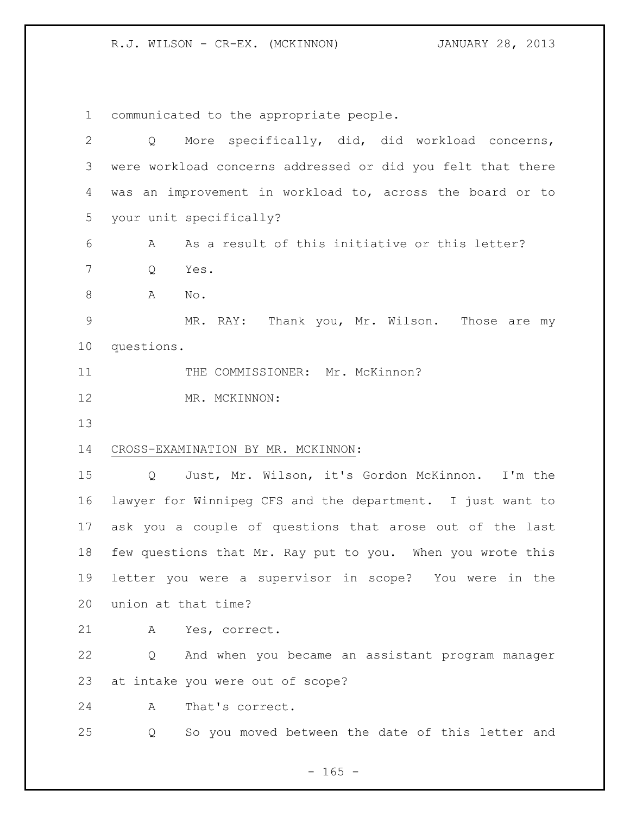R.J. WILSON - CR-EX. (MCKINNON) JANUARY 28, 2013

communicated to the appropriate people.

| $\overline{2}$ | More specifically, did, did workload concerns,<br>Q                  |
|----------------|----------------------------------------------------------------------|
| 3              | were workload concerns addressed or did you felt that there          |
| 4              | was an improvement in workload to, across the board or to            |
| 5              | your unit specifically?                                              |
| 6              | As a result of this initiative or this letter?<br>A                  |
| 7              | Q<br>Yes.                                                            |
| 8              | A<br>No.                                                             |
| $\mathsf 9$    | MR. RAY: Thank you, Mr. Wilson. Those are my                         |
| 10             | questions.                                                           |
| 11             | THE COMMISSIONER: Mr. McKinnon?                                      |
| 12             | MR. MCKINNON:                                                        |
| 13             |                                                                      |
| 14             | CROSS-EXAMINATION BY MR. MCKINNON:                                   |
| 15             | Just, Mr. Wilson, it's Gordon McKinnon. I'm the<br>$Q \qquad \qquad$ |
| 16             | lawyer for Winnipeg CFS and the department. I just want to           |
| 17             | ask you a couple of questions that arose out of the last             |
| 18             | few questions that Mr. Ray put to you. When you wrote this           |
| 19             | letter you were a supervisor in scope? You were in the               |
| 20             | union at that time?                                                  |
| 21             | Yes, correct.<br>A                                                   |
| 22             | And when you became an assistant program manager<br>Q                |
| 23             | at intake you were out of scope?                                     |
| 24             | A<br>That's correct.                                                 |
| 25             | So you moved between the date of this letter and<br>Q                |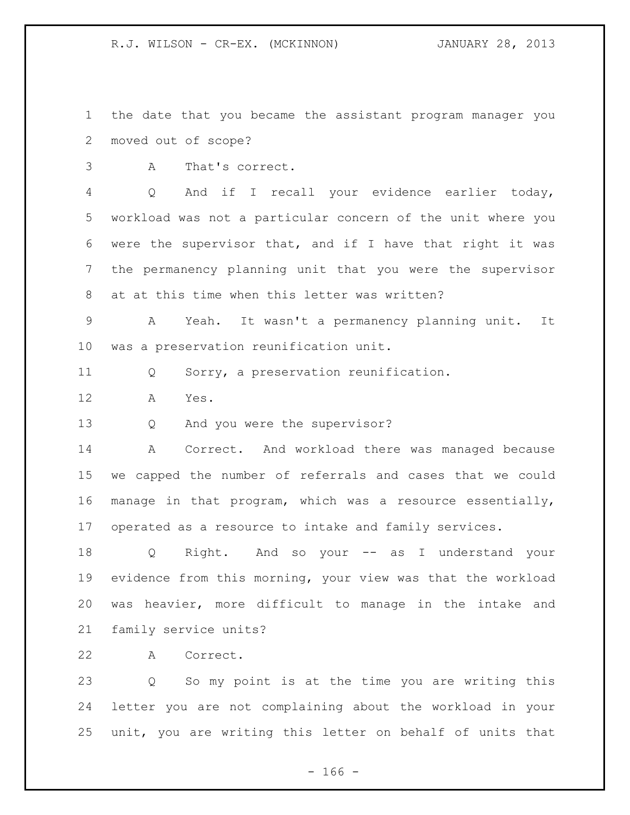the date that you became the assistant program manager you moved out of scope?

A That's correct.

 Q And if I recall your evidence earlier today, workload was not a particular concern of the unit where you were the supervisor that, and if I have that right it was the permanency planning unit that you were the supervisor at at this time when this letter was written?

 A Yeah. It wasn't a permanency planning unit. It was a preservation reunification unit.

Q Sorry, a preservation reunification.

A Yes.

Q And you were the supervisor?

14 A Correct. And workload there was managed because we capped the number of referrals and cases that we could manage in that program, which was a resource essentially, operated as a resource to intake and family services.

 Q Right. And so your -- as I understand your evidence from this morning, your view was that the workload was heavier, more difficult to manage in the intake and family service units?

A Correct.

 Q So my point is at the time you are writing this letter you are not complaining about the workload in your unit, you are writing this letter on behalf of units that

 $- 166 -$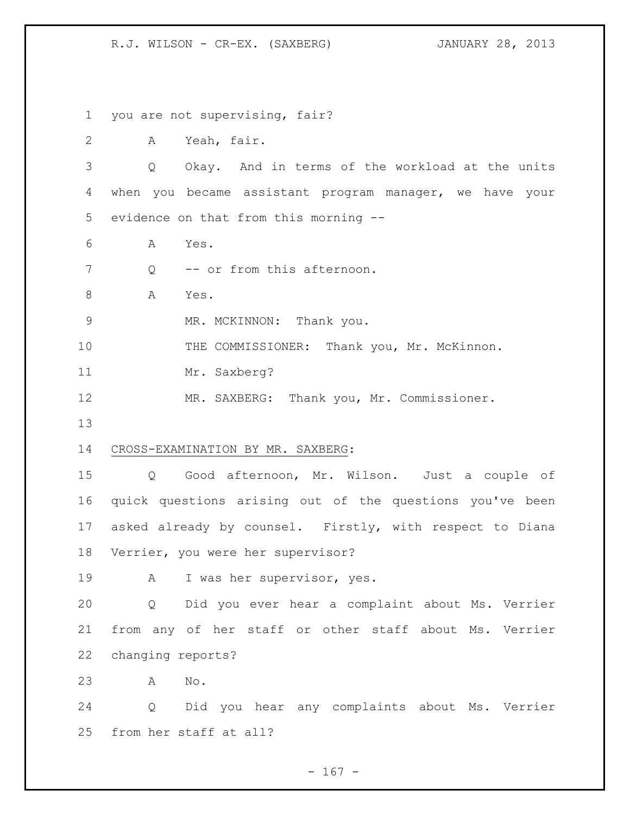R.J. WILSON - CR-EX. (SAXBERG) JANUARY 28, 2013

 you are not supervising, fair? A Yeah, fair. Q Okay. And in terms of the workload at the units when you became assistant program manager, we have your evidence on that from this morning -- A Yes. 7 O -- or from this afternoon. 8 A Yes. 9 MR. MCKINNON: Thank you. 10 THE COMMISSIONER: Thank you, Mr. McKinnon. Mr. Saxberg? MR. SAXBERG: Thank you, Mr. Commissioner. CROSS-EXAMINATION BY MR. SAXBERG: Q Good afternoon, Mr. Wilson. Just a couple of quick questions arising out of the questions you've been asked already by counsel. Firstly, with respect to Diana Verrier, you were her supervisor? 19 A I was her supervisor, yes. Q Did you ever hear a complaint about Ms. Verrier from any of her staff or other staff about Ms. Verrier changing reports? A No. Q Did you hear any complaints about Ms. Verrier from her staff at all?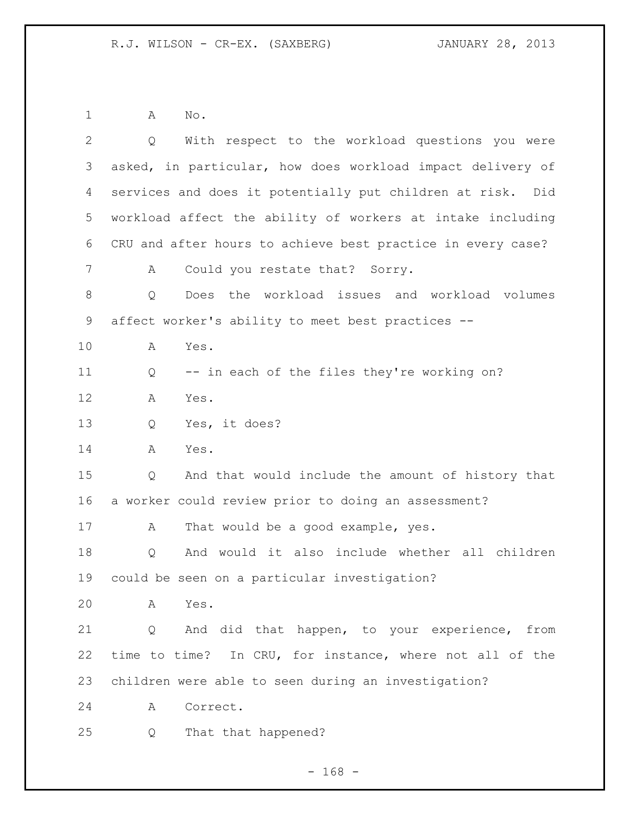A No.

| $\overline{2}$ | With respect to the workload questions you were<br>Q        |
|----------------|-------------------------------------------------------------|
| 3              | asked, in particular, how does workload impact delivery of  |
| 4              | services and does it potentially put children at risk. Did  |
| 5              | workload affect the ability of workers at intake including  |
| 6              | CRU and after hours to achieve best practice in every case? |
| 7              | Could you restate that? Sorry.<br>А                         |
| 8              | Does the workload issues and workload volumes<br>Q          |
| $\mathsf 9$    | affect worker's ability to meet best practices --           |
| 10             | Yes.<br>Α                                                   |
| 11             | -- in each of the files they're working on?<br>Q            |
| 12             | Yes.<br>A                                                   |
| 13             | Yes, it does?<br>Q                                          |
| 14             | Α<br>Yes.                                                   |
| 15             | And that would include the amount of history that<br>Q      |
| 16             | a worker could review prior to doing an assessment?         |
| 17             | That would be a good example, yes.<br>A                     |
| 18             | And would it also include whether all children<br>Q         |
| 19             | could be seen on a particular investigation?                |
| 20             | Yes.<br>A                                                   |
| 21             | And did that happen, to your experience, from<br>Q          |
| 22             | time to time? In CRU, for instance, where not all of the    |
| 23             | children were able to seen during an investigation?         |
| 24             | Correct.<br>A                                               |
| 25             | That that happened?<br>Q                                    |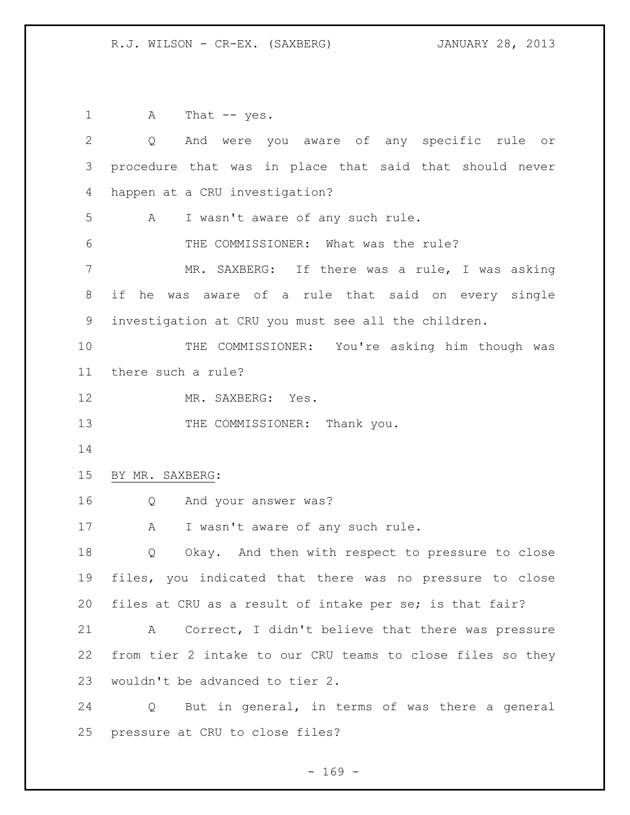R.J. WILSON - CR-EX. (SAXBERG) JANUARY 28, 2013

1 A That -- yes. Q And were you aware of any specific rule or procedure that was in place that said that should never happen at a CRU investigation? A I wasn't aware of any such rule. 6 THE COMMISSIONER: What was the rule? MR. SAXBERG: If there was a rule, I was asking if he was aware of a rule that said on every single investigation at CRU you must see all the children. THE COMMISSIONER: You're asking him though was there such a rule? MR. SAXBERG: Yes. 13 THE COMMISSIONER: Thank you. BY MR. SAXBERG: Q And your answer was? 17 A I wasn't aware of any such rule. Q Okay. And then with respect to pressure to close files, you indicated that there was no pressure to close files at CRU as a result of intake per se; is that fair? A Correct, I didn't believe that there was pressure from tier 2 intake to our CRU teams to close files so they wouldn't be advanced to tier 2. Q But in general, in terms of was there a general pressure at CRU to close files?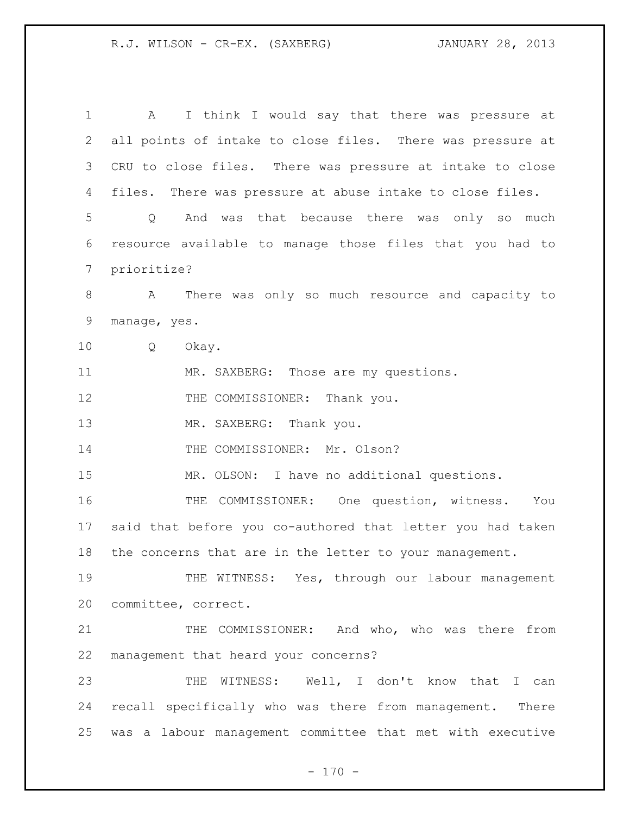R.J. WILSON - CR-EX. (SAXBERG) JANUARY 28, 2013

 A I think I would say that there was pressure at all points of intake to close files. There was pressure at CRU to close files. There was pressure at intake to close files. There was pressure at abuse intake to close files. Q And was that because there was only so much resource available to manage those files that you had to prioritize? A There was only so much resource and capacity to manage, yes. Q Okay. MR. SAXBERG: Those are my questions. 12 THE COMMISSIONER: Thank you. 13 MR. SAXBERG: Thank you. 14 THE COMMISSIONER: Mr. Olson? MR. OLSON: I have no additional questions. THE COMMISSIONER: One question, witness. You said that before you co-authored that letter you had taken the concerns that are in the letter to your management. THE WITNESS: Yes, through our labour management committee, correct. THE COMMISSIONER: And who, who was there from management that heard your concerns? THE WITNESS: Well, I don't know that I can recall specifically who was there from management. There was a labour management committee that met with executive